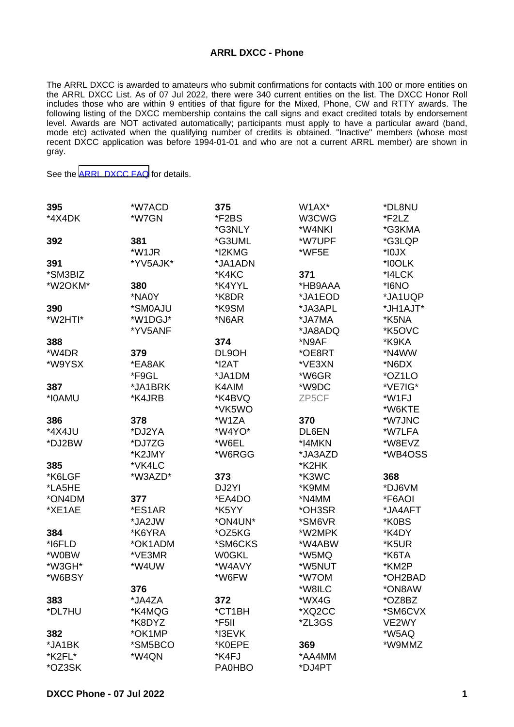## **ARRL DXCC - Phone**

The ARRL DXCC is awarded to amateurs who submit confirmations for contacts with 100 or more entities on the ARRL DXCC List. As of 07 Jul 2022, there were 340 current entities on the list. The DXCC Honor Roll includes those who are within 9 entities of that figure for the Mixed, Phone, CW and RTTY awards. The following listing of the DXCC membership contains the call signs and exact credited totals by endorsement level. Awards are NOT activated automatically; participants must apply to have a particular award (band, mode etc) activated when the qualifying number of credits is obtained. "Inactive" members (whose most recent DXCC application was before 1994-01-01 and who are not a current ARRL member) are shown in gray.

See the [ARRL DXCC FAQ](http://www.arrl.org/dxcc-faq/) for details.

| 395     | *W7ACD   | 375           | W <sub>1</sub> AX <sup>*</sup> | *DL8NU   |
|---------|----------|---------------|--------------------------------|----------|
| *4X4DK  | *W7GN    | *F2BS         | W3CWG                          | *F2LZ    |
|         |          | *G3NLY        | *W4NKI                         | *G3KMA   |
| 392     | 381      | *G3UML        | *W7UPF                         | *G3LQP   |
|         | *W1JR    | *I2KMG        | *WF5E                          | $*$ IOJX |
| 391     | *YV5AJK* | *JA1ADN       |                                | *I0OLK   |
| *SM3BIZ |          | *K4KC         | 371                            | *I4LCK   |
| *W2OKM* | 380      | *K4YYL        | *HB9AAA                        | *I6NO    |
|         | *NA0Y    | *K8DR         | *JA1EOD                        | *JA1UQP  |
| 390     | *SM0AJU  | *K9SM         | *JA3APL                        | *JH1AJT* |
| *W2HTI* | *W1DGJ*  | *N6AR         | *JA7MA                         | *K5NA    |
|         | *YV5ANF  |               | *JA8ADQ                        | *K5OVC   |
| 388     |          | 374           | *N9AF                          | *K9KA    |
| *W4DR   | 379      | DL9OH         | *OE8RT                         | *N4WW    |
| *W9YSX  | *EA8AK   | $*$ $2AT$     | *VE3XN                         | *N6DX    |
|         | *F9GL    | *JA1DM        | *W6GR                          | *OZ1LO   |
| 387     | *JA1BRK  | K4AIM         | *W9DC                          | *VE7IG*  |
| *I0AMU  | *K4JRB   | *K4BVQ        | ZP5CF                          | *W1FJ    |
|         |          | *VK5WO        |                                | *W6KTE   |
| 386     | 378      | *W1ZA         | 370                            | *W7JNC   |
| *4X4JU  | *DJ2YA   | *W4YO*        | DL6EN                          | *W7LFA   |
| *DJ2BW  | *DJ7ZG   | *W6EL         | *I4MKN                         | *W8EVZ   |
|         | *K2JMY   | *W6RGG        | *JA3AZD                        | *WB4OSS  |
| 385     | *VK4LC   |               | *K2HK                          |          |
| *K6LGF  | *W3AZD*  | 373           | *K3WC                          | 368      |
| *LA5HE  |          | DJ2YI         | *K9MM                          | *DJ6VM   |
| *ON4DM  | 377      | *EA4DO        | *N4MM                          | *F6AOI   |
| *XE1AE  | *ES1AR   | *K5YY         | *OH3SR                         | *JA4AFT  |
|         | *JA2JW   | *ON4UN*       | *SM6VR                         | *K0BS    |
| 384     | *K6YRA   | *OZ5KG        | *W2MPK                         | *K4DY    |
| *I6FLD  | *OK1ADM  | *SM6CKS       | *W4ABW                         | *K5UR    |
| *W0BW   | *VE3MR   | <b>W0GKL</b>  | *W5MQ                          | *K6TA    |
| *W3GH*  | *W4UW    | *W4AVY        | *W5NUT                         | *KM2P    |
| *W6BSY  |          | *W6FW         | *W7OM                          | *OH2BAD  |
|         | 376      |               | *W8ILC                         | *ON8AW   |
| 383     | *JA4ZA   | 372           | *WX4G                          | *OZ8BZ   |
| *DL7HU  | *K4MQG   | *CT1BH        | *XQ2CC                         | *SM6CVX  |
|         | *K8DYZ   | *F5II         | *ZL3GS                         | VE2WY    |
| 382     | *OK1MP   | *I3EVK        |                                | *W5AQ    |
| *JA1BK  | *SM5BCO  | *K0EPE        | 369                            | *W9MMZ   |
| *K2FL*  | *W4QN    | *K4FJ         | *AA4MM                         |          |
| *OZ3SK  |          | <b>PA0HBO</b> | *DJ4PT                         |          |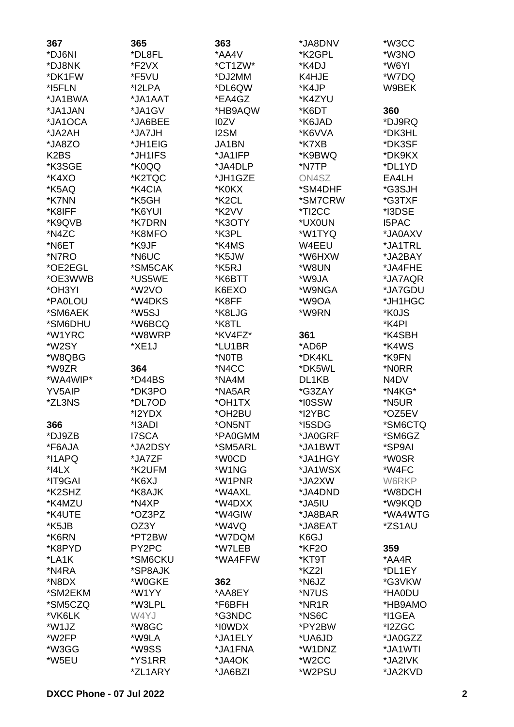| 367                           | 365                | 363                | *JA8DNV | *W3CC        |
|-------------------------------|--------------------|--------------------|---------|--------------|
| *DJ6NI                        | *DL8FL             | *AA4V              | *K2GPL  | *W3NO        |
| *DJ8NK                        | *F2VX              | *CT1ZW*            | *K4DJ   | *W6YI        |
| *DK1FW                        | *F5VU              | *DJ2MM             | K4HJE   | *W7DQ        |
| *I5FLN                        | *I2LPA             | *DL6QW             | *K4JP   | W9BEK        |
| *JA1BWA                       | *JA1AAT            | *EA4GZ             | *K4ZYU  |              |
| *JA1JAN                       | *JA1GV             | *HB9AQW            | *K6DT   | 360          |
| *JA1OCA                       | *JA6BEE            | I0ZV               | *K6JAD  | *DJ9RQ       |
| *JA2AH                        | *JA7JH             | <b>I2SM</b>        | *K6VVA  | *DK3HL       |
| *JA8ZO                        | *JH1EIG            | JA1BN              | *K7XB   | *DK3SF       |
| K <sub>2</sub> B <sub>S</sub> | *JH1IFS            | *JA1IFP            | *K9BWQ  | *DK9KX       |
| *K3SGE                        | *K0QQ              | *JA4DLP            | *N7TP   | *DL1YD       |
| *K4XO                         | *K2TQC             | *JH1GZE            | ON4SZ   | EA4LH        |
| *K5AQ                         | *K4CIA             | *K0KX              | *SM4DHF | *G3SJH       |
| *K7NN                         | *K5GH              | *K <sub>2</sub> CL | *SM7CRW | *G3TXF       |
| *K8IFF                        | *K6YUI             | *K2VV              | *TI2CC  | *I3DSE       |
| *K9QVB                        | *K7DRN             | *K3OTY             | *UX0UN  | <b>I5PAC</b> |
| *N4ZC                         | *K8MFO             | *K3PL              | *W1TYQ  | *JA0AXV      |
| *N6ET                         | *K9JF              | *K4MS              | W4EEU   | *JA1TRL      |
| *N7RO                         | *N6UC              | *K5JW              | *W6HXW  | *JA2BAY      |
| *OE2EGL                       | *SM5CAK            | *K5RJ              | *W8UN   | *JA4FHE      |
| *OE3WWB                       | *US5WE             | *K6BTT             | *W9JA   | *JA7AQR      |
| *OH3YI                        | *W <sub>2</sub> VO | K6EXO              | *W9NGA  | *JA7GDU      |
| *PA0LOU                       | *W4DKS             | *K8FF              | *W9OA   | *JH1HGC      |
| *SM6AEK                       | *W5SJ              | *K8LJG             | *W9RN   | *K0JS        |
| *SM6DHU                       | *W6BCQ             | *K8TL              |         | *K4PI        |
| *W1YRC                        | *W8WRP             | *KV4FZ*            | 361     | *K4SBH       |
| *W2SY                         | *XE1J              | *LU1BR             | *AD6P   | *K4WS        |
| *W8QBG                        |                    | *NOTB              | *DK4KL  | *K9FN        |
| *W9ZR                         | 364                | *N4CC              | *DK5WL  | *N0RR        |
| *WA4WIP*                      | *D44BS             | *NA4M              | DL1KB   | N4DV         |
| YV5AIP                        | *DK3PO             | *NA5AR             | *G3ZAY  | *N4KG*       |
| *ZL3NS                        | *DL7OD             | *OH1TX             | *I0SSW  | *N5UR        |
|                               | *I2YDX             | *OH2BU             | *I2YBC  | *OZ5EV       |
| 366                           | *I3ADI             | *ON5NT             | *I5SDG  | *SM6CTQ      |
| *DJ9ZB                        | I7SCA              | *PA0GMM            | *JA0GRF | *SM6GZ       |
| *F6AJA                        | *JA2DSY            | *SM5ARL            | *JA1BWT | *SP9AI       |
| *I1APQ                        | *JA7ZF             | *W0CD              | *JA1HGY | *W0SR        |
| $*$ $4LX$                     | *K2UFM             | *W1NG              | *JA1WSX | *W4FC        |
| *IT9GAI                       | *K6XJ              | *W1PNR             | *JA2XW  | W6RKP        |
| *K2SHZ                        | *K8AJK             | *W4AXL             | *JA4DND | *W8DCH       |
| *K4MZU                        | *N4XP              | *W4DXX             | *JA5IU  | *W9KQD       |
| *K4UTE                        | *OZ3PZ             | *W4GIW             | *JA8BAR | *WA4WTG      |
| *K5JB                         | OZ3Y               | *W4VQ              | *JA8EAT | *ZS1AU       |
| *K6RN                         | *PT2BW             | *W7DQM             | K6GJ    |              |
| *K8PYD                        | PY2PC              | *W7LEB             | *KF2O   | 359          |
| *LA1K                         | *SM6CKU            | *WA4FFW            | *KT9T   | *AA4R        |
| *N4RA                         | *SP8AJK            |                    | *KZ2I   | *DL1EY       |
| *N8DX                         | *W0GKE             | 362                | *N6JZ   | *G3VKW       |
| *SM2EKM                       | *W1YY              | *AA8EY             | *N7US   | *HA0DU       |
| *SM5CZQ                       | *W3LPL             | *F6BFH             | *NR1R   | *HB9AMO      |
| *VK6LK                        | W4YJ               | *G3NDC             | *NS6C   | *I1GEA       |
| *W1JZ                         | *W8GC              | *I0WDX             | *PY2BW  | *I2ZGC       |
| *W2FP                         | *W9LA              | *JA1ELY            | *UA6JD  | *JA0GZZ      |
| *W3GG                         | *W9SS              | *JA1FNA            | *W1DNZ  | *JA1WTI      |
| *W5EU                         | *YS1RR             | *JA4OK             | *W2CC   | *JA2IVK      |
|                               | *ZL1ARY            | *JA6BZI            | *W2PSU  | *JA2KVD      |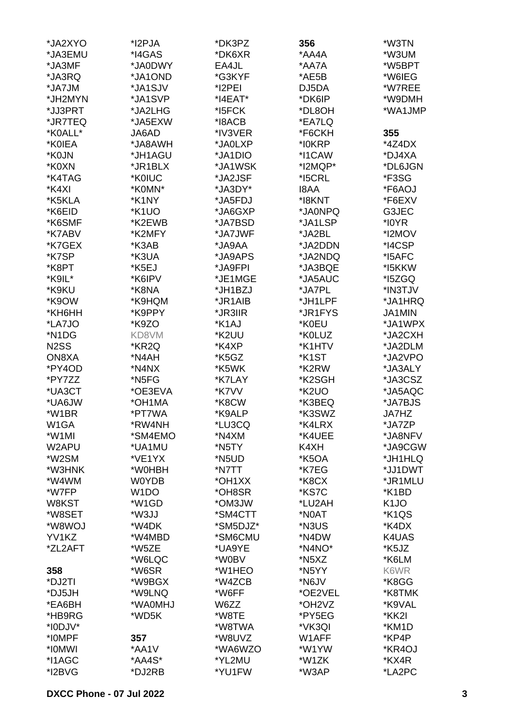| *JA2XYO           | *I2PJA            | *DK3PZ   | 356                             | *W3TN              |
|-------------------|-------------------|----------|---------------------------------|--------------------|
| *JA3EMU           | *I4GAS            | *DK6XR   | *AA4A                           | *W3UM              |
| *JA3MF            | *JA0DWY           | EA4JL    | *AA7A                           | *W5BPT             |
| *JA3RQ            | *JA1OND           | *G3KYF   | *AE5B                           | *W6IEG             |
| *JA7JM            | *JA1SJV           | *I2PEI   | DJ5DA                           | *W7REE             |
| *JH2MYN           | *JA1SVP           | *I4EAT*  | *DK6IP                          | *W9DMH             |
| *JJ3PRT           | *JA2LHG           | *I5FCK   | *DL8OH                          | *WA1JMP            |
| *JR7TEQ           | *JA5EXW           | *I8ACB   | *EA7LQ                          |                    |
| *K0ALL*           | JA6AD             | *IV3VER  | *F6CKH                          | 355                |
| *K0IEA            | *JA8AWH           | *JA0LXP  | *I0KRP                          | *4Z4DX             |
| *K0JN             | *JH1AGU           | *JA1DIO  | *I1CAW                          | *DJ4XA             |
| *K0XN             | *JR1BLX           | *JA1WSK  | *I2MQP*                         | *DL6JGN            |
| *K4TAG            | *K0IUC            | *JA2JSF  | *I5CRL                          | *F3SG              |
| *K4XI             | *K0MN*            | *JA3DY*  | <b>I8AA</b>                     | *F6AOJ             |
| *K5KLA            | *K1NY             | *JA5FDJ  | *I8KNT                          | *F6EXV             |
| *K6EID            | *K1UO             | *JA6GXP  | *JA0NPQ                         | G3JEC              |
| *K6SMF            | *K2EWB            | *JA7BSD  | *JA1LSP                         | *I0YR              |
| *K7ABV            | *K2MFY            | *JA7JWF  | *JA2BL                          | *I2MOV             |
| *K7GEX            | *K3AB             | *JA9AA   | *JA2DDN                         | *I4CSP             |
| *K7SP             |                   |          |                                 |                    |
|                   | *K3UA             | *JA9APS  | *JA2NDQ                         | *I5AFC             |
| *K8PT             | *K5EJ             | *JA9FPI  | *JA3BQE                         | *I5KKW             |
| *K9IL*            | *K6IPV            | *JE1MGE  | *JA5AUC                         | *I5ZGQ             |
| *K9KU             | *K8NA             | *JH1BZJ  | *JA7PL                          | *IN3TJV            |
| *K9OW             | *K9HQM            | *JR1AIB  | *JH1LPF                         | *JA1HRQ            |
| *KH6HH            | *K9PPY            | *JR3IIR  | *JR1FYS                         | <b>JA1MIN</b>      |
| *LA7JO            | *K9ZO             | *K1AJ    | *K0EU                           | *JA1WPX            |
| *N1DG             | KD8VM             | *K2UU    | *K0LUZ                          | *JA2CXH            |
| N <sub>2</sub> SS | *KR2Q             | *K4XP    | *K1HTV                          | *JA2DLM            |
| ON8XA             | *N4AH             | *K5GZ    | *K1ST                           | *JA2VPO            |
| *PY4OD            | *N4NX             | *K5WK    | *K2RW                           | *JA3ALY            |
| *PY7ZZ            | *N5FG             | *K7LAY   | *K2SGH                          | *JA3CSZ            |
| *UA3CT            | *OE3EVA           | *K7VV    | *K <sub>2</sub> UO              | *JA5AQC            |
| *UA6JW            | *OH1MA            | *K8CW    | *K3BEQ                          | *JA7BJS            |
| *W1BR             | *PT7WA            | *K9ALP   | *K3SWZ                          | JA7HZ              |
| W <sub>1</sub> GA | *RW4NH            | *LU3CQ   | *K4LRX                          | *JA7ZP             |
| *W1MI             | *SM4EMO           | *N4XM    | *K4UEE                          | *JA8NFV            |
| W2APU             | *UA1MU            | *N5TY    | K4XH                            | *JA9CGW            |
| *W2SM             | *VE1YX            | *N5UD    | *K5OA                           | *JH1HLQ            |
| *W3HNK            | *W0HBH            | *N7TT    | *K7EG                           | *JJ1DWT            |
| *W4WM             | <b>WOYDB</b>      | *OH1XX   | *K8CX                           | *JR1MLU            |
| *W7FP             | W <sub>1</sub> DO | *OH8SR   | *KS7C                           | *K1BD              |
| W8KST             | *W1GD             | *OM3JW   | *LU2AH                          | K <sub>1</sub> JO  |
| *W8SET            | *W3JJ             | *SM4CTT  | *N0AT                           | *K <sub>1</sub> QS |
| *W8WOJ            | *W4DK             | *SM5DJZ* | *N3US                           | *K4DX              |
| YV1KZ             | *W4MBD            | *SM6CMU  | *N4DW                           | K4UAS              |
| *ZL2AFT           | *W5ZE             | *UA9YE   | *N4NO*                          | *K5JZ              |
|                   | *W6LQC            | *W0BV    | *N5XZ                           | *K6LM              |
| 358               | *W6SR             | *W1HEO   | *N5YY                           | K6WR               |
| *DJ2TI            | *W9BGX            | *W4ZCB   | *N6JV                           | *K8GG              |
| *DJ5JH            | *W9LNQ            | *W6FF    | *OE2VEL                         | *K8TMK             |
| *EA6BH            | *WA0MHJ           | W6ZZ     | *OH <sub>2</sub> V <sub>Z</sub> | *K9VAL             |
| *HB9RG            | *WD5K             | *W8TE    | *PY5EG                          | *KK2I              |
| *I0DJV*           |                   | *W8TWA   | *VK3QI                          | *KM1D              |
| *I0MPF            | 357               | *W8UVZ   | W1AFF                           | *KP4P              |
| *IOMWI            | *AA1V             | *WA6WZO  | *W1YW                           | *KR4OJ             |
| *I1AGC            | *AA4S*            | *YL2MU   | *W1ZK                           | *KX4R              |
| *I2BVG            | *DJ2RB            | *YU1FW   | *W3AP                           | *LA2PC             |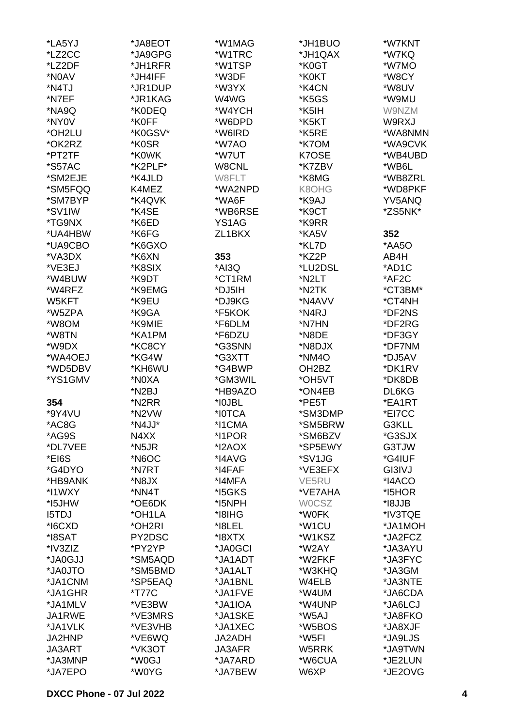| *LA5YJ               | *JA8EOT            | *W1MAG        | *JH1BUO            | *W7KNT  |
|----------------------|--------------------|---------------|--------------------|---------|
| *LZ2CC               | *JA9GPG            | *W1TRC        | *JH1QAX            | *W7KQ   |
| *LZ2DF               | *JH1RFR            | *W1TSP        | *K0GT              | *W7MO   |
| *N0AV                | *JH4IFF            | *W3DF         | *K0KT              | *W8CY   |
|                      |                    |               |                    |         |
| *N4TJ                | *JR1DUP            | *W3YX         | *K4CN              | *W8UV   |
| *N7EF                | *JR1KAG            | W4WG          | *K5GS              | *W9MU   |
| *NA9Q                | *K0DEQ             | *W4YCH        | *K5IH              | W9NZM   |
| *NY0V                | *K0FF              | *W6DPD        | *K5KT              | W9RXJ   |
| *OH2LU               | *K0GSV*            | *W6IRD        | *K5RE              | *WA8NMN |
| *OK2RZ               | *K0SR              | *W7AO         | *K7OM              | *WA9CVK |
| *PT2TF               | *K0WK              | *W7UT         | K7OSE              | *WB4UBD |
| <i><b>*S57AC</b></i> | *K2PLF*            | W8CNL         | *K7ZBV             | *WB6L   |
| *SM2EJE              | *K4JLD             | W8FLT         | *K8MG              | *WB8ZRL |
| *SM5FQQ              | K4MEZ              | *WA2NPD       | K8OHG              | *WD8PKF |
| *SM7BYP              | *K4QVK             | *WA6F         | *K9AJ              | YV5ANQ  |
| *SV1IW               | *K4SE              | *WB6RSE       | *K9CT              | *ZS5NK* |
| *TG9NX               | *K6ED              | YS1AG         | *K9RR              |         |
| *UA4HBW              | *K6FG              | ZL1BKX        | *KA5V              | 352     |
| *UA9CBO              | *K6GXO             |               | *KL7D              | *AA5O   |
|                      |                    |               |                    |         |
| *VA3DX               | *K6XN              | 353           | *KZ2P              | AB4H    |
| *VE3EJ               | *K8SIX             | *AI3Q         | *LU2DSL            | *AD1C   |
| *W4BUW               | *K9DT              | *CT1RM        | *N2LT              | *AF2C   |
| *W4RFZ               | *K9EMG             | *DJ5IH        | *N2TK              | *CT3BM* |
| W5KFT                | *K9EU              | *DJ9KG        | *N4AVV             | *CT4NH  |
| *W5ZPA               | *K9GA              | *F5KOK        | *N4RJ              | *DF2NS  |
| *W8OM                | *K9MIE             | *F6DLM        | *N7HN              | *DF2RG  |
| *W8TN                | *KA1PM             | *F6DZU        | *N8DE              | *DF3GY  |
| *W9DX                | *KC8CY             | *G3SNN        | *N8DJX             | *DF7NM  |
| *WA4OEJ              | *KG4W              | *G3XTT        | *NM4O              | *DJ5AV  |
| *WD5DBV              | *KH6WU             | *G4BWP        | OH <sub>2</sub> BZ | *DK1RV  |
| *YS1GMV              | *N0XA              | *GM3WIL       | *OH5VT             | *DK8DB  |
|                      | *N <sub>2</sub> BJ | *HB9AZO       | *ON4EB             | DL6KG   |
| 354                  | *N2RR              | *I0JBL        | *PE5T              | *EA1RT  |
|                      |                    | *I0TCA        | *SM3DMP            | *EI7CC  |
| *9Y4VU               | *N2VW              |               |                    |         |
| *AC8G                | *N4JJ*             | *I1CMA        | *SM5BRW            | G3KLL   |
| *AG9S                | N4XX               | *I1POR        | *SM6BZV            | *G3SJX  |
| *DL7VEE              | *N5JR              | *I2AOX        | *SP5EWY            | G3TJW   |
| *EI6S                | *N6OC              | *I4AVG        | *SV1JG             | *G4IUF  |
| *G4DYO               | *N7RT              | *I4FAF        | *VE3EFX            | GI3IVJ  |
| *HB9ANK              | *N8JX              | *I4MFA        | VE5RU              | *I4ACO  |
| *I1WXY               | *NN4T              | *I5GKS        | *VE7AHA            | *I5HOR  |
| *I5JHW               | *OE6DK             | *I5NPH        | <b>WOCSZ</b>       | *I8JJB  |
| <b>I5TDJ</b>         | *OH1LA             | *I8IHG        | *W0FK              | *IV3TQE |
| *I6CXD               | *OH2RI             | *I8LEL        | *W <sub>1</sub> CU | *JA1MOH |
| *I8SAT               | PY2DSC             | *I8XTX        | *W1KSZ             | *JA2FCZ |
| *IV3ZIZ              | *PY2YP             | *JA0GCI       | *W2AY              | *JA3AYU |
| *JA0GJJ              | *SM5AQD            | *JA1ADT       | *W2FKF             | *JA3FYC |
| *JA0JTO              | *SM5BMD            | *JA1ALT       | *W3KHQ             | *JA3GM  |
| *JA1CNM              | *SP5EAQ            | *JA1BNL       | W4ELB              | *JA3NTE |
| *JA1GHR              | *T77C              | *JA1FVE       | *W4UM              | *JA6CDA |
| *JA1MLV              |                    | *JA1IOA       | *W4UNP             |         |
|                      | *VE3BW             |               |                    | *JA6LCJ |
| JA1RWE               | *VE3MRS            | *JA1SKE       | *W5AJ              | *JA8FKO |
| *JA1VLK              | *VE3VHB            | *JA1XEC       | *W5BOS             | *JA8XJF |
| <b>JA2HNP</b>        | *VE6WQ             | JA2ADH        | *W5FI              | *JA9LJS |
| JA3ART               | *VK3OT             | <b>JA3AFR</b> | W5RRK              | *JA9TWN |
| *JA3MNP              | *W0GJ              | *JA7ARD       | *W6CUA             | *JE2LUN |
| *JA7EPO              | *W0YG              | *JA7BEW       | W6XP               | *JE2OVG |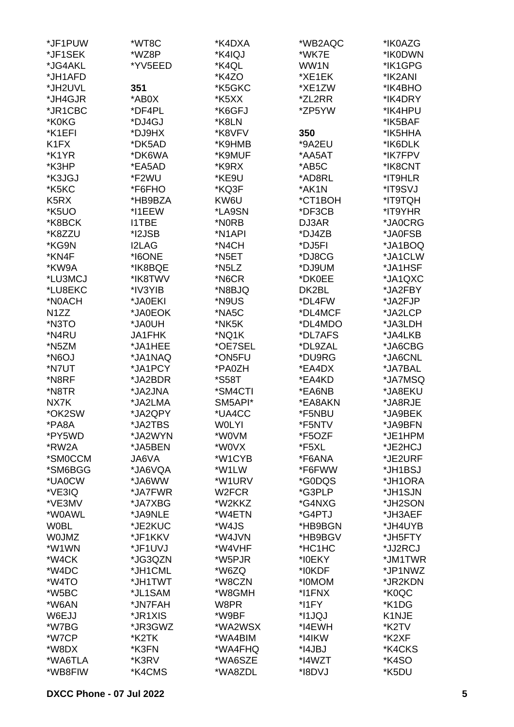| *JF1PUW           | *WT8C        | *K4DXA              | *WB2AQC | *IK0AZG |
|-------------------|--------------|---------------------|---------|---------|
| *JF1SEK           | *WZ8P        | *K4IQJ              | *WK7E   | *IK0DWN |
| *JG4AKL           | *YV5EED      | *K4QL               | WW1N    | *IK1GPG |
| *JH1AFD           |              | *K4ZO               | *XE1EK  | *IK2ANI |
| *JH2UVL           | 351          | *K5GKC              | *XE1ZW  | *IK4BHO |
| *JH4GJR           | *AB0X        | *K5XX               | *ZL2RR  | *IK4DRY |
| *JR1CBC           | *DF4PL       | *K6GFJ              | *ZP5YW  | *IK4HPU |
| *K0KG             | *DJ4GJ       | *K8LN               |         | *IK5BAF |
| *K1EFI            | *DJ9HX       | *K8VFV              | 350     | *IK5HHA |
| K1FX              | *DK5AD       | *K9HMB              | *9A2EU  | *IK6DLK |
| *K1YR             | *DK6WA       | *K9MUF              | *AA5AT  | *IK7FPV |
| *K3HP             | *EA5AD       | *K9RX               | *AB5C   | *IK8CNT |
| *K3JGJ            | *F2WU        | *KE9U               | *AD8RL  | *IT9HLR |
| *K5KC             | *F6FHO       | *KQ3F               | *AK1N   | *IT9SVJ |
| K <sub>5</sub> RX | *HB9BZA      | KW6U                | *CT1BOH | *IT9TQH |
| *K5UO             | *I1EEW       | *LA9SN              | *DF3CB  | *IT9YHR |
| *K8BCK            | <b>I1TBE</b> | *N0RB               | DJ3AR   | *JA0CRG |
| *K8ZZU            | *I2JSB       | *N <sub>1</sub> API | *DJ4ZB  | *JA0FSB |
| *KG9N             | <b>I2LAG</b> | *N4CH               | *DJ5FI  | *JA1BOQ |
| *KN4F             | *I6ONE       | *N5ET               | *DJ8CG  | *JA1CLW |
| *KW9A             | *IK8BQE      | *N5LZ               | *DJ9UM  | *JA1HSF |
| *LU3MCJ           | *IK8TWV      | *N6CR               | *DK0EE  | *JA1QXC |
| *LU8EKC           | *IV3YIB      | *N8BJQ              | DK2BL   | *JA2FBY |
| *N0ACH            | *JA0EKI      | *N9US               | *DL4FW  | *JA2FJP |
| N <sub>1</sub> ZZ | *JA0EOK      | *NA5C               | *DL4MCF | *JA2LCP |
| *N3TO             | HU0Al*       | *NK5K               | *DL4MDO | *JA3LDH |
|                   |              |                     |         |         |
| *N4RU             | JA1FHK       | *NQ1K               | *DL7AFS | *JA4LKB |
| *N5ZM             | *JA1HEE      | *OE7SEL             | *DL9ZAL | *JA6CBG |
| *N6OJ             | *JA1NAQ      | *ON5FU              | *DU9RG  | *JA6CNL |
| *N7UT             | *JA1PCY      | *PA0ZH              | *EA4DX  | *JA7BAL |
| *N8RF             | *JA2BDR      | *S58T               | *EA4KD  | *JA7MSQ |
| *N8TR             | *JA2JNA      | *SM4CTI             | *EA6NB  | *JA8EKU |
| NX7K              | *JA2LMA      | SM5API*             | *EA8AKN | *JA8RJE |
| *OK2SW            | *JA2QPY      | *UA4CC              | *F5NBU  | *JA9BEK |
| *PA8A             | *JA2TBS      | <b>WOLYI</b>        | *F5NTV  | *JA9BFN |
| *PY5WD            | *JA2WYN      | *W0VM               | *F5OZF  | *JE1HPM |
| *RW2A             | *JA5BEN      | *W0VX               | *F5XL   | *JE2HCJ |
| *SM0CCM           | JA6VA        | *W1CYB              | *F6ANA  | *JE2URF |
| *SM6BGG           | *JA6VQA      | *W1LW               | *F6FWW  | *JH1BSJ |
| *UA0CW            | *JA6WW       | *W1URV              | *G0DQS  | *JH1ORA |
| *VE3IQ            | *JA7FWR      | W <sub>2</sub> FCR  | *G3PLP  | *JH1SJN |
| *VE3MV            | *JA7XBG      | *W2KKZ              | *G4NXG  | *JH2SON |
| *W0AWL            | *JA9NLE      | *W4ETN              | *G4PTJ  | *JH3AEF |
| <b>WOBL</b>       | *JE2KUC      | *W4JS               | *HB9BGN | *JH4UYB |
| <b>WOJMZ</b>      | *JF1KKV      | *W4JVN              | *HB9BGV | *JH5FTY |
| *W1WN             | *JF1UVJ      | *W4VHF              | *HC1HC  | *JJ2RCJ |
| *W4CK             | *JG3QZN      | *W5PJR              | *I0EKY  | *JM1TWR |
| *W4DC             | *JH1CML      | *W6ZQ               | *I0KDF  | *JP1NWZ |
| *W4TO             | *JH1TWT      | *W8CZN              | *I0MOM  | *JR2KDN |
| *W5BC             | *JL1SAM      | *W8GMH              | *I1FNX  | *K0QC   |
| *W6AN             | *JN7FAH      | W8PR                | *I1FY   | *K1DG   |
| W6EJJ             | *JR1XIS      | *W9BF               | *I1JQJ  | K1NJE   |
| *W7BG             | *JR3GWZ      | *WA2WSX             | *I4EWH  | *K2TV   |
| *W7CP             | *K2TK        | *WA4BIM             | *I4IKW  | *K2XF   |
| *W8DX             | *K3FN        | *WA4FHQ             | *I4JBJ  | *K4CKS  |
| *WA6TLA           | *K3RV        | *WA6SZE             | *I4WZT  | *K4SO   |
| *WB8FIW           | *K4CMS       | *WA8ZDL             | *I8DVJ  | *K5DU   |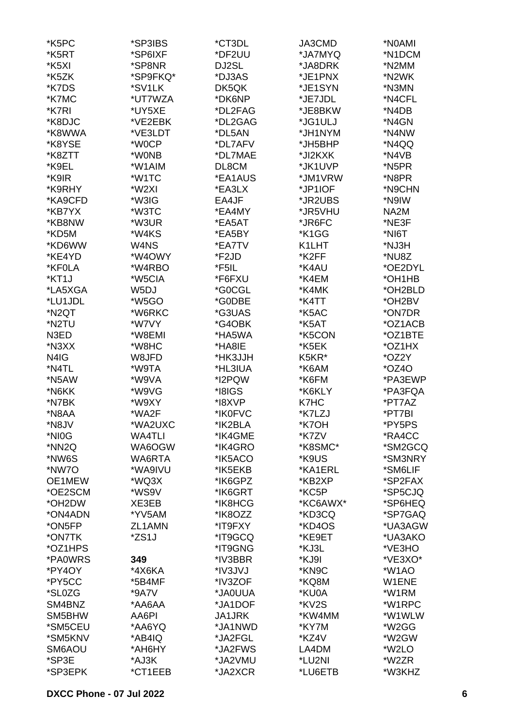| *K5PC              | *SP3IBS       | *CT3DL  | JA3CMD   | *N0AMI  |
|--------------------|---------------|---------|----------|---------|
| *K5RT              | *SP6IXF       | *DF2UU  | *JA7MYQ  | *N1DCM  |
| *K5XI              | *SP8NR        | DJ2SL   | *JA8DRK  | *N2MM   |
| *K5ZK              | *SP9FKQ*      | *DJ3AS  | *JE1PNX  | *N2WK   |
| *K7DS              | *SV1LK        | DK5QK   | *JE1SYN  | *N3MN   |
| *K7MC              | *UT7WZA       | *DK6NP  | *JE7JDL  | *N4CFL  |
| *K7RI              | *UY5XE        | *DL2FAG | *JE8BKW  | *N4DB   |
|                    |               |         |          |         |
| *K8DJC             | *VE2EBK       | *DL2GAG | *JG1ULJ  | *N4GN   |
| *K8WWA             | *VE3LDT       | *DL5AN  | *JH1NYM  | *N4NW   |
| *K8YSE             | *W0CP         | *DL7AFV | *JH5BHP  | *N4QQ   |
| *K8ZTT             | *W0NB         | *DL7MAE | *JI2KXK  | *N4VB   |
| *K9EL              | *W1AIM        | DL8CM   | *JK1UVP  | *N5PR   |
| *K9IR              | *W1TC         | *EA1AUS | *JM1VRW  | *N8PR   |
| *K9RHY             | *W2XI         | *EA3LX  | *JP1IOF  | *N9CHN  |
| *KA9CFD            | *W3IG         | EA4JF   | *JR2UBS  | *N9IW   |
| *KB7YX             | *W3TC         | *EA4MY  | *JR5VHU  | NA2M    |
| *KB8NW             | *W3UR         | *EA5AT  | *JR6FC   | *NE3F   |
| *KD5M              | *W4KS         | *EA5BY  | *K1GG    | *NI6T   |
| *KD6WW             | W4NS          | *EA7TV  | K1LHT    | *NJ3H   |
| *KE4YD             | *W4OWY        | *F2JD   | *K2FF    | *NU8Z   |
| *KF0LA             | *W4RBO        | *F5IL   | *K4AU    | *OE2DYL |
| *KT1J              | *W5CIA        | *F6FXU  | *K4EM    | *OH1HB  |
| *LA5XGA            | W5DJ          | *G0CGL  | *K4MK    | *OH2BLD |
| *LU1JDL            | *W5GO         | *G0DBE  | *K4TT    | *OH2BV  |
| *N <sub>2</sub> QT | *W6RKC        | *G3UAS  | *K5AC    | *ON7DR  |
| *N2TU              | *W7VY         | *G4OBK  | *K5AT    | *OZ1ACB |
| N3ED               | *W8EMI        | *HA5WA  | *K5CON   | *OZ1BTE |
| *N3XX              | *W8HC         | *HA8IE  | *K5EK    | *OZ1HX  |
| N4IG               | W8JFD         | *HK3JJH | K5KR*    | *OZ2Y   |
| *N4TL              | *W9TA         | *HL3IUA | *K6AM    | $*OZ4O$ |
| *N5AW              | *W9VA         | *I2PQW  | *K6FM    | *PA3EWP |
| *N6KK              | *W9VG         | *I8IGS  | *K6KLY   | *PA3FQA |
| *N7BK              | *W9XY         | *I8XVP  | K7HC     | *PT7AZ  |
| *N8AA              | *WA2F         | *IK0FVC | *K7LZJ   | *PT7BI  |
|                    |               |         |          |         |
| *N8JV              | *WA2UXC       | *IK2BLA | *K7OH    | *PY5PS  |
| *NI0G              | <b>WA4TLI</b> | *IK4GME | *K7ZV    | *RA4CC  |
| *NN2Q              | WA6OGW        | *IK4GRO | *K8SMC*  | *SM2GCQ |
| *NW6S              | WA6RTA        | *IK5ACO | *K9US    | *SM3NRY |
| *NW7O              | *WA9IVU       | *IK5EKB | *KA1ERL  | *SM6LIF |
| OE1MEW             | *WQ3X         | *IK6GPZ | *KB2XP   | *SP2FAX |
| *OE2SCM            | *WS9V         | *IK6GRT | *KC5P    | *SP5CJQ |
| *OH2DW             | XE3EB         | *IK8HCG | *KC6AWX* | *SP6HEQ |
| *ON4ADN            | *YV5AM        | *IK8OZZ | *KD3CQ   | *SP7GAQ |
| *ON5FP             | ZL1AMN        | *IT9FXY | *KD4OS   | *UA3AGW |
| *ON7TK             | *ZS1J         | *IT9GCQ | *KE9ET   | *UA3AKO |
| *OZ1HPS            |               | *IT9GNG | *KJ3L    | *VE3HO  |
| *PA0WRS            | 349           | *IV3BBR | *KJ9I    | *VE3XO* |
| *PY4OY             | *4X6KA        | *IV3JVJ | *KN9C    | *W1AO   |
| *PY5CC             | *5B4MF        | *IV3ZOF | *KQ8M    | W1ENE   |
| *SL0ZG             | *9A7V         | *JA0UUA | *KU0A    | *W1RM   |
| SM4BNZ             | *AA6AA        | *JA1DOF | *KV2S    | *W1RPC  |
| SM5BHW             | AA6PI         | JA1JRK  | *KW4MM   | *W1WLW  |
| *SM5CEU            | *AA6YQ        | *JA1NWD | *KY7M    | *W2GG   |
| *SM5KNV            | *AB4IQ        | *JA2FGL | *KZ4V    | *W2GW   |
| SM6AOU             | *AH6HY        | *JA2FWS | LA4DM    | *W2LO   |
| *SP3E              | *AJ3K         | *JA2VMU | *LU2NI   | *W2ZR   |
| *SP3EPK            | *CT1EEB       | *JA2XCR | *LU6ETB  | *W3KHZ  |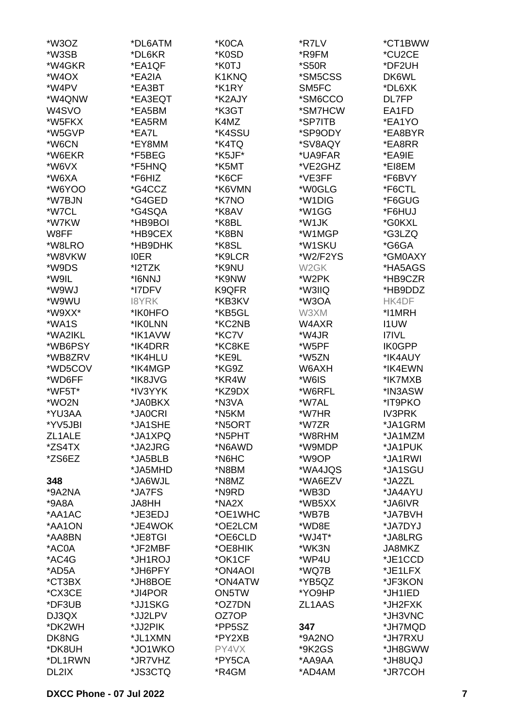| *W3OZ              | *DL6ATM     | *K0CA   | *R7LV               | *CT1BWW        |
|--------------------|-------------|---------|---------------------|----------------|
| *W3SB              | *DL6KR      | *K0SD   | *R9FM               | *CU2CE         |
| *W4GKR             | *EA1QF      | *K0TJ   | <i><b>*S50R</b></i> | *DF2UH         |
| *W <sub>4</sub> OX | *EA2IA      | K1KNQ   | *SM5CSS             | DK6WL          |
| *W4PV              | *EA3BT      | *K1RY   | SM5FC               | *DL6XK         |
|                    |             |         |                     |                |
| *W4QNW             | *EA3EQT     | *K2AJY  | *SM6CCO             | DL7FP          |
| W <sub>4</sub> SVO | *EA5BM      | *K3GT   | *SM7HCW             | EA1FD          |
| *W5FKX             | *EA5RM      | K4MZ    | *SP7ITB             | *EA1YO         |
| *W5GVP             | *EA7L       | *K4SSU  | *SP9ODY             | *EA8BYR        |
| *W6CN              | *EY8MM      | *K4TQ   | *SV8AQY             | *EA8RR         |
| *W6EKR             | *F5BEG      | *K5JF*  | *UA9FAR             | *EA9IE         |
| *W6VX              | *F5HNQ      | *K5MT   | *VE2GHZ             | *EI8EM         |
| *W6XA              | *F6HIZ      | *K6CF   | *VE3FF              | *F6BVY         |
| *W6YOO             | *G4CCZ      | *K6VMN  | *W0GLG              | *F6CTL         |
| *W7BJN             | *G4GED      | *K7NO   | *W1DIG              | *F6GUG         |
| *W7CL              | *G4SQA      | *K8AV   | *W1GG               | *F6HUJ         |
| *W7KW              | *HB9BOI     | *K8BL   | *W1JK               | *G0KXL         |
|                    |             |         |                     |                |
| W8FF               | *HB9CEX     | *K8BN   | *W1MGP              | *G3LZQ         |
| *W8LRO             | *HB9DHK     | *K8SL   | *W1SKU              | *G6GA          |
| *W8VKW             | <b>IOER</b> | *K9LCR  | *W2/F2YS            | *GM0AXY        |
| *W9DS              | *I2TZK      | *K9NU   | W <sub>2</sub> GK   | *HA5AGS        |
| *W9IL              | *I6NNJ      | *K9NW   | *W2PK               | *HB9CZR        |
| *W9WJ              | *I7DFV      | K9QFR   | *W3IIQ              | *HB9DDZ        |
| *W9WU              | 18YRK       | *KB3KV  | *W3OA               | HK4DF          |
| *W9XX*             | *IK0HFO     | *KB5GL  | W3XM                | *I1MRH         |
| *WA1S              | *IK0LNN     | *KC2NB  | W4AXR               | <b>I1UW</b>    |
| *WA2IKL            | *IK1AVW     | *KC7V   | *W4JR               | <b>I7IVL</b>   |
| *WB6PSY            | *IK4DRR     | *KC8KE  | *W5PF               | <b>IK0GPP</b>  |
| *WB8ZRV            | *IK4HLU     | *KE9L   | *W5ZN               | *IK4AUY        |
| *WD5COV            | *IK4MGP     | *KG9Z   | W6AXH               | *IK4EWN        |
| *WD6FF             | *IK8JVG     | *KR4W   | *W6IS               | *IK7MXB        |
|                    |             |         |                     |                |
| *WF5T*             | *IV3YYK     | *KZ9DX  | *W6RFL              | *IN3ASW        |
| *WO2N              | *JA0BKX     | *N3VA   | *W7AL               | *IT9PKO        |
| *YU3AA             | *JA0CRI     | *N5KM   | *W7HR               | <b>IV3PRK</b>  |
| *YV5JBI            | *JA1SHE     | *N5ORT  | *W7ZR               | *JA1GRM        |
| ZL1ALE             | *JA1XPQ     | *N5PHT  | *W8RHM              | *JA1MZM        |
| *ZS4TX             | *JA2JRG     | *N6AWD  | *W9MDP              | *JA1PUK        |
| *ZS6EZ             | *JA5BLB     | *N6HC   | *W9OP               | *JA1RWI        |
|                    | *JA5MHD     | *N8BM   | *WA4JQS             | *JA1SGU        |
| 348                | *JA6WJL     | *N8MZ   | *WA6EZV             | *JA2ZL         |
| *9A2NA             | *JA7FS      | *N9RD   | *WB3D               | *JA4AYU        |
| $*9A8A$            | JA8HH       | *NA2X   | *WB5XX              | *JA6IVR        |
| *AA1AC             | *JE3EDJ     | *OE1WHC | *WB7B               | *JA7BVH        |
| *AA1ON             | *JE4WOK     | *OE2LCM | *WD8E               | *JA7DYJ        |
| *AA8BN             | *JE8TGI     | *OE6CLD | *WJ4T*              | *JA8LRG        |
| *AC0A              | *JF2MBF     | *OE8HIK | *WK3N               | JA8MKZ         |
|                    |             |         |                     |                |
| *AC4G              | *JH1ROJ     | *OK1CF  | *WP4U               | *JE1CCD        |
| *AD5A              | *JH6PFY     | *ON4AOI | *WQ7B               | *JE1LFX        |
| *CT3BX             | *JH8BOE     | *ON4ATW | *YB5QZ              | *JF3KON        |
| *CX3CE             | *JI4POR     | ON5TW   | *YO9HP              | *JH1IED        |
| *DF3UB             | *JJ1SKG     | *OZ7DN  | ZL1AAS              | *JH2FXK        |
| DJ3QX              | *JJ2LPV     | OZ7OP   |                     | *JH3VNC        |
| *DK2WH             | *JJ2PIK     | *PP5SZ  | 347                 | *JH7MQD        |
| DK8NG              | *JL1XMN     | *PY2XB  | *9A2NO              | *JH7RXU        |
| *DK8UH             | *JO1WKO     | PY4VX   | *9K2GS              | *JH8GWW        |
| *DL1RWN            | *JR7VHZ     | *PY5CA  | *AA9AA              | <b>LQU8HL*</b> |
| DL2IX              | *JS3CTQ     | *R4GM   | *AD4AM              | *JR7COH        |
|                    |             |         |                     |                |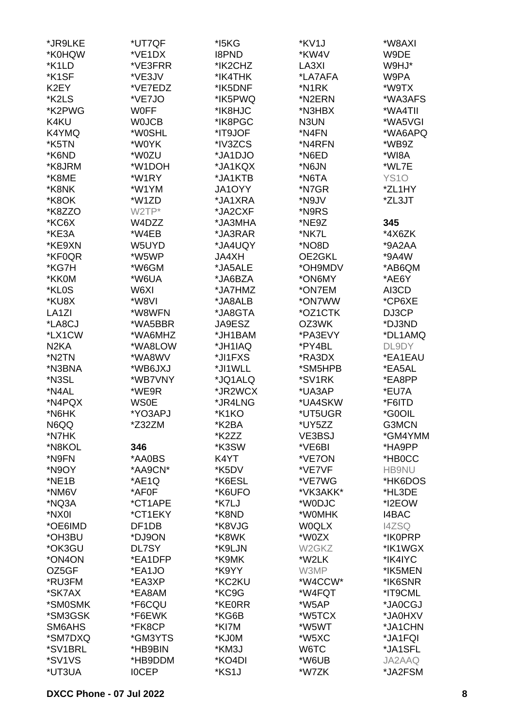| *JR9LKE            | *UT7QF             | *I5KG        | *KV1J              | *W8AXI       |
|--------------------|--------------------|--------------|--------------------|--------------|
| *K0HQW             | *VE1DX             | <b>I8PND</b> | *KW4V              | W9DE         |
| *K1LD              | *VE3FRR            | *IK2CHZ      | LA3XI              | W9HJ*        |
| *K1SF              | *VE3JV             | *IK4THK      | *LA7AFA            | W9PA         |
| K2EY               | *VE7EDZ            | *IK5DNF      | *N1RK              | *W9TX        |
|                    |                    |              |                    |              |
| *K2LS              | *VE7JO             | *IK5PWQ      | *N2ERN             | *WA3AFS      |
| *K2PWG             | <b>WOFF</b>        | *IK8HJC      | *N3HBX             | *WA4TII      |
| K4KU               | <b>WOJCB</b>       | *IK8PGC      | N3UN               | *WA5VGI      |
| K4YMQ              | *W0SHL             | *IT9JOF      | *N4FN              | *WA6APQ      |
| *K5TN              | *W0YK              | *IV3ZCS      | *N4RFN             | *WB9Z        |
| *K6ND              | *W0ZU              | *JA1DJO      | *N6ED              | *WI8A        |
| *K8JRM             | *W1DOH             | *JA1KQX      | *N6JN              | *WL7E        |
| *K8ME              | *W1RY              | *JA1KTB      | *N6TA              | <b>YS10</b>  |
| *K8NK              | *W1YM              | JA1OYY       | *N7GR              | *ZL1HY       |
| *K8OK              | *W1ZD              | *JA1XRA      | *N9JV              | *ZL3JT       |
| *K8ZZO             | W2TP*              | *JA2CXF      | *N9RS              |              |
| *KC6X              | W4DZZ              | *JA3MHA      | *NE9Z              | 345          |
| *KE3A              | *W4EB              | *JA3RAR      | *NK7L              | *4X6ZK       |
| *KE9XN             | W5UYD              | *JA4UQY      | *NO8D              | *9A2AA       |
| *KF0QR             | *W5WP              | <b>JA4XH</b> | OE2GKL             | *9A4W        |
| *KG7H              |                    |              |                    |              |
|                    | *W6GM              | *JA5ALE      | *OH9MDV            | *AB6QM       |
| *KK0M              | *W6UA              | *JA6BZA      | *ON6MY             | *AE6Y        |
| *KL0S              | W6XI               | *JA7HMZ      | *ON7EM             | AI3CD        |
| *KU8X              | *W8VI              | *JA8ALB      | *ON7WW             | *CP6XE       |
| LA <sub>1</sub> ZI | *W8WFN             | *JA8GTA      | *OZ1CTK            | DJ3CP        |
| *LA8CJ             | *WA5BBR            | JA9ESZ       | OZ3WK              | *DJ3ND       |
| *LX1CW             | *WA6MHZ            | *JH1BAM      | *PA3EVY            | *DL1AMQ      |
| N <sub>2</sub> KA  | *WA8LOW            | *JH1IAQ      | *PY4BL             | DL9DY        |
| *N2TN              | *WA8WV             | *JI1FXS      | *RA3DX             | *EA1EAU      |
| *N3BNA             | *WB6JXJ            | *JI1WLL      | *SM5HPB            | *EA5AL       |
| *N3SL              | *WB7VNY            | *JQ1ALQ      | *SV1RK             | *EA8PP       |
| *N4AL              | *WE9R              | *JR2WCX      | *UA3AP             | *EU7A        |
| *N4PQX             | <b>WS0E</b>        | *JR4LNG      | *UA4SKW            | *F6ITD       |
| *N6HK              | *YO3APJ            | *K1KO        | *UT5UGR            | *G0OIL       |
| N6QQ               | *Z32ZM             | *K2BA        | *UY5ZZ             | G3MCN        |
| *N7HK              |                    | *K2ZZ        | VE3BSJ             | *GM4YMM      |
| *N8KOL             | 346                | *K3SW        | *VE6BI             | *HA9PP       |
| *N9FN              | *AA0BS             | K4YT         | *VE7ON             | *HB0CC       |
|                    |                    |              |                    |              |
| *N9OY              | *AA9CN*            | *K5DV        | *VE7VF             | <b>HB9NU</b> |
| *NE1B              | *AE1Q              | *K6ESL       | *VE7WG             | *HK6DOS      |
| *NM6V              | *AF0F              | *K6UFO       | *VK3AKK*           | *HL3DE       |
| *NQ3A              | *CT1APE            | *K7LJ        | *W0DJC             | *I2EOW       |
| *NX0I              | *CT1EKY            | *K8ND        | *W0MHK             | 14BAC        |
| *OE6IMD            | DF <sub>1</sub> DB | *K8VJG       | <b>WOQLX</b>       | <b>I4ZSQ</b> |
| *OH3BU             | *DJ9ON             | *K8WK        | *W0ZX              | *IK0PRP      |
| *OK3GU             | DL7SY              | *K9LJN       | W <sub>2</sub> GKZ | *IK1WGX      |
| *ON4ON             | *EA1DFP            | *K9MK        | *W2LK              | *IK4IYC      |
| OZ5GF              | *EA1JO             | *K9YY        | W3MP               | *IK5MEN      |
| *RU3FM             | *EA3XP             | *KC2KU       | *W4CCW*            | *IK6SNR      |
| *SK7AX             | *EA8AM             | *KC9G        | *W4FQT             | *IT9CML      |
| *SM0SMK            | *F6CQU             | *KE0RR       | *W5AP              | *JA0CGJ      |
| *SM3GSK            | *F6EWK             | *KG6B        | *W5TCX             | *JA0HXV      |
| SM6AHS             | *FK8CP             | *KI7M        | *W5WT              | *JA1CHN      |
| *SM7DXQ            | *GM3YTS            | *KJ0M        | *W5XC              | *JA1FQI      |
| *SV1BRL            | *HB9BIN            | *KM3J        | W6TC               | *JA1SFL      |
| *SV1VS             | *HB9DDM            | *KO4DI       | *W6UB              | JA2AAQ       |
| *UT3UA             | <b>IOCEP</b>       | *KS1J        | *W7ZK              | *JA2FSM      |
|                    |                    |              |                    |              |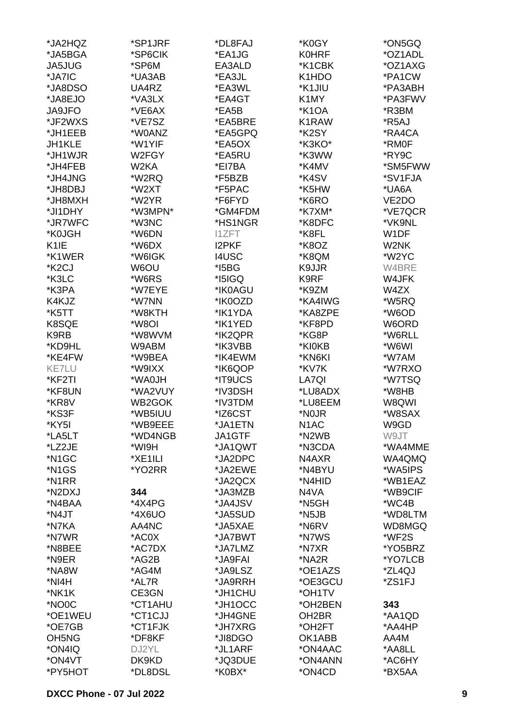| *JA2HQZ                        | *SP1JRF | *DL8FAJ      | *K0GY              | *ON5GQ  |
|--------------------------------|---------|--------------|--------------------|---------|
| *JA5BGA                        | *SP6CIK | *EA1JG       | <b>K0HRF</b>       | *OZ1ADL |
| JA5JUG                         | *SP6M   | EA3ALD       | *K1CBK             | *OZ1AXG |
| *JA7IC                         | *UA3AB  | *EA3JL       | K1HDO              | *PA1CW  |
| *JA8DSO                        |         |              | *K1JIU             |         |
|                                | UA4RZ   | *EA3WL       |                    | *PA3ABH |
| *JA8EJO                        | *VA3LX  | *EA4GT       | K <sub>1</sub> MY  | *PA3FWV |
| <b>JA9JFO</b>                  | *VE6AX  | *EA5B        | *K1OA              | *R3BM   |
| *JF2WXS                        | *VE7SZ  | *EA5BRE      | K1RAW              | *R5AJ   |
| *JH1EEB                        | *W0ANZ  | *EA5GPQ      | *K2SY              | *RA4CA  |
| JH1KLE                         | *W1YIF  | *EA5OX       | *K3KO*             | *RM0F   |
| *JH1WJR                        | W2FGY   | *EA5RU       | *K3WW              | *RY9C   |
| *JH4FEB                        | W2KA    | *EI7BA       | *K4MV              | *SM5FWW |
| *JH4JNG                        | *W2RQ   | *F5BZB       | *K4SV              | *SV1FJA |
| *JH8DBJ                        | *W2XT   | *F5PAC       | *K5HW              | *UA6A   |
| *JH8MXH                        | *W2YR   | *F6FYD       | *K6RO              | VE2DO   |
| *JI1DHY                        | *W3MPN* | *GM4FDM      | *K7XM*             | *VE7QCR |
| *JR7WFC                        | *W3NC   | *HS1NGR      | *K8DFC             | *VK9NL  |
| *K0JGH                         | *W6DN   | <b>I1ZFT</b> | *K8FL              | W1DF    |
| K <sub>1</sub> IE              | *W6DX   | <b>I2PKF</b> | *K8OZ              | W2NK    |
| *K1WER                         | *W6IGK  | <b>I4USC</b> | *K8QM              | *W2YC   |
| *K <sub>2</sub> CJ             | W6OU    | $*$ I5BG     | K9JJR              | W4BRE   |
| *K3LC                          | *W6RS   | *I5IGQ       | K9RF               | W4JFK   |
|                                |         |              |                    |         |
| *K3PA                          | *W7EYE  | *IK0AGU      | *K9ZM              | W4ZX    |
| K4KJZ                          | *W7NN   | *IK0OZD      | *KA4IWG            | *W5RQ   |
| *K5TT                          | *W8KTH  | *IK1YDA      | *KA8ZPE            | *W6OD   |
| K8SQE                          | *W8OI   | *IK1YED      | *KF8PD             | W6ORD   |
| K9RB                           | *W8WVM  | *IK2QPR      | *KG8P              | *W6RLL  |
| *KD9HL                         | W9ABM   | *IK3VBB      | *KI0KB             | *W6WI   |
| *KE4FW                         | *W9BEA  | *IK4EWM      | *KN6KI             | *W7AM   |
| <b>KE7LU</b>                   | *W9IXX  | *IK6QOP      | *KV7K              | *W7RXO  |
| *KF2TI                         | *WA0JH  | *IT9UCS      | LA7QI              | *W7TSQ  |
| *KF8UN                         | *WA2VUY | *IV3DSH      | *LU8ADX            | *W8HB   |
| *KR8V                          | WB2GOK  | *IV3TDM      | *LU8EEM            | W8QWI   |
| *KS3F                          | *WB5IUU | *IZ6CST      | *N0JR              | *W8SAX  |
| *KY5I                          | *WB9EEE | *JA1ETN      | N <sub>1</sub> AC  | W9GD    |
| *LA5LT                         | *WD4NGB | JA1GTF       | *N2WB              | W9JT    |
| *LZ2JE                         | *WI9H   | *JA1QWT      | *N3CDA             | *WA4MME |
| *N <sub>1</sub> GC             | *XE1ILI | *JA2DPC      | N4AXR              | WA4QMQ  |
| *N <sub>1</sub> GS             | *YO2RR  | *JA2EWE      | *N4BYU             | *WA5IPS |
| *N1RR                          |         | *JA2QCX      | *N4HID             | *WB1EAZ |
| *N2DXJ                         | 344     | *JA3MZB      | N4VA               | *WB9CIF |
| *N4BAA                         | *4X4PG  | *JA4JSV      | *N5GH              | *WC4B   |
| *N4JT                          | *4X6UO  | *JA5SUD      | *N5JB              | *WD8LTM |
| *N7KA                          | AA4NC   | *JA5XAE      | *N6RV              | WD8MGQ  |
| *N7WR                          | *AC0X   | *JA7BWT      | *N7WS              | *WF2S   |
| *N8BEE                         | *AC7DX  | *JA7LMZ      | *N7XR              | *YO5BRZ |
| *N9ER                          |         | *JA9FAI      | *NA2R              | *YO7LCB |
|                                | *AG2B   |              |                    |         |
| *NA8W                          | *AG4M   | *JA9LSZ      | *OE1AZS            | *ZL4QJ  |
| *NI4H                          | *AL7R   | *JA9RRH      | *OE3GCU            | *ZS1FJ  |
| *NK1K                          | CE3GN   | *JH1CHU      | *OH1TV             |         |
| *NO0C                          | *CT1AHU | *JH1OCC      | *OH2BEN            | 343     |
| *OE1WEU                        | *CT1CJJ | *JH4GNE      | OH <sub>2</sub> BR | *AA1QD  |
| *OE7GB                         | *CT1FJK | *JH7XRG      | *OH2FT             | *AA4HP  |
| OH <sub>5</sub> N <sub>G</sub> | *DF8KF  | *JI8DGO      | OK1ABB             | AA4M    |
| *ON4IQ                         | DJ2YL   | *JL1ARF      | *ON4AAC            | *AA8LL  |
| *ON4VT                         | DK9KD   | *JQ3DUE      | *ON4ANN            | *AC6HY  |
| *PY5HOT                        | *DL8DSL | *K0BX*       | *ON4CD             | *BX5AA  |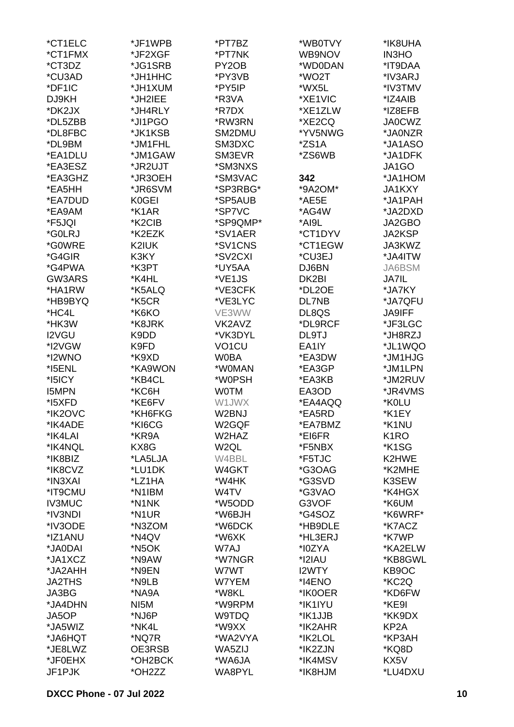| *CT1ELC       | *JF1WPB           | *PT7BZ             | *WB0TVY | *IK8UHA           |
|---------------|-------------------|--------------------|---------|-------------------|
| *CT1FMX       | *JF2XGF           | *PT7NK             | WB9NOV  | <b>IN3HO</b>      |
| *CT3DZ        | *JG1SRB           | PY <sub>2</sub> OB | *WD0DAN | *IT9DAA           |
| *CU3AD        | *JH1HHC           | *PY3VB             | *WO2T   | *IV3ARJ           |
| *DF1IC        | *JH1XUM           | *PY5IP             | *WX5L   | *IV3TMV           |
| DJ9KH         | *JH2IEE           | *R3VA              | *XE1VIC | *IZ4AIB           |
| *DK2JX        | *JH4RLY           | *R7DX              | *XE1ZLW | *IZ8EFB           |
| *DL5ZBB       | *JI1PGO           | *RW3RN             | *XE2CQ  | <b>JA0CWZ</b>     |
| *DL8FBC       | *JK1KSB           | SM2DMU             | *YV5NWG | *JA0NZR           |
| *DL9BM        | *JM1FHL           | SM3DXC             | *ZS1A   | *JA1ASO           |
| *EA1DLU       | *JM1GAW           | SM3EVR             | *ZS6WB  | *JA1DFK           |
| *EA3ESZ       | *JR2UJT           | *SM3NXS            |         | JA1GO             |
| *EA3GHZ       | *JR3OEH           | *SM3VAC            | 342     | *JA1HOM           |
| *EA5HH        | *JR6SVM           | *SP3RBG*           |         |                   |
|               |                   |                    | *9A2OM* | JA1KXY            |
| *EA7DUD       | K0GEI             | *SP5AUB            | *AE5E   | *JA1PAH           |
| *EA9AM        | *K1AR             | *SP7VC             | *AG4W   | *JA2DXD           |
| *F5JQI        | *K2CIB            | *SP9QMP*           | *AI9L   | JA2GBO            |
| *G0LRJ        | *K2EZK            | *SV1AER            | *CT1DYV | JA2KSP            |
| *G0WRE        | K2IUK             | *SV1CNS            | *CT1EGW | JA3KWZ            |
| *G4GIR        | K3KY              | *SV2CXI            | *CU3EJ  | *JA4ITW           |
| *G4PWA        | *K3PT             | *UY5AA             | DJ6BN   | JA6BSM            |
| GW3ARS        | *K4HL             | *VE1JS             | DK2BI   | <b>JA7IL</b>      |
| *HA1RW        | *K5ALQ            | *VE3CFK            | *DL2OE  | *JA7KY            |
| *HB9BYQ       | *K5CR             | *VE3LYC            | DL7NB   | *JA7QFU           |
| *HC4L         | *K6KO             | VE3WW              | DL8QS   | <b>JA9IFF</b>     |
| *HK3W         | *K8JRK            | VK2AVZ             | *DL9RCF | *JF3LGC           |
| I2VGU         | K9DD              | *VK3DYL            | DL9TJ   | *JH8RZJ           |
| *I2VGW        | K9FD              | VO <sub>1</sub> CU | EA1IY   | *JL1WQO           |
| *I2WNO        | *K9XD             | <b>W0BA</b>        | *EA3DW  | *JM1HJG           |
| *I5ENL        | *KA9WON           | *W0MAN             | *EA3GP  | *JM1LPN           |
| *I5ICY        | *KB4CL            | *W0PSH             | *EA3KB  | *JM2RUV           |
| <b>I5MPN</b>  | *KC6H             | <b>WOTM</b>        | EA3OD   | *JR4VMS           |
| *I5XFD        | *KE6FV            | W1JWX              | *EA4AQQ | *K0LU             |
| *IK2OVC       | *KH6FKG           | W2BNJ              | *EA5RD  | *K1EY             |
| *IK4ADE       | *KI6CG            | W2GQF              | *EA7BMZ | *K1NU             |
| *IK4LAI       | *KR9A             | W2HAZ              | *EI6FR  | K <sub>1</sub> RO |
| *IK4NQL       | KX8G              | W2QL               | *F5NBX  | *K1SG             |
| *IK8BIZ       | *LA5LJA           | W4BBL              | *F5TJC  | K2HWE             |
| *IK8CVZ       | *LU1DK            | W4GKT              | *G3OAG  | *K2MHE            |
| *IN3XAI       | *LZ1HA            | *W4HK              | *G3SVD  | K3SEW             |
| *IT9CMU       | *N1IBM            | W4TV               | *G3VAO  | *K4HGX            |
| <b>IV3MUC</b> | *N1NK             | *W5ODD             | G3VOF   | *K6UM             |
| *IV3NDI       | *N1UR             | *W6BJH             | *G4SOZ  | *K6WRF*           |
| *IV3ODE       | *N3ZOM            | *W6DCK             | *HB9DLE | *K7ACZ            |
| *IZ1ANU       | *N4QV             | *W6XK              | *HL3ERJ | *K7WP             |
| *JA0DAI       | *N5OK             | W7AJ               | *I0ZYA  | *KA2ELW           |
| *JA1XCZ       | *N9AW             | *W7NGR             | *I2IAU  | *KB8GWL           |
| *JA2AHH       | *N9EN             | W7WT               | I2WTY   | KB9OC             |
| <b>JA2THS</b> | *N9LB             | W7YEM              | *I4ENO  | *KC2Q             |
| JA3BG         | *NA9A             | *W8KL              | *IK0OER | *KD6FW            |
| *JA4DHN       | NI <sub>5</sub> M | *W9RPM             | *IK1IYU | *KE9I             |
| JA5OP         | *NJ6P             | W9TDQ              | *IK1JJB | *KK9DX            |
| *JA5WIZ       | *NK4L             | *W9XX              | *IK2AHR | KP <sub>2</sub> A |
| *JA6HQT       | *NQ7R             | *WA2VYA            | *IK2LOL | *KP3AH            |
| *JE8LWZ       | OE3RSB            | WA5ZIJ             | *IK2ZJN | *KQ8D             |
| *JF0EHX       | *OH2BCK           | *WA6JA             | *IK4MSV | KX5V              |
| JF1PJK        | *OH2ZZ            | WA8PYL             | *IK8HJM | *LU4DXU           |
|               |                   |                    |         |                   |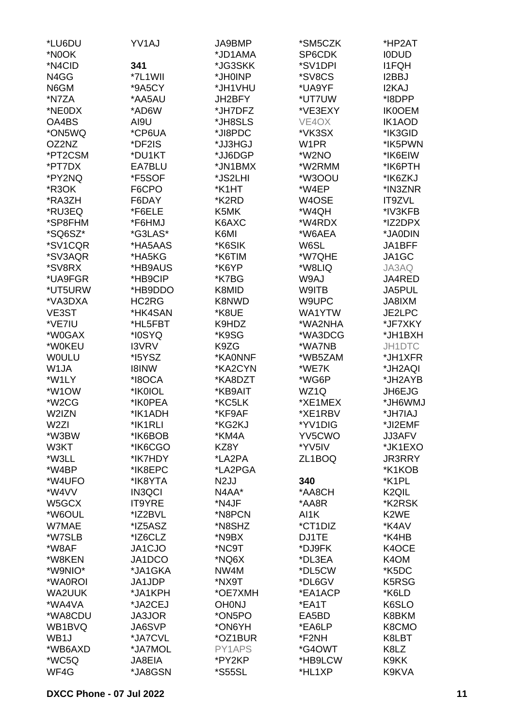| *LU6DU             | YV1AJ         | JA9BMP            | *SM5CZK           | *HP2AT             |
|--------------------|---------------|-------------------|-------------------|--------------------|
| *N0OK              |               | *JD1AMA           | SP6CDK            | <b>IODUD</b>       |
| *N4CID             | 341           | *JG3SKK           | *SV1DPI           | <b>I1FQH</b>       |
| N4GG               | *7L1WII       | *JH0INP           | *SV8CS            | I2BBJ              |
| N6GM               | *9A5CY        | *JH1VHU           | *UA9YF            | I2KAJ              |
| *N7ZA              | *AA5AU        | JH2BFY            | *UT7UW            | *I8DPP             |
| *NE0DX             | *AD6W         | *JH7DFZ           | *VE3EXY           | <b>IK0OEM</b>      |
| OA4BS              | AI9U          | *JH8SLS           | VE4OX             | IK1AOD             |
| *ON5WQ             | *CP6UA        | *JI8PDC           | *VK3SX            | *IK3GID            |
| OZ2NZ              | *DF2IS        | *JJ3HGJ           | W <sub>1</sub> PR | *IK5PWN            |
|                    |               |                   |                   |                    |
| *PT2CSM<br>*PT7DX  | *DU1KT        | *JJ6DGP           | *W2NO             | *IK6EIW            |
|                    | EA7BLU        | *JN1BMX           | *W2RMM            | *IK6PTH            |
| *PY2NQ             | *F5SOF        | *JS2LHI           | *W3OOU            | *IK6ZKJ            |
| *R3OK              | F6CPO         | *K1HT             | *W4EP             | *IN3ZNR            |
| *RA3ZH             | F6DAY         | *K2RD             | W4OSE             | IT9ZVL             |
| *RU3EQ             | *F6ELE        | K5MK              | *W4QH             | *IV3KFB            |
| *SP8FHM            | *F6HMJ        | K6AXC             | *W4RDX            | *IZ2DPX            |
| *SQ6SZ*            | *G3LAS*       | K6MI              | *W6AEA            | *JA0DIN            |
| *SV1CQR            | *HA5AAS       | *K6SIK            | W6SL              | JA1BFF             |
| *SV3AQR            | *HA5KG        | *K6TIM            | *W7QHE            | JA1GC              |
| *SV8RX             | *HB9AUS       | *K6YP             | *W8LIQ            | JA3AQ              |
| *UA9FGR            | *HB9CIP       | *K7BG             | W9AJ              | JA4RED             |
| *UT5URW            | *HB9DDO       | K8MID             | W9ITB             | <b>JA5PUL</b>      |
| *VA3DXA            | HC2RG         | K8NWD             | W9UPC             | JA8IXM             |
| VE3ST              | *HK4SAN       | *K8UE             | WA1YTW            | JE2LPC             |
| *VE7IU             | *HL5FBT       | K9HDZ             | *WA2NHA           | *JF7XKY            |
| *W0GAX             | *I0SYQ        | *K9SG             | *WA3DCG           | *JH1BXH            |
| *W0KEU             | I3VRV         | K9ZG              | *WA7NB            | JH1DTC             |
| <b>WOULU</b>       | *I5YSZ        | *KA0NNF           | *WB5ZAM           | *JH1XFR            |
| W <sub>1</sub> JA  | <b>I8INW</b>  | *KA2CYN           | *WE7K             | *JH2AQI            |
| *W1LY              | *I8OCA        | *KA8DZT           | *WG6P             | *JH2AYB            |
| *W1OW              | *IK0IOL       | *KB9AIT           | WZ1Q              | JH6EJG             |
| *W <sub>2</sub> CG | *IK0PEA       | *KC5LK            | *XE1MEX           | UMW6HL*            |
| W2IZN              | *IK1ADH       | *KF9AF            | *XE1RBV           | *JH7IAJ            |
| W <sub>2ZI</sub>   | *IK1RLI       | *KG2KJ            | *YV1DIG           | *JI2EMF            |
| *W3BW              | *IK6BOB       | *KM4A             | YV5CWO            | JJ3AFV             |
| W3KT               | *IK6CGO       | KZ8Y              | *YV5IV            | *JK1EXO            |
| *W3LL              | *IK7HDY       | *LA2PA            | ZL1BOQ            | <b>JR3RRY</b>      |
| *W4BP              | *IK8EPC       | *LA2PGA           |                   | *K1KOB             |
| *W4UFO             | *IK8YTA       | N <sub>2</sub> JJ | 340               | *K1PL              |
| *W4VV              | <b>IN3QCI</b> | N4AA*             | *AA8CH            | K <sub>2</sub> QIL |
| W5GCX              | <b>IT9YRE</b> | *N4JF             | *AA8R             | *K2RSK             |
| *W6OUL             | *IZ2BVL       | *N8PCN            | AI1K              | K2WE               |
| W7MAE              | *IZ5ASZ       | *N8SHZ            | *CT1DIZ           | *K4AV              |
| *W7SLB             | *IZ6CLZ       | *N9BX             | DJ1TE             | *K4HB              |
| *W8AF              | JA1CJO        | *NC9T             | *DJ9FK            | K4OCE              |
| *W8KEN             | JA1DCO        | *NQ6X             | *DL3EA            | K4OM               |
| *W9NIO*            | *JA1GKA       | NW4M              | *DL5CW            | *K5DC              |
| *WA0ROI            | JA1JDP        | *NX9T             | *DL6GV            | K5RSG              |
| WA2UUK             | *JA1KPH       | *OE7XMH           | *EA1ACP           | *K6LD              |
| *WA4VA             |               | <b>OH0NJ</b>      | *EA1T             | K6SLO              |
|                    | *JA2CEJ       |                   |                   |                    |
| *WA8CDU            | <b>JA3JOR</b> | *ON5PO            | EA5BD             | K8BKM              |
| WB1BVQ             | JA6SVP        | *ON6YH            | *EA6LP            | K8CMO              |
| WB1J               | *JA7CVL       | *OZ1BUR           | *F2NH             | K8LBT              |
| *WB6AXD            | *JA7MOL       | PY1APS            | *G4OWT            | K8LZ               |
| *WC5Q              | JA8EIA        | *PY2KP            | *HB9LCW           | K9KK               |
| WF4G               | *JA8GSN       | *S55SL            | *HL1XP            | K9KVA              |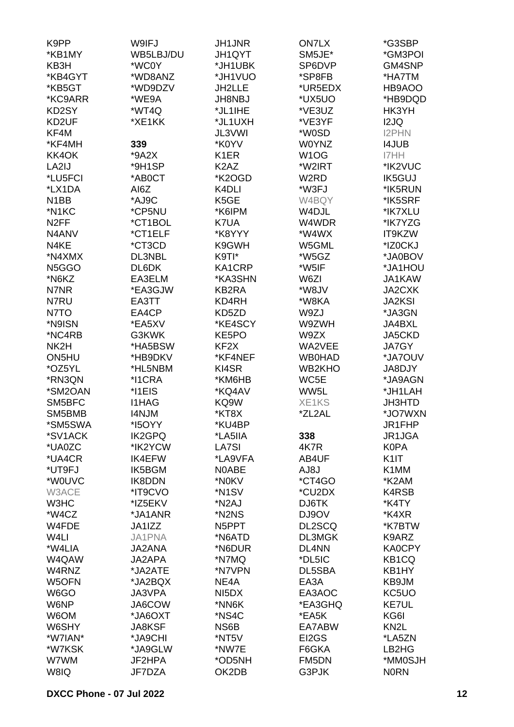| K9PP              | W9IFJ         | <b>JH1JNR</b>                 | <b>ON7LX</b>      | *G3SBP             |
|-------------------|---------------|-------------------------------|-------------------|--------------------|
| *KB1MY            | WB5LBJ/DU     | JH1QYT                        | SM5JE*            | *GM3POI            |
| KB3H              | *WC0Y         | *JH1UBK                       | SP6DVP            | GM4SNP             |
| *KB4GYT           | *WD8ANZ       | *JH1VUO                       | *SP8FB            | *HA7TM             |
| *KB5GT            | *WD9DZV       | JH2LLE                        | *UR5EDX           | HB9AOO             |
|                   | *WE9A         |                               |                   |                    |
| *KC9ARR           |               | <b>JH8NBJ</b>                 | *UX5UO            | *HB9DQD            |
| KD2SY             | *WT4Q         | *JL1IHE                       | *VE3UZ            | HK3YH              |
| KD2UF             | *XE1KK        | *JL1UXH                       | *VE3YF            | I2JQ               |
| KF4M              |               | JL3VWI                        | *W0SD             | <b>I2PHN</b>       |
| *KF4MH            | 339           | *K0YV                         | <b>W0YNZ</b>      | <b>I4JUB</b>       |
| KK4OK             | $*9A2X$       | K <sub>1</sub> ER             | W <sub>1</sub> OG | I7HH               |
| LA2IJ             | *9H1SP        | K <sub>2</sub> A <sub>Z</sub> | *W2IRT            | *IK2VUC            |
| *LU5FCI           | *AB0CT        | *K2OGD                        | W <sub>2</sub> RD | <b>IK5GUJ</b>      |
| *LX1DA            | AI6Z          | K4DLI                         | *W3FJ             | *IK5RUN            |
| N <sub>1</sub> BB | *AJ9C         | K5GE                          | W4BQY             | *IK5SRF            |
| *N1KC             | *CP5NU        | *K6IPM                        | W4DJL             | *IK7XLU            |
| N <sub>2</sub> FF | *CT1BOL       | K7UA                          | W4WDR             | *IK7YZG            |
| N4ANV             | *CT1ELF       | *K8YYY                        | *W4WX             | IT9KZW             |
| N4KE              | *CT3CD        | K9GWH                         | W5GML             | *IZ0CKJ            |
| *N4XMX            | DL3NBL        | K9TI*                         | *W5GZ             | *JA0BOV            |
| N5GGO             | DL6DK         | KA1CRP                        | *W5IF             | *JA1HOU            |
| *N6KZ             | EA3ELM        | *KA3SHN                       | W6ZI              | JA1KAW             |
| N7NR              | *EA3GJW       | KB2RA                         | *W8JV             | JA2CXK             |
|                   |               |                               |                   |                    |
| N7RU              | EA3TT         | KD4RH                         | *W8KA             | <b>JA2KSI</b>      |
| N7TO              | EA4CP         | KD5ZD                         | W9ZJ              | *JA3GN             |
| *N9ISN            | *EA5XV        | *KE4SCY                       | W9ZWH             | JA4BXL             |
| *NC4RB            | G3KWK         | KE5PO                         | W9ZX              | JA5CKD             |
| NK2H              | *HA5BSW       | KF <sub>2</sub> X             | WA2VEE            | JA7GY              |
| ON5HU             | *HB9DKV       | *KF4NEF                       | <b>WB0HAD</b>     | *JA7OUV            |
| *OZ5YL            | *HL5NBM       | KI4SR                         | WB2KHO            | JA8DJY             |
| *RN3QN            | *I1CRA        | *KM6HB                        | WC5E              | *JA9AGN            |
| *SM2OAN           | *I1EIS        | *KQ4AV                        | WW5L              | *JH1LAH            |
| SM5BFC            | <b>I1HAG</b>  | KQ9W                          | XE1KS             | JH3HTD             |
| SM5BMB            | <b>I4NJM</b>  | *KT8X                         | *ZL2AL            | *JO7WXN            |
| *SM5SWA           | *I5OYY        | *KU4BP                        |                   | JR1FHP             |
| *SV1ACK           | <b>IK2GPQ</b> | *LA5IIA                       | 338               | JR1JGA             |
| *UA0ZC            | *IK2YCW       | <b>LA7SI</b>                  | 4K7R              | <b>K0PA</b>        |
| *UA4CR            | <b>IK4EFW</b> | *LA9VFA                       | AB4UF             | K <sub>1</sub>     |
| *UT9FJ            | IK5BGM        | N0ABE                         | AJ8J              | K1MM               |
| *W0UVC            | <b>IK8DDN</b> | *N0KV                         | *CT4GO            | *K2AM              |
| W3ACE             | *IT9CVO       | *N <sub>1</sub> SV            | *CU2DX            | K4RSB              |
| W3HC              | *IZ5EKV       | *N <sub>2</sub> AJ            | DJ6TK             | *K4TY              |
| *W4CZ             | *JA1ANR       | *N2NS                         | DJ9OV             | *K4XR              |
| W4FDE             | JA1IZZ        | N5PPT                         | DL2SCQ            | *K7BTW             |
| W <sub>4</sub> LI | JA1PNA        | *N6ATD                        | DL3MGK            | K9ARZ              |
| *W4LIA            | JA2ANA        | *N6DUR                        | DL4NN             | KA0CPY             |
| W4QAW             | JA2APA        | *N7MQ                         | *DL5IC            | KB <sub>1</sub> CQ |
| W4RNZ             | *JA2ATE       | *N7VPN                        | DL5SBA            | KB1HY              |
| W5OFN             | *JA2BQX       | NE4A                          | EA3A              | KB9JM              |
| W6GO              | JA3VPA        | NI <sub>5</sub> DX            | EA3AOC            | KC5UO              |
| W6NP              | JA6COW        | *NN6K                         | *EA3GHQ           | KE7UL              |
| W6OM              | *JA6OXT       | *NS4C                         | *EA5K             | KG6I               |
| W6SHY             | JA8KSF        | NS6B                          | EA7ABW            | KN <sub>2</sub> L  |
| *W7IAN*           | *JA9CHI       | *NT5V                         | EI2GS             | *LA5ZN             |
| *W7KSK            | *JA9GLW       | *NW7E                         | F6GKA             | LB2HG              |
| W7WM              | JF2HPA        | *OD5NH                        | FM5DN             | *MM0SJH            |
| W8IQ              | JF7DZA        | OK2DB                         | G3PJK             | <b>NORN</b>        |
|                   |               |                               |                   |                    |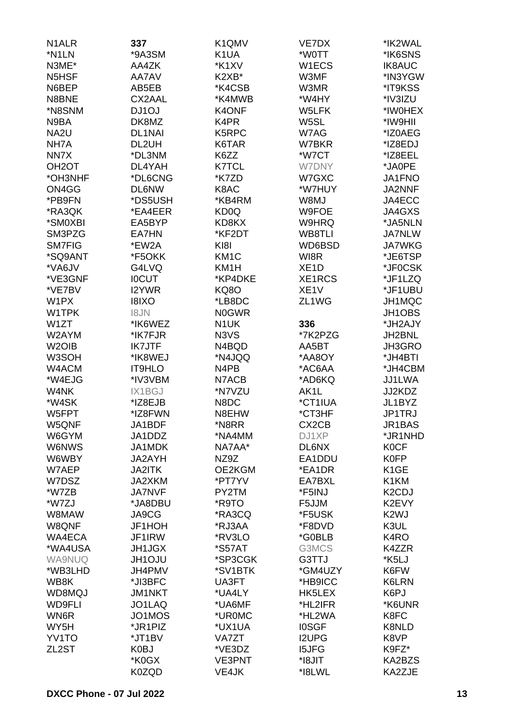| N <sub>1</sub> ALR | 337           | K1QMV             | VE7DX              | *IK2WAL            |
|--------------------|---------------|-------------------|--------------------|--------------------|
| *N1LN              | *9A3SM        | K <sub>1</sub> UA | *W0TT              | *IK6SNS            |
| N3ME*              | AA4ZK         | *K1XV             | W1ECS              | <b>IK8AUC</b>      |
| N5HSF              | AA7AV         | K2XB*             | W3MF               | *IN3YGW            |
|                    |               |                   |                    |                    |
| N6BEP              | AB5EB         | *K4CSB            | W3MR               | *IT9KSS            |
| N8BNE              | CX2AAL        | *K4MWB            | *W4HY              | *IV3IZU            |
| *N8SNM             | DJ1OJ         | K4ONF             | W5LFK              | *IW0HEX            |
| N9BA               | DK8MZ         | K4PR              | W5SL               | *IW9HII            |
| NA <sub>2U</sub>   | <b>DL1NAI</b> | K5RPC             | W7AG               | *IZ0AEG            |
| NH7A               | DL2UH         | K6TAR             | W7BKR              | *IZ8EDJ            |
| NN7X               | *DL3NM        | K6ZZ              | *W7CT              | *IZ8EEL            |
| OH <sub>2</sub> OT | DL4YAH        | <b>K7TCL</b>      | <b>W7DNY</b>       | *JA0PE             |
| *OH3NHF            | *DL6CNG       | *K7ZD             | W7GXC              | <b>JA1FNO</b>      |
| ON4GG              | <b>DL6NW</b>  | K8AC              | *W7HUY             | JA2NNF             |
| *PB9FN             | *DS5USH       | *KB4RM            | W8MJ               | JA4ECC             |
| *RA3QK             | *EA4EER       | KD <sub>0</sub> Q | W9FOE              | JA4GXS             |
| *SM0XBI            | EA5BYP        | KD8KX             | W9HRQ              | *JA5NLN            |
| SM3PZG             | EA7HN         | *KF2DT            | WB8TLI             | <b>JA7NLW</b>      |
| <b>SM7FIG</b>      | *EW2A         | KI8I              | WD6BSD             | <b>JA7WKG</b>      |
|                    |               |                   |                    |                    |
| *SQ9ANT            | *F5OKK        | KM <sub>1</sub> C | WI8R               | *JE6TSP            |
| *VA6JV             | G4LVQ         | KM1H              | XE <sub>1</sub> D  | *JF0CSK            |
| *VE3GNF            | <b>IOCUT</b>  | *KP4DKE           | XE1RCS             | *JF1LZQ            |
| *VE7BV             | <b>I2YWR</b>  | <b>KQ8O</b>       | XE <sub>1</sub> V  | *JF1UBU            |
| W1PX               | <b>I8IXO</b>  | *LB8DC            | ZL1WG              | JH1MQC             |
| W1TPK              | I8JN          | <b>N0GWR</b>      |                    | JH1OBS             |
| W1ZT               | *IK6WEZ       | N <sub>1</sub> UK | 336                | *JH2AJY            |
| W2AYM              | *IK7FJR       | N3VS              | *7K2PZG            | JH2BNL             |
| W <sub>2</sub> OIB | <b>IK7JTF</b> | N4BQD             | AA5BT              | JH3GRO             |
| W3SOH              | *IK8WEJ       | *N4JQQ            | *AA8OY             | *JH4BTI            |
| W4ACM              | <b>IT9HLO</b> | N4PB              | *AC6AA             | *JH4CBM            |
| *W4EJG             | *IV3VBM       | N7ACB             | *AD6KQ             | JJ1LWA             |
| W4NK               | IX1BGJ        | *N7VZU            | AK1L               | JJ2KDZ             |
| *W4SK              | *IZ8EJB       | N8DC              | *CT1IUA            | JL1BYZ             |
| W5FPT              | *IZ8FWN       | N8EHW             | *CT3HF             | JP1TRJ             |
|                    |               | *N8RR             |                    |                    |
| W5QNF              | JA1BDF        |                   | CX <sub>2</sub> CB | JR1BAS             |
| W6GYM              | JA1DDZ        | *NA4MM            | DJ1XP              | *JR1NHD            |
| W6NWS              | JA1MDK        | NA7AA*            | <b>DL6NX</b>       | <b>K0CF</b>        |
| W6WBY              | JA2AYH        | NZ9Z              | EA1DDU             | <b>K0FP</b>        |
| W7AEP              | <b>JA2ITK</b> | OE2KGM            | *EA1DR             | K <sub>1</sub> GE  |
| W7DSZ              | JA2XKM        | *PT7YV            | EA7BXL             | K1KM               |
| *W7ZB              | <b>JA7NVF</b> | PY2TM             | *F5INJ             | K <sub>2</sub> CDJ |
| *W7ZJ              | *JA8DBU       | *R9TO             | F5JJM              | K2EVY              |
| W8MAW              | JA9CG         | *RA3CQ            | *F5USK             | K <sub>2</sub> WJ  |
| W8QNF              | JF1HOH        | *RJ3AA            | *F8DVD             | K3UL               |
| WA4ECA             | JF1IRW        | *RV3LO            | *G0BLB             | K <sub>4</sub> RO  |
| *WA4USA            | <b>JH1JGX</b> | *S57AT            | G3MCS              | K4ZZR              |
| <b>WA9NUQ</b>      | <b>JH1OJU</b> | *SP3CGK           | G3TTJ              | *K5LJ              |
| *WB3LHD            | JH4PMV        | *SV1BTK           | *GM4UZY            | K6FW               |
| WB8K               | *JI3BFC       | UA3FT             | *HB9ICC            | K6LRN              |
| WD8MQJ             | <b>JM1NKT</b> | *UA4LY            | HK5LEX             | K6PJ               |
| <b>WD9FLI</b>      | JO1LAQ        | *UA6MF            | *HL2IFR            | *K6UNR             |
| WN6R               | JO1MOS        | *UR0MC            | *HL2WA             | K8FC               |
|                    |               |                   |                    |                    |
| WY5H               | *JR1PIZ       | *UX1UA            | <b>IOSGF</b>       | K8NLD              |
| YV1TO              | *JT1BV        | VA7ZT             | <b>I2UPG</b>       | K8VP               |
| ZL <sub>2</sub> ST | K0BJ          | *VE3DZ            | <b>I5JFG</b>       | K9FZ*              |
|                    | *K0GX         | <b>VE3PNT</b>     | *I8JIT             | KA2BZS             |
|                    | K0ZQD         | VE4JK             | *I8LWL             | KA2ZJE             |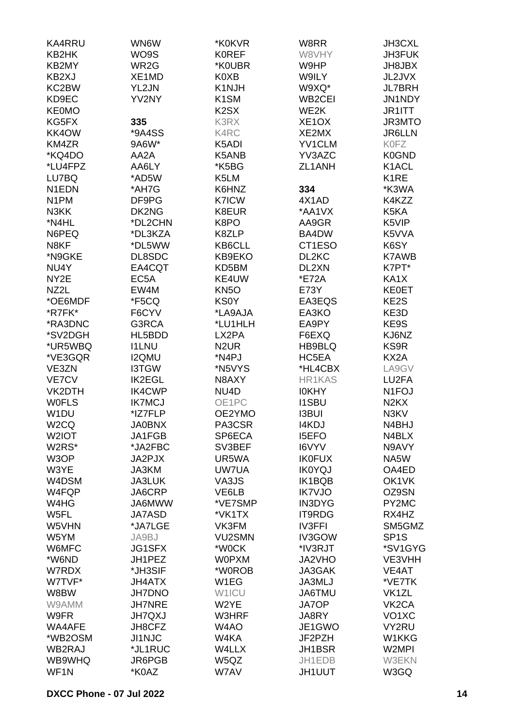| KA4RRU             | WN6W          | *K0KVR            | W8RR                | JH3CXL                        |
|--------------------|---------------|-------------------|---------------------|-------------------------------|
| KB2HK              | WO9S          | <b>KOREF</b>      | W8VHY               | JH3FUK                        |
| KB2MY              | WR2G          | *K0UBR            | W9HP                | JH8JBX                        |
|                    |               |                   |                     |                               |
| KB2XJ              | XE1MD         | K0XB              | W9ILY               | JL2JVX                        |
| KC2BW              | YL2JN         | K1NJH             | W9XQ*               | <b>JL7BRH</b>                 |
| KD9EC              | YV2NY         | K <sub>1</sub> SM | WB <sub>2</sub> CEI | JN1NDY                        |
| <b>KE0MO</b>       |               | K <sub>2</sub> SX | WE2K                | JR1ITT                        |
| KG5FX              | 335           | K3RX              | XE <sub>1</sub> OX  | JR3MTO                        |
| KK4OW              | *9A4SS        | K4RC              | XE2MX               | <b>JR6LLN</b>                 |
| KM4ZR              | 9A6W*         | K5ADI             | <b>YV1CLM</b>       | K0FZ                          |
| *KQ4DO             | AA2A          | K5ANB             | YV3AZC              | K0GND                         |
| *LU4FPZ            | AA6LY         | *K5BG             | ZL1ANH              | K1ACL                         |
| LU7BQ              | *AD5W         | K5LM              |                     | K <sub>1</sub> RE             |
| N1EDN              | *AH7G         | K6HNZ             | 334                 | *K3WA                         |
| N <sub>1</sub> PM  | DF9PG         | <b>K7ICW</b>      | 4X1AD               | K4KZZ                         |
|                    | DK2NG         | K8EUR             | *AA1VX              | K5KA                          |
| N3KK               |               |                   |                     |                               |
| *N4HL              | *DL2CHN       | K8PO              | AA9GR               | K5VIP                         |
| N6PEQ              | *DL3KZA       | K8ZLP             | BA4DW               | K5VVA                         |
| N8KF               | *DL5WW        | KB6CLL            | CT1ESO              | K6SY                          |
| *N9GKE             | DL8SDC        | KB9EKO            | DL2KC               | <b>K7AWB</b>                  |
| NU4Y               | EA4CQT        | KD5BM             | DL2XN               | K7PT*                         |
| NY <sub>2</sub> E  | EC5A          | KE4UW             | *E72A               | KA1X                          |
| NZ2L               | EW4M          | KN <sub>50</sub>  | E73Y                | <b>KE0ET</b>                  |
| *OE6MDF            | *F5CQ         | <b>KS0Y</b>       | EA3EQS              | KE2S                          |
| *R7FK*             | F6CYV         | *LA9AJA           | EA3KO               | KE3D                          |
| *RA3DNC            | G3RCA         | *LU1HLH           | EA9PY               | KE9S                          |
| *SV2DGH            | HL5BDD        | LX2PA             | F6EXQ               | KJ6NZ                         |
| *UR5WBQ            | <b>I1LNU</b>  | N <sub>2</sub> UR | HB9BLQ              | KS9R                          |
| *VE3GQR            |               |                   |                     | KX2A                          |
|                    | <b>I2QMU</b>  | *N4PJ             | HC5EA               |                               |
| VE3ZN              | <b>I3TGW</b>  | *N5VYS            | *HL4CBX             | LA9GV                         |
| <b>VE7CV</b>       | <b>IK2EGL</b> | N8AXY             | <b>HR1KAS</b>       | LU2FA                         |
| VK2DTH             | <b>IK4CWP</b> | NU4D              | <b>IOKHY</b>        | N <sub>1</sub> FOJ            |
| <b>WOFLS</b>       | <b>IK7MCJ</b> | OE1PC             | <b>I1SBU</b>        | N <sub>2</sub> K <sub>X</sub> |
| W <sub>1</sub> DU  | *IZ7FLP       | OE2YMO            | <b>I3BUI</b>        | N3KV                          |
| W <sub>2</sub> CQ  | <b>JA0BNX</b> | PA3CSR            | I4KDJ               | N4BHJ                         |
| W <sub>2</sub> IOT | JA1FGB        | SP6ECA            | <b>I5EFO</b>        | N4BLX                         |
| W2RS*              | *JA2FBC       | SV3BEF            | I6VYV               | N9AVY                         |
| W3OP               | JA2PJX        | UR5WA             | <b>IK0FUX</b>       | NA5W                          |
| W3YE               | JA3KM         | UW7UA             | <b>IK0YQJ</b>       | OA4ED                         |
| W4DSM              | <b>JA3LUK</b> | VA3JS             | IK1BQB              | OK1VK                         |
| W4FQP              | JA6CRP        | VE6LB             | <b>IK7VJO</b>       | OZ9SN                         |
| W4HG               | JA6MWW        | *VE7SMP           | <b>IN3DYG</b>       | PY2MC                         |
| W5FL               | JA7ASD        | *VK1TX            | <b>IT9RDG</b>       | RX4HZ                         |
| W5VHN              | *JA7LGE       | VK3FM             | <b>IV3FFI</b>       | SM5GMZ                        |
|                    |               |                   |                     |                               |
| W5YM               | JA9BJ         | VU2SMN            | IV3GOW              | SP <sub>1</sub> S             |
| W6MFC              | <b>JG1SFX</b> | *W0CK             | *IV3RJT             | *SV1GYG                       |
| *W6ND              | JH1PEZ        | <b>WOPXM</b>      | JA2VHO              | VE3VHH                        |
| W7RDX              | *JH3SIF       | *W0ROB            | <b>JA3GAK</b>       | VE4AT                         |
| W7TVF*             | <b>JH4ATX</b> | W1EG              | JA3MLJ              | *VE7TK                        |
| W8BW               | <b>JH7DNO</b> | W1ICU             | JA6TMU              | VK1ZL                         |
| W9AMM              | <b>JH7NRE</b> | W2YE              | JA7OP               | VK <sub>2</sub> CA            |
| W9FR               | <b>JH7QXJ</b> | <b>W3HRF</b>      | JA8RY               | VO <sub>1</sub> XC            |
| WA4AFE             | JH8CFZ        | W4AO              | JE1GWO              | VY2RU                         |
| *WB2OSM            | <b>JI1NJC</b> | W4KA              | JF2PZH              | W1KKG                         |
| WB2RAJ             | *JL1RUC       | W4LLX             | JH1BSR              | W2MPI                         |
| WB9WHQ             | JR6PGB        | W5QZ              | JH1EDB              | <b>W3EKN</b>                  |
| WF <sub>1</sub> N  | *K0AZ         | W7AV              | <b>JH1UUT</b>       | W3GQ                          |
|                    |               |                   |                     |                               |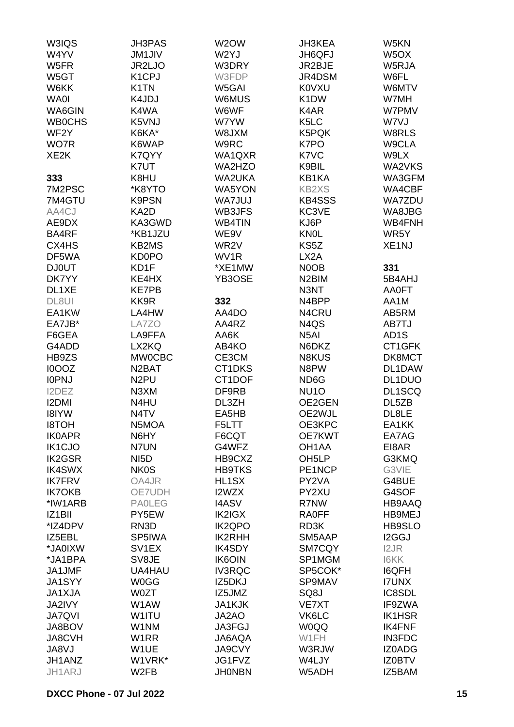| W3IQS               | <b>JH3PAS</b>      | W2OW              | <b>JH3KEA</b>                 | W5KN               |
|---------------------|--------------------|-------------------|-------------------------------|--------------------|
| W4YV                | <b>JM1JIV</b>      | W2YJ              | JH6QFJ                        | W <sub>5</sub> OX  |
| W5FR                | JR2LJO             | W3DRY             | JR2BJE                        | W5RJA              |
| W5GT                | K <sub>1</sub> CPJ | W3FDP             | JR4DSM                        | W6FL               |
| W6KK                | K <sub>1</sub> TN  | W5GAI             | <b>K0VXU</b>                  | W6MTV              |
| <b>WA0I</b>         | K4JDJ              | W6MUS             | K <sub>1</sub> DW             | W7MH               |
| WA6GIN              | K4WA               | W6WF              | K4AR                          | W7PMV              |
| <b>WB0CHS</b>       | K5VNJ              | W7YW              | K <sub>5</sub> LC             | W7VJ               |
| WF <sub>2</sub> Y   | K6KA*              | W8JXM             | K5PQK                         | W8RLS              |
|                     |                    |                   | K7PO                          |                    |
| WO7R                | K6WAP              | W9RC              |                               | W9CLA              |
| XE <sub>2</sub> K   | K7QYY              | WA1QXR            | K7VC                          | W9LX               |
|                     | K7UT               | WA2HZO            | K9BIL                         | WA2VKS             |
| 333                 | K8HU               | WA2UKA            | KB1KA                         | WA3GFM             |
| 7M2PSC              | *K8YTO             | <b>WA5YON</b>     | <b>KB2XS</b>                  | WA4CBF             |
| 7M4GTU              | <b>K9PSN</b>       | <b>WA7JUJ</b>     | <b>KB4SSS</b>                 | <b>WA7ZDU</b>      |
| AA4CJ               | KA2D               | WB3JFS            | KC3VE                         | WA8JBG             |
| AE9DX               | KA3GWD             | <b>WB4TIN</b>     | KJ6P                          | WB4FNH             |
| BA4RF               | *KB1JZU            | WE9V              | <b>KNOL</b>                   | WR5Y               |
| CX4HS               | KB2MS              | WR <sub>2</sub> V | KS5Z                          | XE <sub>1</sub> NJ |
| DF5WA               | <b>KD0PO</b>       | WV1R              | LX <sub>2</sub> A             |                    |
| <b>DJ0UT</b>        | KD1F               | *XE1MW            | N <sub>0</sub> OB             | 331                |
| DK7YY               | KE4HX              | YB3OSE            | N <sub>2</sub> BIM            | 5B4AHJ             |
| DL1XE               | <b>KE7PB</b>       |                   | N3NT                          | <b>AA0FT</b>       |
| DL8UI               | KK9R               | 332               | N4BPP                         | AA1M               |
| EA1KW               | LA4HW              | AA4DO             | N4CRU                         | AB5RM              |
| EA7JB*              | LA7ZO              | AA4RZ             | N <sub>4</sub> Q <sub>S</sub> | AB7TJ              |
| F6GEA               | LA9FFA             | AA6K              | N <sub>5</sub> AI             | AD <sub>1</sub> S  |
| G4ADD               | LX2KQ              | AB4KO             | N6DKZ                         | CT1GFK             |
| HB9ZS               | <b>MW0CBC</b>      | CE3CM             | N8KUS                         | DK8MCT             |
| I0OOZ               | N <sub>2</sub> BAT | CT1DKS            | N8PW                          | DL1DAW             |
| <b>IOPNJ</b>        | N <sub>2</sub> PU  | CT1DOF            | ND6G                          | DL1DUO             |
| I2DEZ               | N3XM               | DF9RB             | NU <sub>10</sub>              | DL1SCQ             |
| <b>I2DMI</b>        | N4HU               | DL3ZH             | OE2GEN                        | DL5ZB              |
| <b>I8IYW</b>        | N <sub>4</sub> TV  | EA5HB             | OE2WJL                        | DL8LE              |
| <b>I8TOH</b>        | N5MOA              | F5LTT             | OE3KPC                        | EA1KK              |
| <b>IK0APR</b>       | N6HY               | F6CQT             | OE7KWT                        | EA7AG              |
| <b>IK1CJO</b>       | N7UN               | G4WFZ             | OH <sub>1</sub> AA            | EI8AR              |
|                     |                    |                   |                               |                    |
| <b>IK2GSR</b>       | NI <sub>5</sub> D  | HB9CXZ            | OH <sub>5</sub> LP            | G3KMQ              |
| <b>IK4SWX</b>       | <b>NK0S</b>        | <b>HB9TKS</b>     | PE1NCP                        | G3VIE              |
| <b>IK7FRV</b>       | OA4JR              | HL1SX             | PY2VA                         | G4BUE              |
| <b>IK7OKB</b>       | OE7UDH             | I2WZX             | PY2XU                         | G4SOF              |
| *IW1ARB             | <b>PAOLEG</b>      | <b>I4ASV</b>      | R7NW                          | HB9AAQ             |
| IZ <sub>1</sub> BII | PY5EW              | IK2IGX            | <b>RA0FF</b>                  | HB9MEJ             |
| *IZ4DPV             | RN3D               | <b>IK2QPO</b>     | RD3K                          | HB9SLO             |
| IZ5EBL              | SP5IWA             | IK2RHH            | SM5AAP                        | I2GGJ              |
| *JA0IXW             | SV <sub>1</sub> EX | <b>IK4SDY</b>     | SM7CQY                        | I2JR               |
| *JA1BPA             | SV8JE              | <b>IK6OIN</b>     | SP1MGM                        | <b>I6KK</b>        |
| JA1JMF              | UA4HAU             | <b>IV3RQC</b>     | SP5COK*                       | <b>I6QFH</b>       |
| JA1SYY              | <b>W0GG</b>        | IZ5DKJ            | SP9MAV                        | <b>I7UNX</b>       |
| JA1XJA              | <b>W0ZT</b>        | IZ5JMZ            | SQ8J                          | IC8SDL             |
| JA2IVY              | W1AW               | <b>JA1KJK</b>     | <b>VE7XT</b>                  | IF9ZWA             |
| <b>JA7QVI</b>       | W1ITU              | JA2AO             | VK6LC                         | <b>IK1HSR</b>      |
| JA8BOV              | W1NM               | JA3FGJ            | <b>W0QQ</b>                   | <b>IK4FNF</b>      |
| <b>JA8CVH</b>       | W <sub>1</sub> RR  | <b>JA6AQA</b>     | W1FH                          | <b>IN3FDC</b>      |
| JA8VJ               | W1UE               | <b>JA9CVY</b>     | W3RJW                         | IZ0ADG             |
| JH1ANZ              | W1VRK*             | JG1FVZ            | W4LJY                         | <b>IZ0BTV</b>      |
| JH1ARJ              | W <sub>2</sub> FB  | <b>JHONBN</b>     | W5ADH                         | IZ5BAM             |
|                     |                    |                   |                               |                    |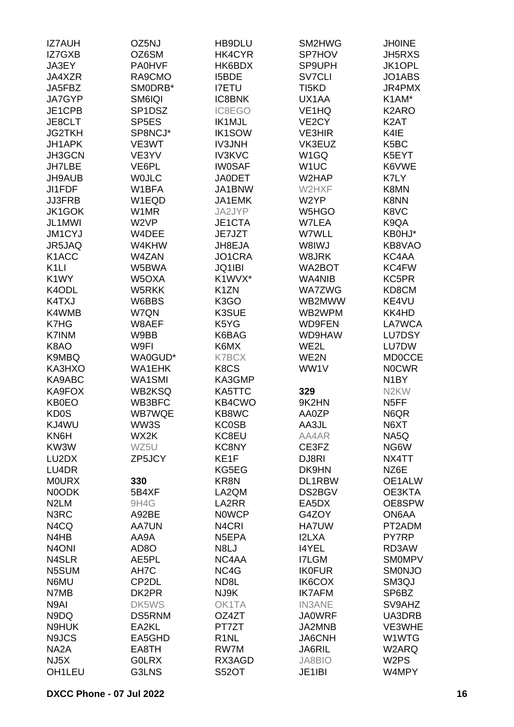| <b>IZ7AUH</b>      | OZ5NJ              | HB9DLU             | SM2HWG             | <b>JHOINE</b>      |
|--------------------|--------------------|--------------------|--------------------|--------------------|
| IZ7GXB             | OZ6SM              | HK4CYR             | SP7HOV             | <b>JH5RXS</b>      |
| JA3EY              | <b>PA0HVF</b>      | HK6BDX             | SP9UPH             | JK1OPL             |
| JA4XZR             | RA9CMO             | I5BDE              | <b>SV7CLI</b>      | JO1ABS             |
| JA5FBZ             | SMODRB*            | <b>I7ETU</b>       | TI5KD              | JR4PMX             |
| JA7GYP             | SM6IQI             | <b>IC8BNK</b>      | UX1AA              | K1AM*              |
| JE1CPB             | SP1DSZ             | IC8EGO             | VE <sub>1</sub> HQ | K <sub>2</sub> ARO |
|                    |                    |                    |                    |                    |
| JE8CLT             | SP <sub>5E</sub> S | IK1MJL             | VE <sub>2</sub> CY | K <sub>2</sub> AT  |
| <b>JG2TKH</b>      | SP8NCJ*            | <b>IK1SOW</b>      | <b>VE3HIR</b>      | K4IE               |
| JH1APK             | VE3WT              | <b>IV3JNH</b>      | VK3EUZ             | K <sub>5</sub> BC  |
| JH3GCN             | VE3YV              | <b>IV3KVC</b>      | W1GQ               | K5EYT              |
| <b>JH7LBE</b>      | VE6PL              | <b>IW0SAF</b>      | W <sub>1</sub> UC  | K6VWE              |
| JH9AUB             | <b>WOJLC</b>       | <b>JA0DET</b>      | W2HAP              | K7LY               |
| JI1FDF             | W1BFA              | JA1BNW             | W2HXF              | K8MN               |
| <b>JJ3FRB</b>      | W1EQD              | JA1EMK             | W2YP               | K8NN               |
| <b>JK1GOK</b>      | W1MR               | JA2JYP             | W5HGO              | K8VC               |
| JL1MWI             | W <sub>2</sub> VP  | JE1CTA             | W7LEA              | K9QA               |
| JM1CYJ             | W4DEE              | JE7JZT             | W7WLL              | KB0HJ*             |
| JR5JAQ             | W4KHW              | JH8EJA             | W8IWJ              | KB8VAO             |
| K <sub>1</sub> ACC | W4ZAN              | JO1CRA             | W8JRK              | KC4AA              |
| K <sub>1</sub> LI  | W5BWA              | JQ1IBI             | WA2BOT             | KC4FW              |
| K <sub>1</sub> WY  | W5OXA              | K1WVX*             | WA4NIB             | KC5PR              |
| K4ODL              | W5RKK              | K <sub>1</sub> ZN  | <b>WA7ZWG</b>      | KD8CM              |
| K4TXJ              | W6BBS              | K3GO               | WB2MWW             | KE4VU              |
| K4WMB              | W7QN               | K3SUE              | WB2WPM             | KK4HD              |
| K7HG               | W8AEF              | K5YG               | <b>WD9FEN</b>      | LA7WCA             |
| K7INM              | W9BB               | K6BAG              | WD9HAW             | LU7DSY             |
| K8AO               | W9FI               | K6MX               | WE2L               | LU7DW              |
| K9MBQ              |                    | <b>K7BCX</b>       | WE2N               | <b>MD0CCE</b>      |
|                    | WA0GUD*            |                    |                    | <b>NOCWR</b>       |
| KA3HXO             | <b>WA1EHK</b>      | K8CS               | WW1V               |                    |
| KA9ABC             | WA1SMI             | KA3GMP             |                    | N <sub>1</sub> BY  |
| KA9FOX             | <b>WB2KSQ</b>      | KA5TTC             | 329                | N <sub>2</sub> KW  |
| <b>KB0EO</b>       | WB3BFC             | KB4CWO             | 9K2HN              | N <sub>5</sub> FF  |
| <b>KD0S</b>        | <b>WB7WQE</b>      | KB8WC              | AA0ZP              | N6QR               |
| KJ4WU              | WW3S               | <b>KC0SB</b>       | AA3JL              | N6XT               |
| KN6H               | WX2K               | KC8EU              | AA4AR              | NA5Q               |
| KW3W               | WZ5U               | KC8NY              | CE3FZ              | NG6W               |
| LU2DX              | ZP5JCY             | KE1F               | DJ8RI              | NX4TT              |
| LU4DR              |                    | KG5EG              | DK9HN              | NZ6E               |
| <b>MOURX</b>       | 330                | KR8N               | DL1RBW             | OE1ALW             |
| N0ODK              | 5B4XF              | LA2QM              | DS2BGV             | OE3KTA             |
| N <sub>2</sub> LM  | 9H4G               | LA2RR              | EA5DX              | OE8SPW             |
| N3RC               | A92BE              | <b>NOWCP</b>       | G4ZOY              | ON6AA              |
| N4CQ               | <b>AA7UN</b>       | N <sub>4</sub> CRI | HA7UW              | PT2ADM             |
| N4HB               | AA9A               | N5EPA              | <b>I2LXA</b>       | PY7RP              |
| N <sub>4</sub> ONI | AD <sub>8</sub> O  | N8LJ               | <b>I4YEL</b>       | RD3AW              |
| N4SLR              | AE5PL              | NC4AA              | <b>I7LGM</b>       | <b>SMOMPV</b>      |
| N5SUM              | AH7C               | NC4G               | <b>IK0FUR</b>      | <b>SMONJO</b>      |
| N6MU               | CP2DL              | ND8L               | IK6COX             | SM3QJ              |
| N7MB               | DK2PR              | NJ9K               | <b>IK7AFM</b>      | SP6BZ              |
| N9AI               | DK5WS              | OK1TA              | <b>IN3ANE</b>      | SV9AHZ             |
| N9DQ               | <b>DS5RNM</b>      | OZ4ZT              | <b>JA0WRF</b>      | UA3DRB             |
| N9HUK              | EA2KL              | PT7ZT              | JA2MNB             | VE3WHE             |
| N9JCS              | EA5GHD             | R <sub>1</sub> NL  | <b>JA6CNH</b>      | W1WTG              |
| NA <sub>2</sub> A  | EA8TH              | RW7M               | <b>JA6RIL</b>      | W2ARQ              |
| NJ <sub>5</sub> X  | <b>GOLRX</b>       | RX3AGD             | <b>JA8BIO</b>      | W2PS               |
| OH1LEU             | G3LNS              | <b>S52OT</b>       | JE1IBI             | W4MPY              |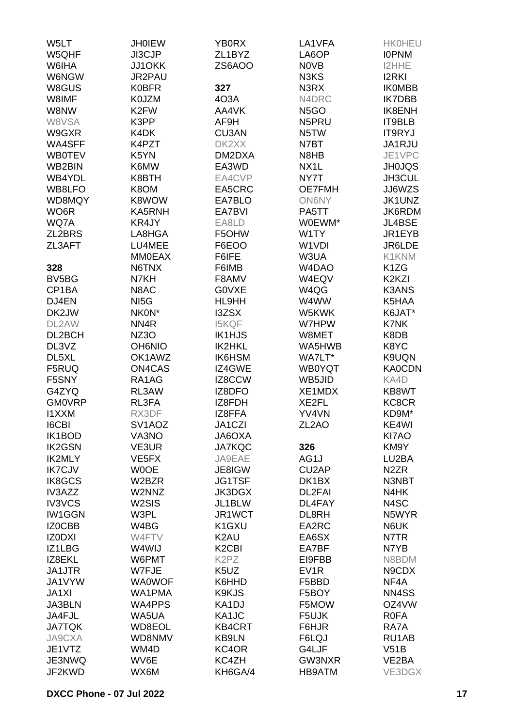| ZL1BYZ<br>LA6OP<br>W6IHA<br>JJ1OKK<br>ZS6AOO<br><b>NOVB</b><br><b>I2HHE</b><br>W6NGW<br>JR2PAU<br>N3KS<br><b>I2RKI</b><br>W8GUS<br><b>K0BFR</b><br>327<br>N3RX<br><b>IKOMBB</b><br>W8IMF<br><b>K0JZM</b><br>4O3A<br>N4DRC<br><b>IK7DBB</b><br>W8NW<br>K <sub>2</sub> FW<br>AA4VK<br>N <sub>5</sub> GO<br>IK8ENH<br>W8VSA<br>K3PP<br>AF9H<br>N5PRU<br>IT9BLB<br>W9GXR<br>K4DK<br><b>CU3AN</b><br>N5TW<br><b>IT9RYJ</b><br>WA4SFF<br>K4PZT<br>DK2XX<br>JA1RJU<br>N7BT<br>JE1VPC<br><b>WB0TEV</b><br>K5YN<br>DM2DXA<br>N8HB<br>EA3WD<br>WB2BIN<br>K6MW<br>NX <sub>1</sub> L<br><b>JH0JQS</b><br>WB4YDL<br>K8BTH<br>EA4CVP<br>NY7T<br>JH3CUL<br>WB8LFO<br>K8OM<br>EA5CRC<br><b>OE7FMH</b><br>JJ6WZS<br>JK1UNZ<br>WD8MQY<br>K8WOW<br>EA7BLO<br><b>ON6NY</b><br>WO6R<br>KA5RNH<br>EA7BVI<br>JK6RDM<br>PA5TT<br>WQ7A<br>KR4JY<br>EA8LD<br>W0EWM*<br>JL4BSE<br>ZL2BRS<br>LA8HGA<br>F5OHW<br>W1TY<br>JR1EYB<br>ZL3AFT<br>LU4MEE<br>F6EOO<br>W1VDI<br>JR6LDE<br><b>MM0EAX</b><br>F6IFE<br>W3UA<br>K1KNM<br>N6TNX<br>F6IMB<br>W <sub>4</sub> D <sub>A</sub> O<br>K <sub>1</sub> ZG<br>328<br>BV5BG<br>N7KH<br>F8AMV<br>W4EQV<br>K2KZI<br>CP1BA<br>N8AC<br><b>GOVXE</b><br>W4QG<br><b>K3ANS</b><br>DJ4EN<br>NI <sub>5</sub> G<br>HL9HH<br>W4WW<br>K5HAA<br>DK2JW<br>NKON*<br>I3ZSX<br>W5KWK<br>K6JAT*<br>DL2AW<br>NN <sub>4</sub> R<br><b>I5KQF</b><br>W7HPW<br>K7NK<br>DL2BCH<br>NZ3O<br>IK1HJS<br>W8MET<br>K8DB<br>DL3VZ<br>IK2HKL<br>K8YC<br><b>OH6NIO</b><br>WA5HWB<br>DL5XL<br>OK1AWZ<br>IK6HSM<br>WA7LT*<br>K9UQN<br>ON4CAS<br>IZ4GWE<br><b>KA0CDN</b><br>F5RUQ<br><b>WB0YQT</b><br>F5SNY<br>RA1AG<br>IZ8CCW<br>KA4D<br>WB5JID<br>G4ZYQ<br>IZ8DFO<br>XE1MDX<br>KB8WT<br>RL3AW<br><b>GM0VRP</b><br>RL3FA<br>IZ8FDH<br>XE2FL<br>KC8CR<br><b>I1XXM</b><br>RX3DF<br>YV4VN<br>IZ8FFA<br>KD9M*<br><b>I6CBI</b><br>SV1AOZ<br>JA1CZI<br>ZL <sub>2</sub> AO<br>KE4WI<br>VA3NO<br>KI7AO<br>IK1BOD<br><b>AXO3AL</b><br>326<br><b>IK2GSN</b><br>VE3UR<br><b>JA7KQC</b><br>KM9Y<br><b>IK2MLY</b><br>VE <sub>5</sub> FX<br>JA9EAE<br>AG1J<br>LU2BA<br><b>IK7CJV</b><br><b>WOOE</b><br>JE8IGW<br>CU <sub>2</sub> AP<br>N <sub>2</sub> ZR<br>IK8GCS<br><b>JG1TSF</b><br>DK1BX<br>W2BZR<br>N3NBT<br>IV3AZZ<br>W2NNZ<br><b>JK3DGX</b><br>DL2FAI<br>N4HK<br><b>IV3VCS</b><br>W <sub>2</sub> SIS<br>JL1BLW<br>DL4FAY<br>N4SC<br><b>IW1GGN</b><br>W3PL<br>JR1WCT<br>N5WYR<br>DL8RH<br>IZ0CBB<br>W4BG<br>K <sub>1</sub> G <sub>XU</sub><br>EA2RC<br>N6UK<br>IZ0DXI<br>W4FTV<br>K <sub>2</sub> AU<br>EA6SX<br>N7TR<br>IZ1LBG<br>K <sub>2</sub> C <sub>BI</sub><br>EA7BF<br>N7YB<br>W4WIJ<br>IZ8EKL<br>W6PMT<br>K <sub>2</sub> P <sub>Z</sub><br>N8BDM<br>EI9FBB<br>JA1JTR<br>W7FJE<br>K5UZ<br>EV <sub>1</sub> R<br>N9CDX<br>JA1VYW<br><b>WA0WOF</b><br>K6HHD<br>NF4A<br>F5BBD<br>JA1XI<br>WA1PMA<br>K9KJS<br>F5BOY<br>NN4SS<br>JA3BLN<br>WA4PPS<br>KA1DJ<br>F5MOW<br>OZ4VW<br>JA4FJL<br>WA5UA<br>KA1JC<br>F5UJK<br><b>ROFA</b><br><b>JA7TQK</b><br>WD8EOL<br><b>KB4CRT</b><br>RA7A<br>F6HJR<br><b>JA9CXA</b><br>WD8NMV<br>KB9LN<br>F6LQJ<br>RU1AB<br>V51B<br>JE1VTZ<br>WM4D<br>KC4OR<br>G4LJF<br>JE3NWQ<br>WV6E<br>KC4ZH<br>GW3NXR<br>VE2BA<br>KH6GA/4<br>JF2KWD<br>WX6M<br>HB9ATM<br>VE3DGX | W5LT  | <b>JH0IEW</b> | <b>YB0RX</b> | LA1VFA | <b>HK0HEU</b> |
|-----------------------------------------------------------------------------------------------------------------------------------------------------------------------------------------------------------------------------------------------------------------------------------------------------------------------------------------------------------------------------------------------------------------------------------------------------------------------------------------------------------------------------------------------------------------------------------------------------------------------------------------------------------------------------------------------------------------------------------------------------------------------------------------------------------------------------------------------------------------------------------------------------------------------------------------------------------------------------------------------------------------------------------------------------------------------------------------------------------------------------------------------------------------------------------------------------------------------------------------------------------------------------------------------------------------------------------------------------------------------------------------------------------------------------------------------------------------------------------------------------------------------------------------------------------------------------------------------------------------------------------------------------------------------------------------------------------------------------------------------------------------------------------------------------------------------------------------------------------------------------------------------------------------------------------------------------------------------------------------------------------------------------------------------------------------------------------------------------------------------------------------------------------------------------------------------------------------------------------------------------------------------------------------------------------------------------------------------------------------------------------------------------------------------------------------------------------------------------------------------------------------------------------------------------------------------------------------------------------------------------------------------------------------------------------------------------------------------------------------------------------------------------------------------------------------------------------------------------------------------------------------------------------------------------------------------------------------------------------------------------------------------------------------------------------------------------------------------------------------------------------------------------------------|-------|---------------|--------------|--------|---------------|
|                                                                                                                                                                                                                                                                                                                                                                                                                                                                                                                                                                                                                                                                                                                                                                                                                                                                                                                                                                                                                                                                                                                                                                                                                                                                                                                                                                                                                                                                                                                                                                                                                                                                                                                                                                                                                                                                                                                                                                                                                                                                                                                                                                                                                                                                                                                                                                                                                                                                                                                                                                                                                                                                                                                                                                                                                                                                                                                                                                                                                                                                                                                                                                 | W5QHF | JI3CJP        |              |        | <b>IOPNM</b>  |
|                                                                                                                                                                                                                                                                                                                                                                                                                                                                                                                                                                                                                                                                                                                                                                                                                                                                                                                                                                                                                                                                                                                                                                                                                                                                                                                                                                                                                                                                                                                                                                                                                                                                                                                                                                                                                                                                                                                                                                                                                                                                                                                                                                                                                                                                                                                                                                                                                                                                                                                                                                                                                                                                                                                                                                                                                                                                                                                                                                                                                                                                                                                                                                 |       |               |              |        |               |
|                                                                                                                                                                                                                                                                                                                                                                                                                                                                                                                                                                                                                                                                                                                                                                                                                                                                                                                                                                                                                                                                                                                                                                                                                                                                                                                                                                                                                                                                                                                                                                                                                                                                                                                                                                                                                                                                                                                                                                                                                                                                                                                                                                                                                                                                                                                                                                                                                                                                                                                                                                                                                                                                                                                                                                                                                                                                                                                                                                                                                                                                                                                                                                 |       |               |              |        |               |
|                                                                                                                                                                                                                                                                                                                                                                                                                                                                                                                                                                                                                                                                                                                                                                                                                                                                                                                                                                                                                                                                                                                                                                                                                                                                                                                                                                                                                                                                                                                                                                                                                                                                                                                                                                                                                                                                                                                                                                                                                                                                                                                                                                                                                                                                                                                                                                                                                                                                                                                                                                                                                                                                                                                                                                                                                                                                                                                                                                                                                                                                                                                                                                 |       |               |              |        |               |
|                                                                                                                                                                                                                                                                                                                                                                                                                                                                                                                                                                                                                                                                                                                                                                                                                                                                                                                                                                                                                                                                                                                                                                                                                                                                                                                                                                                                                                                                                                                                                                                                                                                                                                                                                                                                                                                                                                                                                                                                                                                                                                                                                                                                                                                                                                                                                                                                                                                                                                                                                                                                                                                                                                                                                                                                                                                                                                                                                                                                                                                                                                                                                                 |       |               |              |        |               |
|                                                                                                                                                                                                                                                                                                                                                                                                                                                                                                                                                                                                                                                                                                                                                                                                                                                                                                                                                                                                                                                                                                                                                                                                                                                                                                                                                                                                                                                                                                                                                                                                                                                                                                                                                                                                                                                                                                                                                                                                                                                                                                                                                                                                                                                                                                                                                                                                                                                                                                                                                                                                                                                                                                                                                                                                                                                                                                                                                                                                                                                                                                                                                                 |       |               |              |        |               |
|                                                                                                                                                                                                                                                                                                                                                                                                                                                                                                                                                                                                                                                                                                                                                                                                                                                                                                                                                                                                                                                                                                                                                                                                                                                                                                                                                                                                                                                                                                                                                                                                                                                                                                                                                                                                                                                                                                                                                                                                                                                                                                                                                                                                                                                                                                                                                                                                                                                                                                                                                                                                                                                                                                                                                                                                                                                                                                                                                                                                                                                                                                                                                                 |       |               |              |        |               |
|                                                                                                                                                                                                                                                                                                                                                                                                                                                                                                                                                                                                                                                                                                                                                                                                                                                                                                                                                                                                                                                                                                                                                                                                                                                                                                                                                                                                                                                                                                                                                                                                                                                                                                                                                                                                                                                                                                                                                                                                                                                                                                                                                                                                                                                                                                                                                                                                                                                                                                                                                                                                                                                                                                                                                                                                                                                                                                                                                                                                                                                                                                                                                                 |       |               |              |        |               |
|                                                                                                                                                                                                                                                                                                                                                                                                                                                                                                                                                                                                                                                                                                                                                                                                                                                                                                                                                                                                                                                                                                                                                                                                                                                                                                                                                                                                                                                                                                                                                                                                                                                                                                                                                                                                                                                                                                                                                                                                                                                                                                                                                                                                                                                                                                                                                                                                                                                                                                                                                                                                                                                                                                                                                                                                                                                                                                                                                                                                                                                                                                                                                                 |       |               |              |        |               |
|                                                                                                                                                                                                                                                                                                                                                                                                                                                                                                                                                                                                                                                                                                                                                                                                                                                                                                                                                                                                                                                                                                                                                                                                                                                                                                                                                                                                                                                                                                                                                                                                                                                                                                                                                                                                                                                                                                                                                                                                                                                                                                                                                                                                                                                                                                                                                                                                                                                                                                                                                                                                                                                                                                                                                                                                                                                                                                                                                                                                                                                                                                                                                                 |       |               |              |        |               |
|                                                                                                                                                                                                                                                                                                                                                                                                                                                                                                                                                                                                                                                                                                                                                                                                                                                                                                                                                                                                                                                                                                                                                                                                                                                                                                                                                                                                                                                                                                                                                                                                                                                                                                                                                                                                                                                                                                                                                                                                                                                                                                                                                                                                                                                                                                                                                                                                                                                                                                                                                                                                                                                                                                                                                                                                                                                                                                                                                                                                                                                                                                                                                                 |       |               |              |        |               |
|                                                                                                                                                                                                                                                                                                                                                                                                                                                                                                                                                                                                                                                                                                                                                                                                                                                                                                                                                                                                                                                                                                                                                                                                                                                                                                                                                                                                                                                                                                                                                                                                                                                                                                                                                                                                                                                                                                                                                                                                                                                                                                                                                                                                                                                                                                                                                                                                                                                                                                                                                                                                                                                                                                                                                                                                                                                                                                                                                                                                                                                                                                                                                                 |       |               |              |        |               |
|                                                                                                                                                                                                                                                                                                                                                                                                                                                                                                                                                                                                                                                                                                                                                                                                                                                                                                                                                                                                                                                                                                                                                                                                                                                                                                                                                                                                                                                                                                                                                                                                                                                                                                                                                                                                                                                                                                                                                                                                                                                                                                                                                                                                                                                                                                                                                                                                                                                                                                                                                                                                                                                                                                                                                                                                                                                                                                                                                                                                                                                                                                                                                                 |       |               |              |        |               |
|                                                                                                                                                                                                                                                                                                                                                                                                                                                                                                                                                                                                                                                                                                                                                                                                                                                                                                                                                                                                                                                                                                                                                                                                                                                                                                                                                                                                                                                                                                                                                                                                                                                                                                                                                                                                                                                                                                                                                                                                                                                                                                                                                                                                                                                                                                                                                                                                                                                                                                                                                                                                                                                                                                                                                                                                                                                                                                                                                                                                                                                                                                                                                                 |       |               |              |        |               |
|                                                                                                                                                                                                                                                                                                                                                                                                                                                                                                                                                                                                                                                                                                                                                                                                                                                                                                                                                                                                                                                                                                                                                                                                                                                                                                                                                                                                                                                                                                                                                                                                                                                                                                                                                                                                                                                                                                                                                                                                                                                                                                                                                                                                                                                                                                                                                                                                                                                                                                                                                                                                                                                                                                                                                                                                                                                                                                                                                                                                                                                                                                                                                                 |       |               |              |        |               |
|                                                                                                                                                                                                                                                                                                                                                                                                                                                                                                                                                                                                                                                                                                                                                                                                                                                                                                                                                                                                                                                                                                                                                                                                                                                                                                                                                                                                                                                                                                                                                                                                                                                                                                                                                                                                                                                                                                                                                                                                                                                                                                                                                                                                                                                                                                                                                                                                                                                                                                                                                                                                                                                                                                                                                                                                                                                                                                                                                                                                                                                                                                                                                                 |       |               |              |        |               |
|                                                                                                                                                                                                                                                                                                                                                                                                                                                                                                                                                                                                                                                                                                                                                                                                                                                                                                                                                                                                                                                                                                                                                                                                                                                                                                                                                                                                                                                                                                                                                                                                                                                                                                                                                                                                                                                                                                                                                                                                                                                                                                                                                                                                                                                                                                                                                                                                                                                                                                                                                                                                                                                                                                                                                                                                                                                                                                                                                                                                                                                                                                                                                                 |       |               |              |        |               |
|                                                                                                                                                                                                                                                                                                                                                                                                                                                                                                                                                                                                                                                                                                                                                                                                                                                                                                                                                                                                                                                                                                                                                                                                                                                                                                                                                                                                                                                                                                                                                                                                                                                                                                                                                                                                                                                                                                                                                                                                                                                                                                                                                                                                                                                                                                                                                                                                                                                                                                                                                                                                                                                                                                                                                                                                                                                                                                                                                                                                                                                                                                                                                                 |       |               |              |        |               |
|                                                                                                                                                                                                                                                                                                                                                                                                                                                                                                                                                                                                                                                                                                                                                                                                                                                                                                                                                                                                                                                                                                                                                                                                                                                                                                                                                                                                                                                                                                                                                                                                                                                                                                                                                                                                                                                                                                                                                                                                                                                                                                                                                                                                                                                                                                                                                                                                                                                                                                                                                                                                                                                                                                                                                                                                                                                                                                                                                                                                                                                                                                                                                                 |       |               |              |        |               |
|                                                                                                                                                                                                                                                                                                                                                                                                                                                                                                                                                                                                                                                                                                                                                                                                                                                                                                                                                                                                                                                                                                                                                                                                                                                                                                                                                                                                                                                                                                                                                                                                                                                                                                                                                                                                                                                                                                                                                                                                                                                                                                                                                                                                                                                                                                                                                                                                                                                                                                                                                                                                                                                                                                                                                                                                                                                                                                                                                                                                                                                                                                                                                                 |       |               |              |        |               |
|                                                                                                                                                                                                                                                                                                                                                                                                                                                                                                                                                                                                                                                                                                                                                                                                                                                                                                                                                                                                                                                                                                                                                                                                                                                                                                                                                                                                                                                                                                                                                                                                                                                                                                                                                                                                                                                                                                                                                                                                                                                                                                                                                                                                                                                                                                                                                                                                                                                                                                                                                                                                                                                                                                                                                                                                                                                                                                                                                                                                                                                                                                                                                                 |       |               |              |        |               |
|                                                                                                                                                                                                                                                                                                                                                                                                                                                                                                                                                                                                                                                                                                                                                                                                                                                                                                                                                                                                                                                                                                                                                                                                                                                                                                                                                                                                                                                                                                                                                                                                                                                                                                                                                                                                                                                                                                                                                                                                                                                                                                                                                                                                                                                                                                                                                                                                                                                                                                                                                                                                                                                                                                                                                                                                                                                                                                                                                                                                                                                                                                                                                                 |       |               |              |        |               |
|                                                                                                                                                                                                                                                                                                                                                                                                                                                                                                                                                                                                                                                                                                                                                                                                                                                                                                                                                                                                                                                                                                                                                                                                                                                                                                                                                                                                                                                                                                                                                                                                                                                                                                                                                                                                                                                                                                                                                                                                                                                                                                                                                                                                                                                                                                                                                                                                                                                                                                                                                                                                                                                                                                                                                                                                                                                                                                                                                                                                                                                                                                                                                                 |       |               |              |        |               |
|                                                                                                                                                                                                                                                                                                                                                                                                                                                                                                                                                                                                                                                                                                                                                                                                                                                                                                                                                                                                                                                                                                                                                                                                                                                                                                                                                                                                                                                                                                                                                                                                                                                                                                                                                                                                                                                                                                                                                                                                                                                                                                                                                                                                                                                                                                                                                                                                                                                                                                                                                                                                                                                                                                                                                                                                                                                                                                                                                                                                                                                                                                                                                                 |       |               |              |        |               |
|                                                                                                                                                                                                                                                                                                                                                                                                                                                                                                                                                                                                                                                                                                                                                                                                                                                                                                                                                                                                                                                                                                                                                                                                                                                                                                                                                                                                                                                                                                                                                                                                                                                                                                                                                                                                                                                                                                                                                                                                                                                                                                                                                                                                                                                                                                                                                                                                                                                                                                                                                                                                                                                                                                                                                                                                                                                                                                                                                                                                                                                                                                                                                                 |       |               |              |        |               |
|                                                                                                                                                                                                                                                                                                                                                                                                                                                                                                                                                                                                                                                                                                                                                                                                                                                                                                                                                                                                                                                                                                                                                                                                                                                                                                                                                                                                                                                                                                                                                                                                                                                                                                                                                                                                                                                                                                                                                                                                                                                                                                                                                                                                                                                                                                                                                                                                                                                                                                                                                                                                                                                                                                                                                                                                                                                                                                                                                                                                                                                                                                                                                                 |       |               |              |        |               |
|                                                                                                                                                                                                                                                                                                                                                                                                                                                                                                                                                                                                                                                                                                                                                                                                                                                                                                                                                                                                                                                                                                                                                                                                                                                                                                                                                                                                                                                                                                                                                                                                                                                                                                                                                                                                                                                                                                                                                                                                                                                                                                                                                                                                                                                                                                                                                                                                                                                                                                                                                                                                                                                                                                                                                                                                                                                                                                                                                                                                                                                                                                                                                                 |       |               |              |        |               |
|                                                                                                                                                                                                                                                                                                                                                                                                                                                                                                                                                                                                                                                                                                                                                                                                                                                                                                                                                                                                                                                                                                                                                                                                                                                                                                                                                                                                                                                                                                                                                                                                                                                                                                                                                                                                                                                                                                                                                                                                                                                                                                                                                                                                                                                                                                                                                                                                                                                                                                                                                                                                                                                                                                                                                                                                                                                                                                                                                                                                                                                                                                                                                                 |       |               |              |        |               |
|                                                                                                                                                                                                                                                                                                                                                                                                                                                                                                                                                                                                                                                                                                                                                                                                                                                                                                                                                                                                                                                                                                                                                                                                                                                                                                                                                                                                                                                                                                                                                                                                                                                                                                                                                                                                                                                                                                                                                                                                                                                                                                                                                                                                                                                                                                                                                                                                                                                                                                                                                                                                                                                                                                                                                                                                                                                                                                                                                                                                                                                                                                                                                                 |       |               |              |        |               |
|                                                                                                                                                                                                                                                                                                                                                                                                                                                                                                                                                                                                                                                                                                                                                                                                                                                                                                                                                                                                                                                                                                                                                                                                                                                                                                                                                                                                                                                                                                                                                                                                                                                                                                                                                                                                                                                                                                                                                                                                                                                                                                                                                                                                                                                                                                                                                                                                                                                                                                                                                                                                                                                                                                                                                                                                                                                                                                                                                                                                                                                                                                                                                                 |       |               |              |        |               |
|                                                                                                                                                                                                                                                                                                                                                                                                                                                                                                                                                                                                                                                                                                                                                                                                                                                                                                                                                                                                                                                                                                                                                                                                                                                                                                                                                                                                                                                                                                                                                                                                                                                                                                                                                                                                                                                                                                                                                                                                                                                                                                                                                                                                                                                                                                                                                                                                                                                                                                                                                                                                                                                                                                                                                                                                                                                                                                                                                                                                                                                                                                                                                                 |       |               |              |        |               |
|                                                                                                                                                                                                                                                                                                                                                                                                                                                                                                                                                                                                                                                                                                                                                                                                                                                                                                                                                                                                                                                                                                                                                                                                                                                                                                                                                                                                                                                                                                                                                                                                                                                                                                                                                                                                                                                                                                                                                                                                                                                                                                                                                                                                                                                                                                                                                                                                                                                                                                                                                                                                                                                                                                                                                                                                                                                                                                                                                                                                                                                                                                                                                                 |       |               |              |        |               |
|                                                                                                                                                                                                                                                                                                                                                                                                                                                                                                                                                                                                                                                                                                                                                                                                                                                                                                                                                                                                                                                                                                                                                                                                                                                                                                                                                                                                                                                                                                                                                                                                                                                                                                                                                                                                                                                                                                                                                                                                                                                                                                                                                                                                                                                                                                                                                                                                                                                                                                                                                                                                                                                                                                                                                                                                                                                                                                                                                                                                                                                                                                                                                                 |       |               |              |        |               |
|                                                                                                                                                                                                                                                                                                                                                                                                                                                                                                                                                                                                                                                                                                                                                                                                                                                                                                                                                                                                                                                                                                                                                                                                                                                                                                                                                                                                                                                                                                                                                                                                                                                                                                                                                                                                                                                                                                                                                                                                                                                                                                                                                                                                                                                                                                                                                                                                                                                                                                                                                                                                                                                                                                                                                                                                                                                                                                                                                                                                                                                                                                                                                                 |       |               |              |        |               |
|                                                                                                                                                                                                                                                                                                                                                                                                                                                                                                                                                                                                                                                                                                                                                                                                                                                                                                                                                                                                                                                                                                                                                                                                                                                                                                                                                                                                                                                                                                                                                                                                                                                                                                                                                                                                                                                                                                                                                                                                                                                                                                                                                                                                                                                                                                                                                                                                                                                                                                                                                                                                                                                                                                                                                                                                                                                                                                                                                                                                                                                                                                                                                                 |       |               |              |        |               |
|                                                                                                                                                                                                                                                                                                                                                                                                                                                                                                                                                                                                                                                                                                                                                                                                                                                                                                                                                                                                                                                                                                                                                                                                                                                                                                                                                                                                                                                                                                                                                                                                                                                                                                                                                                                                                                                                                                                                                                                                                                                                                                                                                                                                                                                                                                                                                                                                                                                                                                                                                                                                                                                                                                                                                                                                                                                                                                                                                                                                                                                                                                                                                                 |       |               |              |        |               |
|                                                                                                                                                                                                                                                                                                                                                                                                                                                                                                                                                                                                                                                                                                                                                                                                                                                                                                                                                                                                                                                                                                                                                                                                                                                                                                                                                                                                                                                                                                                                                                                                                                                                                                                                                                                                                                                                                                                                                                                                                                                                                                                                                                                                                                                                                                                                                                                                                                                                                                                                                                                                                                                                                                                                                                                                                                                                                                                                                                                                                                                                                                                                                                 |       |               |              |        |               |
|                                                                                                                                                                                                                                                                                                                                                                                                                                                                                                                                                                                                                                                                                                                                                                                                                                                                                                                                                                                                                                                                                                                                                                                                                                                                                                                                                                                                                                                                                                                                                                                                                                                                                                                                                                                                                                                                                                                                                                                                                                                                                                                                                                                                                                                                                                                                                                                                                                                                                                                                                                                                                                                                                                                                                                                                                                                                                                                                                                                                                                                                                                                                                                 |       |               |              |        |               |
|                                                                                                                                                                                                                                                                                                                                                                                                                                                                                                                                                                                                                                                                                                                                                                                                                                                                                                                                                                                                                                                                                                                                                                                                                                                                                                                                                                                                                                                                                                                                                                                                                                                                                                                                                                                                                                                                                                                                                                                                                                                                                                                                                                                                                                                                                                                                                                                                                                                                                                                                                                                                                                                                                                                                                                                                                                                                                                                                                                                                                                                                                                                                                                 |       |               |              |        |               |
|                                                                                                                                                                                                                                                                                                                                                                                                                                                                                                                                                                                                                                                                                                                                                                                                                                                                                                                                                                                                                                                                                                                                                                                                                                                                                                                                                                                                                                                                                                                                                                                                                                                                                                                                                                                                                                                                                                                                                                                                                                                                                                                                                                                                                                                                                                                                                                                                                                                                                                                                                                                                                                                                                                                                                                                                                                                                                                                                                                                                                                                                                                                                                                 |       |               |              |        |               |
|                                                                                                                                                                                                                                                                                                                                                                                                                                                                                                                                                                                                                                                                                                                                                                                                                                                                                                                                                                                                                                                                                                                                                                                                                                                                                                                                                                                                                                                                                                                                                                                                                                                                                                                                                                                                                                                                                                                                                                                                                                                                                                                                                                                                                                                                                                                                                                                                                                                                                                                                                                                                                                                                                                                                                                                                                                                                                                                                                                                                                                                                                                                                                                 |       |               |              |        |               |
|                                                                                                                                                                                                                                                                                                                                                                                                                                                                                                                                                                                                                                                                                                                                                                                                                                                                                                                                                                                                                                                                                                                                                                                                                                                                                                                                                                                                                                                                                                                                                                                                                                                                                                                                                                                                                                                                                                                                                                                                                                                                                                                                                                                                                                                                                                                                                                                                                                                                                                                                                                                                                                                                                                                                                                                                                                                                                                                                                                                                                                                                                                                                                                 |       |               |              |        |               |
|                                                                                                                                                                                                                                                                                                                                                                                                                                                                                                                                                                                                                                                                                                                                                                                                                                                                                                                                                                                                                                                                                                                                                                                                                                                                                                                                                                                                                                                                                                                                                                                                                                                                                                                                                                                                                                                                                                                                                                                                                                                                                                                                                                                                                                                                                                                                                                                                                                                                                                                                                                                                                                                                                                                                                                                                                                                                                                                                                                                                                                                                                                                                                                 |       |               |              |        |               |
|                                                                                                                                                                                                                                                                                                                                                                                                                                                                                                                                                                                                                                                                                                                                                                                                                                                                                                                                                                                                                                                                                                                                                                                                                                                                                                                                                                                                                                                                                                                                                                                                                                                                                                                                                                                                                                                                                                                                                                                                                                                                                                                                                                                                                                                                                                                                                                                                                                                                                                                                                                                                                                                                                                                                                                                                                                                                                                                                                                                                                                                                                                                                                                 |       |               |              |        |               |
|                                                                                                                                                                                                                                                                                                                                                                                                                                                                                                                                                                                                                                                                                                                                                                                                                                                                                                                                                                                                                                                                                                                                                                                                                                                                                                                                                                                                                                                                                                                                                                                                                                                                                                                                                                                                                                                                                                                                                                                                                                                                                                                                                                                                                                                                                                                                                                                                                                                                                                                                                                                                                                                                                                                                                                                                                                                                                                                                                                                                                                                                                                                                                                 |       |               |              |        |               |
|                                                                                                                                                                                                                                                                                                                                                                                                                                                                                                                                                                                                                                                                                                                                                                                                                                                                                                                                                                                                                                                                                                                                                                                                                                                                                                                                                                                                                                                                                                                                                                                                                                                                                                                                                                                                                                                                                                                                                                                                                                                                                                                                                                                                                                                                                                                                                                                                                                                                                                                                                                                                                                                                                                                                                                                                                                                                                                                                                                                                                                                                                                                                                                 |       |               |              |        |               |
|                                                                                                                                                                                                                                                                                                                                                                                                                                                                                                                                                                                                                                                                                                                                                                                                                                                                                                                                                                                                                                                                                                                                                                                                                                                                                                                                                                                                                                                                                                                                                                                                                                                                                                                                                                                                                                                                                                                                                                                                                                                                                                                                                                                                                                                                                                                                                                                                                                                                                                                                                                                                                                                                                                                                                                                                                                                                                                                                                                                                                                                                                                                                                                 |       |               |              |        |               |
|                                                                                                                                                                                                                                                                                                                                                                                                                                                                                                                                                                                                                                                                                                                                                                                                                                                                                                                                                                                                                                                                                                                                                                                                                                                                                                                                                                                                                                                                                                                                                                                                                                                                                                                                                                                                                                                                                                                                                                                                                                                                                                                                                                                                                                                                                                                                                                                                                                                                                                                                                                                                                                                                                                                                                                                                                                                                                                                                                                                                                                                                                                                                                                 |       |               |              |        |               |
|                                                                                                                                                                                                                                                                                                                                                                                                                                                                                                                                                                                                                                                                                                                                                                                                                                                                                                                                                                                                                                                                                                                                                                                                                                                                                                                                                                                                                                                                                                                                                                                                                                                                                                                                                                                                                                                                                                                                                                                                                                                                                                                                                                                                                                                                                                                                                                                                                                                                                                                                                                                                                                                                                                                                                                                                                                                                                                                                                                                                                                                                                                                                                                 |       |               |              |        |               |
|                                                                                                                                                                                                                                                                                                                                                                                                                                                                                                                                                                                                                                                                                                                                                                                                                                                                                                                                                                                                                                                                                                                                                                                                                                                                                                                                                                                                                                                                                                                                                                                                                                                                                                                                                                                                                                                                                                                                                                                                                                                                                                                                                                                                                                                                                                                                                                                                                                                                                                                                                                                                                                                                                                                                                                                                                                                                                                                                                                                                                                                                                                                                                                 |       |               |              |        |               |
|                                                                                                                                                                                                                                                                                                                                                                                                                                                                                                                                                                                                                                                                                                                                                                                                                                                                                                                                                                                                                                                                                                                                                                                                                                                                                                                                                                                                                                                                                                                                                                                                                                                                                                                                                                                                                                                                                                                                                                                                                                                                                                                                                                                                                                                                                                                                                                                                                                                                                                                                                                                                                                                                                                                                                                                                                                                                                                                                                                                                                                                                                                                                                                 |       |               |              |        |               |
|                                                                                                                                                                                                                                                                                                                                                                                                                                                                                                                                                                                                                                                                                                                                                                                                                                                                                                                                                                                                                                                                                                                                                                                                                                                                                                                                                                                                                                                                                                                                                                                                                                                                                                                                                                                                                                                                                                                                                                                                                                                                                                                                                                                                                                                                                                                                                                                                                                                                                                                                                                                                                                                                                                                                                                                                                                                                                                                                                                                                                                                                                                                                                                 |       |               |              |        |               |
|                                                                                                                                                                                                                                                                                                                                                                                                                                                                                                                                                                                                                                                                                                                                                                                                                                                                                                                                                                                                                                                                                                                                                                                                                                                                                                                                                                                                                                                                                                                                                                                                                                                                                                                                                                                                                                                                                                                                                                                                                                                                                                                                                                                                                                                                                                                                                                                                                                                                                                                                                                                                                                                                                                                                                                                                                                                                                                                                                                                                                                                                                                                                                                 |       |               |              |        |               |
|                                                                                                                                                                                                                                                                                                                                                                                                                                                                                                                                                                                                                                                                                                                                                                                                                                                                                                                                                                                                                                                                                                                                                                                                                                                                                                                                                                                                                                                                                                                                                                                                                                                                                                                                                                                                                                                                                                                                                                                                                                                                                                                                                                                                                                                                                                                                                                                                                                                                                                                                                                                                                                                                                                                                                                                                                                                                                                                                                                                                                                                                                                                                                                 |       |               |              |        |               |
|                                                                                                                                                                                                                                                                                                                                                                                                                                                                                                                                                                                                                                                                                                                                                                                                                                                                                                                                                                                                                                                                                                                                                                                                                                                                                                                                                                                                                                                                                                                                                                                                                                                                                                                                                                                                                                                                                                                                                                                                                                                                                                                                                                                                                                                                                                                                                                                                                                                                                                                                                                                                                                                                                                                                                                                                                                                                                                                                                                                                                                                                                                                                                                 |       |               |              |        |               |
|                                                                                                                                                                                                                                                                                                                                                                                                                                                                                                                                                                                                                                                                                                                                                                                                                                                                                                                                                                                                                                                                                                                                                                                                                                                                                                                                                                                                                                                                                                                                                                                                                                                                                                                                                                                                                                                                                                                                                                                                                                                                                                                                                                                                                                                                                                                                                                                                                                                                                                                                                                                                                                                                                                                                                                                                                                                                                                                                                                                                                                                                                                                                                                 |       |               |              |        |               |
|                                                                                                                                                                                                                                                                                                                                                                                                                                                                                                                                                                                                                                                                                                                                                                                                                                                                                                                                                                                                                                                                                                                                                                                                                                                                                                                                                                                                                                                                                                                                                                                                                                                                                                                                                                                                                                                                                                                                                                                                                                                                                                                                                                                                                                                                                                                                                                                                                                                                                                                                                                                                                                                                                                                                                                                                                                                                                                                                                                                                                                                                                                                                                                 |       |               |              |        |               |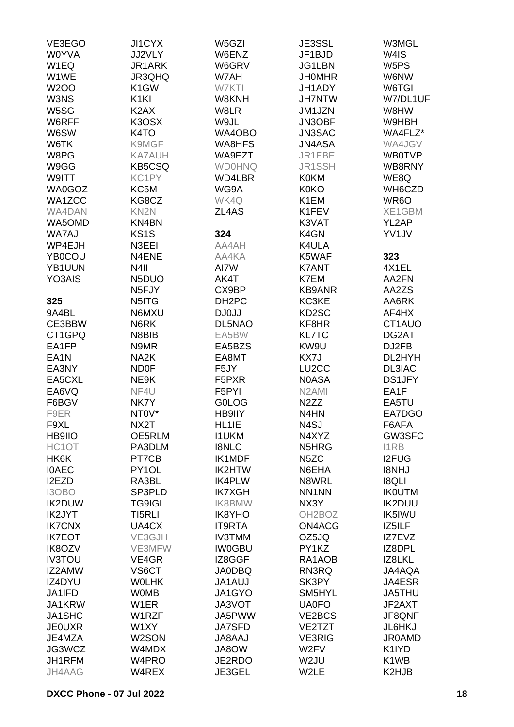| VE3EGO            | <b>JI1CYX</b>      | W5GZI              | JE3SSL              | W3MGL                         |
|-------------------|--------------------|--------------------|---------------------|-------------------------------|
| <b>W0YVA</b>      | JJ2VLY             | W6ENZ              | JF1BJD              | W4IS                          |
| W1EQ              | JR1ARK             | W6GRV              | JG1LBN              | W5PS                          |
| W1WE              | JR3QHQ             | W7AH               | <b>JHOMHR</b>       | W6NW                          |
| <b>W2OO</b>       | K <sub>1</sub> GW  | W7KTI              | JH1ADY              | W6TGI                         |
| W3NS              | K <sub>1KI</sub>   | W8KNH              | <b>JH7NTW</b>       | W7/DL1UF                      |
| W5SG              | K <sub>2</sub> AX  | W8LR               | JM1JZN              | W8HW                          |
|                   |                    |                    |                     |                               |
| W6RFF             | K3OSX              | W9JL               | JN3OBF              | W9HBH                         |
| W6SW              | K <sub>4</sub> TO  | WA4OBO             | <b>JN3SAC</b>       | WA4FLZ*                       |
| W6TK              | K9MGF              | WA8HFS             | <b>JN4ASA</b>       | WA4JGV                        |
| W8PG              | KA7AUH             | WA9EZT             | JR1EBE              | <b>WB0TVP</b>                 |
| W9GG              | <b>KB5CSQ</b>      | <b>WD0HNQ</b>      | JR1SSH              | WB8RNY                        |
| W9ITT             | KC1PY              | WD4LBR             | <b>K0KM</b>         | WE8Q                          |
| WA0GOZ            | KC5M               | WG9A               | <b>K0KO</b>         | WH6CZD                        |
| WA1ZCC            | KG8CZ              | WK4Q               | K1EM                | WR <sub>6</sub> O             |
| WA4DAN            | KN <sub>2N</sub>   | ZL4AS              | K1FEV               | XE1GBM                        |
| WA5OMD            | KN4BN              |                    | K3VAT               | YL2AP                         |
| WA7AJ             | KS <sub>1</sub> S  | 324                | K4GN                | YV1JV                         |
| WP4EJH            | N3EEI              | AA4AH              | K4ULA               |                               |
| <b>YB0COU</b>     | N4ENE              | AA4KA              | K5WAF               | 323                           |
| YB1UUN            | N4II               | AI7W               | <b>K7ANT</b>        | 4X1EL                         |
| YO3AIS            | N5DUO              | AK4T               | K7EM                | AA2FN                         |
|                   | N <sub>5</sub> FJY | CX9BP              | <b>KB9ANR</b>       | AA2ZS                         |
| 325               | N5ITG              | DH <sub>2</sub> PC | KC3KE               | AA6RK                         |
| 9A4BL             | N6MXU              | DJ0JJ              | KD <sub>2</sub> SC  | AF4HX                         |
| CE3BBW            | N6RK               | DL5NAO             | KF8HR               | CT1AUO                        |
| CT1GPQ            | N8BIB              | EA5BW              | <b>KL7TC</b>        | DG2AT                         |
| EA1FP             | N9MR               | EA5BZS             | KW9U                | DJ2FB                         |
|                   |                    |                    |                     | DL2HYH                        |
| EA <sub>1</sub> N | NA <sub>2</sub> K  | EA8MT              | KX7J                |                               |
| EA3NY             | <b>ND0F</b>        | F5JY               | LU <sub>2</sub> CC  | DL3IAC                        |
| EA5CXL            | NE9K               | F5PXR              | <b>N0ASA</b>        | <b>DS1JFY</b>                 |
| EA6VQ             | NF4U               | F5PYI              | N <sub>2</sub> AMI  | EA1F                          |
| F6BGV             | NK7Y               | <b>GOLOG</b>       | N <sub>2</sub> ZZ   | EA5TU                         |
| F9ER              | NT0V*              | HB9IIY             | N4HN                | EA7DGO                        |
| F9XL              | NX2T               | HL1IE              | N4SJ                | F6AFA                         |
| <b>HB9IIO</b>     | OE5RLM             | <b>I1UKM</b>       | N4XYZ               | GW3SFC                        |
| HC1OT             | PA3DLM             | <b>I8NLC</b>       | N5HRG               | <b>I1RB</b>                   |
| HK6K              | PT7CB              | IK1MDF             | N <sub>5</sub> ZC   | <b>I2FUG</b>                  |
| <b>IOAEC</b>      | PY1OL              | <b>IK2HTW</b>      | N6EHA               | <b>I8NHJ</b>                  |
| I2EZD             | RA3BL              | <b>IK4PLW</b>      | N8WRL               | <b>I8QLI</b>                  |
| I3OBO             | SP3PLD             | <b>IK7XGH</b>      | NN1NN               | <b>IKOUTM</b>                 |
| <b>IK2DUW</b>     | <b>TG9IGI</b>      | <b>IK8BMW</b>      | NX3Y                | <b>IK2DUU</b>                 |
| IK2JYT            | TI5RLI             | <b>IK8YHO</b>      | OH <sub>2</sub> BOZ | <b>IK5IWU</b>                 |
| <b>IK7CNX</b>     | UA4CX              | <b>IT9RTA</b>      | ON4ACG              | IZ5ILF                        |
| <b>IK7EOT</b>     | VE3GJH             | <b>IV3TMM</b>      | OZ5JQ               | IZ7EVZ                        |
| IK8OZV            | VE3MFW             | <b>IW0GBU</b>      | PY1KZ               | IZ8DPL                        |
| <b>IV3TOU</b>     | VE4GR              | IZ8GGF             | RA1AOB              | IZ8LKL                        |
| IZ2AMW            | VS6CT              | <b>JA0DBQ</b>      | RN3RQ               | JA4AQA                        |
| IZ4DYU            | <b>WOLHK</b>       | <b>JA1AUJ</b>      | SK3PY               | JA4ESR                        |
| JA1IFD            | <b>WOMB</b>        | JA1GYO             | SM5HYL              | JA5THU                        |
| JA1KRW            | W <sub>1</sub> ER  | JA3VOT             | <b>UA0FO</b>        | JF2AXT                        |
| JA1SHC            | W1RZF              | JA5PWW             | VE2BCS              | JF8QNF                        |
| <b>JE0UXR</b>     | W1XY               | <b>JA7SFD</b>      | VE2TZT              | JL6HKJ                        |
| JE4MZA            | W2SON              | <b>JA8AAJ</b>      | <b>VE3RIG</b>       | <b>JR0AMD</b>                 |
| JG3WCZ            | W4MDX              | JA8OW              | W <sub>2</sub> FV   | K1IYD                         |
| JH1RFM            | W4PRO              | JE2RDO             | W <sub>2</sub> JU   | K <sub>1</sub> W <sub>B</sub> |
|                   |                    |                    |                     |                               |
| JH4AAG            | W4REX              | JE3GEL             | W2LE                | K2HJB                         |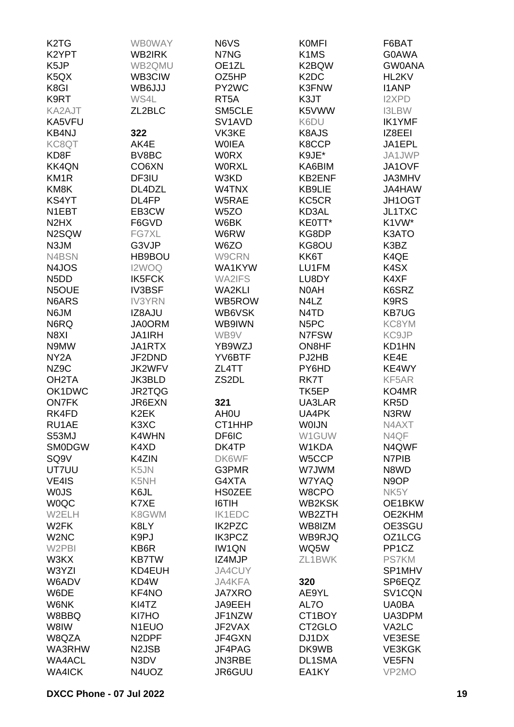| K <sub>2</sub> T <sub>G</sub> | <b>WB0WAY</b>      | N6VS                            | <b>KOMFI</b>                  | F6BAT              |
|-------------------------------|--------------------|---------------------------------|-------------------------------|--------------------|
| K2YPT                         | WB2IRK             | N7NG                            | K <sub>1</sub> M <sub>S</sub> | G0AWA              |
| K5JP                          | WB2QMU             | OE1ZL                           | K2BQW                         | <b>GW0ANA</b>      |
| K <sub>5</sub> Q <sub>X</sub> | WB3CIW             | OZ5HP                           | K <sub>2</sub> D <sub>C</sub> | HL2KV              |
| K8GI                          | WB6JJJ             | PY2WC                           | K3FNW                         | <b>I1ANP</b>       |
| K9RT                          | WS4L               | RT <sub>5</sub> A               | K3JT                          | <b>I2XPD</b>       |
| KA2AJT                        | ZL2BLC             | SM5CLE                          | K5VWW                         | <b>I3LBW</b>       |
|                               |                    |                                 |                               |                    |
| KA5VFU                        |                    | SV <sub>1</sub> AV <sub>D</sub> | K6DU                          | <b>IK1YMF</b>      |
| <b>KB4NJ</b>                  | 322                | VK3KE                           | K8AJS                         | IZ8EEI             |
| KC8QT                         | AK4E               | <b>WOIEA</b>                    | K8CCP                         | JA1EPL             |
| KD8F                          | BV8BC              | <b>WORX</b>                     | K9JE*                         | JA1JWP             |
| <b>KK4QN</b>                  | CO <sub>6</sub> XN | <b>WORXL</b>                    | KA6BIM                        | JA1OVF             |
| KM <sub>1R</sub>              | DF3IU              | W3KD                            | <b>KB2ENF</b>                 | JA3MHV             |
| KM8K                          | DL4DZL             | W4TNX                           | KB9LIE                        | JA4HAW             |
| KS4YT                         | DL4FP              | W5RAE                           | KC5CR                         | JH1OGT             |
| N1EBT                         | EB3CW              | W <sub>5</sub> ZO               | KD3AL                         | JL1TXC             |
| N <sub>2</sub> H <sub>X</sub> | F6GVD              | W6BK                            | KE0TT*                        | K1VW*              |
| N2SQW                         | FG7XL              | W6RW                            | KG8DP                         | K3ATO              |
| N3JM                          | G3VJP              | W6ZO                            | KG8OU                         | K3BZ               |
| N4BSN                         | HB9BOU             | W9CRN                           | KK6T                          | K4QE               |
| N4JOS                         | I2WOQ              | WA1KYW                          | LU1FM                         | K4SX               |
| N <sub>5</sub> D <sub>D</sub> | <b>IK5FCK</b>      | <b>WA2IFS</b>                   | LU8DY                         | K4XF               |
| N5OUE                         | <b>IV3BSF</b>      | <b>WA2KLI</b>                   | N0AH                          | K6SRZ              |
| N6ARS                         | <b>IV3YRN</b>      | WB5ROW                          | N4LZ                          | K9RS               |
| N6JM                          | IZ8AJU             | WB6VSK                          | N4TD                          | <b>KB7UG</b>       |
| N6RQ                          | <b>JA0ORM</b>      | WB9IWN                          | N <sub>5</sub> PC             | KC8YM              |
| N8XI                          | <b>JA1IRH</b>      | WB9V                            | N7FSW                         | KC9JP              |
| N9MW                          | JA1RTX             | YB9WZJ                          | ON8HF                         | KD1HN              |
| NY <sub>2</sub> A             | JF2DND             | YV6BTF                          | PJ2HB                         | KE4E               |
| NZ9C                          | <b>JK2WFV</b>      | ZL4TT                           | PY6HD                         | KE4WY              |
| OH <sub>2</sub> TA            | JK3BLD             | ZS <sub>2</sub> DL              | RK7T                          | KF5AR              |
| OK1DWC                        | JR2TQG             |                                 | TK5EP                         | KO4MR              |
| <b>ON7FK</b>                  | JR6EXN             | 321                             | UA3LAR                        | KR <sub>5</sub> D  |
| RK4FD                         | K <sub>2</sub> EK  | AH <sub>0</sub> U               | UA4PK                         | N3RW               |
| RU1AE                         | K3XC               | CT1HHP                          | <b>WOIJN</b>                  | N4AXT              |
| S53MJ                         | K4WHN              | DF6IC                           | W1GUW                         | N4QF               |
| <b>SMODGW</b>                 | K4XD               | DK4TP                           | W1KDA                         | N4QWF              |
| SQ <sub>9</sub> V             | K4ZIN              | DK6WF                           | W5CCP                         | N7PIB              |
|                               |                    |                                 |                               |                    |
| UT7UU                         | K5JN               | G3PMR                           | W7JWM                         | N8WD               |
| VE4IS                         | K5NH               | G4XTA                           | W7YAQ                         | N <sub>9</sub> OP  |
| <b>WOJS</b>                   | K6JL               | <b>HS0ZEE</b>                   | W8CPO                         | NK <sub>5</sub> Y  |
| <b>WOQC</b>                   | K7XE               | I6TIH                           | <b>WB2KSK</b>                 | OE1BKW             |
| W2ELH                         | K8GWM              | <b>IK1EDC</b>                   | WB2ZTH                        | OE2KHM             |
| W <sub>2</sub> FK             | K8LY               | <b>IK2PZC</b>                   | WB8IZM                        | OE3SGU             |
| W <sub>2</sub> N <sub>C</sub> | K9PJ               | <b>IK3PCZ</b>                   | WB9RJQ                        | OZ1LCG             |
| W2PBI                         | KB6R               | <b>IW1QN</b>                    | WQ5W                          | PP <sub>1</sub> CZ |
| W3KX                          | <b>KB7TW</b>       | IZ4MJP                          | ZL1BWK                        | <b>PS7KM</b>       |
| W3YZI                         | KD4EUH             | JA4CUY                          |                               | SP1MHV             |
| W6ADV                         | KD4W               | JA4KFA                          | 320                           | SP6EQZ             |
| W6DE                          | KF4NO              | <b>JA7XRO</b>                   | AE9YL                         | SV1CQN             |
| W6NK                          | KI4TZ              | JA9EEH                          | AL7O                          | <b>UA0BA</b>       |
| W8BBQ                         | KI7HO              | JF1NZW                          | CT1BOY                        | UA3DPM             |
| W8IW                          | N <sub>1</sub> EUO | JF2VAX                          | CT2GLO                        | VA2LC              |
| W8QZA                         | N <sub>2</sub> DPF | JF4GXN                          | DJ1DX                         | VE3ESE             |
| WA3RHW                        | N <sub>2</sub> JSB | JF4PAG                          | DK9WB                         | <b>VE3KGK</b>      |
| <b>WA4ACL</b>                 | N3DV               | JN3RBE                          | DL1SMA                        | VE <sub>5</sub> FN |
| <b>WA4ICK</b>                 | N4UOZ              | JR6GUU                          | EA1KY                         | VP2MO              |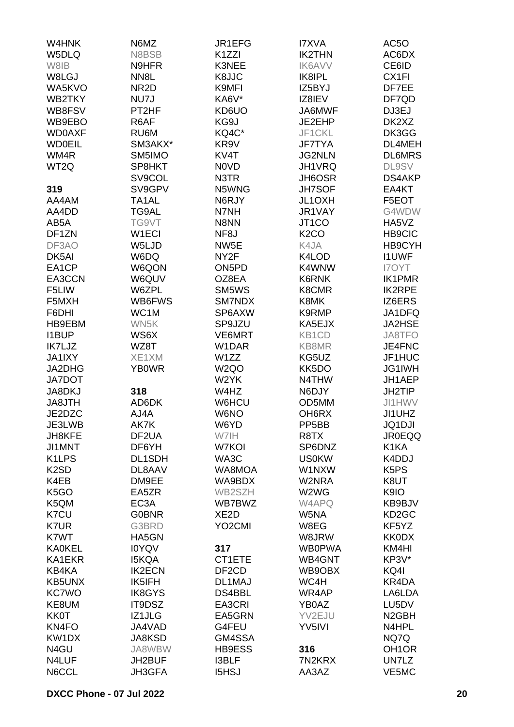| W4HNK              | N6MZ               | JR1EFG              | <b>I7XVA</b>       | AC5O                          |
|--------------------|--------------------|---------------------|--------------------|-------------------------------|
| W5DLQ              | N8BSB              | K <sub>1</sub> ZZI  | <b>IK2THN</b>      | AC6DX                         |
| W8IB               | N9HFR              | K3NEE               | <b>IK6AVV</b>      | CE6ID                         |
| W8LGJ              | NN <sub>8</sub> L  | K8JJC               | IK8IPL             | CX <sub>1FI</sub>             |
|                    |                    |                     |                    |                               |
| WA5KVO             | NR <sub>2</sub> D  | K9MFI               | IZ5BYJ             | DF7EE                         |
| <b>WB2TKY</b>      | NU7J               | KA6V*               | IZ8IEV             | DF7QD                         |
| WB8FSV             | PT2HF              | KD6UO               | JA6MWF             | DJ3EJ                         |
| WB9EBO             | R6AF               | KG9J                | JE2EHP             | DK2XZ                         |
| <b>WD0AXF</b>      | RU6M               | KQ4C*               | JF1CKL             | DK3GG                         |
| <b>WD0EIL</b>      | SM3AKX*            | KR9V                | <b>JF7TYA</b>      | DL4MEH                        |
| WM4R               | SM5IMO             | KV4T                | <b>JG2NLN</b>      | <b>DL6MRS</b>                 |
| WT <sub>2Q</sub>   | SP8HKT             | <b>NOVD</b>         | JH1VRQ             | <b>DL9SV</b>                  |
|                    | SV9COL             | N3TR                | JH6OSR             | DS4AKP                        |
| 319                | SV9GPV             | N5WNG               | <b>JH7SOF</b>      | EA4KT                         |
| AA4AM              | TA1AL              | N6RJY               | JL1OXH             | F5EOT                         |
| AA4DD              | TG9AL              | N7NH                | JR1VAY             | G4WDW                         |
| AB5A               | TG9VT              | N8NN                | JT <sub>1</sub> CO | HA5VZ                         |
|                    |                    |                     |                    |                               |
| DF1ZN              | W1ECI              | NF8J                | K <sub>2</sub> CO  | <b>HB9CIC</b>                 |
| DF3AO              | W5LJD              | NW <sub>5</sub> E   | K4JA               | HB9CYH                        |
| DK5AI              | W6DQ               | NY <sub>2</sub> F   | K4LOD              | <b>I1UWF</b>                  |
| EA1CP              | W6QON              | ON5PD               | K4WNW              | <b>I7OYT</b>                  |
| EA3CCN             | W6QUV              | OZ8EA               | K6RNK              | <b>IK1PMR</b>                 |
| F5LIW              | W6ZPL              | SM5WS               | K8CMR              | <b>IK2RPE</b>                 |
| F5MXH              | WB6FWS             | SM7NDX              | K8MK               | IZ6ERS                        |
| F6DHI              | WC1M               | SP6AXW              | K9RMP              | JA1DFQ                        |
| HB9EBM             | WN5K               | SP9JZU              | KA5EJX             | <b>JA2HSE</b>                 |
| <b>I1BUP</b>       | WS6X               | VE6MRT              | KB1CD              | JA8TFO                        |
| IK7LJZ             | WZ8T               | W1DAR               | KB8MR              | JE4FNC                        |
| <b>JA1IXY</b>      | XE1XM              | W1ZZ                | KG5UZ              | JF1HUC                        |
| JA2DHG             | <b>YB0WR</b>       | W <sub>2Q</sub> O   | KK5DO              | JG1IWH                        |
| <b>JA7DOT</b>      |                    | W2YK                | N4THW              | JH1AEP                        |
| JA8DKJ             | 318                | W4HZ                | N6DJY              | JH2TIP                        |
| JA8JTH             | AD6DK              | W6HCU               | OD5MM              | JI1HWV                        |
|                    |                    |                     |                    |                               |
| JE2DZC             | AJ4A               | W6NO                | OH <sub>6</sub> RX | JI1UHZ                        |
| JE3LWB             | AK7K               | W6YD                | PP <sub>5</sub> BB | <b>JQ1DJI</b>                 |
| JH8KFE             | DF <sub>2</sub> UA | W7IH                | R <sub>8</sub> TX  | <b>JR0EQQ</b>                 |
| JI1MNT             | DF6YH              | W7KOI               | SP6DNZ             | K <sub>1</sub> KA             |
| K <sub>1</sub> LPS | DL1SDH             | WA3C                | <b>US0KW</b>       | K4DDJ                         |
| K <sub>2</sub> SD  | DL8AAV             | WA8MOA              | W1NXW              | K <sub>5</sub> P <sub>S</sub> |
| K4EB               | DM9EE              | WA9BDX              | W2NRA              | K8UT                          |
| K <sub>5</sub> GO  | EA5ZR              | WB2SZH              | W2WG               | K9IO                          |
| K5QM               | EC <sub>3</sub> A  | WB7BWZ              | W4APQ              | KB9BJV                        |
| K7CU               | <b>G0BNR</b>       | XE <sub>2</sub> D   | W5NA               | KD <sub>2</sub> GC            |
| K7UR               | G3BRD              | YO <sub>2</sub> CMI | W8EG               | KF5YZ                         |
| K7WT               | HA5GN              |                     | W8JRW              | <b>KK0DX</b>                  |
| <b>KA0KEL</b>      | <b>IOYQV</b>       | 317                 | <b>WB0PWA</b>      | KM4HI                         |
| KA1EKR             | <b>I5KQA</b>       | CT1ETE              | WB4GNT             | KP3V*                         |
| KB4KA              | <b>IK2ECN</b>      | DF <sub>2</sub> CD  | WB9OBX             | KQ4I                          |
| <b>KB5UNX</b>      | IK5IFH             | DL1MAJ              | WC4H               | KR4DA                         |
| <b>KC7WO</b>       | <b>IK8GYS</b>      | DS4BBL              | WR4AP              | LA6LDA                        |
| KE8UM              | IT9DSZ             | EA3CRI              | YB0AZ              | LU5DV                         |
|                    |                    |                     |                    |                               |
| <b>KK0T</b>        | IZ1JLG             | EA5GRN              | YV2EJU             | N <sub>2</sub> GBH            |
| KN <sub>4FO</sub>  | JA4VAD             | G4FEU               | YV5IVI             | N4HPL                         |
| KW1DX              | <b>JA8KSD</b>      | GM4SSA              |                    | NQ7Q                          |
| N4GU               | JA8WBW             | HB9ESS              | 316                | OH <sub>1</sub> OR            |
| N4LUF              | JH2BUF             | <b>I3BLF</b>        | 7N2KRX             | UN7LZ                         |
| N6CCL              | JH3GFA             | <b>I5HSJ</b>        | AA3AZ              | VE5MC                         |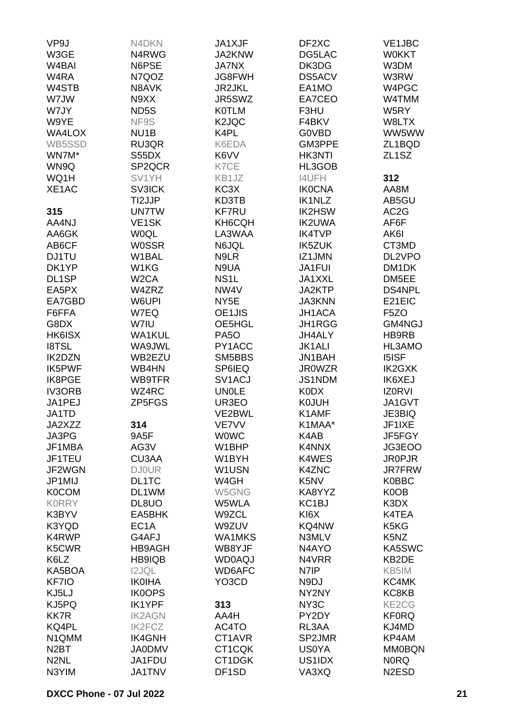| VP9J               | N4DKN              | JA1XJF                         | DF2XC                         | VE1JBC             |
|--------------------|--------------------|--------------------------------|-------------------------------|--------------------|
| W3GE               | N4RWG              | JA2KNW                         | DG5LAC                        | <b>WOKKT</b>       |
| W <sub>4</sub> BAI | N6PSE              | <b>JA7NX</b>                   | DK3DG                         | W3DM               |
| W4RA               | N7QOZ              | <b>JG8FWH</b>                  | <b>DS5ACV</b>                 | W3RW               |
| W4STB              | N8AVK              | <b>JR2JKL</b>                  | EA1MO                         | W4PGC              |
| W7JW               | N9XX               | JR5SWZ                         | EA7CEO                        | W4TMM              |
|                    | ND <sub>5</sub> S  |                                |                               |                    |
| W7JY               |                    | <b>K0TLM</b>                   | F3HU                          | W5RY               |
| W9YE               | NF9S               | K <sub>2</sub> JQC             | F4BKV                         | W8LTX              |
| WA4LOX             | NU <sub>1</sub> B  | K4PL                           | <b>GOVBD</b>                  | WW5WW              |
| WB5SSD             | RU3QR              | K6EDA                          | GM3PPE                        | ZL1BQD             |
| WN7M*              | S55DX              | K6VV                           | <b>HK3NTI</b>                 | ZL <sub>1</sub> SZ |
| WN9Q               | SP2QCR             | K7CE                           | HL3GOB                        |                    |
| WQ1H               | SV1YH              | KB1JZ                          | <b>I4UFH</b>                  | 312                |
| XE1AC              | <b>SV3ICK</b>      | KC3X                           | <b>IK0CNA</b>                 | AA8M               |
|                    | TI2JJP             | KD3TB                          | <b>IK1NLZ</b>                 | AB5GU              |
| 315                | <b>UN7TW</b>       | <b>KF7RU</b>                   | <b>IK2HSW</b>                 | AC <sub>2</sub> G  |
| AA4NJ              | VE <sub>1</sub> SK | KH6CQH                         | <b>IK2UWA</b>                 | AF6F               |
| AA6GK              | <b>WOQL</b>        | LA3WAA                         | <b>IK4TVP</b>                 | AK6I               |
| AB6CF              | <b>W0SSR</b>       | N6JQL                          | <b>IK5ZUK</b>                 | CT3MD              |
| <b>DJ1TU</b>       | W1BAL              | N9LR                           | IZ1JMN                        | DL2VPO             |
| DK1YP              | W1KG               | N9UA                           | <b>JA1FUI</b>                 | DM1DK              |
| DL1SP              | W <sub>2</sub> CA  | NS <sub>1</sub> L              | JA1XXL                        | DM5EE              |
| EA5PX              | W4ZRZ              | NW4V                           | JA2KTP                        | DS4NPL             |
| EA7GBD             | W6UPI              | NY <sub>5</sub> E              | <b>JA3KNN</b>                 | E21EIC             |
| F6FFA              | W7EQ               | OE1JIS                         | <b>JH1ACA</b>                 | F <sub>5</sub> ZO  |
| G8DX               | W7IU               | OE5HGL                         | JH1RGG                        | GM4NGJ             |
| HK6ISX             | <b>WA1KUL</b>      | <b>PA50</b>                    | <b>JH4ALY</b>                 | HB9RB              |
| <b>I8TSL</b>       | WA9JWL             | PY1ACC                         | <b>JK1ALI</b>                 | HL3AMO             |
|                    |                    |                                |                               |                    |
| <b>IK2DZN</b>      | WB2EZU             | SM5BBS                         | <b>JN1BAH</b>                 | <b>I5ISF</b>       |
| <b>IK5PWF</b>      | WB4HN              | <b>SP6IEQ</b>                  | <b>JR0WZR</b>                 | IK2GXK             |
| IK8PGE             | WB9TFR             | SV <sub>1</sub> ACJ            | JS1NDM                        | IK6XEJ             |
| <b>IV3ORB</b>      | WZ4RC              | <b>UNOLE</b>                   | <b>K0DX</b>                   | <b>IZ0RVI</b>      |
| JA1PEJ             | ZP5FGS             | UR3EO                          | <b>KOJUH</b>                  | JA1GVT             |
| JA1TD              |                    | VE2BWL                         | K1AMF                         | JE3BIQ             |
| JA2XZZ             | 314                | VE7VV                          | K1MAA*                        | JF1IXE             |
| JA3PG              | 9A5F               | <b>WOWC</b>                    | K4AB                          | JF5FGY             |
| JF1MBA             | AG3V               | W1BHP                          | K4NNX                         | JG3EOO             |
| JF1TEU             | CU3AA              | W1BYH                          | K4WES                         | <b>JR0PJR</b>      |
| JF2WGN             | <b>DJ0UR</b>       | W1USN                          | K4ZNC                         | <b>JR7FRW</b>      |
| JP1MIJ             | DL1TC              | W4GH                           | K <sub>5</sub> N <sub>V</sub> | <b>K0BBC</b>       |
| <b>K0COM</b>       | DL1WM              | W5GNG                          | KA8YYZ                        | K0OB               |
| <b>KORRY</b>       | DL8UO              | W5WLA                          | KC <sub>1</sub> BJ            | K3DX               |
| K3BYV              | EA5BHK             | W9ZCL                          | KI <sub>6</sub> X             | K4TEA              |
| K3YQD              | EC <sub>1</sub> A  | W9ZUV                          | KQ4NW                         | K5KG               |
| K4RWP              | G4AFJ              | <b>WA1MKS</b>                  | N3MLV                         | K5NZ               |
| K5CWR              | HB9AGH             | WB8YJF                         | N4AYO                         | KA5SWC             |
| K6LZ               | HB9IQB             | <b>WD0AQJ</b>                  | N4VRR                         | KB2DE              |
| KA5BOA             | <b>I2JQL</b>       | WD6AFC                         | N7IP                          | KB5IM              |
| KF7IO              | <b>IK0IHA</b>      | YO <sub>3</sub> C <sub>D</sub> | N9DJ                          | KC4MK              |
| KJ5LJ              | <b>IK0OPS</b>      |                                | NY2NY                         | KC8KB              |
| KJ5PQ              | <b>IK1YPF</b>      | 313                            | NY3C                          | KE2CG              |
| <b>KK7R</b>        | <b>IK2AGN</b>      | AA4H                           | PY2DY                         | <b>KF0RQ</b>       |
| KQ4PL              | <b>IK2FCZ</b>      | AC4TO                          | RL3AA                         | KJ4MD              |
| N1QMM              | <b>IK4GNH</b>      | CT1AVR                         | SP2JMR                        | KP4AM              |
| N <sub>2</sub> BT  | <b>JA0DMV</b>      | CT1CQK                         | <b>US0YA</b>                  | <b>MM0BQN</b>      |
| N <sub>2</sub> NL  | JA1FDU             | CT1DGK                         | US1IDX                        | <b>NORQ</b>        |
| N3YIM              | <b>JA1TNV</b>      | DF1SD                          | VA3XQ                         | N <sub>2</sub> ESD |
|                    |                    |                                |                               |                    |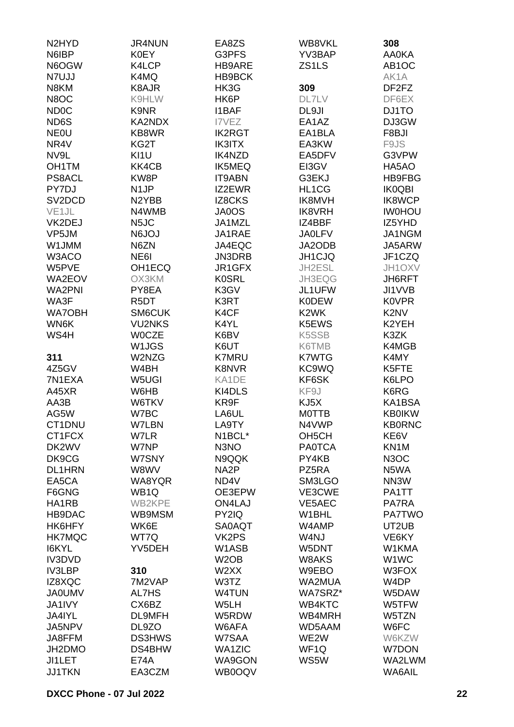| N <sub>2</sub> HY <sub>D</sub> | <b>JR4NUN</b>     | EA8ZS             | WB8VKL             | 308                            |
|--------------------------------|-------------------|-------------------|--------------------|--------------------------------|
| N6IBP                          | <b>K0EY</b>       | G3PFS             | YV3BAP             | <b>AA0KA</b>                   |
| N6OGW                          | K4LCP             | HB9ARE            | ZS1LS              | AB <sub>1</sub> OC             |
| N7UJJ                          | K4MQ              | <b>HB9BCK</b>     |                    | AK1A                           |
|                                |                   |                   |                    |                                |
| N8KM                           | K8AJR             | HK3G              | 309                | DF <sub>2</sub> F <sub>Z</sub> |
| N8OC                           | K9HLW             | HK6P              | <b>DL7LV</b>       | DF6EX                          |
| <b>ND0C</b>                    | K9NR              | <b>I1BAF</b>      | DL9JI              | DJ1TO                          |
| ND6S                           | KA2NDX            | I7VEZ             | EA1AZ              | DJ3GW                          |
| <b>NEOU</b>                    | KB8WR             | <b>IK2RGT</b>     | EA1BLA             | F8BJI                          |
| NR4V                           | KG2T              | <b>IK3ITX</b>     | EA3KW              | F9JS                           |
| NV9L                           | KI1U              | <b>IK4NZD</b>     | EA5DFV             | G3VPW                          |
| OH <sub>1</sub> TM             | KK4CB             | <b>IK5MEQ</b>     | EI3GV              | HA5AO                          |
| PS8ACL                         | KW8P              | <b>IT9ABN</b>     | G3EKJ              | <b>HB9FBG</b>                  |
| PY7DJ                          | N <sub>1</sub> JP | IZ2EWR            | HL1CG              | <b>IK0QBI</b>                  |
| SV <sub>2</sub> DCD            | N2YBB             | <b>IZ8CKS</b>     | IK8MVH             | <b>IK8WCP</b>                  |
| VE <sub>1</sub> JL             | N4WMB             | JA0OS             | <b>IK8VRH</b>      | <b>IWOHOU</b>                  |
| VK2DEJ                         | N <sub>5</sub> JC | JA1MZL            | IZ4BBF             | IZ5YHD                         |
|                                |                   |                   |                    |                                |
| VP5JM                          | <b>N6JOJ</b>      | JA1RAE            | <b>JA0LFV</b>      | JA1NGM                         |
| W1JMM                          | N6ZN              | JA4EQC            | JA2ODB             | JA5ARW                         |
| W3ACO                          | NE6I              | JN3DRB            | JH1CJQ             | JF1CZQ                         |
| W5PVE                          | OH1ECQ            | JR1GFX            | JH2ESL             | JH1OXV                         |
| WA2EOV                         | OX3KM             | <b>K0SRL</b>      | JH3EQG             | JH6RFT                         |
| <b>WA2PNI</b>                  | PY8EA             | K3GV              | JL1UFW             | JI1VVB                         |
| WA3F                           | R <sub>5</sub> DT | K3RT              | <b>K0DEW</b>       | <b>K0VPR</b>                   |
| <b>WA7OBH</b>                  | SM6CUK            | K4CF              | K <sub>2</sub> WK  | K <sub>2</sub> N <sub>V</sub>  |
| WN6K                           | <b>VU2NKS</b>     | K4YL              | K5EWS              | K2YEH                          |
| WS4H                           | <b>WOCZE</b>      | K6BV              | <b>K5SSB</b>       | K3ZK                           |
|                                | W1JGS             | K6UT              | K6TMB              | K4MGB                          |
| 311                            | W2NZG             | <b>K7MRU</b>      | <b>K7WTG</b>       | K4MY                           |
| 4Z5GV                          | W4BH              | <b>K8NVR</b>      | KC9WQ              | K5FTE                          |
| 7N1EXA                         | W5UGI             | KA1DE             | KF6SK              | K6LPO                          |
| A45XR                          | W6HB              | KI4DLS            | KF9J               | K6RG                           |
|                                |                   |                   |                    | KA1BSA                         |
| AA3B                           | W6TKV             | KR9F              | KJ5X               |                                |
| AG5W                           | W7BC              | LA6UL             | <b>MOTTB</b>       | <b>KB0IKW</b>                  |
| CT1DNU                         | W7LBN             | LA9TY             | N4VWP              | <b>KB0RNC</b>                  |
| CT1FCX                         | W7LR              | N1BCL*            | OH <sub>5</sub> CH | KE6V                           |
| DK2WV                          | W7NP              | N <sub>3</sub> NO | <b>PA0TCA</b>      | KN <sub>1</sub> M              |
| DK9CG                          | W7SNY             | N9QQK             | PY4KB              | N <sub>3</sub> OC              |
| <b>DL1HRN</b>                  | W8WV              | NA <sub>2</sub> P | PZ5RA              | N5WA                           |
| EA5CA                          | WA8YQR            | ND4V              | SM3LGO             | NN3W                           |
| F6GNG                          | WB <sub>1Q</sub>  | OE3EPW            | VE3CWE             | PA1TT                          |
| HA1RB                          | WB2KPE            | <b>ON4LAJ</b>     | VE5AEC             | PA7RA                          |
| HB9DAC                         | WB9MSM            | PY2IQ             | W1BHL              | <b>PA7TWO</b>                  |
| HK6HFY                         | WK6E              | <b>SA0AQT</b>     | W4AMP              | UT2UB                          |
| <b>HK7MQC</b>                  | WT7Q              | VK2PS             | W4NJ               | VE6KY                          |
| <b>I6KYL</b>                   | YV5DEH            | W1ASB             | W5DNT              | W1KMA                          |
| <b>IV3DVD</b>                  |                   | W <sub>2</sub> OB | W8AKS              | W1WC                           |
| <b>IV3LBP</b>                  | 310               | W2XX              | W9EBO              | W3FOX                          |
| IZ8XQC                         | 7M2VAP            | W3TZ              | WA2MUA             | W <sub>4</sub> DP              |
| <b>JA0UMV</b>                  | AL7HS             | W4TUN             | WA7SRZ*            | W5DAW                          |
| JA1IVY                         | CX6BZ             | W5LH              | WB4KTC             | W5TFW                          |
|                                |                   |                   |                    |                                |
| JA4IYL                         | DL9MFH            | W5RDW             | WB4MRH             | W5TZN                          |
| JA5NPV                         | DL9ZO             | W6AFA             | WD5AAM             | W6FC                           |
| JA8FFM                         | <b>DS3HWS</b>     | W7SAA             | WE2W               | W6KZW                          |
| JH2DMO                         | DS4BHW            | <b>WA1ZIC</b>     | WF <sub>1Q</sub>   | <b>W7DON</b>                   |
| <b>JI1LET</b>                  | <b>E74A</b>       | WA9GON            | WS5W               | WA2LWM                         |
| <b>JJ1TKN</b>                  | EA3CZM            | WB0OQV            |                    | <b>WA6AIL</b>                  |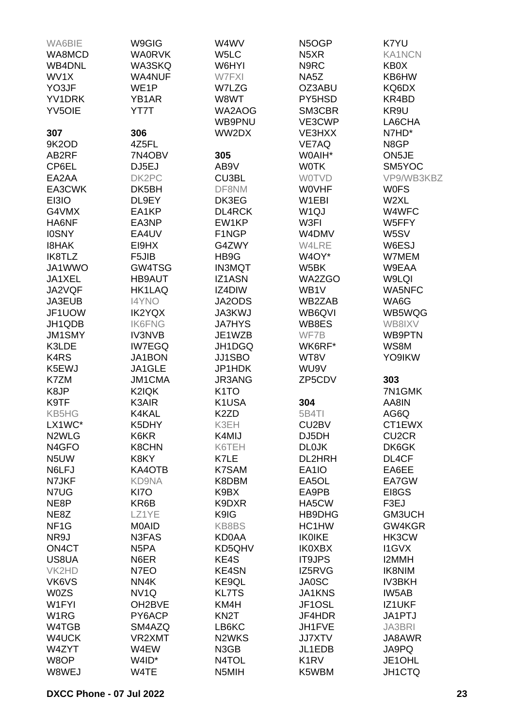| <b>WA0RVK</b><br>W5LC<br><b>KA1NCN</b><br>WA8MCD<br>N <sub>5</sub> XR<br>N9RC<br><b>WB4DNL</b><br><b>WA3SKQ</b><br>W6HYI<br>KB0X<br>WV1X<br><b>WA4NUF</b><br>W7FXI<br>NA5Z<br>KB6HW<br>YO3JF<br>WE1P<br>W7LZG<br>OZ3ABU<br>KQ6DX<br>KR4BD<br>YV1DRK<br>YB1AR<br>W8WT<br>PY5HSD<br><b>YV5OIE</b><br>YT7T<br>SM3CBR<br>KR9U<br>WA2AOG<br>VE3CWP<br>LA6CHA<br>WB9PNU<br>306<br>WW2DX<br>VE3HXX<br>N7HD*<br>307<br>9K2OD<br>4Z5FL<br>VE7AQ<br>N8GP<br>7N4OBV<br>305<br>ON5JE<br>AB2RF<br>W0AIH*<br>DJ5EJ<br>AB9V<br>CP6EL<br><b>WOTK</b><br>SM5YOC<br>DK2PC<br>VP9/WB3KBZ<br>EA2AA<br>CU3BL<br><b>WOTVD</b><br>EA3CWK<br>DK5BH<br>DF8NM<br><b>WOVHF</b><br><b>WOFS</b><br>EI3IO<br>DL9EY<br>DK3EG<br>W1EBI<br>W2XL<br>G4VMX<br>EA1KP<br>DL4RCK<br>W <sub>1Q</sub> J<br>W4WFC<br>EA3NP<br>HA6NF<br>EW1KP<br>W3FI<br>W5FFY<br>EA4UV<br>F1NGP<br><b>IOSNY</b><br>W4DMV<br>W5SV<br>EI9HX<br>G4ZWY<br><b>I8HAK</b><br>W4LRE<br>W6ESJ<br>F5JIB<br>IK8TLZ<br>HB9G<br>W4OY*<br>W7MEM<br>GW4TSG<br>JA1WWO<br><b>IN3MQT</b><br>W5BK<br>W9EAA<br>JA1XEL<br><b>HB9AUT</b><br><b>IZ1ASN</b><br>WA2ZGO<br>W9LQI<br><b>HK1LAQ</b><br>IZ4DIW<br>WA5NFC<br>JA2VQF<br>WB1V<br><b>I4YNO</b><br>JA2ODS<br>WB2ZAB<br>WA6G<br>JA3EUB<br>JF1UOW<br><b>IK2YQX</b><br>JA3KWJ<br>WB5WQG<br>WB6QVI<br>JH1QDB<br><b>IK6FNG</b><br><b>JA7HYS</b><br>WB8ES<br>WB8IXV<br>JM1SMY<br><b>IV3NVB</b><br>JE1WZB<br>WF7B<br>WB9PTN<br>K3LDE<br><b>IW7EGQ</b><br>JH1DGQ<br>WK6RF*<br>WS8M<br>JJ1SBO<br>K <sub>4</sub> R <sub>S</sub><br><b>JA1BON</b><br>WT8V<br>YO9IKW<br>JA1GLE<br>JP1HDK<br>K5EWJ<br>WU9V<br>K7ZM<br><b>JM1CMA</b><br>JR3ANG<br>ZP5CDV<br>303<br>K8JP<br>K2IQK<br>K <sub>1</sub> TO<br>7N1GMK<br>K9TF<br>K3AIR<br>K1USA<br>304<br>AA8IN<br>5B4TI<br><b>KB5HG</b><br>K4KAL<br>K <sub>2</sub> ZD<br>AG6Q<br>LX1WC*<br>K5DHY<br>K3EH<br>CU2BV<br>CT1EWX<br>N <sub>2</sub> WLG<br>K6KR<br>DJ5DH<br>CU <sub>2</sub> CR<br>K4MIJ<br><b>DL0JK</b><br>N <sub>4</sub> GFO<br><b>K8CHN</b><br>K6TEH<br>DK6GK<br>N5UW<br>K8KY<br>K7LE<br>DL2HRH<br>DL4CF<br>N6LFJ<br>EA6EE<br>KA4OTB<br>K7SAM<br>EA1IO<br>N7JKF<br>KD9NA<br>K8DBM<br>EA5OL<br>EA7GW<br>N7UG<br>KI7O<br>K9BX<br>EA9PB<br>EI8GS<br>NE8P<br>KR6B<br>F3EJ<br>K9DXR<br>HA5CW<br>K9IG<br>GM3UCH<br>NE8Z<br>LZ1YE<br>HB9DHG<br>NF <sub>1</sub> G<br><b>MOAID</b><br>KB8BS<br>HC1HW<br>GW4KGR<br>NR9J<br>N3FAS<br>KD0AA<br><b>IK0IKE</b><br>HK3CW<br>ON4CT<br>KD5QHV<br>N <sub>5</sub> PA<br><b>IK0XBX</b><br><b>I1GVX</b><br>KE4S<br>US8UA<br>N6ER<br><b>IT9JPS</b><br>I2MMH<br>KE4SN<br>IZ5RVG<br>VK2HD<br>N7EO<br><b>IK8NIM</b><br>KE9QL<br><b>JA0SC</b><br>VK6VS<br>NN4K<br><b>IV3BKH</b><br><b>W0ZS</b><br>NV <sub>1Q</sub><br><b>KL7TS</b><br><b>JA1KNS</b><br>IW5AB<br>W1FYI<br>OH2BVE<br>KM4H<br>JF1OSL<br>IZ1UKF<br>PY6ACP<br>KN <sub>2</sub> T<br>W <sub>1</sub> RG<br>JF4HDR<br>JA1PTJ<br>W4TGB<br>SM4AZQ<br>LB6KC<br>JH1FVE<br><b>JA3BRI</b><br>W4UCK<br>VR2XMT<br>N <sub>2</sub> WKS<br><b>JJ7XTV</b><br>JA8AWR<br>JA9PQ<br>W4ZYT<br>W4EW<br>N3GB<br>JL1EDB<br>W8OP<br>W4ID*<br>N4TOL<br>K <sub>1</sub> R <sub>V</sub><br>JE1OHL<br>W8WEJ<br>W4TE<br>JH1CTQ<br>N5MIH<br>K5WBM | WA6BIE | W9GIG | W4WV | N5OGP | K7YU |
|------------------------------------------------------------------------------------------------------------------------------------------------------------------------------------------------------------------------------------------------------------------------------------------------------------------------------------------------------------------------------------------------------------------------------------------------------------------------------------------------------------------------------------------------------------------------------------------------------------------------------------------------------------------------------------------------------------------------------------------------------------------------------------------------------------------------------------------------------------------------------------------------------------------------------------------------------------------------------------------------------------------------------------------------------------------------------------------------------------------------------------------------------------------------------------------------------------------------------------------------------------------------------------------------------------------------------------------------------------------------------------------------------------------------------------------------------------------------------------------------------------------------------------------------------------------------------------------------------------------------------------------------------------------------------------------------------------------------------------------------------------------------------------------------------------------------------------------------------------------------------------------------------------------------------------------------------------------------------------------------------------------------------------------------------------------------------------------------------------------------------------------------------------------------------------------------------------------------------------------------------------------------------------------------------------------------------------------------------------------------------------------------------------------------------------------------------------------------------------------------------------------------------------------------------------------------------------------------------------------------------------------------------------------------------------------------------------------------------------------------------------------------------------------------------------------------------------------------------------------------------------------------------------------------------------------------------------------------------------------------------------------------------------------------------------------------------------------------------------------|--------|-------|------|-------|------|
|                                                                                                                                                                                                                                                                                                                                                                                                                                                                                                                                                                                                                                                                                                                                                                                                                                                                                                                                                                                                                                                                                                                                                                                                                                                                                                                                                                                                                                                                                                                                                                                                                                                                                                                                                                                                                                                                                                                                                                                                                                                                                                                                                                                                                                                                                                                                                                                                                                                                                                                                                                                                                                                                                                                                                                                                                                                                                                                                                                                                                                                                                                                  |        |       |      |       |      |
|                                                                                                                                                                                                                                                                                                                                                                                                                                                                                                                                                                                                                                                                                                                                                                                                                                                                                                                                                                                                                                                                                                                                                                                                                                                                                                                                                                                                                                                                                                                                                                                                                                                                                                                                                                                                                                                                                                                                                                                                                                                                                                                                                                                                                                                                                                                                                                                                                                                                                                                                                                                                                                                                                                                                                                                                                                                                                                                                                                                                                                                                                                                  |        |       |      |       |      |
|                                                                                                                                                                                                                                                                                                                                                                                                                                                                                                                                                                                                                                                                                                                                                                                                                                                                                                                                                                                                                                                                                                                                                                                                                                                                                                                                                                                                                                                                                                                                                                                                                                                                                                                                                                                                                                                                                                                                                                                                                                                                                                                                                                                                                                                                                                                                                                                                                                                                                                                                                                                                                                                                                                                                                                                                                                                                                                                                                                                                                                                                                                                  |        |       |      |       |      |
|                                                                                                                                                                                                                                                                                                                                                                                                                                                                                                                                                                                                                                                                                                                                                                                                                                                                                                                                                                                                                                                                                                                                                                                                                                                                                                                                                                                                                                                                                                                                                                                                                                                                                                                                                                                                                                                                                                                                                                                                                                                                                                                                                                                                                                                                                                                                                                                                                                                                                                                                                                                                                                                                                                                                                                                                                                                                                                                                                                                                                                                                                                                  |        |       |      |       |      |
|                                                                                                                                                                                                                                                                                                                                                                                                                                                                                                                                                                                                                                                                                                                                                                                                                                                                                                                                                                                                                                                                                                                                                                                                                                                                                                                                                                                                                                                                                                                                                                                                                                                                                                                                                                                                                                                                                                                                                                                                                                                                                                                                                                                                                                                                                                                                                                                                                                                                                                                                                                                                                                                                                                                                                                                                                                                                                                                                                                                                                                                                                                                  |        |       |      |       |      |
|                                                                                                                                                                                                                                                                                                                                                                                                                                                                                                                                                                                                                                                                                                                                                                                                                                                                                                                                                                                                                                                                                                                                                                                                                                                                                                                                                                                                                                                                                                                                                                                                                                                                                                                                                                                                                                                                                                                                                                                                                                                                                                                                                                                                                                                                                                                                                                                                                                                                                                                                                                                                                                                                                                                                                                                                                                                                                                                                                                                                                                                                                                                  |        |       |      |       |      |
|                                                                                                                                                                                                                                                                                                                                                                                                                                                                                                                                                                                                                                                                                                                                                                                                                                                                                                                                                                                                                                                                                                                                                                                                                                                                                                                                                                                                                                                                                                                                                                                                                                                                                                                                                                                                                                                                                                                                                                                                                                                                                                                                                                                                                                                                                                                                                                                                                                                                                                                                                                                                                                                                                                                                                                                                                                                                                                                                                                                                                                                                                                                  |        |       |      |       |      |
|                                                                                                                                                                                                                                                                                                                                                                                                                                                                                                                                                                                                                                                                                                                                                                                                                                                                                                                                                                                                                                                                                                                                                                                                                                                                                                                                                                                                                                                                                                                                                                                                                                                                                                                                                                                                                                                                                                                                                                                                                                                                                                                                                                                                                                                                                                                                                                                                                                                                                                                                                                                                                                                                                                                                                                                                                                                                                                                                                                                                                                                                                                                  |        |       |      |       |      |
|                                                                                                                                                                                                                                                                                                                                                                                                                                                                                                                                                                                                                                                                                                                                                                                                                                                                                                                                                                                                                                                                                                                                                                                                                                                                                                                                                                                                                                                                                                                                                                                                                                                                                                                                                                                                                                                                                                                                                                                                                                                                                                                                                                                                                                                                                                                                                                                                                                                                                                                                                                                                                                                                                                                                                                                                                                                                                                                                                                                                                                                                                                                  |        |       |      |       |      |
|                                                                                                                                                                                                                                                                                                                                                                                                                                                                                                                                                                                                                                                                                                                                                                                                                                                                                                                                                                                                                                                                                                                                                                                                                                                                                                                                                                                                                                                                                                                                                                                                                                                                                                                                                                                                                                                                                                                                                                                                                                                                                                                                                                                                                                                                                                                                                                                                                                                                                                                                                                                                                                                                                                                                                                                                                                                                                                                                                                                                                                                                                                                  |        |       |      |       |      |
|                                                                                                                                                                                                                                                                                                                                                                                                                                                                                                                                                                                                                                                                                                                                                                                                                                                                                                                                                                                                                                                                                                                                                                                                                                                                                                                                                                                                                                                                                                                                                                                                                                                                                                                                                                                                                                                                                                                                                                                                                                                                                                                                                                                                                                                                                                                                                                                                                                                                                                                                                                                                                                                                                                                                                                                                                                                                                                                                                                                                                                                                                                                  |        |       |      |       |      |
|                                                                                                                                                                                                                                                                                                                                                                                                                                                                                                                                                                                                                                                                                                                                                                                                                                                                                                                                                                                                                                                                                                                                                                                                                                                                                                                                                                                                                                                                                                                                                                                                                                                                                                                                                                                                                                                                                                                                                                                                                                                                                                                                                                                                                                                                                                                                                                                                                                                                                                                                                                                                                                                                                                                                                                                                                                                                                                                                                                                                                                                                                                                  |        |       |      |       |      |
|                                                                                                                                                                                                                                                                                                                                                                                                                                                                                                                                                                                                                                                                                                                                                                                                                                                                                                                                                                                                                                                                                                                                                                                                                                                                                                                                                                                                                                                                                                                                                                                                                                                                                                                                                                                                                                                                                                                                                                                                                                                                                                                                                                                                                                                                                                                                                                                                                                                                                                                                                                                                                                                                                                                                                                                                                                                                                                                                                                                                                                                                                                                  |        |       |      |       |      |
|                                                                                                                                                                                                                                                                                                                                                                                                                                                                                                                                                                                                                                                                                                                                                                                                                                                                                                                                                                                                                                                                                                                                                                                                                                                                                                                                                                                                                                                                                                                                                                                                                                                                                                                                                                                                                                                                                                                                                                                                                                                                                                                                                                                                                                                                                                                                                                                                                                                                                                                                                                                                                                                                                                                                                                                                                                                                                                                                                                                                                                                                                                                  |        |       |      |       |      |
|                                                                                                                                                                                                                                                                                                                                                                                                                                                                                                                                                                                                                                                                                                                                                                                                                                                                                                                                                                                                                                                                                                                                                                                                                                                                                                                                                                                                                                                                                                                                                                                                                                                                                                                                                                                                                                                                                                                                                                                                                                                                                                                                                                                                                                                                                                                                                                                                                                                                                                                                                                                                                                                                                                                                                                                                                                                                                                                                                                                                                                                                                                                  |        |       |      |       |      |
|                                                                                                                                                                                                                                                                                                                                                                                                                                                                                                                                                                                                                                                                                                                                                                                                                                                                                                                                                                                                                                                                                                                                                                                                                                                                                                                                                                                                                                                                                                                                                                                                                                                                                                                                                                                                                                                                                                                                                                                                                                                                                                                                                                                                                                                                                                                                                                                                                                                                                                                                                                                                                                                                                                                                                                                                                                                                                                                                                                                                                                                                                                                  |        |       |      |       |      |
|                                                                                                                                                                                                                                                                                                                                                                                                                                                                                                                                                                                                                                                                                                                                                                                                                                                                                                                                                                                                                                                                                                                                                                                                                                                                                                                                                                                                                                                                                                                                                                                                                                                                                                                                                                                                                                                                                                                                                                                                                                                                                                                                                                                                                                                                                                                                                                                                                                                                                                                                                                                                                                                                                                                                                                                                                                                                                                                                                                                                                                                                                                                  |        |       |      |       |      |
|                                                                                                                                                                                                                                                                                                                                                                                                                                                                                                                                                                                                                                                                                                                                                                                                                                                                                                                                                                                                                                                                                                                                                                                                                                                                                                                                                                                                                                                                                                                                                                                                                                                                                                                                                                                                                                                                                                                                                                                                                                                                                                                                                                                                                                                                                                                                                                                                                                                                                                                                                                                                                                                                                                                                                                                                                                                                                                                                                                                                                                                                                                                  |        |       |      |       |      |
|                                                                                                                                                                                                                                                                                                                                                                                                                                                                                                                                                                                                                                                                                                                                                                                                                                                                                                                                                                                                                                                                                                                                                                                                                                                                                                                                                                                                                                                                                                                                                                                                                                                                                                                                                                                                                                                                                                                                                                                                                                                                                                                                                                                                                                                                                                                                                                                                                                                                                                                                                                                                                                                                                                                                                                                                                                                                                                                                                                                                                                                                                                                  |        |       |      |       |      |
|                                                                                                                                                                                                                                                                                                                                                                                                                                                                                                                                                                                                                                                                                                                                                                                                                                                                                                                                                                                                                                                                                                                                                                                                                                                                                                                                                                                                                                                                                                                                                                                                                                                                                                                                                                                                                                                                                                                                                                                                                                                                                                                                                                                                                                                                                                                                                                                                                                                                                                                                                                                                                                                                                                                                                                                                                                                                                                                                                                                                                                                                                                                  |        |       |      |       |      |
|                                                                                                                                                                                                                                                                                                                                                                                                                                                                                                                                                                                                                                                                                                                                                                                                                                                                                                                                                                                                                                                                                                                                                                                                                                                                                                                                                                                                                                                                                                                                                                                                                                                                                                                                                                                                                                                                                                                                                                                                                                                                                                                                                                                                                                                                                                                                                                                                                                                                                                                                                                                                                                                                                                                                                                                                                                                                                                                                                                                                                                                                                                                  |        |       |      |       |      |
|                                                                                                                                                                                                                                                                                                                                                                                                                                                                                                                                                                                                                                                                                                                                                                                                                                                                                                                                                                                                                                                                                                                                                                                                                                                                                                                                                                                                                                                                                                                                                                                                                                                                                                                                                                                                                                                                                                                                                                                                                                                                                                                                                                                                                                                                                                                                                                                                                                                                                                                                                                                                                                                                                                                                                                                                                                                                                                                                                                                                                                                                                                                  |        |       |      |       |      |
|                                                                                                                                                                                                                                                                                                                                                                                                                                                                                                                                                                                                                                                                                                                                                                                                                                                                                                                                                                                                                                                                                                                                                                                                                                                                                                                                                                                                                                                                                                                                                                                                                                                                                                                                                                                                                                                                                                                                                                                                                                                                                                                                                                                                                                                                                                                                                                                                                                                                                                                                                                                                                                                                                                                                                                                                                                                                                                                                                                                                                                                                                                                  |        |       |      |       |      |
|                                                                                                                                                                                                                                                                                                                                                                                                                                                                                                                                                                                                                                                                                                                                                                                                                                                                                                                                                                                                                                                                                                                                                                                                                                                                                                                                                                                                                                                                                                                                                                                                                                                                                                                                                                                                                                                                                                                                                                                                                                                                                                                                                                                                                                                                                                                                                                                                                                                                                                                                                                                                                                                                                                                                                                                                                                                                                                                                                                                                                                                                                                                  |        |       |      |       |      |
|                                                                                                                                                                                                                                                                                                                                                                                                                                                                                                                                                                                                                                                                                                                                                                                                                                                                                                                                                                                                                                                                                                                                                                                                                                                                                                                                                                                                                                                                                                                                                                                                                                                                                                                                                                                                                                                                                                                                                                                                                                                                                                                                                                                                                                                                                                                                                                                                                                                                                                                                                                                                                                                                                                                                                                                                                                                                                                                                                                                                                                                                                                                  |        |       |      |       |      |
|                                                                                                                                                                                                                                                                                                                                                                                                                                                                                                                                                                                                                                                                                                                                                                                                                                                                                                                                                                                                                                                                                                                                                                                                                                                                                                                                                                                                                                                                                                                                                                                                                                                                                                                                                                                                                                                                                                                                                                                                                                                                                                                                                                                                                                                                                                                                                                                                                                                                                                                                                                                                                                                                                                                                                                                                                                                                                                                                                                                                                                                                                                                  |        |       |      |       |      |
|                                                                                                                                                                                                                                                                                                                                                                                                                                                                                                                                                                                                                                                                                                                                                                                                                                                                                                                                                                                                                                                                                                                                                                                                                                                                                                                                                                                                                                                                                                                                                                                                                                                                                                                                                                                                                                                                                                                                                                                                                                                                                                                                                                                                                                                                                                                                                                                                                                                                                                                                                                                                                                                                                                                                                                                                                                                                                                                                                                                                                                                                                                                  |        |       |      |       |      |
|                                                                                                                                                                                                                                                                                                                                                                                                                                                                                                                                                                                                                                                                                                                                                                                                                                                                                                                                                                                                                                                                                                                                                                                                                                                                                                                                                                                                                                                                                                                                                                                                                                                                                                                                                                                                                                                                                                                                                                                                                                                                                                                                                                                                                                                                                                                                                                                                                                                                                                                                                                                                                                                                                                                                                                                                                                                                                                                                                                                                                                                                                                                  |        |       |      |       |      |
|                                                                                                                                                                                                                                                                                                                                                                                                                                                                                                                                                                                                                                                                                                                                                                                                                                                                                                                                                                                                                                                                                                                                                                                                                                                                                                                                                                                                                                                                                                                                                                                                                                                                                                                                                                                                                                                                                                                                                                                                                                                                                                                                                                                                                                                                                                                                                                                                                                                                                                                                                                                                                                                                                                                                                                                                                                                                                                                                                                                                                                                                                                                  |        |       |      |       |      |
|                                                                                                                                                                                                                                                                                                                                                                                                                                                                                                                                                                                                                                                                                                                                                                                                                                                                                                                                                                                                                                                                                                                                                                                                                                                                                                                                                                                                                                                                                                                                                                                                                                                                                                                                                                                                                                                                                                                                                                                                                                                                                                                                                                                                                                                                                                                                                                                                                                                                                                                                                                                                                                                                                                                                                                                                                                                                                                                                                                                                                                                                                                                  |        |       |      |       |      |
|                                                                                                                                                                                                                                                                                                                                                                                                                                                                                                                                                                                                                                                                                                                                                                                                                                                                                                                                                                                                                                                                                                                                                                                                                                                                                                                                                                                                                                                                                                                                                                                                                                                                                                                                                                                                                                                                                                                                                                                                                                                                                                                                                                                                                                                                                                                                                                                                                                                                                                                                                                                                                                                                                                                                                                                                                                                                                                                                                                                                                                                                                                                  |        |       |      |       |      |
|                                                                                                                                                                                                                                                                                                                                                                                                                                                                                                                                                                                                                                                                                                                                                                                                                                                                                                                                                                                                                                                                                                                                                                                                                                                                                                                                                                                                                                                                                                                                                                                                                                                                                                                                                                                                                                                                                                                                                                                                                                                                                                                                                                                                                                                                                                                                                                                                                                                                                                                                                                                                                                                                                                                                                                                                                                                                                                                                                                                                                                                                                                                  |        |       |      |       |      |
|                                                                                                                                                                                                                                                                                                                                                                                                                                                                                                                                                                                                                                                                                                                                                                                                                                                                                                                                                                                                                                                                                                                                                                                                                                                                                                                                                                                                                                                                                                                                                                                                                                                                                                                                                                                                                                                                                                                                                                                                                                                                                                                                                                                                                                                                                                                                                                                                                                                                                                                                                                                                                                                                                                                                                                                                                                                                                                                                                                                                                                                                                                                  |        |       |      |       |      |
|                                                                                                                                                                                                                                                                                                                                                                                                                                                                                                                                                                                                                                                                                                                                                                                                                                                                                                                                                                                                                                                                                                                                                                                                                                                                                                                                                                                                                                                                                                                                                                                                                                                                                                                                                                                                                                                                                                                                                                                                                                                                                                                                                                                                                                                                                                                                                                                                                                                                                                                                                                                                                                                                                                                                                                                                                                                                                                                                                                                                                                                                                                                  |        |       |      |       |      |
|                                                                                                                                                                                                                                                                                                                                                                                                                                                                                                                                                                                                                                                                                                                                                                                                                                                                                                                                                                                                                                                                                                                                                                                                                                                                                                                                                                                                                                                                                                                                                                                                                                                                                                                                                                                                                                                                                                                                                                                                                                                                                                                                                                                                                                                                                                                                                                                                                                                                                                                                                                                                                                                                                                                                                                                                                                                                                                                                                                                                                                                                                                                  |        |       |      |       |      |
|                                                                                                                                                                                                                                                                                                                                                                                                                                                                                                                                                                                                                                                                                                                                                                                                                                                                                                                                                                                                                                                                                                                                                                                                                                                                                                                                                                                                                                                                                                                                                                                                                                                                                                                                                                                                                                                                                                                                                                                                                                                                                                                                                                                                                                                                                                                                                                                                                                                                                                                                                                                                                                                                                                                                                                                                                                                                                                                                                                                                                                                                                                                  |        |       |      |       |      |
|                                                                                                                                                                                                                                                                                                                                                                                                                                                                                                                                                                                                                                                                                                                                                                                                                                                                                                                                                                                                                                                                                                                                                                                                                                                                                                                                                                                                                                                                                                                                                                                                                                                                                                                                                                                                                                                                                                                                                                                                                                                                                                                                                                                                                                                                                                                                                                                                                                                                                                                                                                                                                                                                                                                                                                                                                                                                                                                                                                                                                                                                                                                  |        |       |      |       |      |
|                                                                                                                                                                                                                                                                                                                                                                                                                                                                                                                                                                                                                                                                                                                                                                                                                                                                                                                                                                                                                                                                                                                                                                                                                                                                                                                                                                                                                                                                                                                                                                                                                                                                                                                                                                                                                                                                                                                                                                                                                                                                                                                                                                                                                                                                                                                                                                                                                                                                                                                                                                                                                                                                                                                                                                                                                                                                                                                                                                                                                                                                                                                  |        |       |      |       |      |
|                                                                                                                                                                                                                                                                                                                                                                                                                                                                                                                                                                                                                                                                                                                                                                                                                                                                                                                                                                                                                                                                                                                                                                                                                                                                                                                                                                                                                                                                                                                                                                                                                                                                                                                                                                                                                                                                                                                                                                                                                                                                                                                                                                                                                                                                                                                                                                                                                                                                                                                                                                                                                                                                                                                                                                                                                                                                                                                                                                                                                                                                                                                  |        |       |      |       |      |
|                                                                                                                                                                                                                                                                                                                                                                                                                                                                                                                                                                                                                                                                                                                                                                                                                                                                                                                                                                                                                                                                                                                                                                                                                                                                                                                                                                                                                                                                                                                                                                                                                                                                                                                                                                                                                                                                                                                                                                                                                                                                                                                                                                                                                                                                                                                                                                                                                                                                                                                                                                                                                                                                                                                                                                                                                                                                                                                                                                                                                                                                                                                  |        |       |      |       |      |
|                                                                                                                                                                                                                                                                                                                                                                                                                                                                                                                                                                                                                                                                                                                                                                                                                                                                                                                                                                                                                                                                                                                                                                                                                                                                                                                                                                                                                                                                                                                                                                                                                                                                                                                                                                                                                                                                                                                                                                                                                                                                                                                                                                                                                                                                                                                                                                                                                                                                                                                                                                                                                                                                                                                                                                                                                                                                                                                                                                                                                                                                                                                  |        |       |      |       |      |
|                                                                                                                                                                                                                                                                                                                                                                                                                                                                                                                                                                                                                                                                                                                                                                                                                                                                                                                                                                                                                                                                                                                                                                                                                                                                                                                                                                                                                                                                                                                                                                                                                                                                                                                                                                                                                                                                                                                                                                                                                                                                                                                                                                                                                                                                                                                                                                                                                                                                                                                                                                                                                                                                                                                                                                                                                                                                                                                                                                                                                                                                                                                  |        |       |      |       |      |
|                                                                                                                                                                                                                                                                                                                                                                                                                                                                                                                                                                                                                                                                                                                                                                                                                                                                                                                                                                                                                                                                                                                                                                                                                                                                                                                                                                                                                                                                                                                                                                                                                                                                                                                                                                                                                                                                                                                                                                                                                                                                                                                                                                                                                                                                                                                                                                                                                                                                                                                                                                                                                                                                                                                                                                                                                                                                                                                                                                                                                                                                                                                  |        |       |      |       |      |
|                                                                                                                                                                                                                                                                                                                                                                                                                                                                                                                                                                                                                                                                                                                                                                                                                                                                                                                                                                                                                                                                                                                                                                                                                                                                                                                                                                                                                                                                                                                                                                                                                                                                                                                                                                                                                                                                                                                                                                                                                                                                                                                                                                                                                                                                                                                                                                                                                                                                                                                                                                                                                                                                                                                                                                                                                                                                                                                                                                                                                                                                                                                  |        |       |      |       |      |
|                                                                                                                                                                                                                                                                                                                                                                                                                                                                                                                                                                                                                                                                                                                                                                                                                                                                                                                                                                                                                                                                                                                                                                                                                                                                                                                                                                                                                                                                                                                                                                                                                                                                                                                                                                                                                                                                                                                                                                                                                                                                                                                                                                                                                                                                                                                                                                                                                                                                                                                                                                                                                                                                                                                                                                                                                                                                                                                                                                                                                                                                                                                  |        |       |      |       |      |
|                                                                                                                                                                                                                                                                                                                                                                                                                                                                                                                                                                                                                                                                                                                                                                                                                                                                                                                                                                                                                                                                                                                                                                                                                                                                                                                                                                                                                                                                                                                                                                                                                                                                                                                                                                                                                                                                                                                                                                                                                                                                                                                                                                                                                                                                                                                                                                                                                                                                                                                                                                                                                                                                                                                                                                                                                                                                                                                                                                                                                                                                                                                  |        |       |      |       |      |
|                                                                                                                                                                                                                                                                                                                                                                                                                                                                                                                                                                                                                                                                                                                                                                                                                                                                                                                                                                                                                                                                                                                                                                                                                                                                                                                                                                                                                                                                                                                                                                                                                                                                                                                                                                                                                                                                                                                                                                                                                                                                                                                                                                                                                                                                                                                                                                                                                                                                                                                                                                                                                                                                                                                                                                                                                                                                                                                                                                                                                                                                                                                  |        |       |      |       |      |
|                                                                                                                                                                                                                                                                                                                                                                                                                                                                                                                                                                                                                                                                                                                                                                                                                                                                                                                                                                                                                                                                                                                                                                                                                                                                                                                                                                                                                                                                                                                                                                                                                                                                                                                                                                                                                                                                                                                                                                                                                                                                                                                                                                                                                                                                                                                                                                                                                                                                                                                                                                                                                                                                                                                                                                                                                                                                                                                                                                                                                                                                                                                  |        |       |      |       |      |
|                                                                                                                                                                                                                                                                                                                                                                                                                                                                                                                                                                                                                                                                                                                                                                                                                                                                                                                                                                                                                                                                                                                                                                                                                                                                                                                                                                                                                                                                                                                                                                                                                                                                                                                                                                                                                                                                                                                                                                                                                                                                                                                                                                                                                                                                                                                                                                                                                                                                                                                                                                                                                                                                                                                                                                                                                                                                                                                                                                                                                                                                                                                  |        |       |      |       |      |
|                                                                                                                                                                                                                                                                                                                                                                                                                                                                                                                                                                                                                                                                                                                                                                                                                                                                                                                                                                                                                                                                                                                                                                                                                                                                                                                                                                                                                                                                                                                                                                                                                                                                                                                                                                                                                                                                                                                                                                                                                                                                                                                                                                                                                                                                                                                                                                                                                                                                                                                                                                                                                                                                                                                                                                                                                                                                                                                                                                                                                                                                                                                  |        |       |      |       |      |
|                                                                                                                                                                                                                                                                                                                                                                                                                                                                                                                                                                                                                                                                                                                                                                                                                                                                                                                                                                                                                                                                                                                                                                                                                                                                                                                                                                                                                                                                                                                                                                                                                                                                                                                                                                                                                                                                                                                                                                                                                                                                                                                                                                                                                                                                                                                                                                                                                                                                                                                                                                                                                                                                                                                                                                                                                                                                                                                                                                                                                                                                                                                  |        |       |      |       |      |
|                                                                                                                                                                                                                                                                                                                                                                                                                                                                                                                                                                                                                                                                                                                                                                                                                                                                                                                                                                                                                                                                                                                                                                                                                                                                                                                                                                                                                                                                                                                                                                                                                                                                                                                                                                                                                                                                                                                                                                                                                                                                                                                                                                                                                                                                                                                                                                                                                                                                                                                                                                                                                                                                                                                                                                                                                                                                                                                                                                                                                                                                                                                  |        |       |      |       |      |
|                                                                                                                                                                                                                                                                                                                                                                                                                                                                                                                                                                                                                                                                                                                                                                                                                                                                                                                                                                                                                                                                                                                                                                                                                                                                                                                                                                                                                                                                                                                                                                                                                                                                                                                                                                                                                                                                                                                                                                                                                                                                                                                                                                                                                                                                                                                                                                                                                                                                                                                                                                                                                                                                                                                                                                                                                                                                                                                                                                                                                                                                                                                  |        |       |      |       |      |
|                                                                                                                                                                                                                                                                                                                                                                                                                                                                                                                                                                                                                                                                                                                                                                                                                                                                                                                                                                                                                                                                                                                                                                                                                                                                                                                                                                                                                                                                                                                                                                                                                                                                                                                                                                                                                                                                                                                                                                                                                                                                                                                                                                                                                                                                                                                                                                                                                                                                                                                                                                                                                                                                                                                                                                                                                                                                                                                                                                                                                                                                                                                  |        |       |      |       |      |
|                                                                                                                                                                                                                                                                                                                                                                                                                                                                                                                                                                                                                                                                                                                                                                                                                                                                                                                                                                                                                                                                                                                                                                                                                                                                                                                                                                                                                                                                                                                                                                                                                                                                                                                                                                                                                                                                                                                                                                                                                                                                                                                                                                                                                                                                                                                                                                                                                                                                                                                                                                                                                                                                                                                                                                                                                                                                                                                                                                                                                                                                                                                  |        |       |      |       |      |
|                                                                                                                                                                                                                                                                                                                                                                                                                                                                                                                                                                                                                                                                                                                                                                                                                                                                                                                                                                                                                                                                                                                                                                                                                                                                                                                                                                                                                                                                                                                                                                                                                                                                                                                                                                                                                                                                                                                                                                                                                                                                                                                                                                                                                                                                                                                                                                                                                                                                                                                                                                                                                                                                                                                                                                                                                                                                                                                                                                                                                                                                                                                  |        |       |      |       |      |
|                                                                                                                                                                                                                                                                                                                                                                                                                                                                                                                                                                                                                                                                                                                                                                                                                                                                                                                                                                                                                                                                                                                                                                                                                                                                                                                                                                                                                                                                                                                                                                                                                                                                                                                                                                                                                                                                                                                                                                                                                                                                                                                                                                                                                                                                                                                                                                                                                                                                                                                                                                                                                                                                                                                                                                                                                                                                                                                                                                                                                                                                                                                  |        |       |      |       |      |
|                                                                                                                                                                                                                                                                                                                                                                                                                                                                                                                                                                                                                                                                                                                                                                                                                                                                                                                                                                                                                                                                                                                                                                                                                                                                                                                                                                                                                                                                                                                                                                                                                                                                                                                                                                                                                                                                                                                                                                                                                                                                                                                                                                                                                                                                                                                                                                                                                                                                                                                                                                                                                                                                                                                                                                                                                                                                                                                                                                                                                                                                                                                  |        |       |      |       |      |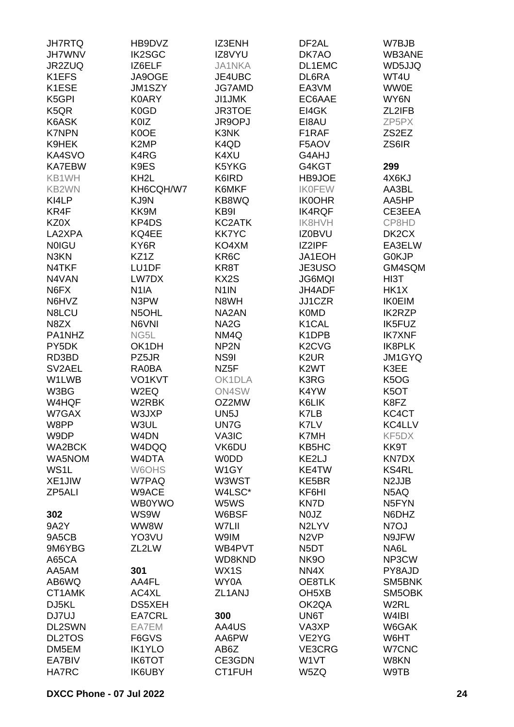| <b>JH7RTQ</b>     | HB9DVZ            | IZ3ENH            | DF2AL                           | W7BJB                         |
|-------------------|-------------------|-------------------|---------------------------------|-------------------------------|
| <b>JH7WNV</b>     | <b>IK2SGC</b>     | IZ8VYU            | DK7AO                           | WB3ANE                        |
| JR2ZUQ            | IZ6ELF            | <b>JA1NKA</b>     | DL1EMC                          | WD5JJQ                        |
| K1EFS             | JA9OGE            | JE4UBC            | DL6RA                           | WT4U                          |
|                   |                   |                   |                                 |                               |
| K1ESE             | JM1SZY            | <b>JG7AMD</b>     | EA3VM                           | <b>WW0E</b>                   |
| K5GPI             | K0ARY             | <b>JI1JMK</b>     | EC6AAE                          | WY6N                          |
| K <sub>5</sub> QR | K0GD              | <b>JR3TOE</b>     | EI4GK                           | ZL2IFB                        |
| K6ASK             | <b>K0IZ</b>       | JR9OPJ            | EI8AU                           | ZP5PX                         |
| <b>K7NPN</b>      | K0OE              | K3NK              | F1RAF                           | ZS2EZ                         |
| K9HEK             | K <sub>2</sub> MP | K4QD              | F5AOV                           | ZS6IR                         |
| KA4SVO            | K4RG              | K4XU              | G4AHJ                           |                               |
| <b>KA7EBW</b>     | K9ES              | K5YKG             | G4KGT                           | 299                           |
| KB1WH             | KH <sub>2</sub> L | K6IRD             | HB9JOE                          | 4X6KJ                         |
| KB2WN             | KH6CQH/W7         | K6MKF             | <b>IKOFEW</b>                   | AA3BL                         |
| KI4LP             | KJ9N              | KB8WQ             | <b>IK0OHR</b>                   | AA5HP                         |
| KR4F              | KK9M              | KB9I              |                                 | CE3EEA                        |
|                   |                   |                   | <b>IK4RQF</b>                   |                               |
| KZ0X              | KP4DS             | KC2ATK            | <b>IK8HVH</b>                   | CP8HD                         |
| LA2XPA            | KQ4EE             | <b>KK7YC</b>      | <b>IZ0BVU</b>                   | DK2CX                         |
| <b>NOIGU</b>      | KY6R              | KO4XM             | IZ2IPF                          | EA3ELW                        |
| N3KN              | KZ1Z              | KR6C              | JA1EOH                          | G0KJP                         |
| N4TKF             | LU1DF             | KR8T              | JE3USO                          | GM4SQM                        |
| N4VAN             | LW7DX             | KX2S              | <b>JG6MQI</b>                   | HI3T                          |
| N6FX              | N <sub>1</sub> IA | N <sub>1</sub> IN | JH4ADF                          | HK1X                          |
| N6HVZ             | N3PW              | N8WH              | JJ1CZR                          | <b>IK0EIM</b>                 |
| N8LCU             | N5OHL             | NA2AN             | <b>K0MD</b>                     | <b>IK2RZP</b>                 |
| N8ZX              | N6VNI             | NA <sub>2</sub> G | K <sub>1</sub> CAL              | IK5FUZ                        |
| PA1NHZ            | NG5L              | NM4Q              | K1DPB                           | <b>IK7XNF</b>                 |
|                   |                   |                   |                                 |                               |
| PY5DK             | OK1DH             | NP <sub>2N</sub>  | K <sub>2</sub> C <sub>V</sub> G | IK8PLK                        |
| RD3BD             | PZ5JR             | NS9I              | K <sub>2</sub> UR               | JM1GYQ                        |
| SV2AEL            | RA0BA             | NZ <sub>5</sub> F | K <sub>2</sub> WT               | K3EE                          |
| W1LWB             | VO1KVT            | OK1DLA            | K3RG                            | K <sub>5</sub> O <sub>G</sub> |
| W3BG              | W2EQ              | ON4SW             | K4YW                            | K <sub>5</sub> OT             |
| W4HQF             | W2RBK             | OZ2MW             | K6LIK                           | K8FZ                          |
| W7GAX             | W3JXP             | UN <sub>5</sub> J | K7LB                            | KC4CT                         |
| W8PP              | W3UL              | UN7G              | K7LV                            | KC4LLV                        |
| W9DP              | W <sub>4</sub> DN | VA3IC             | K7MH                            | KF5DX                         |
| WA2BCK            | W4DQQ             | VK6DU             | KB5HC                           | KK9T                          |
| WA5NOM            | W4DTA             | <b>WODD</b>       | KE2LJ                           | <b>KN7DX</b>                  |
| WS1L              | W6OHS             | W <sub>1</sub> GY | KE4TW                           | <b>KS4RL</b>                  |
| XE1JIW            | W7PAQ             | W3WST             | KE5BR                           | N <sub>2</sub> JJB            |
| ZP5ALI            |                   | W4LSC*            | KF6HI                           |                               |
|                   | W9ACE             |                   |                                 | N5AQ                          |
|                   | <b>WB0YWO</b>     | W5WS              | KN7D                            | N <sub>5</sub> FYN            |
| 302               | WS9W              | W6BSF             | N0JZ                            | N6DHZ                         |
| 9A2Y              | WW8W              | W7LII             | N2LYV                           | N7OJ                          |
| 9A5CB             | YO3VU             | W9IM              | N <sub>2</sub> V <sub>P</sub>   | N9JFW                         |
| 9M6YBG            | ZL2LW             | WB4PVT            | N <sub>5</sub> DT               | NA6L                          |
| A65CA             |                   | WD8KND            | <b>NK9O</b>                     | NP3CW                         |
| AA5AM             | 301               | WX1S              | NN4X                            | PY8AJD                        |
| AB6WQ             | AA4FL             | WY0A              | OE8TLK                          | SM5BNK                        |
| CT1AMK            | AC4XL             | ZL1ANJ            | OH <sub>5</sub> XB              | SM5OBK                        |
| DJ5KL             | DS5XEH            |                   | OK2QA                           | W <sub>2</sub> RL             |
| DJ7UJ             | EA7CRL            | 300               | UN6T                            | W4IBI                         |
| DL2SWN            | EA7EM             | AA4US             | VA3XP                           | W6GAK                         |
| <b>DL2TOS</b>     | F6GVS             | AA6PW             | VE2YG                           | W6HT                          |
|                   |                   |                   |                                 |                               |
| DM5EM             | <b>IK1YLO</b>     | AB6Z              | VE3CRG                          | W7CNC                         |
| EA7BIV            | <b>IK6TOT</b>     | CE3GDN            | W1VT                            | W8KN                          |
| HA7RC             | <b>IK6UBY</b>     | CT1FUH            | W5ZQ                            | W9TB                          |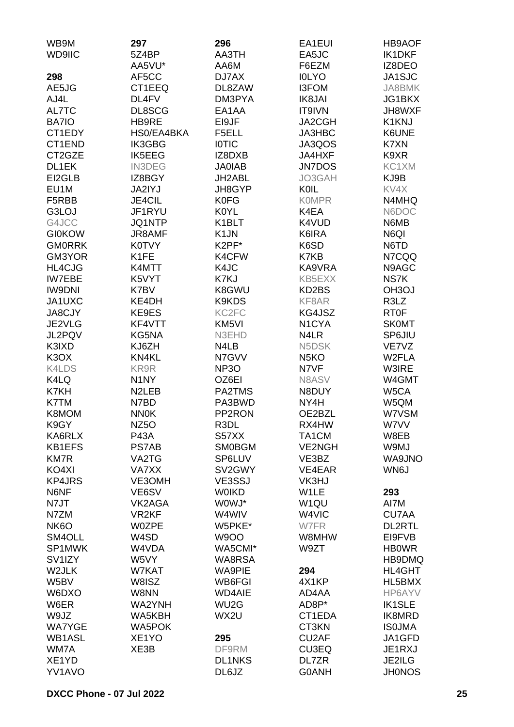| WD9IIC<br>5Z4BP<br>AA3TH<br>EA5JC<br>IK1DKF<br>AA5VU*<br>AA6M<br>IZ8DEO<br>F6EZM<br>JA1SJC<br>298<br>DJ7AX<br><b>IOLYO</b><br>AF5CC<br>DL8ZAW<br>JA8BMK<br>AE5JG<br>CT1EEQ<br><b>I3FOM</b><br>AJ4L<br>DL4FV<br>DM3PYA<br>IK8JAI<br>JG1BKX<br>AL7TC<br><b>DL8SCG</b><br>EA1AA<br>IT9IVN<br>JH8WXF<br>BA7IO<br>HB9RE<br>EI9JF<br>JA2CGH<br>K1KNJ<br>CT1EDY<br>HS0/EA4BKA<br>F5ELL<br>JA3HBC<br>K6UNE<br>JA3QOS<br>CT1END<br>IK3GBG<br><b>IOTIC</b><br>K7XN<br>CT2GZE<br>IK5EEG<br>K9XR<br>IZ8DXB<br>JA4HXF<br>KC1XM<br>DL1EK<br><b>IN3DEG</b><br><b>JA0IAB</b><br><b>JN7DOS</b><br>KJ9B<br>EI2GLB<br>IZ8BGY<br>JH2ABL<br>JO3GAH<br>EU1M<br>KV4X<br>JA2IYJ<br>JH8GYP<br>KOIL<br>F5RBB<br><b>JE4CIL</b><br><b>K0FG</b><br><b>KOMPR</b><br>N4MHQ<br>G3LOJ<br>JF1RYU<br><b>K0YL</b><br>K4EA<br>N6DOC<br>K1BLT<br>G4JCC<br><b>JQ1NTP</b><br>K4VUD<br>N6MB<br>K <sub>1</sub> JN<br>K6IRA<br>N6QI<br><b>GI0KOW</b><br><b>JR8AMF</b><br>K2PF*<br><b>GMORRK</b><br>K0TVY<br>K6SD<br>N6TD<br>K1FE<br>GM3YOR<br>K4CFW<br>K7KB<br>N7CQQ<br>K4MTT<br>HL4CJG<br>K4JC<br>KA9VRA<br>N9AGC<br><b>IW7EBE</b><br>K5VYT<br>K7KJ<br>KB5EXX<br>NS7K<br>K8GWU<br><b>IW9DNI</b><br>K7BV<br>KD2BS<br><b>OH3OJ</b><br>K9KDS<br>R3LZ<br>JA1UXC<br>KE4DH<br>KF8AR<br><b>RT0F</b><br><b>JA8CJY</b><br>KE9ES<br>KC <sub>2FC</sub><br>KG4JSZ<br>JE2VLG<br>KF4VTT<br>KM <sub>5VI</sub><br>N <sub>1</sub> CYA<br><b>SKOMT</b><br>JL2PQV<br>KG5NA<br>N3EHD<br>N4LR<br>SP6JIU<br>K3IXD<br>KJ6ZH<br>N4LB<br>N5DSK<br>VE7VZ<br>KN4KL<br>K <sub>3</sub> O <sub>X</sub><br>N7GVV<br>N <sub>5</sub> KO<br>W2FLA<br>N7VF<br>K4LDS<br>KR9R<br>NP <sub>3</sub> O<br>W3IRE<br>K4LQ<br>N <sub>1</sub> NY<br>OZ6EI<br>N8ASV<br>W4GMT<br>K7KH<br>N <sub>2</sub> LEB<br>PA2TMS<br>N8DUY<br>W5CA<br>K7TM<br>N7BD<br>PA3BWD<br>NY4H<br>W5QM<br>K8MOM<br>PP2RON<br>OE2BZL<br>W7VSM<br><b>NN0K</b><br>K9GY<br>NZ <sub>5</sub> O<br>R3DL<br>RX4HW<br>W7VV<br>KA6RLX<br><b>P43A</b><br>S57XX<br>TA1CM<br>W8EB<br><b>KB1EFS</b><br><b>PS7AB</b><br><b>SM0BGM</b><br><b>VE2NGH</b><br>W9MJ<br><b>KM7R</b><br>VA2TG<br>SP6LUV<br>VE3BZ<br>WA9JNO<br>KO4XI<br><b>VA7XX</b><br>SV2GWY<br>VE4EAR<br>WN6J<br><b>KP4JRS</b><br>VE3OMH<br>VE3SSJ<br>VK3HJ<br>N6NF<br>VE6SV<br><b>WOIKD</b><br>W1LE<br>293<br>N7JT<br>VK2AGA<br>WOWJ*<br>W <sub>1QU</sub><br>AI7M<br>VR <sub>2KF</sub><br>W4WIV<br>W4VIC<br><b>CU7AA</b><br>N7ZM<br>NK <sub>6</sub> O<br><b>W0ZPE</b><br>W5PKE*<br>W7FR<br><b>DL2RTL</b><br>SM4OLL<br>W4SD<br><b>W9OO</b><br>W8MHW<br>EI9FVB<br>WA5CMI*<br>SP1MWK<br>W4VDA<br>W9ZT<br><b>HB0WR</b><br>W5VY<br>HB9DMQ<br>SV <sub>1</sub> IZY<br>WA8RSA<br>W2JLK<br>W7KAT<br><b>WA9PIE</b><br>294<br><b>HL4GHT</b><br>W5BV<br>HL5BMX<br>W8ISZ<br>WB6FGI<br>4X1KP<br>W6DXO<br>W8NN<br><b>WD4AIE</b><br>AD4AA<br>HP6AYV<br>W6ER<br>WA2YNH<br>WU <sub>2</sub> G<br><b>IK1SLE</b><br>AD8P*<br>CT1EDA<br>W9JZ<br>WA5KBH<br>WX2U<br>IK8MRD<br><b>WA5POK</b><br>CT3KN<br><b>ISOJMA</b><br><b>WA7YGE</b><br>WB1ASL<br>XE <sub>1</sub> YO<br>CU2AF<br>JA1GFD<br>295<br>WM7A<br>XE3B<br>DF9RM<br><b>CU3EQ</b><br>JE1RXJ<br>XE1YD<br><b>DL1NKS</b><br>DL7ZR<br>JE2ILG<br>YV1AVO<br>DL6JZ<br><b>G0ANH</b><br><b>JH0NOS</b> | WB9M | 297 | 296 | EA1EUI | <b>HB9AOF</b> |
|------------------------------------------------------------------------------------------------------------------------------------------------------------------------------------------------------------------------------------------------------------------------------------------------------------------------------------------------------------------------------------------------------------------------------------------------------------------------------------------------------------------------------------------------------------------------------------------------------------------------------------------------------------------------------------------------------------------------------------------------------------------------------------------------------------------------------------------------------------------------------------------------------------------------------------------------------------------------------------------------------------------------------------------------------------------------------------------------------------------------------------------------------------------------------------------------------------------------------------------------------------------------------------------------------------------------------------------------------------------------------------------------------------------------------------------------------------------------------------------------------------------------------------------------------------------------------------------------------------------------------------------------------------------------------------------------------------------------------------------------------------------------------------------------------------------------------------------------------------------------------------------------------------------------------------------------------------------------------------------------------------------------------------------------------------------------------------------------------------------------------------------------------------------------------------------------------------------------------------------------------------------------------------------------------------------------------------------------------------------------------------------------------------------------------------------------------------------------------------------------------------------------------------------------------------------------------------------------------------------------------------------------------------------------------------------------------------------------------------------------------------------------------------------------------------------------------------------------------------------------------------------------------------------------------------------------------------------------------------------------------------------------------------------------------------------------------------------------------------------------------------------------------------|------|-----|-----|--------|---------------|
|                                                                                                                                                                                                                                                                                                                                                                                                                                                                                                                                                                                                                                                                                                                                                                                                                                                                                                                                                                                                                                                                                                                                                                                                                                                                                                                                                                                                                                                                                                                                                                                                                                                                                                                                                                                                                                                                                                                                                                                                                                                                                                                                                                                                                                                                                                                                                                                                                                                                                                                                                                                                                                                                                                                                                                                                                                                                                                                                                                                                                                                                                                                                                            |      |     |     |        |               |
|                                                                                                                                                                                                                                                                                                                                                                                                                                                                                                                                                                                                                                                                                                                                                                                                                                                                                                                                                                                                                                                                                                                                                                                                                                                                                                                                                                                                                                                                                                                                                                                                                                                                                                                                                                                                                                                                                                                                                                                                                                                                                                                                                                                                                                                                                                                                                                                                                                                                                                                                                                                                                                                                                                                                                                                                                                                                                                                                                                                                                                                                                                                                                            |      |     |     |        |               |
|                                                                                                                                                                                                                                                                                                                                                                                                                                                                                                                                                                                                                                                                                                                                                                                                                                                                                                                                                                                                                                                                                                                                                                                                                                                                                                                                                                                                                                                                                                                                                                                                                                                                                                                                                                                                                                                                                                                                                                                                                                                                                                                                                                                                                                                                                                                                                                                                                                                                                                                                                                                                                                                                                                                                                                                                                                                                                                                                                                                                                                                                                                                                                            |      |     |     |        |               |
|                                                                                                                                                                                                                                                                                                                                                                                                                                                                                                                                                                                                                                                                                                                                                                                                                                                                                                                                                                                                                                                                                                                                                                                                                                                                                                                                                                                                                                                                                                                                                                                                                                                                                                                                                                                                                                                                                                                                                                                                                                                                                                                                                                                                                                                                                                                                                                                                                                                                                                                                                                                                                                                                                                                                                                                                                                                                                                                                                                                                                                                                                                                                                            |      |     |     |        |               |
|                                                                                                                                                                                                                                                                                                                                                                                                                                                                                                                                                                                                                                                                                                                                                                                                                                                                                                                                                                                                                                                                                                                                                                                                                                                                                                                                                                                                                                                                                                                                                                                                                                                                                                                                                                                                                                                                                                                                                                                                                                                                                                                                                                                                                                                                                                                                                                                                                                                                                                                                                                                                                                                                                                                                                                                                                                                                                                                                                                                                                                                                                                                                                            |      |     |     |        |               |
|                                                                                                                                                                                                                                                                                                                                                                                                                                                                                                                                                                                                                                                                                                                                                                                                                                                                                                                                                                                                                                                                                                                                                                                                                                                                                                                                                                                                                                                                                                                                                                                                                                                                                                                                                                                                                                                                                                                                                                                                                                                                                                                                                                                                                                                                                                                                                                                                                                                                                                                                                                                                                                                                                                                                                                                                                                                                                                                                                                                                                                                                                                                                                            |      |     |     |        |               |
|                                                                                                                                                                                                                                                                                                                                                                                                                                                                                                                                                                                                                                                                                                                                                                                                                                                                                                                                                                                                                                                                                                                                                                                                                                                                                                                                                                                                                                                                                                                                                                                                                                                                                                                                                                                                                                                                                                                                                                                                                                                                                                                                                                                                                                                                                                                                                                                                                                                                                                                                                                                                                                                                                                                                                                                                                                                                                                                                                                                                                                                                                                                                                            |      |     |     |        |               |
|                                                                                                                                                                                                                                                                                                                                                                                                                                                                                                                                                                                                                                                                                                                                                                                                                                                                                                                                                                                                                                                                                                                                                                                                                                                                                                                                                                                                                                                                                                                                                                                                                                                                                                                                                                                                                                                                                                                                                                                                                                                                                                                                                                                                                                                                                                                                                                                                                                                                                                                                                                                                                                                                                                                                                                                                                                                                                                                                                                                                                                                                                                                                                            |      |     |     |        |               |
|                                                                                                                                                                                                                                                                                                                                                                                                                                                                                                                                                                                                                                                                                                                                                                                                                                                                                                                                                                                                                                                                                                                                                                                                                                                                                                                                                                                                                                                                                                                                                                                                                                                                                                                                                                                                                                                                                                                                                                                                                                                                                                                                                                                                                                                                                                                                                                                                                                                                                                                                                                                                                                                                                                                                                                                                                                                                                                                                                                                                                                                                                                                                                            |      |     |     |        |               |
|                                                                                                                                                                                                                                                                                                                                                                                                                                                                                                                                                                                                                                                                                                                                                                                                                                                                                                                                                                                                                                                                                                                                                                                                                                                                                                                                                                                                                                                                                                                                                                                                                                                                                                                                                                                                                                                                                                                                                                                                                                                                                                                                                                                                                                                                                                                                                                                                                                                                                                                                                                                                                                                                                                                                                                                                                                                                                                                                                                                                                                                                                                                                                            |      |     |     |        |               |
|                                                                                                                                                                                                                                                                                                                                                                                                                                                                                                                                                                                                                                                                                                                                                                                                                                                                                                                                                                                                                                                                                                                                                                                                                                                                                                                                                                                                                                                                                                                                                                                                                                                                                                                                                                                                                                                                                                                                                                                                                                                                                                                                                                                                                                                                                                                                                                                                                                                                                                                                                                                                                                                                                                                                                                                                                                                                                                                                                                                                                                                                                                                                                            |      |     |     |        |               |
|                                                                                                                                                                                                                                                                                                                                                                                                                                                                                                                                                                                                                                                                                                                                                                                                                                                                                                                                                                                                                                                                                                                                                                                                                                                                                                                                                                                                                                                                                                                                                                                                                                                                                                                                                                                                                                                                                                                                                                                                                                                                                                                                                                                                                                                                                                                                                                                                                                                                                                                                                                                                                                                                                                                                                                                                                                                                                                                                                                                                                                                                                                                                                            |      |     |     |        |               |
|                                                                                                                                                                                                                                                                                                                                                                                                                                                                                                                                                                                                                                                                                                                                                                                                                                                                                                                                                                                                                                                                                                                                                                                                                                                                                                                                                                                                                                                                                                                                                                                                                                                                                                                                                                                                                                                                                                                                                                                                                                                                                                                                                                                                                                                                                                                                                                                                                                                                                                                                                                                                                                                                                                                                                                                                                                                                                                                                                                                                                                                                                                                                                            |      |     |     |        |               |
|                                                                                                                                                                                                                                                                                                                                                                                                                                                                                                                                                                                                                                                                                                                                                                                                                                                                                                                                                                                                                                                                                                                                                                                                                                                                                                                                                                                                                                                                                                                                                                                                                                                                                                                                                                                                                                                                                                                                                                                                                                                                                                                                                                                                                                                                                                                                                                                                                                                                                                                                                                                                                                                                                                                                                                                                                                                                                                                                                                                                                                                                                                                                                            |      |     |     |        |               |
|                                                                                                                                                                                                                                                                                                                                                                                                                                                                                                                                                                                                                                                                                                                                                                                                                                                                                                                                                                                                                                                                                                                                                                                                                                                                                                                                                                                                                                                                                                                                                                                                                                                                                                                                                                                                                                                                                                                                                                                                                                                                                                                                                                                                                                                                                                                                                                                                                                                                                                                                                                                                                                                                                                                                                                                                                                                                                                                                                                                                                                                                                                                                                            |      |     |     |        |               |
|                                                                                                                                                                                                                                                                                                                                                                                                                                                                                                                                                                                                                                                                                                                                                                                                                                                                                                                                                                                                                                                                                                                                                                                                                                                                                                                                                                                                                                                                                                                                                                                                                                                                                                                                                                                                                                                                                                                                                                                                                                                                                                                                                                                                                                                                                                                                                                                                                                                                                                                                                                                                                                                                                                                                                                                                                                                                                                                                                                                                                                                                                                                                                            |      |     |     |        |               |
|                                                                                                                                                                                                                                                                                                                                                                                                                                                                                                                                                                                                                                                                                                                                                                                                                                                                                                                                                                                                                                                                                                                                                                                                                                                                                                                                                                                                                                                                                                                                                                                                                                                                                                                                                                                                                                                                                                                                                                                                                                                                                                                                                                                                                                                                                                                                                                                                                                                                                                                                                                                                                                                                                                                                                                                                                                                                                                                                                                                                                                                                                                                                                            |      |     |     |        |               |
|                                                                                                                                                                                                                                                                                                                                                                                                                                                                                                                                                                                                                                                                                                                                                                                                                                                                                                                                                                                                                                                                                                                                                                                                                                                                                                                                                                                                                                                                                                                                                                                                                                                                                                                                                                                                                                                                                                                                                                                                                                                                                                                                                                                                                                                                                                                                                                                                                                                                                                                                                                                                                                                                                                                                                                                                                                                                                                                                                                                                                                                                                                                                                            |      |     |     |        |               |
|                                                                                                                                                                                                                                                                                                                                                                                                                                                                                                                                                                                                                                                                                                                                                                                                                                                                                                                                                                                                                                                                                                                                                                                                                                                                                                                                                                                                                                                                                                                                                                                                                                                                                                                                                                                                                                                                                                                                                                                                                                                                                                                                                                                                                                                                                                                                                                                                                                                                                                                                                                                                                                                                                                                                                                                                                                                                                                                                                                                                                                                                                                                                                            |      |     |     |        |               |
|                                                                                                                                                                                                                                                                                                                                                                                                                                                                                                                                                                                                                                                                                                                                                                                                                                                                                                                                                                                                                                                                                                                                                                                                                                                                                                                                                                                                                                                                                                                                                                                                                                                                                                                                                                                                                                                                                                                                                                                                                                                                                                                                                                                                                                                                                                                                                                                                                                                                                                                                                                                                                                                                                                                                                                                                                                                                                                                                                                                                                                                                                                                                                            |      |     |     |        |               |
|                                                                                                                                                                                                                                                                                                                                                                                                                                                                                                                                                                                                                                                                                                                                                                                                                                                                                                                                                                                                                                                                                                                                                                                                                                                                                                                                                                                                                                                                                                                                                                                                                                                                                                                                                                                                                                                                                                                                                                                                                                                                                                                                                                                                                                                                                                                                                                                                                                                                                                                                                                                                                                                                                                                                                                                                                                                                                                                                                                                                                                                                                                                                                            |      |     |     |        |               |
|                                                                                                                                                                                                                                                                                                                                                                                                                                                                                                                                                                                                                                                                                                                                                                                                                                                                                                                                                                                                                                                                                                                                                                                                                                                                                                                                                                                                                                                                                                                                                                                                                                                                                                                                                                                                                                                                                                                                                                                                                                                                                                                                                                                                                                                                                                                                                                                                                                                                                                                                                                                                                                                                                                                                                                                                                                                                                                                                                                                                                                                                                                                                                            |      |     |     |        |               |
|                                                                                                                                                                                                                                                                                                                                                                                                                                                                                                                                                                                                                                                                                                                                                                                                                                                                                                                                                                                                                                                                                                                                                                                                                                                                                                                                                                                                                                                                                                                                                                                                                                                                                                                                                                                                                                                                                                                                                                                                                                                                                                                                                                                                                                                                                                                                                                                                                                                                                                                                                                                                                                                                                                                                                                                                                                                                                                                                                                                                                                                                                                                                                            |      |     |     |        |               |
|                                                                                                                                                                                                                                                                                                                                                                                                                                                                                                                                                                                                                                                                                                                                                                                                                                                                                                                                                                                                                                                                                                                                                                                                                                                                                                                                                                                                                                                                                                                                                                                                                                                                                                                                                                                                                                                                                                                                                                                                                                                                                                                                                                                                                                                                                                                                                                                                                                                                                                                                                                                                                                                                                                                                                                                                                                                                                                                                                                                                                                                                                                                                                            |      |     |     |        |               |
|                                                                                                                                                                                                                                                                                                                                                                                                                                                                                                                                                                                                                                                                                                                                                                                                                                                                                                                                                                                                                                                                                                                                                                                                                                                                                                                                                                                                                                                                                                                                                                                                                                                                                                                                                                                                                                                                                                                                                                                                                                                                                                                                                                                                                                                                                                                                                                                                                                                                                                                                                                                                                                                                                                                                                                                                                                                                                                                                                                                                                                                                                                                                                            |      |     |     |        |               |
|                                                                                                                                                                                                                                                                                                                                                                                                                                                                                                                                                                                                                                                                                                                                                                                                                                                                                                                                                                                                                                                                                                                                                                                                                                                                                                                                                                                                                                                                                                                                                                                                                                                                                                                                                                                                                                                                                                                                                                                                                                                                                                                                                                                                                                                                                                                                                                                                                                                                                                                                                                                                                                                                                                                                                                                                                                                                                                                                                                                                                                                                                                                                                            |      |     |     |        |               |
|                                                                                                                                                                                                                                                                                                                                                                                                                                                                                                                                                                                                                                                                                                                                                                                                                                                                                                                                                                                                                                                                                                                                                                                                                                                                                                                                                                                                                                                                                                                                                                                                                                                                                                                                                                                                                                                                                                                                                                                                                                                                                                                                                                                                                                                                                                                                                                                                                                                                                                                                                                                                                                                                                                                                                                                                                                                                                                                                                                                                                                                                                                                                                            |      |     |     |        |               |
|                                                                                                                                                                                                                                                                                                                                                                                                                                                                                                                                                                                                                                                                                                                                                                                                                                                                                                                                                                                                                                                                                                                                                                                                                                                                                                                                                                                                                                                                                                                                                                                                                                                                                                                                                                                                                                                                                                                                                                                                                                                                                                                                                                                                                                                                                                                                                                                                                                                                                                                                                                                                                                                                                                                                                                                                                                                                                                                                                                                                                                                                                                                                                            |      |     |     |        |               |
|                                                                                                                                                                                                                                                                                                                                                                                                                                                                                                                                                                                                                                                                                                                                                                                                                                                                                                                                                                                                                                                                                                                                                                                                                                                                                                                                                                                                                                                                                                                                                                                                                                                                                                                                                                                                                                                                                                                                                                                                                                                                                                                                                                                                                                                                                                                                                                                                                                                                                                                                                                                                                                                                                                                                                                                                                                                                                                                                                                                                                                                                                                                                                            |      |     |     |        |               |
|                                                                                                                                                                                                                                                                                                                                                                                                                                                                                                                                                                                                                                                                                                                                                                                                                                                                                                                                                                                                                                                                                                                                                                                                                                                                                                                                                                                                                                                                                                                                                                                                                                                                                                                                                                                                                                                                                                                                                                                                                                                                                                                                                                                                                                                                                                                                                                                                                                                                                                                                                                                                                                                                                                                                                                                                                                                                                                                                                                                                                                                                                                                                                            |      |     |     |        |               |
|                                                                                                                                                                                                                                                                                                                                                                                                                                                                                                                                                                                                                                                                                                                                                                                                                                                                                                                                                                                                                                                                                                                                                                                                                                                                                                                                                                                                                                                                                                                                                                                                                                                                                                                                                                                                                                                                                                                                                                                                                                                                                                                                                                                                                                                                                                                                                                                                                                                                                                                                                                                                                                                                                                                                                                                                                                                                                                                                                                                                                                                                                                                                                            |      |     |     |        |               |
|                                                                                                                                                                                                                                                                                                                                                                                                                                                                                                                                                                                                                                                                                                                                                                                                                                                                                                                                                                                                                                                                                                                                                                                                                                                                                                                                                                                                                                                                                                                                                                                                                                                                                                                                                                                                                                                                                                                                                                                                                                                                                                                                                                                                                                                                                                                                                                                                                                                                                                                                                                                                                                                                                                                                                                                                                                                                                                                                                                                                                                                                                                                                                            |      |     |     |        |               |
|                                                                                                                                                                                                                                                                                                                                                                                                                                                                                                                                                                                                                                                                                                                                                                                                                                                                                                                                                                                                                                                                                                                                                                                                                                                                                                                                                                                                                                                                                                                                                                                                                                                                                                                                                                                                                                                                                                                                                                                                                                                                                                                                                                                                                                                                                                                                                                                                                                                                                                                                                                                                                                                                                                                                                                                                                                                                                                                                                                                                                                                                                                                                                            |      |     |     |        |               |
|                                                                                                                                                                                                                                                                                                                                                                                                                                                                                                                                                                                                                                                                                                                                                                                                                                                                                                                                                                                                                                                                                                                                                                                                                                                                                                                                                                                                                                                                                                                                                                                                                                                                                                                                                                                                                                                                                                                                                                                                                                                                                                                                                                                                                                                                                                                                                                                                                                                                                                                                                                                                                                                                                                                                                                                                                                                                                                                                                                                                                                                                                                                                                            |      |     |     |        |               |
|                                                                                                                                                                                                                                                                                                                                                                                                                                                                                                                                                                                                                                                                                                                                                                                                                                                                                                                                                                                                                                                                                                                                                                                                                                                                                                                                                                                                                                                                                                                                                                                                                                                                                                                                                                                                                                                                                                                                                                                                                                                                                                                                                                                                                                                                                                                                                                                                                                                                                                                                                                                                                                                                                                                                                                                                                                                                                                                                                                                                                                                                                                                                                            |      |     |     |        |               |
|                                                                                                                                                                                                                                                                                                                                                                                                                                                                                                                                                                                                                                                                                                                                                                                                                                                                                                                                                                                                                                                                                                                                                                                                                                                                                                                                                                                                                                                                                                                                                                                                                                                                                                                                                                                                                                                                                                                                                                                                                                                                                                                                                                                                                                                                                                                                                                                                                                                                                                                                                                                                                                                                                                                                                                                                                                                                                                                                                                                                                                                                                                                                                            |      |     |     |        |               |
|                                                                                                                                                                                                                                                                                                                                                                                                                                                                                                                                                                                                                                                                                                                                                                                                                                                                                                                                                                                                                                                                                                                                                                                                                                                                                                                                                                                                                                                                                                                                                                                                                                                                                                                                                                                                                                                                                                                                                                                                                                                                                                                                                                                                                                                                                                                                                                                                                                                                                                                                                                                                                                                                                                                                                                                                                                                                                                                                                                                                                                                                                                                                                            |      |     |     |        |               |
|                                                                                                                                                                                                                                                                                                                                                                                                                                                                                                                                                                                                                                                                                                                                                                                                                                                                                                                                                                                                                                                                                                                                                                                                                                                                                                                                                                                                                                                                                                                                                                                                                                                                                                                                                                                                                                                                                                                                                                                                                                                                                                                                                                                                                                                                                                                                                                                                                                                                                                                                                                                                                                                                                                                                                                                                                                                                                                                                                                                                                                                                                                                                                            |      |     |     |        |               |
|                                                                                                                                                                                                                                                                                                                                                                                                                                                                                                                                                                                                                                                                                                                                                                                                                                                                                                                                                                                                                                                                                                                                                                                                                                                                                                                                                                                                                                                                                                                                                                                                                                                                                                                                                                                                                                                                                                                                                                                                                                                                                                                                                                                                                                                                                                                                                                                                                                                                                                                                                                                                                                                                                                                                                                                                                                                                                                                                                                                                                                                                                                                                                            |      |     |     |        |               |
|                                                                                                                                                                                                                                                                                                                                                                                                                                                                                                                                                                                                                                                                                                                                                                                                                                                                                                                                                                                                                                                                                                                                                                                                                                                                                                                                                                                                                                                                                                                                                                                                                                                                                                                                                                                                                                                                                                                                                                                                                                                                                                                                                                                                                                                                                                                                                                                                                                                                                                                                                                                                                                                                                                                                                                                                                                                                                                                                                                                                                                                                                                                                                            |      |     |     |        |               |
|                                                                                                                                                                                                                                                                                                                                                                                                                                                                                                                                                                                                                                                                                                                                                                                                                                                                                                                                                                                                                                                                                                                                                                                                                                                                                                                                                                                                                                                                                                                                                                                                                                                                                                                                                                                                                                                                                                                                                                                                                                                                                                                                                                                                                                                                                                                                                                                                                                                                                                                                                                                                                                                                                                                                                                                                                                                                                                                                                                                                                                                                                                                                                            |      |     |     |        |               |
|                                                                                                                                                                                                                                                                                                                                                                                                                                                                                                                                                                                                                                                                                                                                                                                                                                                                                                                                                                                                                                                                                                                                                                                                                                                                                                                                                                                                                                                                                                                                                                                                                                                                                                                                                                                                                                                                                                                                                                                                                                                                                                                                                                                                                                                                                                                                                                                                                                                                                                                                                                                                                                                                                                                                                                                                                                                                                                                                                                                                                                                                                                                                                            |      |     |     |        |               |
|                                                                                                                                                                                                                                                                                                                                                                                                                                                                                                                                                                                                                                                                                                                                                                                                                                                                                                                                                                                                                                                                                                                                                                                                                                                                                                                                                                                                                                                                                                                                                                                                                                                                                                                                                                                                                                                                                                                                                                                                                                                                                                                                                                                                                                                                                                                                                                                                                                                                                                                                                                                                                                                                                                                                                                                                                                                                                                                                                                                                                                                                                                                                                            |      |     |     |        |               |
|                                                                                                                                                                                                                                                                                                                                                                                                                                                                                                                                                                                                                                                                                                                                                                                                                                                                                                                                                                                                                                                                                                                                                                                                                                                                                                                                                                                                                                                                                                                                                                                                                                                                                                                                                                                                                                                                                                                                                                                                                                                                                                                                                                                                                                                                                                                                                                                                                                                                                                                                                                                                                                                                                                                                                                                                                                                                                                                                                                                                                                                                                                                                                            |      |     |     |        |               |
|                                                                                                                                                                                                                                                                                                                                                                                                                                                                                                                                                                                                                                                                                                                                                                                                                                                                                                                                                                                                                                                                                                                                                                                                                                                                                                                                                                                                                                                                                                                                                                                                                                                                                                                                                                                                                                                                                                                                                                                                                                                                                                                                                                                                                                                                                                                                                                                                                                                                                                                                                                                                                                                                                                                                                                                                                                                                                                                                                                                                                                                                                                                                                            |      |     |     |        |               |
|                                                                                                                                                                                                                                                                                                                                                                                                                                                                                                                                                                                                                                                                                                                                                                                                                                                                                                                                                                                                                                                                                                                                                                                                                                                                                                                                                                                                                                                                                                                                                                                                                                                                                                                                                                                                                                                                                                                                                                                                                                                                                                                                                                                                                                                                                                                                                                                                                                                                                                                                                                                                                                                                                                                                                                                                                                                                                                                                                                                                                                                                                                                                                            |      |     |     |        |               |
|                                                                                                                                                                                                                                                                                                                                                                                                                                                                                                                                                                                                                                                                                                                                                                                                                                                                                                                                                                                                                                                                                                                                                                                                                                                                                                                                                                                                                                                                                                                                                                                                                                                                                                                                                                                                                                                                                                                                                                                                                                                                                                                                                                                                                                                                                                                                                                                                                                                                                                                                                                                                                                                                                                                                                                                                                                                                                                                                                                                                                                                                                                                                                            |      |     |     |        |               |
|                                                                                                                                                                                                                                                                                                                                                                                                                                                                                                                                                                                                                                                                                                                                                                                                                                                                                                                                                                                                                                                                                                                                                                                                                                                                                                                                                                                                                                                                                                                                                                                                                                                                                                                                                                                                                                                                                                                                                                                                                                                                                                                                                                                                                                                                                                                                                                                                                                                                                                                                                                                                                                                                                                                                                                                                                                                                                                                                                                                                                                                                                                                                                            |      |     |     |        |               |
|                                                                                                                                                                                                                                                                                                                                                                                                                                                                                                                                                                                                                                                                                                                                                                                                                                                                                                                                                                                                                                                                                                                                                                                                                                                                                                                                                                                                                                                                                                                                                                                                                                                                                                                                                                                                                                                                                                                                                                                                                                                                                                                                                                                                                                                                                                                                                                                                                                                                                                                                                                                                                                                                                                                                                                                                                                                                                                                                                                                                                                                                                                                                                            |      |     |     |        |               |
|                                                                                                                                                                                                                                                                                                                                                                                                                                                                                                                                                                                                                                                                                                                                                                                                                                                                                                                                                                                                                                                                                                                                                                                                                                                                                                                                                                                                                                                                                                                                                                                                                                                                                                                                                                                                                                                                                                                                                                                                                                                                                                                                                                                                                                                                                                                                                                                                                                                                                                                                                                                                                                                                                                                                                                                                                                                                                                                                                                                                                                                                                                                                                            |      |     |     |        |               |
|                                                                                                                                                                                                                                                                                                                                                                                                                                                                                                                                                                                                                                                                                                                                                                                                                                                                                                                                                                                                                                                                                                                                                                                                                                                                                                                                                                                                                                                                                                                                                                                                                                                                                                                                                                                                                                                                                                                                                                                                                                                                                                                                                                                                                                                                                                                                                                                                                                                                                                                                                                                                                                                                                                                                                                                                                                                                                                                                                                                                                                                                                                                                                            |      |     |     |        |               |
|                                                                                                                                                                                                                                                                                                                                                                                                                                                                                                                                                                                                                                                                                                                                                                                                                                                                                                                                                                                                                                                                                                                                                                                                                                                                                                                                                                                                                                                                                                                                                                                                                                                                                                                                                                                                                                                                                                                                                                                                                                                                                                                                                                                                                                                                                                                                                                                                                                                                                                                                                                                                                                                                                                                                                                                                                                                                                                                                                                                                                                                                                                                                                            |      |     |     |        |               |
|                                                                                                                                                                                                                                                                                                                                                                                                                                                                                                                                                                                                                                                                                                                                                                                                                                                                                                                                                                                                                                                                                                                                                                                                                                                                                                                                                                                                                                                                                                                                                                                                                                                                                                                                                                                                                                                                                                                                                                                                                                                                                                                                                                                                                                                                                                                                                                                                                                                                                                                                                                                                                                                                                                                                                                                                                                                                                                                                                                                                                                                                                                                                                            |      |     |     |        |               |
|                                                                                                                                                                                                                                                                                                                                                                                                                                                                                                                                                                                                                                                                                                                                                                                                                                                                                                                                                                                                                                                                                                                                                                                                                                                                                                                                                                                                                                                                                                                                                                                                                                                                                                                                                                                                                                                                                                                                                                                                                                                                                                                                                                                                                                                                                                                                                                                                                                                                                                                                                                                                                                                                                                                                                                                                                                                                                                                                                                                                                                                                                                                                                            |      |     |     |        |               |
|                                                                                                                                                                                                                                                                                                                                                                                                                                                                                                                                                                                                                                                                                                                                                                                                                                                                                                                                                                                                                                                                                                                                                                                                                                                                                                                                                                                                                                                                                                                                                                                                                                                                                                                                                                                                                                                                                                                                                                                                                                                                                                                                                                                                                                                                                                                                                                                                                                                                                                                                                                                                                                                                                                                                                                                                                                                                                                                                                                                                                                                                                                                                                            |      |     |     |        |               |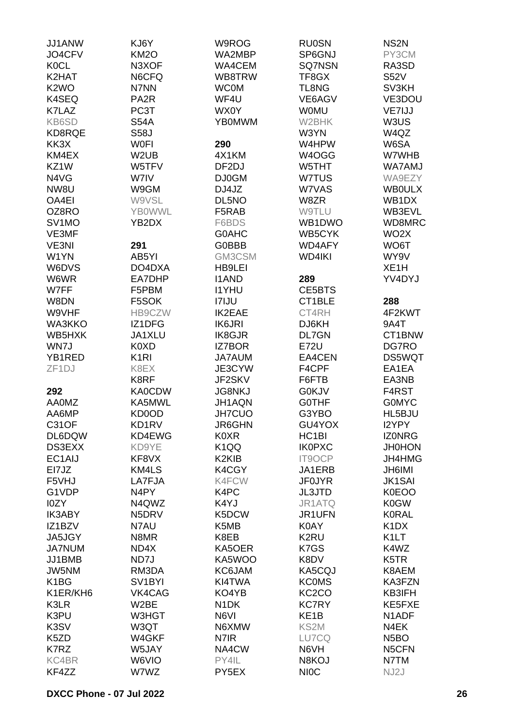| JJ1ANW                        | KJ6Y                | W9ROG              | <b>RU0SN</b>       | NS <sub>2</sub> N             |
|-------------------------------|---------------------|--------------------|--------------------|-------------------------------|
| JO4CFV                        | <b>KM2O</b>         | WA2MBP             | SP6GNJ             | PY3CM                         |
| <b>KOCL</b>                   | N3XOF               | <b>WA4CEM</b>      | <b>SQ7NSN</b>      | RA3SD                         |
| K2HAT                         | N6CFQ               | WB8TRW             | TF8GX              | <b>S52V</b>                   |
| K <sub>2</sub> W <sub>O</sub> | N7NN                | <b>WC0M</b>        | <b>TL8NG</b>       | SV3KH                         |
| K4SEQ                         | PA <sub>2</sub> R   | WF4U               | VE6AGV             | VE3DOU                        |
| K7LAZ                         | PC3T                | WX0Y               | <b>WOMU</b>        | VE7IJJ                        |
| KB6SD                         | <b>S54A</b>         | <b>YB0MWM</b>      | W2BHK              | W3US                          |
|                               |                     |                    |                    | W4QZ                          |
| KD8RQE                        | <b>S58J</b>         |                    | W3YN               |                               |
| KK3X                          | <b>WOFI</b>         | 290                | W4HPW              | W6SA                          |
| KM4EX                         | W <sub>2</sub> UB   | 4X1KM              | W4OGG              | W7WHB                         |
| KZ1W                          | W5TFV               | DF <sub>2</sub> DJ | W5THT              | <b>WA7AMJ</b>                 |
| N4VG                          | W7IV                | <b>DJ0GM</b>       | W7TUS              | WA9EZY                        |
| NW8U                          | W9GM                | DJ4JZ              | W7VAS              | <b>WBOULX</b>                 |
| OA4EI                         | W9VSL               | DL5NO              | W8ZR               | WB1DX                         |
| OZ8RO                         | <b>YBOWWL</b>       | F5RAB              | <b>W9TLU</b>       | WB3EVL                        |
| SV <sub>1</sub> MO            | YB2DX               | F6BDS              | WB1DWO             | WD8MRC                        |
| VE3MF                         |                     | <b>G0AHC</b>       | WB5CYK             | WO <sub>2</sub> X             |
| VE3NI                         | 291                 | <b>G0BBB</b>       | <b>WD4AFY</b>      | WO6T                          |
| W1YN                          | AB5YI               | GM3CSM             | <b>WD4IKI</b>      | WY9V                          |
| W6DVS                         | DO4DXA              | <b>HB9LEI</b>      |                    | XE <sub>1</sub> H             |
| W6WR                          | EA7DHP              | <b>I1AND</b>       | 289                | YV4DYJ                        |
| W7FF                          | F5PBM               | <b>I1YHU</b>       | CE5BTS             |                               |
| W8DN                          | F5SOK               | <b>I7IJU</b>       | CT1BLE             | 288                           |
| W9VHF                         | HB9CZW              | IK2EAE             | CT4RH              | 4F2KWT                        |
| WA3KKO                        | IZ1DFG              | <b>IK6JRI</b>      | DJ6KH              | 9A4T                          |
| WB5HXK                        | JA1XLU              | <b>IK8GJR</b>      | <b>DL7GN</b>       | CT1BNW                        |
| WN7J                          | K0XD                | <b>IZ7BOR</b>      | <b>E72U</b>        | DG7RO                         |
| YB1RED                        | K <sub>1</sub> RI   | JA7AUM             | EA4CEN             | DS5WQT                        |
| ZF <sub>1</sub> DJ            | K8EX                | JE3CYW             | F4CPF              | EA1EA                         |
|                               | K8RF                |                    |                    | EA3NB                         |
|                               |                     | JF2SKV             | F6FTB              |                               |
| 292                           | <b>KA0CDW</b>       | <b>JG8NKJ</b>      | <b>G0KJV</b>       | F4RST                         |
| <b>AA0MZ</b>                  | KA5MWL              | JH1AQN             | <b>GOTHF</b>       | <b>GOMYC</b>                  |
| AA6MP                         | KD0OD               | <b>JH7CUO</b>      | G3YBO              | HL5BJU                        |
| C31OF                         | KD1RV               | JR6GHN             | GU4YOX             | I2YPY                         |
| DL6DQW                        | KD4EWG              | K0XR               | HC <sub>1</sub> BI | <b>IZONRG</b>                 |
| DS3EXX                        | KD9YE               | K <sub>1</sub> QQ  | <b>IK0PXC</b>      | <b>JH0HON</b>                 |
| EC1AIJ                        | KF8VX               | K2KIB              | IT9OCP             | JH4HMG                        |
| EI7JZ                         | KM4LS               | K4CGY              | JA1ERB             | <b>JH6IMI</b>                 |
| F5VHJ                         | LA7FJA              | K4FCW              | <b>JF0JYR</b>      | <b>JK1SAI</b>                 |
| G1VDP                         | N <sub>4</sub> PY   | K4PC               | <b>JL3JTD</b>      | K0EOO                         |
| I0ZY                          | N4QWZ               | K4YJ               | JR1ATQ             | K0GW                          |
| <b>IK3ABY</b>                 | N5DRV               | K5DCW              | JR1UFN             | <b>K0RAL</b>                  |
| IZ1BZV                        | N7AU                | K5MB               | K0AY               | K <sub>1</sub> D <sub>X</sub> |
| JA5JGY                        | N8MR                | K8EB               | K2RU               | K <sub>1</sub> LT             |
| <b>JA7NUM</b>                 | ND4X                | KA5OER             | K7GS               | K4WZ                          |
| JJ1BMB                        | ND7J                | KA5WOO             | K8DV               | K <sub>5</sub> TR             |
| JW5NM                         | RM3DA               | KC6JAM             | KA5CQJ             | K8AEM                         |
| K <sub>1</sub> BG             | SV <sub>1</sub> BYI | KI4TWA             | <b>KCOMS</b>       | KA3FZN                        |
| K1ER/KH6                      | VK4CAG              | KO4YB              | KC <sub>2</sub> CO | KB3IFH                        |
| K3LR                          | W2BE                | N <sub>1</sub> DK  | <b>KC7RY</b>       | KE5FXE                        |
| K3PU                          | W3HGT               | N6VI               | KE <sub>1</sub> B  | N <sub>1</sub> ADF            |
| K3SV                          | W3QT                | N6XMW              | KS2M               | N4EK                          |
| K5ZD                          | W4GKF               | N7IR               | LU7CQ              | N <sub>5</sub> BO             |
| K7RZ                          | W5JAY               | NA4CW              | N6VH               | N5CFN                         |
| KC4BR                         | W6VIO               | PY4IL              | N8KOJ              | N7TM                          |
| KF4ZZ                         | W7WZ                | PY <sub>5</sub> EX | <b>NIOC</b>        | NJ2J                          |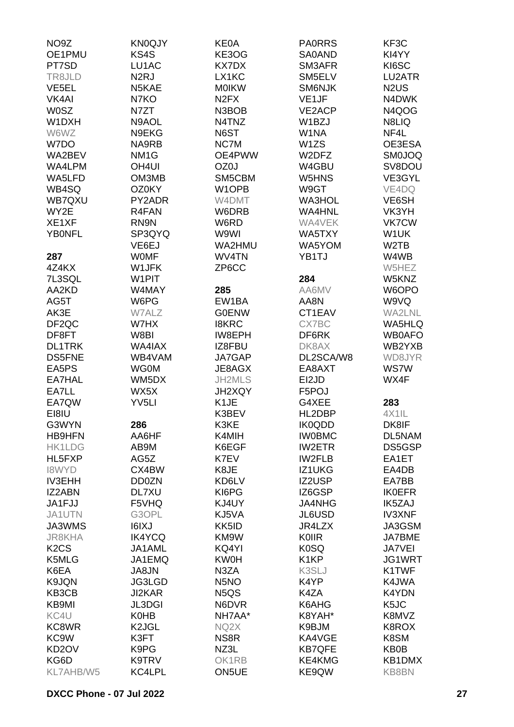| NO <sub>9</sub> Z             | <b>KN0QJY</b>      | <b>KE0A</b>                   | <b>PA0RRS</b>      | KF3C                          |
|-------------------------------|--------------------|-------------------------------|--------------------|-------------------------------|
| OE1PMU                        | KS4S               | KE3OG                         | <b>SA0AND</b>      | KI4YY                         |
| PT7SD                         | LU1AC              | <b>KX7DX</b>                  | SM3AFR             | KI6SC                         |
| TR8JLD                        | N <sub>2</sub> RJ  | LX1KC                         | SM5ELV             | LU2ATR                        |
| VE <sub>5EL</sub>             | N5KAE              | <b>MOIKW</b>                  | <b>SM6NJK</b>      | N <sub>2</sub> U <sub>S</sub> |
| VK4AI                         | N7KO               | N <sub>2</sub> F <sub>X</sub> | VE <sub>1</sub> JF | N4DWK                         |
| <b>W0SZ</b>                   | N7ZT               | N3BOB                         | <b>VE2ACP</b>      | N4QOG                         |
| W1DXH                         | N9AOL              | N4TNZ                         | W1BZJ              | N8LIQ                         |
| W6WZ                          | N9EKG              | N6ST                          | W1NA               | NF4L                          |
| W7DO                          | NA9RB              | NC7M                          | W <sub>1</sub> ZS  | OE3ESA                        |
| WA2BEV                        | NM <sub>1</sub> G  | OE4PWW                        | W2DFZ              | <b>SM0JOQ</b>                 |
| WA4LPM                        |                    | OZ0J                          |                    | SV8DOU                        |
|                               | OH <sub>4UI</sub>  |                               | W4GBU              |                               |
| WA5LFD                        | OM3MB              | SM5CBM                        | W5HNS              | VE3GYL                        |
| WB4SQ                         | OZ0KY              | W <sub>1</sub> OPB            | W9GT               | VE4DQ                         |
| WB7QXU                        | PY2ADR             | W4DMT                         | <b>WA3HOL</b>      | VE6SH                         |
| WY2E                          | R4FAN              | W6DRB                         | <b>WA4HNL</b>      | VK3YH                         |
| XE1XF                         | RN9N               | W6RD                          | WA4VEK             | <b>VK7CW</b>                  |
| <b>YBONFL</b>                 | SP3QYQ             | W9WI                          | WA5TXY             | W1UK                          |
|                               | VE6EJ              | WA2HMU                        | WA5YOM             | W <sub>2</sub> TB             |
| 287                           | <b>WOMF</b>        | WV4TN                         | YB1TJ              | W4WB                          |
| 4Z4KX                         | W1JFK              | ZP6CC                         |                    | W5HEZ                         |
| 7L3SQL                        | W1PIT              |                               | 284                | W5KNZ                         |
| AA2KD                         | W4MAY              | 285                           | AA6MV              | W6OPO                         |
| AG5T                          | W6PG               | EW1BA                         | AA8N               | W9VQ                          |
| AK3E                          | W7ALZ              | <b>G0ENW</b>                  | CT1EAV             | <b>WA2LNL</b>                 |
| DF <sub>2QC</sub>             | W7HX               | <b>I8KRC</b>                  | CX7BC              | <b>WA5HLQ</b>                 |
| DF8FT                         | W8BI               | IW8EPH                        | DF6RK              | <b>WB0AFO</b>                 |
| <b>DL1TRK</b>                 | WA4IAX             | IZ8FBU                        | DK8AX              | WB2YXB                        |
| <b>DS5FNE</b>                 | WB4VAM             | JA7GAP                        | DL2SCA/W8          | WD8JYR                        |
| EA5PS                         | <b>WG0M</b>        | JE8AGX                        | EA8AXT             | <b>WS7W</b>                   |
| EA7HAL                        | WM5DX              | JH2MLS                        | EI2JD              | WX4F                          |
| EA7LL                         | WX5X               | JH2XQY                        | F5POJ              |                               |
| EA7QW                         | YV <sub>5LI</sub>  | K <sub>1</sub> JE             | G4XEE              | 283                           |
| EI8IU                         |                    | K3BEV                         | HL2DBP             | 4X1IL                         |
| G3WYN                         | 286                | K3KE                          | <b>IK0QDD</b>      | DK8IF                         |
| <b>HB9HFN</b>                 | AA6HF              | K4MIH                         | <b>IWOBMC</b>      | DL5NAM                        |
| <b>HK1LDG</b>                 | AB9M               | K6EGF                         | <b>IW2ETR</b>      | DS5GSP                        |
| HL5FXP                        | AG5Z               | K7EV                          | <b>IW2FLB</b>      | EA1ET                         |
| <b>I8WYD</b>                  | CX4BW              | K8JE                          | IZ1UKG             | EA4DB                         |
| <b>IV3EHH</b>                 | DD0ZN              | KD6LV                         | IZ2USP             | EA7BB                         |
| IZ2ABN                        | DL7XU              | KI6PG                         | IZ6GSP             | <b>IK0EFR</b>                 |
| JA1FJJ                        | F5VHQ              | KJ4UY                         | <b>JA4NHG</b>      | IK5ZAJ                        |
| JA1UTN                        | G3OPL              | KJ5VA                         | <b>JL6USD</b>      | <b>IV3XNF</b>                 |
| JA3WMS                        | <b>I6IXJ</b>       | KK5ID                         | JR4LZX             | JA3GSM                        |
| <b>JR8KHA</b>                 | <b>IK4YCQ</b>      | KM9W                          | <b>KOIIR</b>       | <b>JA7BME</b>                 |
| K <sub>2</sub> C <sub>S</sub> | JA1AML             | KQ4YI                         | K <sub>0</sub> SQ  | <b>JA7VEI</b>                 |
| K5MLG                         | JA1EMQ             | <b>KW0H</b>                   | K <sub>1</sub> KP  | JG1WRT                        |
| K6EA                          | JA8JN              | N3ZA                          | K3SLJ              | K1TWF                         |
| K9JQN                         | <b>JG3LGD</b>      | N <sub>5</sub> NO             | K4YP               | K4JWA                         |
| KB3CB                         | <b>JI2KAR</b>      | N <sub>5</sub> Q <sub>S</sub> | K4ZA               | K4YDN                         |
| KB9MI                         |                    | N6DVR                         | K6AHG              | K <sub>5</sub> JC             |
|                               | <b>JL3DGI</b>      |                               |                    |                               |
| KC4U                          | K0HB               | NH7AA*                        | K8YAH*             | K8MVZ                         |
| KC8WR                         | K <sub>2</sub> JGL | NQ2X                          | K9BJM              | K8ROX                         |
| KC <sub>9</sub> W             | K3FT               | NS8R                          | KA4VGE             | K8SM                          |
| KD <sub>2</sub> OV            | K9PG               | NZ3L                          | <b>KB7QFE</b>      | KB0B                          |
| KG6D                          | K9TRV              | OK1RB                         | KE4KMG             | KB1DMX                        |
| KL7AHB/W5                     | KC4LPL             | ON5UE                         | KE9QW              | <b>KB8BN</b>                  |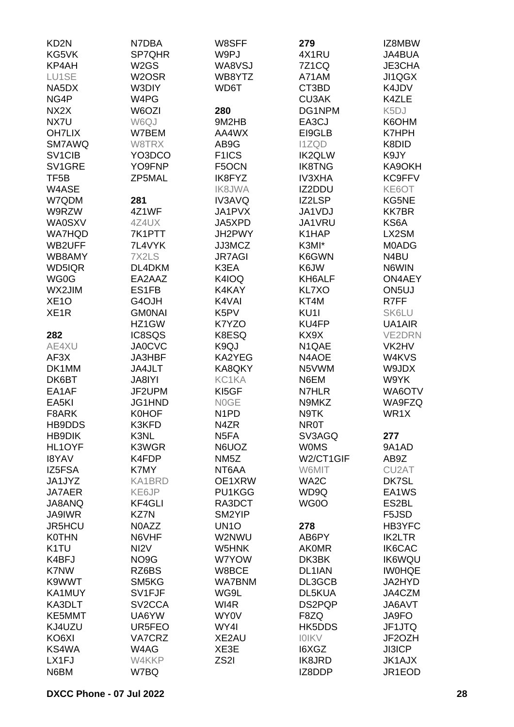| KD <sub>2N</sub>  | N7DBA               | W8SFF              | 279              | IZ8MBW             |
|-------------------|---------------------|--------------------|------------------|--------------------|
| KG5VK             | SP7QHR              | W9PJ               | 4X1RU            | JA4BUA             |
| KP4AH             | W <sub>2</sub> GS   | WA8VSJ             | 7Z1CQ            | JE3CHA             |
| LU1SE             | W <sub>2</sub> OSR  | WB8YTZ             | A71AM            | JI1QGX             |
| NA5DX             |                     |                    |                  |                    |
|                   | W3DIY               | WD6T               | CT3BD            | K4JDV              |
| NG4P              | W4PG                |                    | <b>CU3AK</b>     | K4ZLE              |
| NX <sub>2</sub> X | W6OZI               | 280                | DG1NPM           | K <sub>5</sub> DJ  |
| NX7U              | W6QJ                | 9M2HB              | EA3CJ            | K6OHM              |
| <b>OH7LIX</b>     | W7BEM               | AA4WX              | EI9GLB           | K7HPH              |
| <b>SM7AWQ</b>     | W8TRX               | AB9G               | <b>I1ZQD</b>     | K8DID              |
| SV1CIB            | YO3DCO              | F <sub>1</sub> ICS | <b>IK2QLW</b>    | K9JY               |
| SV1GRE            | YO9FNP              | F5OCN              | <b>IK8TNG</b>    | KA9OKH             |
| TF <sub>5</sub> B | ZP5MAL              | IK8FYZ             | <b>IV3XHA</b>    | KC9FFV             |
| W4ASE             |                     | <b>IK8JWA</b>      | IZ2DDU           | KE6OT              |
| W7QDM             | 281                 | <b>IV3AVQ</b>      | IZ2LSP           | KG5NE              |
| W9RZW             | 4Z1WF               | JA1PVX             | JA1VDJ           | <b>KK7BR</b>       |
| <b>WA0SXV</b>     | 4Z4UX               | JA5XPD             | JA1VRU           | KS6A               |
| <b>WA7HQD</b>     | 7K1PTT              | JH2PWY             | K1HAP            | LX2SM              |
| WB2UFF            | 7L4VYK              | JJ3MCZ             | K3MI*            | M0ADG              |
|                   |                     |                    |                  |                    |
| WB8AMY            | 7X2LS               | <b>JR7AGI</b>      | K6GWN            | N4BU               |
| WD5IQR            | DL4DKM              | K3EA               | K6JW             | N6WIN              |
| WG0G              | EA2AAZ              | K4IOQ              | KH6ALF           | ON4AEY             |
| WX2JIM            | ES1FB               | K4KAY              | <b>KL7XO</b>     | ON <sub>5U</sub>   |
| XE <sub>10</sub>  | G4OJH               | K4VAI              | KT4M             | R7FF               |
| XE <sub>1</sub> R | <b>GMONAI</b>       | K5PV               | KU <sub>11</sub> | <b>SK6LU</b>       |
|                   | HZ1GW               | K7YZO              | KU4FP            | UA1AIR             |
| 282               | IC8SQS              | K8ESQ              | KX9X             | <b>VE2DRN</b>      |
| AE4XU             | <b>JA0CVC</b>       | K9QJ               | N1QAE            | VK2HV              |
| AF3X              | JA3HBF              | KA2YEG             | N4AOE            | W4KVS              |
| DK1MM             | JA4JLT              | KA8QKY             | N5VWM            | W9JDX              |
| DK6BT             | JA8IYI              | KC1KA              | N6EM             | W9YK               |
| EA1AF             | JF2UPM              | KI5GF              | N7HLR            | WA6OTV             |
| EA5KI             | JG1HND              | N0GE               | N9MKZ            | WA9FZQ             |
| F8ARK             | <b>K0HOF</b>        | N <sub>1</sub> PD  | N9TK             | WR1X               |
| HB9DDS            | K3KFD               | N4ZR               | <b>NR0T</b>      |                    |
| <b>HB9DIK</b>     | K3NL                | N <sub>5</sub> FA  | SV3AGQ           | 277                |
| HL1OYF            | K3WGR               | N6UOZ              | <b>WOMS</b>      | 9A1AD              |
|                   |                     |                    |                  |                    |
| <b>I8YAV</b>      | K4FDP               | NM <sub>5</sub> Z  | W2/CT1GIF        | AB9Z               |
| IZ5FSA            | K7MY                | NT6AA              | W6MIT            | CU <sub>2</sub> AT |
| JA1JYZ            | KA1BRD              | OE1XRW             | WA2C             | DK7SL              |
| <b>JA7AER</b>     | KE6JP               | PU1KGG             | WD9Q             | EA1WS              |
| JA8ANQ            | <b>KF4GLI</b>       | RA3DCT             | WG0O             | ES2BL              |
| <b>JA9IWR</b>     | KZ7N                | SM2YIP             |                  | F5JSD              |
| <b>JR5HCU</b>     | N0AZZ               | UN <sub>1</sub> O  | 278              | HB3YFC             |
| <b>K0THN</b>      | N6VHF               | W2NWU              | AB6PY            | IK2LTR             |
| K <sub>1</sub> TU | NI <sub>2</sub> V   | W5HNK              | <b>AKOMR</b>     | IK6CAC             |
| K4BFJ             | NO9G                | W7YOW              | DK3BK            | <b>IK6WQU</b>      |
| K7NW              | RZ6BS               | W8BCE              | DL1IAN           | <b>IWOHQE</b>      |
| K9WWT             | SM5KG               | <b>WA7BNM</b>      | DL3GCB           | JA2HYD             |
| KA1MUY            | SV1FJF              | WG9L               | DL5KUA           | JA4CZM             |
| KA3DLT            | SV <sub>2</sub> CCA | WI4R               | DS2PQP           | JA6AVT             |
| KE5MMT            | UA6YW               | WY0V               | F8ZQ             | JA9FO              |
| KJ4UZU            | UR5FEO              | WY4I               | HK5DDS           | JF1JTQ             |
| KO6XI             | VA7CRZ              | XE2AU              | <b>IOIKV</b>     | JF2OZH             |
| KS4WA             | W4AG                | XE3E               | I6XGZ            | <b>JI3ICP</b>      |
|                   |                     |                    |                  |                    |
| LX1FJ             | W4KKP               | ZS <sub>2</sub> I  | <b>IK8JRD</b>    | <b>JK1AJX</b>      |
| N6BM              | W7BQ                |                    | IZ8DDP           | JR1EOD             |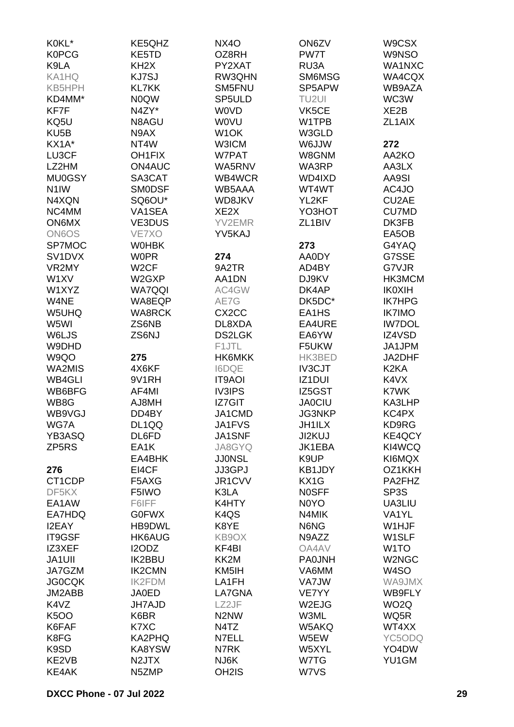| K0KL*               | KE5QHZ            | <b>NX40</b>                   | ON6ZV                         | W9CSX             |
|---------------------|-------------------|-------------------------------|-------------------------------|-------------------|
| <b>K0PCG</b>        | KE5TD             | OZ8RH                         | PW7T                          | <b>W9NSO</b>      |
| K9LA                | KH <sub>2</sub> X | PY2XAT                        | RU3A                          | WA1NXC            |
| KA1HQ               | KJ7SJ             | RW3QHN                        | SM6MSG                        | WA4CQX            |
|                     | <b>KL7KK</b>      | SM5FNU                        | SP5APW                        | WB9AZA            |
| <b>KB5HPH</b>       |                   |                               |                               |                   |
| KD4MM*              | <b>NOQW</b>       | SP5ULD                        | TU <sub>2UI</sub>             | WC3W              |
| KF7F                | N4ZY*             | <b>WOVD</b>                   | VK5CE                         | XE2B              |
| KQ5U                | N8AGU             | <b>WOVU</b>                   | W1TPB                         | ZL1AIX            |
| KU <sub>5</sub> B   | N9AX              | W <sub>1</sub> OK             | W3GLD                         |                   |
| KX1A*               | NT4W              | <b>W3ICM</b>                  | <b>WLLOW</b>                  | 272               |
| LU3CF               | <b>OH1FIX</b>     | W7PAT                         | W8GNM                         | AA2KO             |
| LZ2HM               | <b>ON4AUC</b>     | WA5RNV                        | WA3RP                         | AA3LX             |
| <b>MU0GSY</b>       | SA3CAT            | WB4WCR                        | WD4IXD                        | AA9SI             |
| N <sub>1</sub> IW   | <b>SMODSF</b>     | WB5AAA                        | WT4WT                         | AC4JO             |
| N4XQN               | SQ6OU*            | WD8JKV                        | YL2KF                         | CU2AE             |
| NC4MM               | VA1SEA            | XE <sub>2</sub> X             | YO3HOT                        | <b>CU7MD</b>      |
| <b>ON6MX</b>        | <b>VE3DUS</b>     | YV2EMR                        | ZL <sub>1</sub> BIV           | DK3FB             |
| <b>ON6OS</b>        | VE7XO             | YV5KAJ                        |                               | EA5OB             |
|                     |                   |                               |                               |                   |
| SP7MOC              | <b>WOHBK</b>      |                               | 273                           | G4YAQ             |
| SV <sub>1</sub> DVX | <b>W0PR</b>       | 274                           | AA0DY                         | G7SSE             |
| VR2MY               | W <sub>2</sub> CF | 9A2TR                         | AD4BY                         | G7VJR             |
| W1XV                | W2GXP             | AA1DN                         | DJ9KV                         | HK3MCM            |
| W1XYZ               | <b>WA7QQI</b>     | AC4GW                         | DK4AP                         | <b>IK0XIH</b>     |
| W4NE                | WA8EQP            | AE7G                          | DK5DC*                        | <b>IK7HPG</b>     |
| W5UHQ               | <b>WA8RCK</b>     | CX <sub>2</sub> CC            | EA1HS                         | <b>IK7IMO</b>     |
| W5WI                | ZS6NB             | DL8XDA                        | EA4URE                        | <b>IW7DOL</b>     |
| W6LJS               | ZS6NJ             | <b>DS2LGK</b>                 | EA6YW                         | IZ4VSD            |
| W9DHD               |                   | F1JTL                         | F5UKW                         | JA1JPM            |
| W9QO                | 275               | HK6MKK                        | HK3BED                        | JA2DHF            |
| WA2MIS              | 4X6KF             | <b>I6DQE</b>                  | <b>IV3CJT</b>                 | K <sub>2</sub> KA |
| WB4GLI              | 9V1RH             | <b>IT9AOI</b>                 | <b>IZ1DUI</b>                 | K4VX              |
| WB6BFG              | AF4MI             | <b>IV3IPS</b>                 | IZ5GST                        | K7WK              |
|                     |                   |                               |                               |                   |
| WB8G                | AJ8MH             | <b>IZ7GIT</b>                 | <b>JA0CIU</b>                 | KA3LHP            |
| WB9VGJ              | DD4BY             | JA1CMD                        | <b>JG3NKP</b>                 | KC4PX             |
| WG7A                | DL1QQ             | JA1FVS                        | <b>JH1ILX</b>                 | KD9RG             |
| YB3ASQ              | DL6FD             | JA1SNF                        | <b>JI2KUJ</b>                 | KE4QCY            |
| ZP5RS               | EA1K              | JA8GYQ                        | JK1EBA                        | KI4WCQ            |
|                     | EA4BHK            | <b>JJ0NSL</b>                 | K9UP                          | KI6MQX            |
| 276                 | EI4CF             | JJ3GPJ                        | KB1JDY                        | OZ1KKH            |
| CT <sub>1</sub> CDP | F5AXG             | JR1CVV                        | KX1G                          | PA2FHZ            |
| DF5KX               | F5IWO             | K3LA                          | <b>NOSFF</b>                  | SP3S              |
| EA1AW               | F6IFF             | K4HTY                         | N <sub>0</sub> Y <sub>O</sub> | UA3LIU            |
| EA7HDQ              | <b>G0FWX</b>      | K <sub>4</sub> Q <sub>S</sub> | N4MIK                         | VA1YL             |
| I2EAY               | HB9DWL            | K8YE                          | N6NG                          | W1HJF             |
| <b>IT9GSF</b>       | <b>HK6AUG</b>     | KB9OX                         | N9AZZ                         | W1SLF             |
| IZ3XEF              | I2ODZ             | KF4BI                         | OA4AV                         | W <sub>1</sub> TO |
| <b>JA1UII</b>       | <b>IK2BBU</b>     | KK2M                          | <b>PA0JNH</b>                 | W2NGC             |
| JA7GZM              | <b>IK2CMN</b>     | KM5IH                         | VA6MM                         | W4SO              |
| <b>JG0CQK</b>       | <b>IK2FDM</b>     | LA1FH                         | <b>VA7JW</b>                  | <b>WA9JMX</b>     |
| JM2ABB              | <b>JA0ED</b>      | LA7GNA                        | VE7YY                         | WB9FLY            |
|                     |                   |                               |                               |                   |
| K4VZ                | <b>JH7AJD</b>     | LZ2JF                         | W2EJG                         | WO <sub>2</sub> Q |
| <b>K5OO</b>         | K6BR              | N <sub>2</sub> N <sub>W</sub> | W3ML                          | WQ5R              |
| K6FAF               | K7XC              | N4TZ                          | W5AKQ                         | WT4XX             |
| K8FG                | KA2PHQ            | N7ELL                         | W5EW                          | YC5ODQ            |
| K9SD                | KA8YSW            | N7RK                          | W5XYL                         | YO4DW             |
| KE2VB               | N2JTX             | NJ6K                          | W7TG                          | YU1GM             |
| KE4AK               | N5ZMP             | OH <sub>2</sub> IS            | W7VS                          |                   |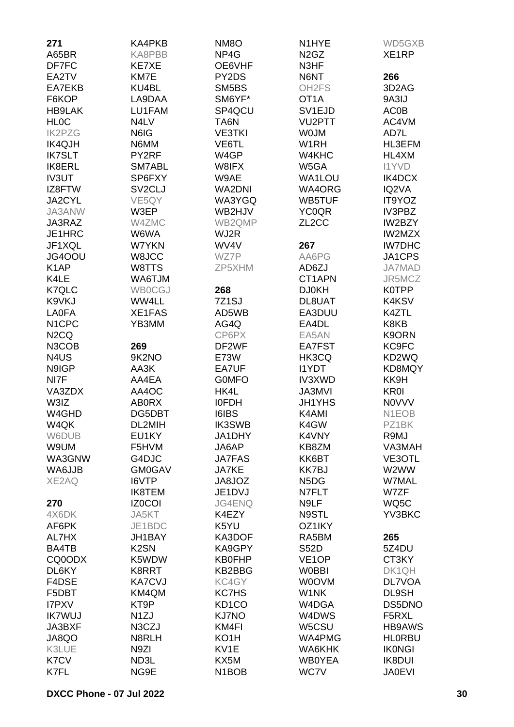| 271                           | KA4PKB                        | NM <sub>8</sub> O              | N1HYE                         | WD5GXB             |
|-------------------------------|-------------------------------|--------------------------------|-------------------------------|--------------------|
| A65BR                         | KA8PBB                        | NP4G                           | N <sub>2</sub> G <sub>Z</sub> | XE1RP              |
| DF7FC                         | <b>KE7XE</b>                  | OE6VHF                         | N3HF                          |                    |
| EA2TV                         | KM7E                          | PY2DS                          | N6NT                          | 266                |
| EA7EKB                        | KU4BL                         | SM5BS                          | OH <sub>2</sub> FS            | 3D <sub>2</sub> AG |
| F6KOP                         | LA9DAA                        | SM6YF*                         | OT1A                          | 9A3IJ              |
| <b>HB9LAK</b>                 | LU1FAM                        | SP4QCU                         | SV <sub>1EJD</sub>            | <b>AC0B</b>        |
| <b>HLOC</b>                   | N <sub>4</sub> L <sub>V</sub> | TA6N                           | <b>VU2PTT</b>                 | AC4VM              |
| <b>IK2PZG</b>                 | N6IG                          | <b>VE3TKI</b>                  | <b>WOJM</b>                   | AD7L               |
|                               |                               | VE6TL                          |                               |                    |
| <b>IK4QJH</b>                 | N6MM                          |                                | W1RH                          | HL3EFM             |
| <b>IK7SLT</b>                 | PY2RF                         | W4GP                           | W4KHC                         | HL4XM              |
| IK8ERL                        | SM7ABL                        | W8IFX                          | W5GA                          | <b>I1YVD</b>       |
| <b>IV3UT</b>                  | SP6FXY                        | W9AE                           | <b>WA1LOU</b>                 | IK4DCX             |
| IZ8FTW                        | SV <sub>2</sub> CLJ           | <b>WA2DNI</b>                  | WA4ORG                        | IQ2VA              |
| JA2CYL                        | VE5QY                         | WA3YGQ                         | <b>WB5TUF</b>                 | IT9YOZ             |
| JA3ANW                        | W3EP                          | WB2HJV                         | <b>YC0QR</b>                  | IV3PBZ             |
| JA3RAZ                        | W4ZMC                         | WB2QMP                         | ZL <sub>2</sub> CC            | IW2BZY             |
| JE1HRC                        | W6WA                          | WJ2R                           |                               | <b>IW2MZX</b>      |
| JF1XQL                        | W7YKN                         | WV4V                           | 267                           | <b>IW7DHC</b>      |
| JG4OOU                        | W8JCC                         | WZ7P                           | AA6PG                         | JA1CPS             |
| K <sub>1</sub> AP             | W8TTS                         | ZP5XHM                         | AD6ZJ                         | <b>JA7MAD</b>      |
| K4LE                          | <b>WA6TJM</b>                 |                                | CT1APN                        | JR5MCZ             |
| K7QLC                         | <b>WB0CGJ</b>                 | 268                            | <b>DJ0KH</b>                  | <b>K0TPP</b>       |
| K9VKJ                         | WW4LL                         | 7Z <sub>1</sub> SJ             | DL8UAT                        | K4KSV              |
| <b>LA0FA</b>                  | XE1FAS                        | AD5WB                          | EA3DUU                        | K4ZTL              |
| N <sub>1</sub> CPC            | YB3MM                         | AG4Q                           | EA4DL                         | K8KB               |
| N <sub>2</sub> C <sub>Q</sub> |                               | CP6PX                          | EA5AN                         | K9ORN              |
| N3COB                         | 269                           | DF2WF                          | EA7FST                        | KC9FC              |
| N <sub>4</sub> U <sub>S</sub> | 9K2NO                         | E73W                           | HK3CQ                         | KD2WQ              |
| N9IGP                         | AA3K                          | EA7UF                          | <b>I1YDT</b>                  | KD8MQY             |
| NI7F                          | AA4EA                         | <b>GOMFO</b>                   | IV3XWD                        | KK9H               |
| VA3ZDX                        | AA4OC                         | HK4L                           | <b>JA3MVI</b>                 | <b>KR0I</b>        |
| W3IZ                          | <b>AB0RX</b>                  | <b>IOFDH</b>                   | <b>JH1YHS</b>                 | <b>NOVVV</b>       |
| W4GHD                         | DG5DBT                        | <b>I6IBS</b>                   | K4AMI                         | N <sub>1</sub> EOB |
| W4QK                          | DL2MIH                        | IK3SWB                         | K4GW                          | PZ1BK              |
| W6DUB                         | EU1KY                         | JA1DHY                         | K4VNY                         | R9MJ               |
| W9UM                          | F5HVM                         | JA6AP                          | KB8ZM                         | VA3MAH             |
| WA3GNW                        | G4DJC                         | <b>JA7FAS</b>                  | KK6BT                         | VE3OTL             |
| WA6JJB                        | <b>GM0GAV</b>                 | <b>JA7KE</b>                   | <b>KK7BJ</b>                  | W2WW               |
| XE2AQ                         | I6VTP                         | JA8JOZ                         | N5DG                          | <b>W7MAL</b>       |
|                               | <b>IK8TEM</b>                 | JE1DVJ                         | N7FLT                         | W7ZF               |
| 270                           | <b>IZ0COI</b>                 | <b>JG4ENQ</b>                  | N9LF                          | WQ5C               |
| 4X6DK                         | JA5KT                         | K4EZY                          | N9STL                         | YV3BKC             |
| AF6PK                         | JE1BDC                        | K5YU                           | OZ1IKY                        |                    |
| AL7HX                         | JH1BAY                        | KA3DOF                         | RA5BM                         | 265                |
| BA4TB                         | K <sub>2</sub> SN             | KA9GPY                         | <b>S52D</b>                   | 5Z4DU              |
| CQ0ODX                        | K5WDW                         | <b>KB0FHP</b>                  | VE <sub>1</sub> OP            | CT3KY              |
| DL6KY                         | K8RRT                         | KB2BBG                         | <b>W0BBI</b>                  | DK1QH              |
| F4DSE                         | <b>KA7CVJ</b>                 | KC4GY                          | W0OVM                         | DL7VOA             |
| F5DBT                         | KM4QM                         | <b>KC7HS</b>                   | W1NK                          | DL9SH              |
| <b>I7PXV</b>                  | KT9P                          | KD <sub>1</sub> CO             | W4DGA                         | DS5DNO             |
| <b>IK7WUJ</b>                 | N <sub>1</sub> ZJ             | <b>KJ7NO</b>                   | W4DWS                         | F5RXL              |
| JA3BXF                        | N3CZJ                         | KM4FI                          | W5CSU                         | <b>HB9AWS</b>      |
|                               |                               |                                |                               |                    |
| JA8QO                         | N8RLH                         | KO <sub>1</sub> H              | <b>WA4PMG</b>                 | <b>HLORBU</b>      |
| K3LUE                         | N9ZI                          | KV <sub>1</sub> E              | WA6KHK                        | <b>IKONGI</b>      |
| K7CV                          | ND3L                          | KX5M                           | <b>WB0YEA</b>                 | IK8DUI             |
| K7FL                          | NG9E                          | N <sub>1</sub> BO <sub>B</sub> | WC7V                          | <b>JA0EVI</b>      |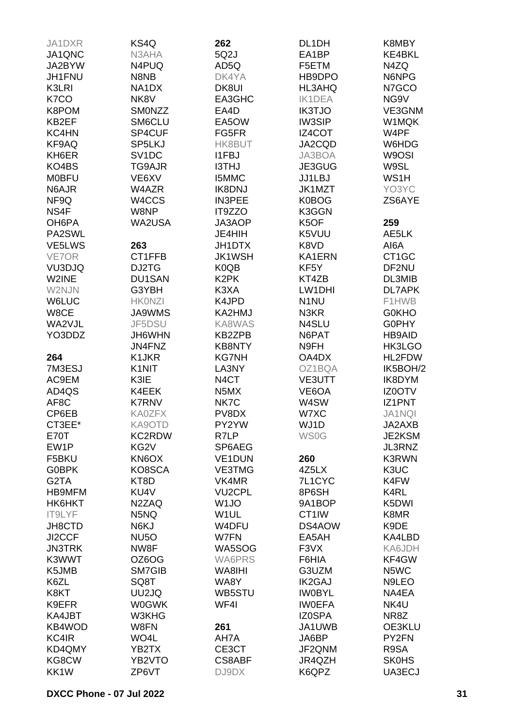| JA1DXR        | KS4Q               | 262               | DL1DH             | K8MBY             |
|---------------|--------------------|-------------------|-------------------|-------------------|
| JA1QNC        | N3AHA              | 5Q2J              | EA1BP             | KE4BKL            |
|               |                    |                   |                   |                   |
| JA2BYW        | N4PUQ              | AD5Q              | F5ETM             | N4ZQ              |
| <b>JH1FNU</b> | N8NB               | DK4YA             | HB9DPO            | N6NPG             |
| K3LRI         | NA1DX              | DK8UI             | HL3AHQ            | N7GCO             |
| K7CO          | NK8V               | EA3GHC            | <b>IK1DEA</b>     | NG9V              |
| K8POM         | <b>SMONZZ</b>      | EA4D              | <b>IK3TJO</b>     | VE3GNM            |
| KB2EF         | SM6CLU             | EA5OW             | <b>IW3SIP</b>     | W1MQK             |
| KC4HN         | SP4CUF             | FG5FR             | IZ4COT            | W4PF              |
| KF9AQ         | SP5LKJ             | HK8BUT            | JA2CQD            | W6HDG             |
| KH6ER         | SV <sub>1</sub> DC | <b>I1FBJ</b>      | JA3BOA            | W9OSI             |
| KO4BS         | TG9AJR             | <b>I3THJ</b>      | JE3GUG            | W9SL              |
| <b>MOBFU</b>  | VE6XV              | <b>I5MMC</b>      | JJ1LBJ            | WS1H              |
|               |                    |                   |                   |                   |
| N6AJR         | W4AZR              | <b>IK8DNJ</b>     | JK1MZT            | YO3YC             |
| NF9Q          | W4CCS              | <b>IN3PEE</b>     | K0BOG             | ZS6AYE            |
| NS4F          | W8NP               | IT9ZZO            | K3GGN             |                   |
| OH6PA         | <b>WA2USA</b>      | JA3AOP            | K5OF              | 259               |
| PA2SWL        |                    | JE4HIH            | K5VUU             | AE5LK             |
| VE5LWS        | 263                | JH1DTX            | K8VD              | AI6A              |
| VE7OR         | CT1FFB             | <b>JK1WSH</b>     | KA1ERN            | CT1GC             |
| VU3DJQ        | DJ2TG              | K0QB              | KF <sub>5</sub> Y | DF2NU             |
| W2INE         | DU1SAN             | K <sub>2</sub> PK | KT4ZB             | DL3MIB            |
| W2NJN         | G3YBH              | K3XA              | LW1DHI            | <b>DL7APK</b>     |
| W6LUC         | <b>HKONZI</b>      | K4JPD             | N <sub>1</sub> NU | F1HWB             |
| W8CE          | <b>JA9WMS</b>      | KA2HMJ            | N3KR              | <b>G0KHO</b>      |
|               |                    |                   |                   |                   |
| WA2VJL        | JF5DSU             | KA8WAS            | N4SLU             | G0PHY             |
| YO3DDZ        | JH6WHN             | KB2ZPB            | N6PAT             | <b>HB9AID</b>     |
|               | JN4FNZ             | <b>KB8NTY</b>     | N9FH              | HK3LGO            |
| 264           | K1JKR              | <b>KG7NH</b>      | OA4DX             | HL2FDW            |
| 7M3ESJ        | K1NIT              | LA3NY             | OZ1BQA            | IK5BOH/2          |
| AC9EM         | K3IE               | N <sub>4</sub> CT | <b>VE3UTT</b>     | IK8DYM            |
| AD4QS         | K4EEK              | N5MX              | VE6OA             | <b>IZ0OTV</b>     |
| AF8C          | <b>K7RNV</b>       | NK7C              | W4SW              | IZ1PNT            |
| CP6EB         | <b>KA0ZFX</b>      | PV8DX             | W7XC              | JA1NQI            |
| CT3EE*        | KA9OTD             | PY2YW             | WJ1D              | JA2AXB            |
| <b>E70T</b>   | <b>KC2RDW</b>      | R7LP              | <b>WS0G</b>       | JE2KSM            |
| EW1P          | KG <sub>2</sub> V  | SP6AEG            |                   | JL3RNZ            |
|               |                    |                   |                   |                   |
| F5BKU         | KN6OX              | VE1DUN            | 260               | K3RWN             |
| <b>G0BPK</b>  | KO8SCA             | <b>VE3TMG</b>     | 4Z5LX             | K3UC              |
| G2TA          | KT8D               | VK4MR             | 7L1CYC            | K4FW              |
| HB9MFM        | KU4V               | <b>VU2CPL</b>     | 8P6SH             | K <sub>4</sub> RL |
| HK6HKT        | N2ZAQ              | W <sub>1JO</sub>  | 9A1BOP            | K5DWI             |
| IT9LYF        | N5NQ               | W <sub>1</sub> UL | CT1IW             | K8MR              |
| JH8CTD        | N6KJ               | W4DFU             | DS4AOW            | K9DE              |
| JI2CCF        | <b>NU5O</b>        | W7FN              | EA5AH             | KA4LBD            |
| <b>JN3TRK</b> | NW8F               | WA5SOG            | F3VX              | KA6JDH            |
| K3WWT         | OZ6OG              | <b>WA6PRS</b>     | F6HIA             | KF4GW             |
| K5JMB         | SM7GIB             | WA8IHI            | G3UZM             | N5WC              |
| K6ZL          | SQ8T               | WA8Y              | <b>IK2GAJ</b>     | N9LEO             |
| K8KT          | UU2JQ              | WB5STU            | <b>IWOBYL</b>     | NA4EA             |
|               |                    |                   |                   |                   |
| K9EFR         | <b>W0GWK</b>       | WF4I              | <b>IWOEFA</b>     | NK4U              |
| KA4JBT        | W3KHG              |                   | <b>IZ0SPA</b>     | NR8Z              |
| KB4WOD        | W8FN               | 261               | JA1UWB            | OE3KLU            |
| KC4IR         | WO4L               | AH7A              | JA6BP             | PY2FN             |
| KD4QMY        | YB2TX              | CE3CT             | JF2QNM            | R9SA              |
| KG8CW         | YB2VTO             | CS8ABF            | JR4QZH            | <b>SK0HS</b>      |
| KK1W          | ZP6VT              | DJ9DX             | K6QPZ             | UA3ECJ            |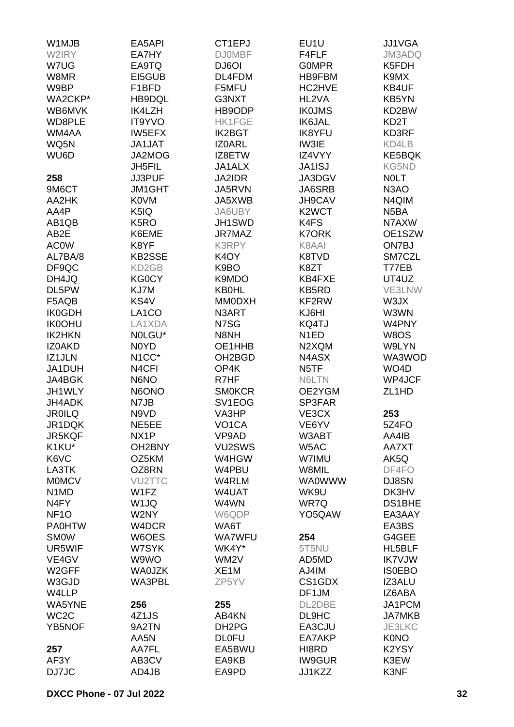| W1MJB                         | EA5API              | CT1EPJ              | EU1U               | JJ1VGA            |
|-------------------------------|---------------------|---------------------|--------------------|-------------------|
| W2IRY                         | EA7HY               | <b>DJ0MBF</b>       | F4FLF              | <b>JM3ADQ</b>     |
| W7UG                          | EA9TQ               | DJ6OI               | <b>GOMPR</b>       | K5FDH             |
| W8MR                          | EI5GUB              | DL4FDM              | <b>HB9FBM</b>      | K9MX              |
|                               |                     |                     | HC2HVE             |                   |
| W9BP                          | F <sub>1</sub> BFD  | F5MFU               |                    | KB4UF             |
| WA2CKP*                       | HB9DQL              | G3NXT               | HL2VA              | KB5YN             |
| WB6MVK                        | IK4LZH              | HB9ODP              | <b>IK0JMS</b>      | KD2BW             |
| WD8PLE                        | <b>IT9YVO</b>       | <b>HK1FGE</b>       | <b>IK6JAL</b>      | KD <sub>2</sub> T |
| WM4AA                         | <b>IW5EFX</b>       | <b>IK2BGT</b>       | <b>IK8YFU</b>      | KD3RF             |
| WQ5N                          | <b>JA1JAT</b>       | <b>IZOARL</b>       | IW3IE              | KD4LB             |
| WU6D                          | JA2MOG              | IZ8ETW              | IZ4VYY             | <b>KE5BQK</b>     |
|                               | <b>JH5FIL</b>       | JA1ALX              | JA1ISJ             | KG5ND             |
| 258                           | JJ3PUF              | JA2IDR              | JA3DGV             | <b>NOLT</b>       |
| 9M6CT                         | <b>JM1GHT</b>       | JA5RVN              | JA6SRB             | N <sub>3</sub> AO |
| AA2HK                         | K0VM                | JA5XWB              | JH9CAV             | N4QIM             |
| AA4P                          | K5IQ                | JA6UBY              | K <sub>2</sub> WCT | N <sub>5</sub> BA |
| AB1QB                         | K <sub>5</sub> RO   | JH1SWD              | K4FS               | N7AXW             |
|                               |                     |                     |                    |                   |
| AB <sub>2</sub> E             | K6EME               | JR7MAZ              | <b>K7ORK</b>       | OE1SZW            |
| <b>AC0W</b>                   | K8YF                | K3RPY               | K8AAI              | ON7BJ             |
| AL7BA/8                       | <b>KB2SSE</b>       | K <sub>4</sub> OY   | K8TVD              | SM7CZL            |
| DF9QC                         | KD2GB               | K9BO                | K8ZT               | T77EB             |
| DH4JQ                         | <b>KG0CY</b>        | K9MDO               | KB4FXE             | UT4UZ             |
| DL5PW                         | KJ7M                | <b>KB0HL</b>        | KB5RD              | VE3LNW            |
| F5AQB                         | KS4V                | <b>MM0DXH</b>       | KF2RW              | W3JX              |
| <b>IK0GDH</b>                 | LA <sub>1</sub> CO  | N3ART               | KJ6HI              | W3WN              |
| <b>IK0OHU</b>                 | LA1XDA              | N7SG                | KQ4TJ              | W4PNY             |
| <b>IK2HKN</b>                 | NOLGU*              | N8NH                | N <sub>1</sub> ED  | W8OS              |
| IZ0AKD                        | N0YD                | OE1HHB              | N2XQM              | W9LYN             |
| IZ1JLN                        | N <sub>1</sub> CC*  | OH <sub>2</sub> BGD | N4ASX              | WA3WOD            |
|                               |                     |                     |                    |                   |
| JA1DUH                        | N4CFI               | OP4K                | N <sub>5</sub> TF  | WO <sub>4</sub> D |
| JA4BGK                        | N6NO                | R7HF                | N6LTN              | WP4JCF            |
| JH1WLY                        | N6ONO               | <b>SMOKCR</b>       | OE2YGM             | ZL1HD             |
| JH4ADK                        | N7JB                | SV <sub>1</sub> EOG | SP3FAR             |                   |
| <b>JR0ILQ</b>                 | N9VD                | VA3HP               | VE3CX              | 253               |
| JR1DQK                        | NE5EE               | VO <sub>1</sub> CA  | VE6YV              | 5Z4FO             |
| JR5KQF                        | NX1P                | VP9AD               | W3ABT              | AA4IB             |
| K1KU*                         | OH <sub>2</sub> BNY | VU2SWS              | W5AC               | AA7XT             |
| K6VC                          | OZ5KM               | W4HGW               | W7IMU              | AK5Q              |
| LA3TK                         | OZ8RN               | W4PBU               | W8MIL              | DF4FO             |
| <b>MOMCV</b>                  | <b>VU2TTC</b>       | W4RLM               | <b>WA0WWW</b>      | DJ8SN             |
| N <sub>1</sub> M <sub>D</sub> | W1FZ                | W4UAT               | WK9U               | DK3HV             |
| N <sub>4</sub> FY             | W <sub>1JQ</sub>    | W4WN                | WR7Q               | DS1BHE            |
| NF <sub>10</sub>              | W2NY                | W6QDP               | YO5QAW             | EA3AAY            |
| <b>PA0HTW</b>                 | W4DCR               | WA6T                |                    | EA3BS             |
|                               |                     |                     |                    |                   |
| <b>SMOW</b>                   | W6OES               | <b>WA7WFU</b>       | 254                | G4GEE             |
| UR5WIF                        | W7SYK               | WK4Y*               | 5T5NU              | HL5BLF            |
| VE4GV                         | W9WO                | WM <sub>2</sub> V   | AD5MD              | <b>IK7VJW</b>     |
| W2GFF                         | <b>WA0JZK</b>       | XE <sub>1</sub> M   | AJ4IM              | <b>ISOEBO</b>     |
| W3GJD                         | WA3PBL              | ZP5YV               | CS1GDX             | IZ3ALU            |
| W4LLP                         |                     |                     | DF1JM              | IZ6ABA            |
| WA5YNE                        | 256                 | 255                 | DL2DBE             | JA1PCM            |
| WC <sub>2</sub> C             | 4Z1JS               | AB4KN               | DL9HC              | <b>JA7MKB</b>     |
| <b>YB5NOF</b>                 | 9A2TN               | DH <sub>2</sub> PG  | EA3CJU             | JE3LKC            |
|                               | AA5N                | <b>DLOFU</b>        | EA7AKP             | <b>K0NO</b>       |
| 257                           | AA7FL               | EA5BWU              | HI8RD              | K2YSY             |
| AF3Y                          | AB3CV               | EA9KB               | <b>IW9GUR</b>      | K3EW              |
| DJ7JC                         | AD4JB               | EA9PD               | JJ1KZZ             | K3NF              |
|                               |                     |                     |                    |                   |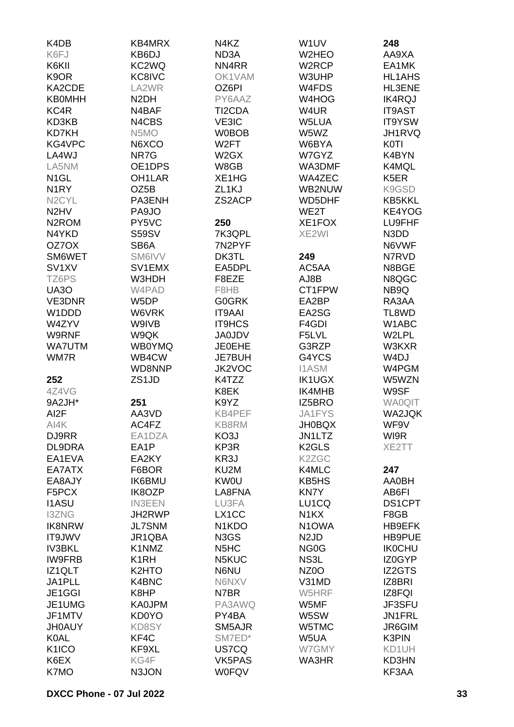| K4DB                          | KB4MRX              | N4KZ                            | W1UV                          | 248               |
|-------------------------------|---------------------|---------------------------------|-------------------------------|-------------------|
| K6FJ                          | KB6DJ               | ND3A                            | W2HEO                         | AA9XA             |
| K6KII                         | KC <sub>2</sub> WQ  | NN4RR                           | W2RCP                         | EA1MK             |
| K9OR                          | KC8IVC              | OK1VAM                          | W3UHP                         | <b>HL1AHS</b>     |
| KA2CDE                        | LA2WR               | OZ6PI                           | W4FDS                         | HL3ENE            |
| <b>KB0MHH</b>                 | N <sub>2</sub> DH   | PY6AAZ                          | W4HOG                         | <b>IK4RQJ</b>     |
| KC4R                          | N4BAF               | TI2CDA                          | W4UR                          | <b>IT9AST</b>     |
| KD3KB                         | N4CBS               | VE3IC                           | W5LUA                         | IT9YSW            |
| <b>KD7KH</b>                  | N5MO                | <b>W0BOB</b>                    | W5WZ                          | JH1RVQ            |
| KG4VPC                        | N6XCO               | W <sub>2</sub> FT               | W6BYA                         | <b>K0TI</b>       |
| LA4WJ                         | NR7G                | W <sub>2</sub> GX               | W7GYZ                         | K4BYN             |
| LA5NM                         | OE1DPS              | W8GB                            | WA3DMF                        | K4MQL             |
| N <sub>1</sub> GL             | OH <sub>1</sub> LAR | XE1HG                           | WA4ZEC                        | K <sub>5</sub> ER |
| N <sub>1</sub> RY             | OZ5B                | ZL <sub>1</sub> KJ              | WB2NUW                        | K9GSD             |
|                               |                     | ZS2ACP                          |                               |                   |
| N <sub>2</sub> CYL            | PA3ENH              |                                 | WD5DHF<br>WE2T                | KB5KKL            |
| N <sub>2</sub> H <sub>V</sub> | PA9JO               |                                 |                               | KE4YOG            |
| N <sub>2</sub> ROM            | PY5VC               | 250                             | XE1FOX                        | LU9FHF            |
| N4YKD                         | <b>S59SV</b>        | 7K3QPL                          | XE2WI                         | N3DD              |
| OZ7OX                         | SB6A                | 7N2PYF                          |                               | N6VWF             |
| SM6WET                        | SM6IVV              | DK3TL                           | 249                           | N7RVD             |
| SV <sub>1</sub> XV            | SV1EMX              | EA5DPL                          | AC5AA                         | N8BGE             |
| TZ6PS                         | W3HDH               | F8EZE                           | AJ8B                          | N8QGC             |
| <b>UA30</b>                   | W4PAD               | F8HB                            | CT1FPW                        | NB9Q              |
| VE3DNR                        | W5DP                | <b>G0GRK</b>                    | EA2BP                         | RA3AA             |
| W1DDD                         | W6VRK               | <b>IT9AAI</b>                   | EA2SG                         | TL8WD             |
| W4ZYV                         | W9IVB               | <b>IT9HCS</b>                   | F4GDI                         | W1ABC             |
| W9RNF                         | W9QK                | <b>JA0JDV</b>                   | F5LVL                         | W2LPL             |
| <b>WA7UTM</b>                 | <b>WB0YMQ</b>       | <b>JE0EHE</b>                   | G3RZP                         | W3KXR             |
| WM7R                          | WB4CW               | <b>JE7BUH</b>                   | G4YCS                         | W <sub>4</sub> DJ |
|                               | WD8NNP              | JK2VOC                          | <b>I1ASM</b>                  | W4PGM             |
| 252                           | ZS1JD               | K4TZZ                           | <b>IK1UGX</b>                 | W5WZN             |
| 4Z4VG                         |                     | K8EK                            | IK4MHB                        | W9SF              |
| 9A2JH*                        | 251                 | K9YZ                            | IZ5BRO                        | <b>WA0QIT</b>     |
| AI <sub>2</sub> F             | AA3VD               | KB4PEF                          | <b>JA1FYS</b>                 | <b>WA2JQK</b>     |
| AI4K                          | AC4FZ               | KB8RM                           | <b>JH0BQX</b>                 | WF9V              |
| DJ9RR                         | EA1DZA              | KO3J                            | JN1LTZ                        | WI9R              |
| DL9DRA                        | EA1P                | KP3R                            | K <sub>2</sub> GLS            | XE2TT             |
| EA1EVA                        | EA2KY               | KR3J                            | K2ZGC                         |                   |
| EA7ATX                        | F6BOR               | KU2M                            | K4MLC                         | 247               |
| EA8AJY                        | <b>IK6BMU</b>       | <b>KW0U</b>                     | KB5HS                         | <b>AA0BH</b>      |
| F5PCX                         | IK8OZP              | LA8FNA                          | <b>KN7Y</b>                   | AB6FI             |
| <b>I1ASU</b>                  | <b>IN3EEN</b>       | LU3FA                           | LU1CQ                         | DS1CPT            |
| <b>I3ZNG</b>                  | JH2RWP              | LX1CC                           | N <sub>1</sub> KX             | F8GB              |
| <b>IK8NRW</b>                 | <b>JL7SNM</b>       | N <sub>1</sub> K <sub>D</sub> O | N <sub>1</sub> OWA            | <b>HB9EFK</b>     |
| <b>IT9JWV</b>                 | JR1QBA              | N3GS                            | N <sub>2</sub> J <sub>D</sub> | HB9PUE            |
| <b>IV3BKL</b>                 | K1NMZ               | N <sub>5</sub> H <sub>C</sub>   | NG <sub>0</sub> G             | <b>IKOCHU</b>     |
| <b>IW9FRB</b>                 | K <sub>1</sub> RH   | N5KUC                           | NS3L                          | IZ0GYP            |
| IZ1QLT                        | K2HTO               | N6NU                            | NZ <sub>0</sub> O             | <b>IZ2GTS</b>     |
| JA1PLL                        | K4BNC               | N6NXV                           | V31MD                         | IZ8BRI            |
| JE1GGI                        | K8HP                | N7BR                            | W5HRF                         | IZ8FQI            |
| JE1UMG                        | <b>KA0JPM</b>       | PA3AWQ                          | W5MF                          | JF3SFU            |
| JF1MTV                        | KD0YO               | PY4BA                           | W5SW                          | JN1FRL            |
| <b>JH0AUY</b>                 | KD8SY               | SM5AJR                          | W5TMC                         | JR6GIM            |
| <b>K0AL</b>                   | KF4C                | SM7ED*                          | W5UA                          | K3PIN             |
| K1ICO                         | KF9XL               | US7CQ                           | W7GMY                         | KD1UH             |
| K6EX                          | KG4F                | VK5PAS                          | WA3HR                         | KD3HN             |
| K7MO                          | N3JON               | <b>W0FQV</b>                    |                               | KF3AA             |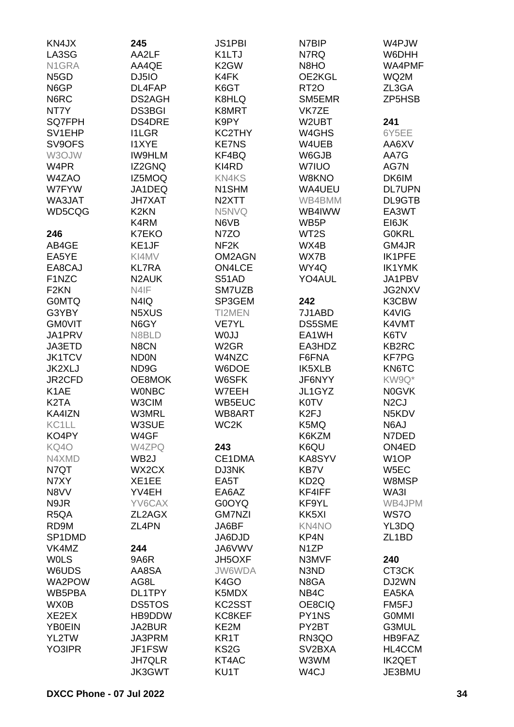| KN4JX             | 245                | <b>JS1PBI</b>      | N7BIP             | W4PJW              |
|-------------------|--------------------|--------------------|-------------------|--------------------|
| LA3SG             | AA2LF              | K1LTJ              | N7RQ              | W6DHH              |
| N1GRA             | AA4QE              | K <sub>2</sub> GW  | N8HO              | WA4PMF             |
| N <sub>5</sub> GD | DJ5IO              | K4FK               | OE2KGL            | WQ2M               |
| N6GP              | DL4FAP             | K6GT               | RT <sub>20</sub>  | ZL3GA              |
|                   |                    |                    |                   |                    |
| N6RC              | DS2AGH             | K8HLQ              | SM5EMR            | ZP5HSB             |
| NT7Y              | <b>DS3BGI</b>      | K8MRT              | VK7ZE             |                    |
| SQ7FPH            | DS4DRE             | K9PY               | W2UBT             | 241                |
| SV1EHP            | <b>I1LGR</b>       | KC2THY             | W4GHS             | 6Y5EE              |
| SV9OFS            | <b>I1XYE</b>       | <b>KE7NS</b>       | W4UEB             | AA6XV              |
| W3OJW             | <b>IW9HLM</b>      | KF4BQ              | W6GJB             | AA7G               |
| W4PR              | IZ2GNQ             | KI4RD              | W7IUO             | AG7N               |
| W4ZAO             | IZ5MOQ             | <b>KN4KS</b>       | W8KNO             | DK6IM              |
| W7FYW             | JA1DEQ             | N1SHM              | WA4UEU            | <b>DL7UPN</b>      |
| WA3JAT            | <b>JH7XAT</b>      | N <sub>2</sub> XTT | WB4BMM            | DL9GTB             |
| WD5CQG            | K <sub>2</sub> KN  | N5NVQ              | WB4IWW            | EA3WT              |
|                   |                    |                    |                   |                    |
|                   | K4RM               | N6VB               | WB <sub>5</sub> P | EI6JK              |
| 246               | <b>K7EKO</b>       | N7ZO               | WT2S              | <b>G0KRL</b>       |
| AB4GE             | KE1JF              | NF <sub>2</sub> K  | WX4B              | GM4JR              |
| EA5YE             | KI4MV              | OM2AGN             | WX7B              | IK1PFE             |
| EA8CAJ            | <b>KL7RA</b>       | <b>ON4LCE</b>      | WY4Q              | <b>IK1YMK</b>      |
| F1NZC             | N <sub>2</sub> AUK | S51AD              | YO4AUL            | JA1PBV             |
| F <sub>2</sub> KN | N4IF               | SM7UZB             |                   | JG2NXV             |
| <b>GOMTQ</b>      | N4IQ               | SP3GEM             | 242               | K3CBW              |
| G3YBY             | N5XUS              | TI2MEN             | 7J1ABD            | K4VIG              |
| <b>GMOVIT</b>     | N6GY               | <b>VE7YL</b>       | <b>DS5SME</b>     | K4VMT              |
| JA1PRV            | N8BLD              | W0JJ               | EA1WH             | K6TV               |
| JA3ETD            | N8CN               | W <sub>2</sub> GR  | EA3HDZ            | KB2RC              |
|                   |                    |                    |                   |                    |
| <b>JK1TCV</b>     | <b>ND0N</b>        | W4NZC              | F6FNA             | <b>KF7PG</b>       |
| JK2XLJ            | ND9G               | W6DOE              | IK5XLB            | KN6TC              |
| JR2CFD            | OE8MOK             | W6SFK              | JF6NYY            | KW9Q*              |
| K <sub>1</sub> AE | <b>WONBC</b>       | W7EEH              | JL1GYZ            | <b>N0GVK</b>       |
| K <sub>2</sub> TA | W3CIM              | WB5EUC             | <b>K0TV</b>       | N <sub>2</sub> CJ  |
| KA4IZN            | <b>W3MRL</b>       | WB8ART             | K <sub>2FJ</sub>  | N5KDV              |
| KC1LL             | W3SUE              | WC2K               | K5MQ              | N6AJ               |
| KO4PY             | W4GF               |                    | K6KZM             | N7DED              |
| KQ4O              | W4ZPQ              | 243                | K6QU              | ON4ED              |
| N4XMD             | WB <sub>2</sub> J  | CE1DMA             | KA8SYV            | W <sub>1</sub> OP  |
| N7QT              | WX2CX              | DJ3NK              | KB7V              | W <sub>5</sub> EC  |
| N7XY              | XE1EE              | EA5T               | KD <sub>2</sub> Q | W8MSP              |
| N8VV              | YV4EH              | EA6AZ              | KF4IFF            | WA3I               |
|                   |                    |                    |                   |                    |
| N9JR              | YV6CAX             | G0OYQ              | KF9YL             | WB4JPM             |
| R <sub>5</sub> QA | ZL2AGX             | <b>GM7NZI</b>      | KK5XI             | WS7O               |
| RD9M              | ZL4PN              | JA6BF              | KN4NO             | YL3DQ              |
| SP1DMD            |                    | JA6DJD             | KP4N              | ZL <sub>1</sub> BD |
| VK4MZ             | 244                | JA6VWV             | N <sub>1</sub> ZP |                    |
| <b>WOLS</b>       | 9A6R               | JH5OXF             | N3MVF             | 240                |
| W6UDS             | AA8SA              | JW6WDA             | N3ND              | CT3CK              |
| WA2POW            | AG8L               | K4GO               | N8GA              | DJ2WN              |
| WB5PBA            | DL1TPY             | K5MDX              | NB4C              | EA5KA              |
| WX0B              | <b>DS5TOS</b>      | KC2SST             | OE8CIQ            | FM <sub>5</sub> FJ |
| XE2EX             | HB9DDW             | KC8KEF             | PY1NS             | <b>GOMMI</b>       |
| <b>YB0EIN</b>     | JA2BUR             | KE2M               | PY2BT             | G3MUL              |
| YL2TW             | JA3PRM             | KR1T               | RN3QO             | HB9FAZ             |
|                   |                    |                    |                   |                    |
| YO3IPR            | JF1FSW             | KS <sub>2</sub> G  | SV2BXA            | HL4CCM             |
|                   | <b>JH7QLR</b>      | KT4AC              | W3WM              | <b>IK2QET</b>      |
|                   | JK3GWT             | KU1T               | W <sub>4</sub> CJ | JE3BMU             |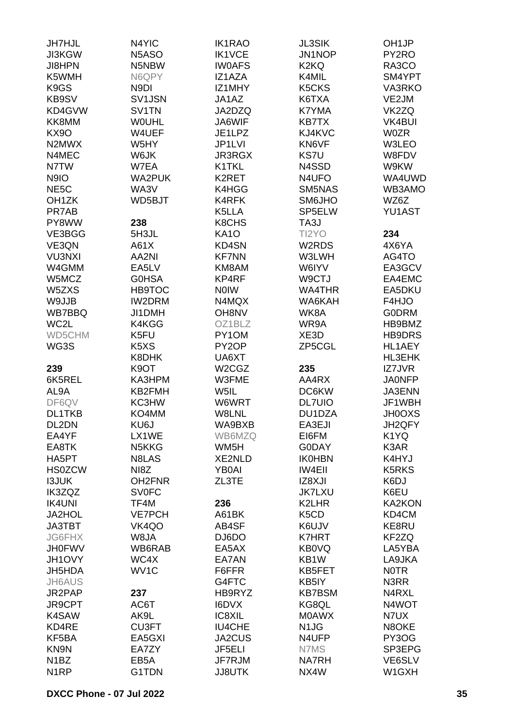| <b>JH7HJL</b>      | N4YIC                         | <b>IK1RAO</b>      | <b>JL3SIK</b>                  | OH <sub>1</sub> JP |
|--------------------|-------------------------------|--------------------|--------------------------------|--------------------|
| <b>JI3KGW</b>      | N5ASO                         | <b>IK1VCE</b>      | JN1NOP                         | PY2RO              |
| <b>JI8HPN</b>      | N5NBW                         | <b>IWOAFS</b>      | K <sub>2</sub> KQ              | RA3CO              |
| K5WMH              | N6QPY                         | IZ1AZA             | K4MIL                          | SM4YPT             |
| K <sub>9</sub> GS  | N9DI                          | IZ1MHY             | K <sub>5</sub> CK <sub>S</sub> | VA3RKO             |
| KB9SV              | SV1JSN                        | JA1AZ              | K6TXA                          | VE2JM              |
| KD4GVW             | SV1TN                         | JA2DZQ             | K7YMA                          | VK2ZQ              |
| KK8MM              | <b>WOUHL</b>                  | JA6WIF             | <b>KB7TX</b>                   | <b>VK4BUI</b>      |
| <b>KX90</b>        | W4UEF                         | JE1LPZ             | KJ4KVC                         | <b>W0ZR</b>        |
| N2MWX              | W5HY                          | JP1LVI             | KN6VF                          | W3LEO              |
| N4MEC              | W6JK                          | <b>JR3RGX</b>      | KS7U                           | W8FDV              |
| N7TW               | W7EA                          | K1TKL              | N4SSD                          | W9KW               |
|                    | <b>WA2PUK</b>                 | K2RET              | N4UFO                          | WA4UWD             |
| N9IO               |                               |                    |                                |                    |
| NE <sub>5</sub> C  | WA3V                          | K4HGG              | SM5NAS                         | WB3AMO             |
| OH <sub>1</sub> ZK | WD5BJT                        | K4RFK              | SM6JHO                         | WZ6Z               |
| PR7AB              |                               | K5LLA              | SP5ELW                         | YU1AST             |
| PY8WW              | 238                           | K8CHS              | TA3J                           |                    |
| VE3BGG             | 5H3JL                         | <b>KA10</b>        | TI2YO                          | 234                |
| VE3QN              | A61X                          | <b>KD4SN</b>       | W2RDS                          | 4X6YA              |
| <b>VU3NXI</b>      | AA2NI                         | <b>KF7NN</b>       | W3LWH                          | AG4TO              |
| W4GMM              | EA5LV                         | KM8AM              | W6IYV                          | EA3GCV             |
| W5MCZ              | G0HSA                         | KP4RF              | W9CTJ                          | EA4EMC             |
| W5ZXS              | <b>HB9TOC</b>                 | <b>NOIW</b>        | <b>WA4THR</b>                  | EA5DKU             |
| W9JJB              | <b>IW2DRM</b>                 | N4MQX              | WA6KAH                         | F4HJO              |
| WB7BBQ             | JI1DMH                        | OH8NV              | WK8A                           | <b>GODRM</b>       |
| WC2L               | K4KGG                         | OZ1BLZ             | WR9A                           | HB9BMZ             |
| WD5CHM             | K5FU                          | PY1OM              | XE3D                           | <b>HB9DRS</b>      |
| WG3S               | K <sub>5</sub> X <sub>S</sub> | PY <sub>2</sub> OP | ZP5CGL                         | HL1AEY             |
|                    | K8DHK                         | UA6XT              |                                | HL3EHK             |
| 239                | K9OT                          | W2CGZ              | 235                            | IZ7JVR             |
| 6K5REL             | KA3HPM                        | W3FME              | AA4RX                          | <b>JA0NFP</b>      |
| AL9A               | KB2FMH                        | W5IL               | DC6KW                          | JA3ENN             |
| DF6QV              | KC3HW                         | W6WRT              | <b>DL7UIO</b>                  | JF1WBH             |
| <b>DL1TKB</b>      | KO4MM                         | W8LNL              | DU1DZA                         | <b>JH0OXS</b>      |
| DL2DN              | KU6J                          | WA9BXB             | EA3EJI                         | JH2QFY             |
| EA4YF              | LX1WE                         | WB6MZQ             | EI6FM                          | K1YQ               |
| EA8TK              | N5KKG                         | WM5H               | <b>G0DAY</b>                   | K3AR               |
| HA5PT              | N8LAS                         | <b>XE2NLD</b>      | <b>IK0HBN</b>                  | K4HYJ              |
| <b>HS0ZCW</b>      | NI <sub>8</sub> Z             | <b>YB0AI</b>       | <b>IW4EII</b>                  | K5RKS              |
| <b>I3JUK</b>       | OH2FNR                        | ZL3TE              | IZ8XJI                         | K6DJ               |
| IK3ZQZ             | <b>SV0FC</b>                  |                    | <b>JK7LXU</b>                  | K6EU               |
| <b>IK4UNI</b>      | TF4M                          | 236                | K2LHR                          | <b>KA2KON</b>      |
| <b>JA2HOL</b>      | <b>VE7PCH</b>                 | A61BK              | K5CD                           | KD4CM              |
| <b>JA3TBT</b>      | VK4QO                         | AB4SF              | K6UJV                          | KE8RU              |
| <b>JG6FHX</b>      | W8JA                          | DJ6DO              | <b>K7HRT</b>                   | KF2ZQ              |
| <b>JH0FWV</b>      | WB6RAB                        | EA5AX              | <b>KB0VQ</b>                   | LA5YBA             |
| <b>JH1OVY</b>      | WC4X                          | EA7AN              | KB1W                           | LA9JKA             |
| <b>JH5HDA</b>      | WV <sub>1</sub> C             | F6FFR              | KB5FET                         | <b>NOTR</b>        |
| <b>JH6AUS</b>      |                               | G4FTC              | KB5IY                          | N3RR               |
| JR2PAP             | 237                           | HB9RYZ             | <b>KB7BSM</b>                  | N4RXL              |
|                    |                               |                    |                                |                    |
| JR9CPT             | AC6T                          | I6DVX              | KG8QL                          | N4WOT              |
| K4SAW              | AK9L                          | IC8XIL             | <b>MOAWX</b>                   | N7UX               |
| KD4RE              | CU3FT                         | <b>IU4CHE</b>      | N <sub>1</sub> J <sub>G</sub>  | N8OKE              |
| KF5BA              | EA5GXI                        | JA2CUS             | N4UFP                          | PY3OG              |
| KN9N               | EA7ZY                         | JF5ELI             | N7MS                           | SP3EPG             |
| N <sub>1</sub> BZ  | EB <sub>5</sub> A             | JF7RJM             | <b>NA7RH</b>                   | VE6SLV             |
| N <sub>1</sub> RP  | G1TDN                         | <b>JJ8UTK</b>      | NX4W                           | W1GXH              |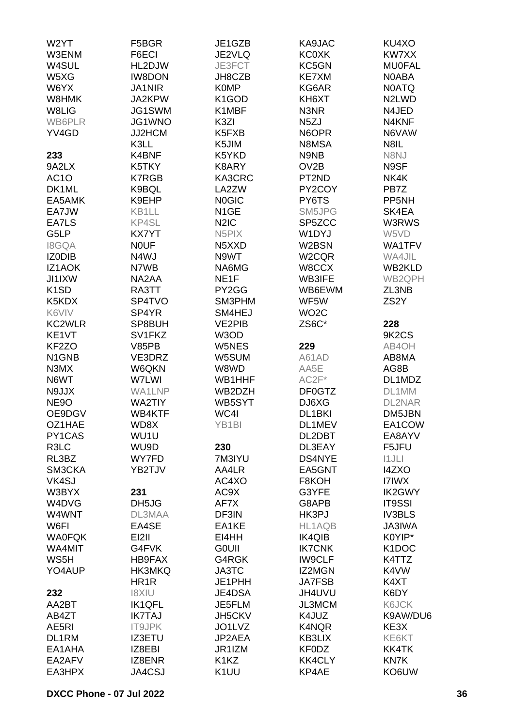| W2YT               | F5BGR             | JE1GZB                        | KA9JAC            | KU4XO                          |
|--------------------|-------------------|-------------------------------|-------------------|--------------------------------|
| W3ENM              | F6ECI             | JE2VLQ                        | <b>KC0XK</b>      | KW7XX                          |
| W4SUL              | HL2DJW            | JE3FCT                        | KC5GN             | <b>MU0FAL</b>                  |
| W5XG               | <b>IW8DON</b>     | JH8CZB                        | <b>KE7XM</b>      | N0ABA                          |
| W6YX               | <b>JA1NIR</b>     | <b>K0MP</b>                   | KG6AR             | <b>NOATQ</b>                   |
|                    | JA2KPW            |                               | KH6XT             | N <sub>2</sub> LW <sub>D</sub> |
| W8HMK              |                   | K <sub>1</sub> GOD            |                   |                                |
| W8LIG              | JG1SWM            | K1MBF                         | N3NR              | N4JED                          |
| <b>WB6PLR</b>      | JG1WNO            | K3ZI                          | N <sub>5</sub> ZJ | N4KNF                          |
| YV4GD              | JJ2HCM            | K5FXB                         | N6OPR             | N6VAW                          |
|                    | K3LL              | K5JIM                         | N8MSA             | N8IL                           |
| 233                | K4BNF             | K5YKD                         | N9NB              | N8NJ                           |
| 9A2LX              | K5TKY             | K8ARY                         | OV <sub>2</sub> B | N9SF                           |
| AC <sub>1</sub> O  | <b>K7RGB</b>      | KA3CRC                        | PT2ND             | NK4K                           |
| DK1ML              | K9BQL             | LA2ZW                         | PY2COY            | PB7Z                           |
| EA5AMK             | K9EHP             | <b>NOGIC</b>                  | PY6TS             | PP5NH                          |
| EA7JW              | KB1LL             | N <sub>1</sub> GE             | SM5JPG            | SK4EA                          |
| EA7LS              | KP4SL             | N <sub>2</sub> I <sub>C</sub> | SP5ZCC            | W3RWS                          |
| G5LP               | <b>KX7YT</b>      | N <sub>5</sub> PIX            | W1DYJ             | W5VD                           |
| <b>I8GQA</b>       | <b>NOUF</b>       | N5XXD                         | W2BSN             | WA1TFV                         |
|                    | N4WJ              | N9WT                          |                   | WA4JIL                         |
| IZ0DIB             |                   |                               | W2CQR             |                                |
| IZ1AOK             | N7WB              | NA6MG                         | W8CCX             | WB2KLD                         |
| JI1IXW             | NA2AA             | NE <sub>1</sub> F             | <b>WB3IFE</b>     | WB2QPH                         |
| K <sub>1</sub> SD  | RA3TT             | PY2GG                         | WB6EWM            | ZL3NB                          |
| K5KDX              | SP4TVO            | SM3PHM                        | WF5W              | ZS <sub>2</sub> Y              |
| K6VIV              | SP4YR             | SM4HEJ                        | WO <sub>2</sub> C |                                |
| <b>KC2WLR</b>      | SP8BUH            | <b>VE2PIB</b>                 | ZS6C*             | 228                            |
| KE1VT              | SV1FKZ            | W3OD                          |                   | 9K <sub>2</sub> C <sub>S</sub> |
| KF <sub>2</sub> ZO | V85PB             | W5NES                         | 229               | AB4OH                          |
| N1GNB              | VE3DRZ            | W5SUM                         | A61AD             | AB8MA                          |
| N3MX               | W6QKN             | W8WD                          | AA5E              | AG8B                           |
| N6WT               | W7LWI             | WB1HHF                        | $AC2F*$           | DL1MDZ                         |
| N9JJX              | <b>WA1LNP</b>     | WB2DZH                        | DF0GTZ            | DL1MM                          |
| <b>NE9O</b>        | <b>WA2TIY</b>     | WB5SYT                        | DJ6XG             | DL2NAR                         |
| OE9DGV             | WB4KTF            | WC4I                          | DL1BKI            | DM5JBN                         |
| OZ1HAE             | WD8X              | YB1BI                         | DL1MEV            | EA1COW                         |
| PY1CAS             | WU1U              |                               | DL2DBT            | EA8AYV                         |
| R3LC               | WU9D              | 230                           | DL3EAY            | F5JFU                          |
|                    |                   |                               |                   |                                |
| RL3BZ              | WY7FD             | 7M3IYU                        | DS4NYE            | 11JLI                          |
| SM3CKA             | YB2TJV            | AA4LR                         | EA5GNT            | <b>I4ZXO</b>                   |
| VK4SJ              |                   | AC4XO                         | F8KOH             | I7IWX                          |
| W3BYX              | 231               | AC9X                          | G3YFE             | <b>IK2GWY</b>                  |
| W4DVG              | DH5JG             | AF7X                          | G8APB             | <b>IT9SSI</b>                  |
| W4WNT              | DL3MAA            | DF3IN                         | HK3PJ             | <b>IV3BLS</b>                  |
| W6FI               | EA4SE             | EA1KE                         | HL1AQB            | <b>JA3IWA</b>                  |
| <b>WA0FQK</b>      | EI2II             | EI4HH                         | <b>IK4QIB</b>     | K0YIP*                         |
| WA4MIT             | G4FVK             | <b>GOUII</b>                  | <b>IK7CNK</b>     | K <sub>1</sub> DOC             |
| WS5H               | HB9FAX            | G4RGK                         | <b>IW9CLF</b>     | K4TTZ                          |
| YO4AUP             | HK3MKQ            | <b>JA3TC</b>                  | IZ2MGN            | K4VW                           |
|                    | HR <sub>1</sub> R | JE1PHH                        | <b>JA7FSB</b>     | K4XT                           |
| 232                | <b>UIX81</b>      | JE4DSA                        | JH4UVU            | K6DY                           |
| AA2BT              | <b>IK1QFL</b>     | JE5FLM                        | <b>JL3MCM</b>     | K6JCK                          |
| AB4ZT              | <b>IK7TAJ</b>     | JH5CKV                        | K4JUZ             | K9AW/DU6                       |
| AE5RI              | <b>IT9JPK</b>     | JO1LVZ                        | K4NQR             | KE3X                           |
| DL1RM              | <b>IZ3ETU</b>     | JP2AEA                        | <b>KB3LIX</b>     | KE6KT                          |
| EA1AHA             | IZ8EBI            | JR1IZM                        | KF0DZ             | <b>KK4TK</b>                   |
|                    |                   |                               |                   |                                |
| EA2AFV             | IZ8ENR            | K <sub>1</sub> K <sub>Z</sub> | <b>KK4CLY</b>     | KN7K                           |
| EA3HPX             | JA4CSJ            | K <sub>1</sub> UU             | KP4AE             | KO6UW                          |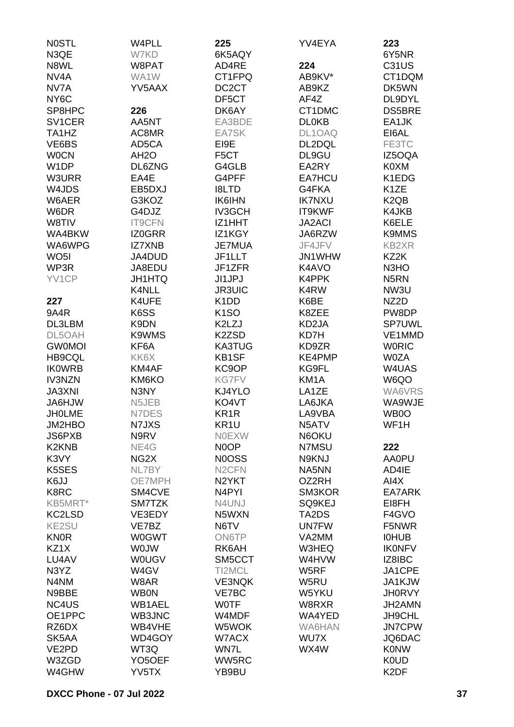| <b>NOSTL</b>                   | W4PLL               | 225                           | YV4EYA            | 223                           |
|--------------------------------|---------------------|-------------------------------|-------------------|-------------------------------|
| N3QE                           | W7KD                | 6K5AQY                        |                   | 6Y5NR                         |
| N8WL                           | W8PAT               | AD4RE                         | 224               | <b>C31US</b>                  |
| NV <sub>4</sub> A              | WA1W                | CT1FPQ                        | AB9KV*            | CT1DQM                        |
| NV7A                           | YV5AAX              | DC <sub>2</sub> CT            | AB9KZ             | DK5WN                         |
| NY <sub>6</sub> C              |                     | DF5CT                         | AF4Z              | DL9DYL                        |
| SP8HPC                         | 226                 | DK6AY                         | CT1DMC            | <b>DS5BRE</b>                 |
| SV1CER                         | AA5NT               | EA3BDE                        | <b>DL0KB</b>      | EA1JK                         |
| TA <sub>1</sub> H <sub>Z</sub> | AC8MR               | EA7SK                         | DL1OAQ            | EI6AL                         |
| VE6BS                          | AD5CA               | EI9E                          | DL2DQL            | FE3TC                         |
| <b>WOCN</b>                    | AH <sub>2</sub> O   | F <sub>5</sub> CT             | DL9GU             | IZ5OQA                        |
| W <sub>1</sub> DP              | DL6ZNG              | G4GLB                         | EA2RY             | K0XM                          |
| W3URR                          | EA4E                | G4PFF                         | <b>EA7HCU</b>     | K1EDG                         |
| W4JDS                          | EB5DXJ              | <b>I8LTD</b>                  | G4FKA             | K <sub>1</sub> ZE             |
| W6AER                          | G3KOZ               | <b>IK6IHN</b>                 | <b>IK7NXU</b>     | K <sub>2</sub> Q <sub>B</sub> |
| W6DR                           | G4DJZ               | <b>IV3GCH</b>                 | IT9KWF            | K4JKB                         |
| W8TIV                          | <b>IT9CFN</b>       | IZ1HHT                        | <b>JA2ACI</b>     | K6ELE                         |
| WA4BKW                         | IZ0GRR              | IZ1KGY                        | JA6RZW            | <b>K9MMS</b>                  |
| WA6WPG                         | <b>IZ7XNB</b>       | JE7MUA                        | JF4JFV            | <b>KB2XR</b>                  |
| WO <sub>5</sub> I              | JA4DUD              | JF1LLT                        | JN1WHW            | KZ2K                          |
| WP3R                           | JA8EDU              | JF1ZFR                        | K4AVO             | N <sub>3</sub> H <sub>O</sub> |
| YV1CP                          | <b>JH1HTQ</b>       | JI1JPJ                        | K4PPK             | N <sub>5</sub> RN             |
|                                | K4NLL               | <b>JR3UIC</b>                 | K4RW              | NW3U                          |
| 227                            | K4UFE               | K <sub>1</sub> D <sub>D</sub> | K6BE              | NZ2D                          |
| <b>9A4R</b>                    | K6SS                | K <sub>1</sub> SO             | K8ZEE             | PW8DP                         |
| DL3LBM                         | K9DN                | K2LZJ                         | KD2JA             | <b>SP7UWL</b>                 |
| DL5OAH                         | K9WMS               | K2ZSD                         | KD7H              | VE1MMD                        |
| <b>GWOMOI</b>                  | KF6A                | <b>KA3TUG</b>                 | KD9ZR             | <b>WORIC</b>                  |
| <b>HB9CQL</b>                  | KK6X                | <b>KB1SF</b>                  | KE4PMP            | <b>W0ZA</b>                   |
| <b>IKOWRB</b>                  | KM4AF               | KC9OP                         | KG9FL             | W4UAS                         |
| <b>IV3NZN</b>                  | KM6KO               | <b>KG7FV</b>                  | KM <sub>1</sub> A | W6QO                          |
| <b>JA3XNI</b>                  | N3NY                | KJ4YLO                        | LA1ZE             | WA6VRS                        |
| JA6HJW                         | N5JEB               | KO4VT                         | LA6JKA            | WA9WJE                        |
| <b>JHOLME</b>                  | N7DES               | KR <sub>1</sub> R             | LA9VBA            | WB <sub>0</sub>               |
| JM2HBO                         | N7JXS               | KR1U                          | N5ATV             | WF1H                          |
| JS6PXB                         | N9RV                | <b>NOEXW</b>                  | N6OKU             |                               |
| K <sub>2</sub> K <sub>NB</sub> | NE4G                | N0OP                          | N7MSU             | 222                           |
| K3VY                           | NG <sub>2</sub> X   | <b>NOOSS</b>                  | N9KNJ             | AA0PU                         |
| K5SES                          | NL7BY               | N <sub>2</sub> CFN            | NA5NN             | AD4IE                         |
| K6JJ                           | OE7MPH              | N <sub>2</sub> YKT            | OZ2RH             | AI4X                          |
| K8RC                           | SM4CVE              | N <sub>4</sub> PYI            | SM3KOR            | EA7ARK                        |
| KB5MRT*                        | SM7TZK              | N4UNJ                         | SQ9KEJ            | EI8FH                         |
| KC2LSD                         | VE3EDY              | N5WXN                         | TA2DS             | F4GVO                         |
| <b>KE2SU</b>                   | VE7BZ               | N6TV                          | <b>UN7FW</b>      | F5NWR                         |
| <b>KN0R</b>                    | <b>W0GWT</b>        | <b>ON6TP</b>                  | VA2MM             | <b>IOHUB</b>                  |
| KZ1X                           | <b>WOJW</b>         | RK6AH                         | W3HEQ             | <b>IKONFV</b>                 |
| LU4AV                          | <b>WOUGV</b>        | SM5CCT                        | W4HVW             | IZ8IBC                        |
| N3YZ                           | W4GV                | TI2MCL                        | W5RF              | JA1CPE                        |
| N4NM                           | W8AR                | <b>VE3NQK</b>                 |                   |                               |
| N9BBE                          | <b>WB0N</b>         | VE7BC                         | W5RU              | JA1KJW<br><b>JH0RVY</b>       |
|                                |                     |                               | W5YKU             |                               |
| NC4US                          | WB1AEL              | <b>WOTF</b>                   | W8RXR             | JH2AMN                        |
| OE1PPC                         | WB3JNC              | W4MDF                         | WA4YED            | JH9CHL                        |
| RZ6DX                          | WB4VHE              | W5WOK                         | WA6HAN            | <b>JN7CPW</b>                 |
| SK5AA                          | WD4GOY              | W7ACX                         | WU7X              | JQ6DAC                        |
| VE2PD                          | WT3Q                | WN7L                          | WX4W              | <b>K0NW</b>                   |
| W3ZGD                          | YO <sub>5</sub> OEF | WW5RC                         |                   | <b>K0UD</b>                   |
| W4GHW                          | YV5TX               | YB9BU                         |                   | K <sub>2</sub> DF             |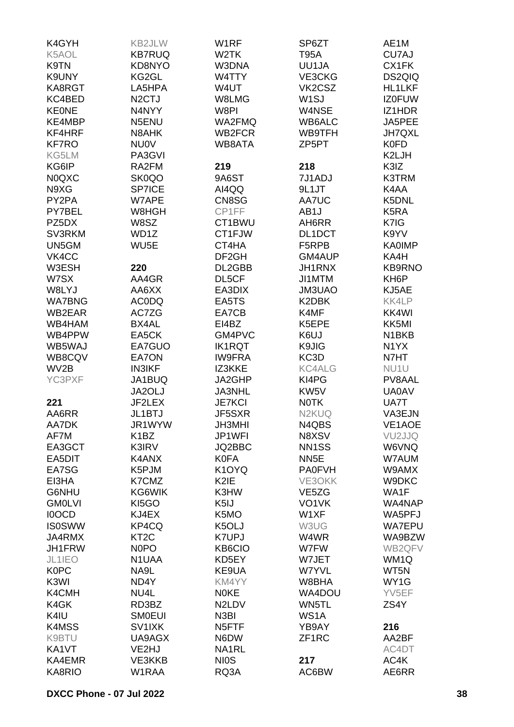| K4GYH         | <b>KB2JLW</b>      | W <sub>1</sub> RF              | SP6ZT              | AE1M               |
|---------------|--------------------|--------------------------------|--------------------|--------------------|
| K5AOL         | <b>KB7RUQ</b>      | W <sub>2</sub> TK              | <b>T95A</b>        | CU7AJ              |
| K9TN          | KD8NYO             | W3DNA                          | UU1JA              | CX1FK              |
| K9UNY         | KG2GL              | W4TTY                          | VE3CKG             | DS2QIQ             |
| KA8RGT        | LA5HPA             | W4UT                           | VK2CSZ             | <b>HL1LKF</b>      |
| KC4BED        | N <sub>2</sub> CTJ | W8LMG                          | W <sub>1</sub> SJ  | <b>IZ0FUW</b>      |
| <b>KEONE</b>  | N4NYY              | W8PI                           | W4NSE              | IZ1HDR             |
| KE4MBP        | N5ENU              | WA2FMQ                         | WB6ALC             | JA5PEE             |
| KF4HRF        | N8AHK              | WB2FCR                         | WB9TFH             | <b>JH7QXL</b>      |
| <b>KF7RO</b>  | <b>NU0V</b>        | WB8ATA                         | ZP <sub>5</sub> PT | <b>K0FD</b>        |
| KG5LM         |                    |                                |                    | K2LJH              |
|               | PA3GVI             |                                |                    |                    |
| KG6IP         | RA2FM              | 219                            | 218                | K3IZ               |
| <b>N0QXC</b>  | SK0QO              | 9A6ST                          | 7J1ADJ             | <b>K3TRM</b>       |
| N9XG          | <b>SP7ICE</b>      | AI4QQ                          | 9L1JT              | K4AA               |
| PY2PA         | W7APE              | CN8SG                          | <b>AA7UC</b>       | K5DNL              |
| PY7BEL        | W8HGH              | CP1FF                          | AB1J               | K <sub>5</sub> RA  |
| PZ5DX         | W8SZ               | CT1BWU                         | AH6RR              | K7IG               |
| SV3RKM        | WD1Z               | CT1FJW                         | DL1DCT             | K9YV               |
| UN5GM         | WU <sub>5</sub> E  | CT4HA                          | F5RPB              | <b>KA0IMP</b>      |
| VK4CC         |                    | DF <sub>2GH</sub>              | GM4AUP             | KA4H               |
| W3ESH         | 220                | DL2GBB                         | <b>JH1RNX</b>      | <b>KB9RNO</b>      |
| W7SX          | AA4GR              | DL5CF                          | JI1MTM             | KH <sub>6</sub> P  |
| W8LYJ         | AA6XX              | EA3DIX                         | JM3UAO             | KJ5AE              |
| <b>WA7BNG</b> | <b>ACODQ</b>       | EA5TS                          | K2DBK              | KK4LP              |
| WB2EAR        | AC7ZG              | EA7CB                          | K4MF               | KK4WI              |
| WB4HAM        | BX4AL              | EI4BZ                          | K5EPE              | KK5MI              |
| WB4PPW        | EA5CK              | GM4PVC                         | K6UJ               | N <sub>1</sub> BKB |
| WB5WAJ        | EA7GUO             | <b>IK1RQT</b>                  | K9JIG              | N <sub>1</sub> YX  |
| WB8CQV        | EA7ON              | <b>IW9FRA</b>                  | KC3D               | N7HT               |
| WV2B          | <b>IN3IKF</b>      | IZ3KKE                         | <b>KC4ALG</b>      | NU <sub>1</sub> U  |
| YC3PXF        | JA1BUQ             | JA2GHP                         | KI4PG              | PV8AAL             |
|               | JA2OLJ             | JA3NHL                         | KW <sub>5</sub> V  | <b>UA0AV</b>       |
| 221           | JF2LEX             | <b>JE7KCI</b>                  | <b>NOTK</b>        | UA7T               |
| AA6RR         | JL1BTJ             | JF5SXR                         | N <sub>2</sub> KUQ | VA3EJN             |
| AA7DK         | JR1WYW             | <b>JH3MHI</b>                  | N4QBS              | VE1AOE             |
| AF7M          | K <sub>1</sub> BZ  | JP1WFI                         | N8XSV              | VU <sub>2JJQ</sub> |
| EA3GCT        | K3IRV              | JQ2BBC                         | NN <sub>1</sub> SS | W6VNQ              |
| EA5DIT        | K4ANX              | <b>K0FA</b>                    | NN <sub>5</sub> E  | W7AUM              |
| EA7SG         | K5PJM              | K1OYQ                          | <b>PA0FVH</b>      | W9AMX              |
| EI3HA         | K7CMZ              | K2IE                           | VE3OKK             | W9DKC              |
| G6NHU         | KG6WIK             | K3HW                           | VE <sub>5</sub> ZG | WA1F               |
| <b>GM0LVI</b> | KI5GO              | K <sub>5</sub> IJ              | VO1VK              | WA4NAP             |
| <b>IOOCD</b>  | KJ4EX              | K5MO                           | W1XF               | WA5PFJ             |
|               | KP4CQ              | K5OLJ                          | W3UG               | <b>WA7EPU</b>      |
| <b>IS0SWW</b> |                    |                                |                    |                    |
| JA4RMX        | KT <sub>2</sub> C  | <b>K7UPJ</b>                   | W4WR               | WA9BZW             |
| JH1FRW        | N <sub>0</sub> PO  | KB6CIO                         | W7FW               | WB2QFV             |
| JL1IEO        | N1UAA              | KD5EY                          | W7JET              | WM1Q               |
| <b>K0PC</b>   | NA9L               | KE9UA                          | W7YVL              | WT5N               |
| K3WI          | ND4Y               | KM4YY                          | W8BHA              | WY1G               |
| K4CMH         | NU4L               | <b>NOKE</b>                    | WA4DOU             | YV5EF              |
| K4GK          | RD3BZ              | N <sub>2</sub> LD <sub>V</sub> | WN5TL              | ZS4Y               |
| K4IU          | <b>SMOEUI</b>      | N3BI                           | WS1A               |                    |
| K4MSS         | SV1IXK             | N <sub>5</sub> FTF             | YB9AY              | 216                |
| K9BTU         | UA9AGX             | N6DW                           | ZF1RC              | AA2BF              |
| KA1VT         | VE2HJ              | NA1RL                          |                    | AC4DT              |
| KA4EMR        | VE3KKB             | <b>NIOS</b>                    | 217                | AC4K               |
| KA8RIO        | W1RAA              | RQ3A                           | AC6BW              | AE6RR              |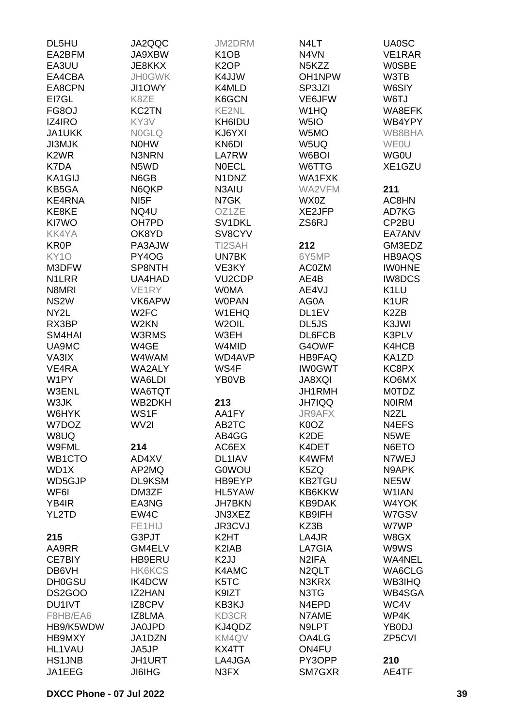| EA2BFM<br>K <sub>1</sub> O <sub>B</sub><br>JA9XBW<br>N4VN<br>VE1RAR<br>K <sub>2</sub> OP<br>EA3UU<br>JE8KKX<br>N <sub>5</sub> KZZ<br><b>WOSBE</b><br>EA4CBA<br><b>JH0GWK</b><br>K4JJW<br>OH1NPW<br>W3TB<br>EA8CPN<br><b>JI1OWY</b><br>K4MLD<br>SP3JZI<br>W6SIY<br>EI7GL<br>K8ZE<br>K6GCN<br>VE6JFW<br>W6TJ<br>KE2NL<br>FG8OJ<br><b>KC2TN</b><br>W1HQ<br>WA8EFK<br>KY3V<br><b>IZ4IRO</b><br>KH6IDU<br>W <sub>5I</sub> O<br>WB4YPY<br><b>JA1UKK</b><br><b>NOGLQ</b><br>KJ6YXI<br>W5MO<br>WB8BHA<br>KN6DI<br><b>JI3MJK</b><br><b>NOHW</b><br>W5UQ<br><b>WEOU</b><br>K <sub>2</sub> W <sub>R</sub><br>N3NRN<br>LA7RW<br>W6BOI<br><b>WG0U</b><br>K7DA<br>N5WD<br><b>NOECL</b><br>W6TTG<br>XE1GZU<br>KA1GIJ<br>N6GB<br>N1DNZ<br>WA1FXK<br>N6QKP<br>KB5GA<br>N3AIU<br>WA2VFM<br>211<br>KE4RNA<br>NI <sub>5</sub> F<br>N7GK<br>WX0Z<br>AC8HN<br>XE2JFP<br>KE8KE<br>NQ4U<br>OZ1ZE<br>AD7KG<br>KI7WO<br>OH7PD<br>SV1DKL<br>ZS6RJ<br>CP2BU<br>SV8CYV<br><b>KK4YA</b><br>OK8YD<br>EA7ANV<br><b>KR0P</b><br>PA3AJW<br>TI2SAH<br>212<br>GM3EDZ<br>KY <sub>10</sub><br>PY4OG<br>UN7BK<br>6Y5MP<br>HB9AQS<br>M3DFW<br>SP8NTH<br>VE3KY<br><b>AC0ZM</b><br><b>IWOHNE</b><br>N <sub>1</sub> LRR<br>UA4HAD<br>VU <sub>2</sub> CDP<br>AE4B<br><b>IW8DCS</b><br><b>WOMA</b><br>K <sub>1</sub> LU<br>N8MRI<br>VE1RY<br>AE4VJ<br>NS <sub>2</sub> W<br>VK6APW<br><b>WOPAN</b><br>AG0A<br>K <sub>1</sub> UR<br>NY2L<br>W <sub>2</sub> FC<br>W1EHQ<br>DL1EV<br>K <sub>2</sub> ZB<br>W2KN<br>W <sub>2</sub> OIL<br>RX3BP<br>DL5JS<br>K3JWI<br>K3PLV<br>SM4HAI<br>W3RMS<br>W3EH<br>DL6FCB<br>UA9MC<br>W4GE<br>W4MID<br>G4OWF<br>K4HCB<br>VA3IX<br>W4WAM<br>WD4AVP<br><b>HB9FAQ</b><br>KA1ZD<br>WS4F<br><b>IW0GWT</b><br>KC8PX<br>VE4RA<br><b>WA2ALY</b><br>W1PY<br>WA6LDI<br>YB0VB<br><b>JA8XQI</b><br>KO6MX<br>W3ENL<br>WA6TQT<br>JH1RMH<br><b>MOTDZ</b><br>W3JK<br>WB2DKH<br>213<br><b>JH7IQQ</b><br><b>NOIRM</b><br>W6HYK<br>WS1F<br>AA1FY<br><b>JR9AFX</b><br>N <sub>2</sub> ZL<br>W7DOZ<br>AB2TC<br>K0OZ<br>N4EFS<br>WV2I<br>W8UQ<br>AB4GG<br>K <sub>2</sub> DE<br>N5WE<br>214<br>W9FML<br>AC6EX<br>K4DET<br>N6ETO<br>WB1CTO<br>AD4XV<br>DL1IAV<br>K4WFM<br>N7WEJ<br>WD1X<br>AP2MQ<br><b>G0WOU</b><br>K5ZQ<br>N9APK<br>WD5GJP<br>DL9KSM<br>HB9EYP<br><b>KB2TGU</b><br>NE5W<br>WF6I<br>DM3ZF<br>HL5YAW<br>KB6KKW<br>W1IAN<br>YB4IR<br>EA3NG<br><b>JH7BKN</b><br><b>KB9DAK</b><br>W4YOK<br>YL2TD<br>EW4C<br>JN3XEZ<br>KB9IFH<br>W7GSV<br>FE1HIJ<br>JR3CVJ<br>KZ3B<br>W7WP<br>215<br>G3PJT<br>K <sub>2</sub> HT<br>LA4JR<br>W8GX<br>K <sub>2</sub> IAB<br>AA9RR<br>GM4ELV<br>LA7GIA<br>W9WS<br>K <sub>2</sub> JJ<br>HB9ERU<br>N <sub>2</sub> IFA<br>WA4NEL<br>CE7BIY<br>DB6VH<br><b>HK6KCS</b><br>K4AMC<br>N <sub>2</sub> QLT<br>WA6CLG<br>K5TC<br><b>DH0GSU</b><br>IK4DCW<br>N3KRX<br><b>WB3IHQ</b><br>DS2GOO<br>IZ2HAN<br>K9IZT<br>N3TG<br>WB4SGA<br>WC4V<br>DU1IVT<br>IZ8CPV<br>KB3KJ<br>N4EPD<br>F8HB/EA6<br>IZ8LMA<br>KD3CR<br>N7AME<br>WP4K<br>HB9/K5WDW<br><b>JA0JPD</b><br>KJ4QDZ<br>YB0DJ<br>N9LPT<br>ZP5CVI<br>HB9MXY<br>JA1DZN<br>KM4QV<br>OA4LG<br><b>HL1VAU</b><br>JA5JP<br>KX4TT<br>ON4FU<br><b>HS1JNB</b><br><b>JH1URT</b><br>LA4JGA<br>PY3OPP<br>210<br>JA1EEG<br><b>JI6IHG</b><br>N3FX<br>SM7GXR<br>AE4TF | DL5HU | JA2QQC | JM2DRM | N4LT | <b>UA0SC</b> |
|-------------------------------------------------------------------------------------------------------------------------------------------------------------------------------------------------------------------------------------------------------------------------------------------------------------------------------------------------------------------------------------------------------------------------------------------------------------------------------------------------------------------------------------------------------------------------------------------------------------------------------------------------------------------------------------------------------------------------------------------------------------------------------------------------------------------------------------------------------------------------------------------------------------------------------------------------------------------------------------------------------------------------------------------------------------------------------------------------------------------------------------------------------------------------------------------------------------------------------------------------------------------------------------------------------------------------------------------------------------------------------------------------------------------------------------------------------------------------------------------------------------------------------------------------------------------------------------------------------------------------------------------------------------------------------------------------------------------------------------------------------------------------------------------------------------------------------------------------------------------------------------------------------------------------------------------------------------------------------------------------------------------------------------------------------------------------------------------------------------------------------------------------------------------------------------------------------------------------------------------------------------------------------------------------------------------------------------------------------------------------------------------------------------------------------------------------------------------------------------------------------------------------------------------------------------------------------------------------------------------------------------------------------------------------------------------------------------------------------------------------------------------------------------------------------------------------------------------------------------------------------------------------------------------------------------------------------------------------------------------------------------------------------------------------------------------------------------------------------------------------------------------------------------------------------------------------|-------|--------|--------|------|--------------|
|                                                                                                                                                                                                                                                                                                                                                                                                                                                                                                                                                                                                                                                                                                                                                                                                                                                                                                                                                                                                                                                                                                                                                                                                                                                                                                                                                                                                                                                                                                                                                                                                                                                                                                                                                                                                                                                                                                                                                                                                                                                                                                                                                                                                                                                                                                                                                                                                                                                                                                                                                                                                                                                                                                                                                                                                                                                                                                                                                                                                                                                                                                                                                                                                 |       |        |        |      |              |
|                                                                                                                                                                                                                                                                                                                                                                                                                                                                                                                                                                                                                                                                                                                                                                                                                                                                                                                                                                                                                                                                                                                                                                                                                                                                                                                                                                                                                                                                                                                                                                                                                                                                                                                                                                                                                                                                                                                                                                                                                                                                                                                                                                                                                                                                                                                                                                                                                                                                                                                                                                                                                                                                                                                                                                                                                                                                                                                                                                                                                                                                                                                                                                                                 |       |        |        |      |              |
|                                                                                                                                                                                                                                                                                                                                                                                                                                                                                                                                                                                                                                                                                                                                                                                                                                                                                                                                                                                                                                                                                                                                                                                                                                                                                                                                                                                                                                                                                                                                                                                                                                                                                                                                                                                                                                                                                                                                                                                                                                                                                                                                                                                                                                                                                                                                                                                                                                                                                                                                                                                                                                                                                                                                                                                                                                                                                                                                                                                                                                                                                                                                                                                                 |       |        |        |      |              |
|                                                                                                                                                                                                                                                                                                                                                                                                                                                                                                                                                                                                                                                                                                                                                                                                                                                                                                                                                                                                                                                                                                                                                                                                                                                                                                                                                                                                                                                                                                                                                                                                                                                                                                                                                                                                                                                                                                                                                                                                                                                                                                                                                                                                                                                                                                                                                                                                                                                                                                                                                                                                                                                                                                                                                                                                                                                                                                                                                                                                                                                                                                                                                                                                 |       |        |        |      |              |
|                                                                                                                                                                                                                                                                                                                                                                                                                                                                                                                                                                                                                                                                                                                                                                                                                                                                                                                                                                                                                                                                                                                                                                                                                                                                                                                                                                                                                                                                                                                                                                                                                                                                                                                                                                                                                                                                                                                                                                                                                                                                                                                                                                                                                                                                                                                                                                                                                                                                                                                                                                                                                                                                                                                                                                                                                                                                                                                                                                                                                                                                                                                                                                                                 |       |        |        |      |              |
|                                                                                                                                                                                                                                                                                                                                                                                                                                                                                                                                                                                                                                                                                                                                                                                                                                                                                                                                                                                                                                                                                                                                                                                                                                                                                                                                                                                                                                                                                                                                                                                                                                                                                                                                                                                                                                                                                                                                                                                                                                                                                                                                                                                                                                                                                                                                                                                                                                                                                                                                                                                                                                                                                                                                                                                                                                                                                                                                                                                                                                                                                                                                                                                                 |       |        |        |      |              |
|                                                                                                                                                                                                                                                                                                                                                                                                                                                                                                                                                                                                                                                                                                                                                                                                                                                                                                                                                                                                                                                                                                                                                                                                                                                                                                                                                                                                                                                                                                                                                                                                                                                                                                                                                                                                                                                                                                                                                                                                                                                                                                                                                                                                                                                                                                                                                                                                                                                                                                                                                                                                                                                                                                                                                                                                                                                                                                                                                                                                                                                                                                                                                                                                 |       |        |        |      |              |
|                                                                                                                                                                                                                                                                                                                                                                                                                                                                                                                                                                                                                                                                                                                                                                                                                                                                                                                                                                                                                                                                                                                                                                                                                                                                                                                                                                                                                                                                                                                                                                                                                                                                                                                                                                                                                                                                                                                                                                                                                                                                                                                                                                                                                                                                                                                                                                                                                                                                                                                                                                                                                                                                                                                                                                                                                                                                                                                                                                                                                                                                                                                                                                                                 |       |        |        |      |              |
|                                                                                                                                                                                                                                                                                                                                                                                                                                                                                                                                                                                                                                                                                                                                                                                                                                                                                                                                                                                                                                                                                                                                                                                                                                                                                                                                                                                                                                                                                                                                                                                                                                                                                                                                                                                                                                                                                                                                                                                                                                                                                                                                                                                                                                                                                                                                                                                                                                                                                                                                                                                                                                                                                                                                                                                                                                                                                                                                                                                                                                                                                                                                                                                                 |       |        |        |      |              |
|                                                                                                                                                                                                                                                                                                                                                                                                                                                                                                                                                                                                                                                                                                                                                                                                                                                                                                                                                                                                                                                                                                                                                                                                                                                                                                                                                                                                                                                                                                                                                                                                                                                                                                                                                                                                                                                                                                                                                                                                                                                                                                                                                                                                                                                                                                                                                                                                                                                                                                                                                                                                                                                                                                                                                                                                                                                                                                                                                                                                                                                                                                                                                                                                 |       |        |        |      |              |
|                                                                                                                                                                                                                                                                                                                                                                                                                                                                                                                                                                                                                                                                                                                                                                                                                                                                                                                                                                                                                                                                                                                                                                                                                                                                                                                                                                                                                                                                                                                                                                                                                                                                                                                                                                                                                                                                                                                                                                                                                                                                                                                                                                                                                                                                                                                                                                                                                                                                                                                                                                                                                                                                                                                                                                                                                                                                                                                                                                                                                                                                                                                                                                                                 |       |        |        |      |              |
|                                                                                                                                                                                                                                                                                                                                                                                                                                                                                                                                                                                                                                                                                                                                                                                                                                                                                                                                                                                                                                                                                                                                                                                                                                                                                                                                                                                                                                                                                                                                                                                                                                                                                                                                                                                                                                                                                                                                                                                                                                                                                                                                                                                                                                                                                                                                                                                                                                                                                                                                                                                                                                                                                                                                                                                                                                                                                                                                                                                                                                                                                                                                                                                                 |       |        |        |      |              |
|                                                                                                                                                                                                                                                                                                                                                                                                                                                                                                                                                                                                                                                                                                                                                                                                                                                                                                                                                                                                                                                                                                                                                                                                                                                                                                                                                                                                                                                                                                                                                                                                                                                                                                                                                                                                                                                                                                                                                                                                                                                                                                                                                                                                                                                                                                                                                                                                                                                                                                                                                                                                                                                                                                                                                                                                                                                                                                                                                                                                                                                                                                                                                                                                 |       |        |        |      |              |
|                                                                                                                                                                                                                                                                                                                                                                                                                                                                                                                                                                                                                                                                                                                                                                                                                                                                                                                                                                                                                                                                                                                                                                                                                                                                                                                                                                                                                                                                                                                                                                                                                                                                                                                                                                                                                                                                                                                                                                                                                                                                                                                                                                                                                                                                                                                                                                                                                                                                                                                                                                                                                                                                                                                                                                                                                                                                                                                                                                                                                                                                                                                                                                                                 |       |        |        |      |              |
|                                                                                                                                                                                                                                                                                                                                                                                                                                                                                                                                                                                                                                                                                                                                                                                                                                                                                                                                                                                                                                                                                                                                                                                                                                                                                                                                                                                                                                                                                                                                                                                                                                                                                                                                                                                                                                                                                                                                                                                                                                                                                                                                                                                                                                                                                                                                                                                                                                                                                                                                                                                                                                                                                                                                                                                                                                                                                                                                                                                                                                                                                                                                                                                                 |       |        |        |      |              |
|                                                                                                                                                                                                                                                                                                                                                                                                                                                                                                                                                                                                                                                                                                                                                                                                                                                                                                                                                                                                                                                                                                                                                                                                                                                                                                                                                                                                                                                                                                                                                                                                                                                                                                                                                                                                                                                                                                                                                                                                                                                                                                                                                                                                                                                                                                                                                                                                                                                                                                                                                                                                                                                                                                                                                                                                                                                                                                                                                                                                                                                                                                                                                                                                 |       |        |        |      |              |
|                                                                                                                                                                                                                                                                                                                                                                                                                                                                                                                                                                                                                                                                                                                                                                                                                                                                                                                                                                                                                                                                                                                                                                                                                                                                                                                                                                                                                                                                                                                                                                                                                                                                                                                                                                                                                                                                                                                                                                                                                                                                                                                                                                                                                                                                                                                                                                                                                                                                                                                                                                                                                                                                                                                                                                                                                                                                                                                                                                                                                                                                                                                                                                                                 |       |        |        |      |              |
|                                                                                                                                                                                                                                                                                                                                                                                                                                                                                                                                                                                                                                                                                                                                                                                                                                                                                                                                                                                                                                                                                                                                                                                                                                                                                                                                                                                                                                                                                                                                                                                                                                                                                                                                                                                                                                                                                                                                                                                                                                                                                                                                                                                                                                                                                                                                                                                                                                                                                                                                                                                                                                                                                                                                                                                                                                                                                                                                                                                                                                                                                                                                                                                                 |       |        |        |      |              |
|                                                                                                                                                                                                                                                                                                                                                                                                                                                                                                                                                                                                                                                                                                                                                                                                                                                                                                                                                                                                                                                                                                                                                                                                                                                                                                                                                                                                                                                                                                                                                                                                                                                                                                                                                                                                                                                                                                                                                                                                                                                                                                                                                                                                                                                                                                                                                                                                                                                                                                                                                                                                                                                                                                                                                                                                                                                                                                                                                                                                                                                                                                                                                                                                 |       |        |        |      |              |
|                                                                                                                                                                                                                                                                                                                                                                                                                                                                                                                                                                                                                                                                                                                                                                                                                                                                                                                                                                                                                                                                                                                                                                                                                                                                                                                                                                                                                                                                                                                                                                                                                                                                                                                                                                                                                                                                                                                                                                                                                                                                                                                                                                                                                                                                                                                                                                                                                                                                                                                                                                                                                                                                                                                                                                                                                                                                                                                                                                                                                                                                                                                                                                                                 |       |        |        |      |              |
|                                                                                                                                                                                                                                                                                                                                                                                                                                                                                                                                                                                                                                                                                                                                                                                                                                                                                                                                                                                                                                                                                                                                                                                                                                                                                                                                                                                                                                                                                                                                                                                                                                                                                                                                                                                                                                                                                                                                                                                                                                                                                                                                                                                                                                                                                                                                                                                                                                                                                                                                                                                                                                                                                                                                                                                                                                                                                                                                                                                                                                                                                                                                                                                                 |       |        |        |      |              |
|                                                                                                                                                                                                                                                                                                                                                                                                                                                                                                                                                                                                                                                                                                                                                                                                                                                                                                                                                                                                                                                                                                                                                                                                                                                                                                                                                                                                                                                                                                                                                                                                                                                                                                                                                                                                                                                                                                                                                                                                                                                                                                                                                                                                                                                                                                                                                                                                                                                                                                                                                                                                                                                                                                                                                                                                                                                                                                                                                                                                                                                                                                                                                                                                 |       |        |        |      |              |
|                                                                                                                                                                                                                                                                                                                                                                                                                                                                                                                                                                                                                                                                                                                                                                                                                                                                                                                                                                                                                                                                                                                                                                                                                                                                                                                                                                                                                                                                                                                                                                                                                                                                                                                                                                                                                                                                                                                                                                                                                                                                                                                                                                                                                                                                                                                                                                                                                                                                                                                                                                                                                                                                                                                                                                                                                                                                                                                                                                                                                                                                                                                                                                                                 |       |        |        |      |              |
|                                                                                                                                                                                                                                                                                                                                                                                                                                                                                                                                                                                                                                                                                                                                                                                                                                                                                                                                                                                                                                                                                                                                                                                                                                                                                                                                                                                                                                                                                                                                                                                                                                                                                                                                                                                                                                                                                                                                                                                                                                                                                                                                                                                                                                                                                                                                                                                                                                                                                                                                                                                                                                                                                                                                                                                                                                                                                                                                                                                                                                                                                                                                                                                                 |       |        |        |      |              |
|                                                                                                                                                                                                                                                                                                                                                                                                                                                                                                                                                                                                                                                                                                                                                                                                                                                                                                                                                                                                                                                                                                                                                                                                                                                                                                                                                                                                                                                                                                                                                                                                                                                                                                                                                                                                                                                                                                                                                                                                                                                                                                                                                                                                                                                                                                                                                                                                                                                                                                                                                                                                                                                                                                                                                                                                                                                                                                                                                                                                                                                                                                                                                                                                 |       |        |        |      |              |
|                                                                                                                                                                                                                                                                                                                                                                                                                                                                                                                                                                                                                                                                                                                                                                                                                                                                                                                                                                                                                                                                                                                                                                                                                                                                                                                                                                                                                                                                                                                                                                                                                                                                                                                                                                                                                                                                                                                                                                                                                                                                                                                                                                                                                                                                                                                                                                                                                                                                                                                                                                                                                                                                                                                                                                                                                                                                                                                                                                                                                                                                                                                                                                                                 |       |        |        |      |              |
|                                                                                                                                                                                                                                                                                                                                                                                                                                                                                                                                                                                                                                                                                                                                                                                                                                                                                                                                                                                                                                                                                                                                                                                                                                                                                                                                                                                                                                                                                                                                                                                                                                                                                                                                                                                                                                                                                                                                                                                                                                                                                                                                                                                                                                                                                                                                                                                                                                                                                                                                                                                                                                                                                                                                                                                                                                                                                                                                                                                                                                                                                                                                                                                                 |       |        |        |      |              |
|                                                                                                                                                                                                                                                                                                                                                                                                                                                                                                                                                                                                                                                                                                                                                                                                                                                                                                                                                                                                                                                                                                                                                                                                                                                                                                                                                                                                                                                                                                                                                                                                                                                                                                                                                                                                                                                                                                                                                                                                                                                                                                                                                                                                                                                                                                                                                                                                                                                                                                                                                                                                                                                                                                                                                                                                                                                                                                                                                                                                                                                                                                                                                                                                 |       |        |        |      |              |
|                                                                                                                                                                                                                                                                                                                                                                                                                                                                                                                                                                                                                                                                                                                                                                                                                                                                                                                                                                                                                                                                                                                                                                                                                                                                                                                                                                                                                                                                                                                                                                                                                                                                                                                                                                                                                                                                                                                                                                                                                                                                                                                                                                                                                                                                                                                                                                                                                                                                                                                                                                                                                                                                                                                                                                                                                                                                                                                                                                                                                                                                                                                                                                                                 |       |        |        |      |              |
|                                                                                                                                                                                                                                                                                                                                                                                                                                                                                                                                                                                                                                                                                                                                                                                                                                                                                                                                                                                                                                                                                                                                                                                                                                                                                                                                                                                                                                                                                                                                                                                                                                                                                                                                                                                                                                                                                                                                                                                                                                                                                                                                                                                                                                                                                                                                                                                                                                                                                                                                                                                                                                                                                                                                                                                                                                                                                                                                                                                                                                                                                                                                                                                                 |       |        |        |      |              |
|                                                                                                                                                                                                                                                                                                                                                                                                                                                                                                                                                                                                                                                                                                                                                                                                                                                                                                                                                                                                                                                                                                                                                                                                                                                                                                                                                                                                                                                                                                                                                                                                                                                                                                                                                                                                                                                                                                                                                                                                                                                                                                                                                                                                                                                                                                                                                                                                                                                                                                                                                                                                                                                                                                                                                                                                                                                                                                                                                                                                                                                                                                                                                                                                 |       |        |        |      |              |
|                                                                                                                                                                                                                                                                                                                                                                                                                                                                                                                                                                                                                                                                                                                                                                                                                                                                                                                                                                                                                                                                                                                                                                                                                                                                                                                                                                                                                                                                                                                                                                                                                                                                                                                                                                                                                                                                                                                                                                                                                                                                                                                                                                                                                                                                                                                                                                                                                                                                                                                                                                                                                                                                                                                                                                                                                                                                                                                                                                                                                                                                                                                                                                                                 |       |        |        |      |              |
|                                                                                                                                                                                                                                                                                                                                                                                                                                                                                                                                                                                                                                                                                                                                                                                                                                                                                                                                                                                                                                                                                                                                                                                                                                                                                                                                                                                                                                                                                                                                                                                                                                                                                                                                                                                                                                                                                                                                                                                                                                                                                                                                                                                                                                                                                                                                                                                                                                                                                                                                                                                                                                                                                                                                                                                                                                                                                                                                                                                                                                                                                                                                                                                                 |       |        |        |      |              |
|                                                                                                                                                                                                                                                                                                                                                                                                                                                                                                                                                                                                                                                                                                                                                                                                                                                                                                                                                                                                                                                                                                                                                                                                                                                                                                                                                                                                                                                                                                                                                                                                                                                                                                                                                                                                                                                                                                                                                                                                                                                                                                                                                                                                                                                                                                                                                                                                                                                                                                                                                                                                                                                                                                                                                                                                                                                                                                                                                                                                                                                                                                                                                                                                 |       |        |        |      |              |
|                                                                                                                                                                                                                                                                                                                                                                                                                                                                                                                                                                                                                                                                                                                                                                                                                                                                                                                                                                                                                                                                                                                                                                                                                                                                                                                                                                                                                                                                                                                                                                                                                                                                                                                                                                                                                                                                                                                                                                                                                                                                                                                                                                                                                                                                                                                                                                                                                                                                                                                                                                                                                                                                                                                                                                                                                                                                                                                                                                                                                                                                                                                                                                                                 |       |        |        |      |              |
|                                                                                                                                                                                                                                                                                                                                                                                                                                                                                                                                                                                                                                                                                                                                                                                                                                                                                                                                                                                                                                                                                                                                                                                                                                                                                                                                                                                                                                                                                                                                                                                                                                                                                                                                                                                                                                                                                                                                                                                                                                                                                                                                                                                                                                                                                                                                                                                                                                                                                                                                                                                                                                                                                                                                                                                                                                                                                                                                                                                                                                                                                                                                                                                                 |       |        |        |      |              |
|                                                                                                                                                                                                                                                                                                                                                                                                                                                                                                                                                                                                                                                                                                                                                                                                                                                                                                                                                                                                                                                                                                                                                                                                                                                                                                                                                                                                                                                                                                                                                                                                                                                                                                                                                                                                                                                                                                                                                                                                                                                                                                                                                                                                                                                                                                                                                                                                                                                                                                                                                                                                                                                                                                                                                                                                                                                                                                                                                                                                                                                                                                                                                                                                 |       |        |        |      |              |
|                                                                                                                                                                                                                                                                                                                                                                                                                                                                                                                                                                                                                                                                                                                                                                                                                                                                                                                                                                                                                                                                                                                                                                                                                                                                                                                                                                                                                                                                                                                                                                                                                                                                                                                                                                                                                                                                                                                                                                                                                                                                                                                                                                                                                                                                                                                                                                                                                                                                                                                                                                                                                                                                                                                                                                                                                                                                                                                                                                                                                                                                                                                                                                                                 |       |        |        |      |              |
|                                                                                                                                                                                                                                                                                                                                                                                                                                                                                                                                                                                                                                                                                                                                                                                                                                                                                                                                                                                                                                                                                                                                                                                                                                                                                                                                                                                                                                                                                                                                                                                                                                                                                                                                                                                                                                                                                                                                                                                                                                                                                                                                                                                                                                                                                                                                                                                                                                                                                                                                                                                                                                                                                                                                                                                                                                                                                                                                                                                                                                                                                                                                                                                                 |       |        |        |      |              |
|                                                                                                                                                                                                                                                                                                                                                                                                                                                                                                                                                                                                                                                                                                                                                                                                                                                                                                                                                                                                                                                                                                                                                                                                                                                                                                                                                                                                                                                                                                                                                                                                                                                                                                                                                                                                                                                                                                                                                                                                                                                                                                                                                                                                                                                                                                                                                                                                                                                                                                                                                                                                                                                                                                                                                                                                                                                                                                                                                                                                                                                                                                                                                                                                 |       |        |        |      |              |
|                                                                                                                                                                                                                                                                                                                                                                                                                                                                                                                                                                                                                                                                                                                                                                                                                                                                                                                                                                                                                                                                                                                                                                                                                                                                                                                                                                                                                                                                                                                                                                                                                                                                                                                                                                                                                                                                                                                                                                                                                                                                                                                                                                                                                                                                                                                                                                                                                                                                                                                                                                                                                                                                                                                                                                                                                                                                                                                                                                                                                                                                                                                                                                                                 |       |        |        |      |              |
|                                                                                                                                                                                                                                                                                                                                                                                                                                                                                                                                                                                                                                                                                                                                                                                                                                                                                                                                                                                                                                                                                                                                                                                                                                                                                                                                                                                                                                                                                                                                                                                                                                                                                                                                                                                                                                                                                                                                                                                                                                                                                                                                                                                                                                                                                                                                                                                                                                                                                                                                                                                                                                                                                                                                                                                                                                                                                                                                                                                                                                                                                                                                                                                                 |       |        |        |      |              |
|                                                                                                                                                                                                                                                                                                                                                                                                                                                                                                                                                                                                                                                                                                                                                                                                                                                                                                                                                                                                                                                                                                                                                                                                                                                                                                                                                                                                                                                                                                                                                                                                                                                                                                                                                                                                                                                                                                                                                                                                                                                                                                                                                                                                                                                                                                                                                                                                                                                                                                                                                                                                                                                                                                                                                                                                                                                                                                                                                                                                                                                                                                                                                                                                 |       |        |        |      |              |
|                                                                                                                                                                                                                                                                                                                                                                                                                                                                                                                                                                                                                                                                                                                                                                                                                                                                                                                                                                                                                                                                                                                                                                                                                                                                                                                                                                                                                                                                                                                                                                                                                                                                                                                                                                                                                                                                                                                                                                                                                                                                                                                                                                                                                                                                                                                                                                                                                                                                                                                                                                                                                                                                                                                                                                                                                                                                                                                                                                                                                                                                                                                                                                                                 |       |        |        |      |              |
|                                                                                                                                                                                                                                                                                                                                                                                                                                                                                                                                                                                                                                                                                                                                                                                                                                                                                                                                                                                                                                                                                                                                                                                                                                                                                                                                                                                                                                                                                                                                                                                                                                                                                                                                                                                                                                                                                                                                                                                                                                                                                                                                                                                                                                                                                                                                                                                                                                                                                                                                                                                                                                                                                                                                                                                                                                                                                                                                                                                                                                                                                                                                                                                                 |       |        |        |      |              |
|                                                                                                                                                                                                                                                                                                                                                                                                                                                                                                                                                                                                                                                                                                                                                                                                                                                                                                                                                                                                                                                                                                                                                                                                                                                                                                                                                                                                                                                                                                                                                                                                                                                                                                                                                                                                                                                                                                                                                                                                                                                                                                                                                                                                                                                                                                                                                                                                                                                                                                                                                                                                                                                                                                                                                                                                                                                                                                                                                                                                                                                                                                                                                                                                 |       |        |        |      |              |
|                                                                                                                                                                                                                                                                                                                                                                                                                                                                                                                                                                                                                                                                                                                                                                                                                                                                                                                                                                                                                                                                                                                                                                                                                                                                                                                                                                                                                                                                                                                                                                                                                                                                                                                                                                                                                                                                                                                                                                                                                                                                                                                                                                                                                                                                                                                                                                                                                                                                                                                                                                                                                                                                                                                                                                                                                                                                                                                                                                                                                                                                                                                                                                                                 |       |        |        |      |              |
|                                                                                                                                                                                                                                                                                                                                                                                                                                                                                                                                                                                                                                                                                                                                                                                                                                                                                                                                                                                                                                                                                                                                                                                                                                                                                                                                                                                                                                                                                                                                                                                                                                                                                                                                                                                                                                                                                                                                                                                                                                                                                                                                                                                                                                                                                                                                                                                                                                                                                                                                                                                                                                                                                                                                                                                                                                                                                                                                                                                                                                                                                                                                                                                                 |       |        |        |      |              |
|                                                                                                                                                                                                                                                                                                                                                                                                                                                                                                                                                                                                                                                                                                                                                                                                                                                                                                                                                                                                                                                                                                                                                                                                                                                                                                                                                                                                                                                                                                                                                                                                                                                                                                                                                                                                                                                                                                                                                                                                                                                                                                                                                                                                                                                                                                                                                                                                                                                                                                                                                                                                                                                                                                                                                                                                                                                                                                                                                                                                                                                                                                                                                                                                 |       |        |        |      |              |
|                                                                                                                                                                                                                                                                                                                                                                                                                                                                                                                                                                                                                                                                                                                                                                                                                                                                                                                                                                                                                                                                                                                                                                                                                                                                                                                                                                                                                                                                                                                                                                                                                                                                                                                                                                                                                                                                                                                                                                                                                                                                                                                                                                                                                                                                                                                                                                                                                                                                                                                                                                                                                                                                                                                                                                                                                                                                                                                                                                                                                                                                                                                                                                                                 |       |        |        |      |              |
|                                                                                                                                                                                                                                                                                                                                                                                                                                                                                                                                                                                                                                                                                                                                                                                                                                                                                                                                                                                                                                                                                                                                                                                                                                                                                                                                                                                                                                                                                                                                                                                                                                                                                                                                                                                                                                                                                                                                                                                                                                                                                                                                                                                                                                                                                                                                                                                                                                                                                                                                                                                                                                                                                                                                                                                                                                                                                                                                                                                                                                                                                                                                                                                                 |       |        |        |      |              |
|                                                                                                                                                                                                                                                                                                                                                                                                                                                                                                                                                                                                                                                                                                                                                                                                                                                                                                                                                                                                                                                                                                                                                                                                                                                                                                                                                                                                                                                                                                                                                                                                                                                                                                                                                                                                                                                                                                                                                                                                                                                                                                                                                                                                                                                                                                                                                                                                                                                                                                                                                                                                                                                                                                                                                                                                                                                                                                                                                                                                                                                                                                                                                                                                 |       |        |        |      |              |
|                                                                                                                                                                                                                                                                                                                                                                                                                                                                                                                                                                                                                                                                                                                                                                                                                                                                                                                                                                                                                                                                                                                                                                                                                                                                                                                                                                                                                                                                                                                                                                                                                                                                                                                                                                                                                                                                                                                                                                                                                                                                                                                                                                                                                                                                                                                                                                                                                                                                                                                                                                                                                                                                                                                                                                                                                                                                                                                                                                                                                                                                                                                                                                                                 |       |        |        |      |              |
|                                                                                                                                                                                                                                                                                                                                                                                                                                                                                                                                                                                                                                                                                                                                                                                                                                                                                                                                                                                                                                                                                                                                                                                                                                                                                                                                                                                                                                                                                                                                                                                                                                                                                                                                                                                                                                                                                                                                                                                                                                                                                                                                                                                                                                                                                                                                                                                                                                                                                                                                                                                                                                                                                                                                                                                                                                                                                                                                                                                                                                                                                                                                                                                                 |       |        |        |      |              |
|                                                                                                                                                                                                                                                                                                                                                                                                                                                                                                                                                                                                                                                                                                                                                                                                                                                                                                                                                                                                                                                                                                                                                                                                                                                                                                                                                                                                                                                                                                                                                                                                                                                                                                                                                                                                                                                                                                                                                                                                                                                                                                                                                                                                                                                                                                                                                                                                                                                                                                                                                                                                                                                                                                                                                                                                                                                                                                                                                                                                                                                                                                                                                                                                 |       |        |        |      |              |
|                                                                                                                                                                                                                                                                                                                                                                                                                                                                                                                                                                                                                                                                                                                                                                                                                                                                                                                                                                                                                                                                                                                                                                                                                                                                                                                                                                                                                                                                                                                                                                                                                                                                                                                                                                                                                                                                                                                                                                                                                                                                                                                                                                                                                                                                                                                                                                                                                                                                                                                                                                                                                                                                                                                                                                                                                                                                                                                                                                                                                                                                                                                                                                                                 |       |        |        |      |              |
|                                                                                                                                                                                                                                                                                                                                                                                                                                                                                                                                                                                                                                                                                                                                                                                                                                                                                                                                                                                                                                                                                                                                                                                                                                                                                                                                                                                                                                                                                                                                                                                                                                                                                                                                                                                                                                                                                                                                                                                                                                                                                                                                                                                                                                                                                                                                                                                                                                                                                                                                                                                                                                                                                                                                                                                                                                                                                                                                                                                                                                                                                                                                                                                                 |       |        |        |      |              |
|                                                                                                                                                                                                                                                                                                                                                                                                                                                                                                                                                                                                                                                                                                                                                                                                                                                                                                                                                                                                                                                                                                                                                                                                                                                                                                                                                                                                                                                                                                                                                                                                                                                                                                                                                                                                                                                                                                                                                                                                                                                                                                                                                                                                                                                                                                                                                                                                                                                                                                                                                                                                                                                                                                                                                                                                                                                                                                                                                                                                                                                                                                                                                                                                 |       |        |        |      |              |
|                                                                                                                                                                                                                                                                                                                                                                                                                                                                                                                                                                                                                                                                                                                                                                                                                                                                                                                                                                                                                                                                                                                                                                                                                                                                                                                                                                                                                                                                                                                                                                                                                                                                                                                                                                                                                                                                                                                                                                                                                                                                                                                                                                                                                                                                                                                                                                                                                                                                                                                                                                                                                                                                                                                                                                                                                                                                                                                                                                                                                                                                                                                                                                                                 |       |        |        |      |              |
|                                                                                                                                                                                                                                                                                                                                                                                                                                                                                                                                                                                                                                                                                                                                                                                                                                                                                                                                                                                                                                                                                                                                                                                                                                                                                                                                                                                                                                                                                                                                                                                                                                                                                                                                                                                                                                                                                                                                                                                                                                                                                                                                                                                                                                                                                                                                                                                                                                                                                                                                                                                                                                                                                                                                                                                                                                                                                                                                                                                                                                                                                                                                                                                                 |       |        |        |      |              |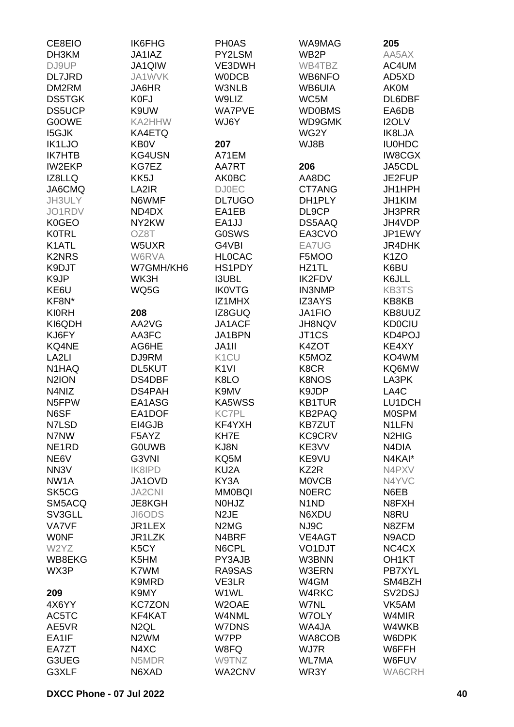| CE8EIO             | IK6FHG            | <b>PHOAS</b>                  | WA9MAG                        | 205                             |
|--------------------|-------------------|-------------------------------|-------------------------------|---------------------------------|
| DH3KM              | JA1IAZ            | PY2LSM                        | WB <sub>2</sub> P             | AA5AX                           |
| DJ9UP              | JA1QIW            | VE3DWH                        | WB4TBZ                        | AC4UM                           |
| <b>DL7JRD</b>      | JA1WVK            | <b>WODCB</b>                  | WB6NFO                        | AD5XD                           |
| DM2RM              | JA6HR             | W3NLB                         | WB6UIA                        | <b>AK0M</b>                     |
| <b>DS5TGK</b>      | K0FJ              | W9LIZ                         | WC5M                          | DL6DBF                          |
| <b>DS5UCP</b>      | K9UW              | <b>WA7PVE</b>                 | <b>WD0BMS</b>                 | EA6DB                           |
| <b>G0OWE</b>       | KA2HHW            | WJ6Y                          | WD9GMK                        | I2OLV                           |
| <b>I5GJK</b>       | KA4ETQ            |                               | WG2Y                          | IK8LJA                          |
| IK1LJO             | <b>KB0V</b>       | 207                           | WJ8B                          | <b>IU0HDC</b>                   |
| <b>IK7HTB</b>      | <b>KG4USN</b>     | A71EM                         |                               | <b>IW8CGX</b>                   |
| <b>IW2EKP</b>      | KG7EZ             | AA7RT                         | 206                           | JA5CDL                          |
| IZ8LLQ             | KK5J              | <b>AK0BC</b>                  | AA8DC                         | JE2FUP                          |
| JA6CMQ             | LA2IR             | <b>DJ0EC</b>                  | CT7ANG                        | JH1HPH                          |
| JH3ULY             | N6WMF             | <b>DL7UGO</b>                 | DH1PLY                        | JH1KIM                          |
| JO1RDV             | ND4DX             | EA1EB                         | DL9CP                         | <b>JH3PRR</b>                   |
| <b>K0GEO</b>       | NY2KW             | EA1JJ                         | DS5AAQ                        | JH4VDP                          |
| <b>K0TRL</b>       | OZ8T              | <b>G0SWS</b>                  | EA3CVO                        | JP1EWY                          |
| K1ATL              | W5UXR             | G4VBI                         | EA7UG                         | JR4DHK                          |
| <b>K2NRS</b>       | W6RVA             | <b>HLOCAC</b>                 | F5MOO                         | K <sub>1</sub> ZO               |
| K9DJT              | W7GMH/KH6         | HS1PDY                        | HZ1TL                         |                                 |
| K9JP               | WK3H              | <b>I3UBL</b>                  | <b>IK2FDV</b>                 | K6BU<br>K6JLL                   |
|                    |                   |                               |                               |                                 |
| KE6U               | WQ5G              | <b>IK0VTG</b>                 | <b>IN3NMP</b>                 | <b>KB3TS</b>                    |
| KF8N*              | 208               | IZ1MHX                        | <b>IZ3AYS</b>                 | KB8KB                           |
| <b>KI0RH</b>       |                   | IZ8GUQ                        | JA1FIO                        | KB8UUZ                          |
| KI6QDH             | AA2VG             | JA1ACF                        | JH8NQV                        | <b>KD0CIU</b>                   |
| KJ6FY              | AA3FC             | JA1BPN                        | JT1CS                         | KD4POJ                          |
| KQ4NE              | AG6HE             | JA1II                         | K4ZOT                         | KE4XY                           |
| LA <sub>2LI</sub>  | DJ9RM             | K <sub>1</sub> CU             | K5MOZ                         | KO4WM                           |
| N1HAQ              | DL5KUT            | K <sub>1VI</sub>              | K8CR                          | KQ6MW                           |
| N <sub>2</sub> ION | DS4DBF            | K8LO                          | <b>K8NOS</b>                  | LA3PK                           |
| N4NIZ              | DS4PAH            | K9MV                          | K9JDP                         | LA4C                            |
| N5FPW              | EA1ASG            | <b>KA5WSS</b>                 | <b>KB1TUR</b>                 | LU1DCH                          |
| N6SF               | EA1DOF            | <b>KC7PL</b>                  | <b>KB2PAQ</b>                 | <b>MOSPM</b>                    |
| N7LSD              | EI4GJB            | KF4YXH                        | <b>KB7ZUT</b>                 | N1LFN                           |
| N7NW               | F5AYZ             | KH7E                          | <b>KC9CRV</b>                 | N <sub>2</sub> H <sub>IG</sub>  |
| NE <sub>1</sub> RD | <b>GOUWB</b>      | KJ8N                          | KE3VV                         | N4DIA                           |
| NE6V               | G3VNI             | KQ5M                          | KE9VU                         | N4KAI*                          |
| NN <sub>3</sub> V  | IK8IPD            | KU2A                          | KZ2R                          | N4PXV                           |
| NW <sub>1</sub> A  | JA1OVD            | KY3A                          | <b>MOVCB</b>                  | N4YVC                           |
| SK5CG              | <b>JA2CNI</b>     | <b>MM0BQI</b>                 | <b>NOERC</b>                  | N6EB                            |
| SM5ACQ             | JE8KGH            | N0HJZ                         | N <sub>1</sub> N <sub>D</sub> | N8FXH                           |
| SV3GLL             | JI6ODS            | N <sub>2</sub> JE             | N6XDU                         | N8RU                            |
| <b>VA7VF</b>       | JR1LEX            | N <sub>2</sub> M <sub>G</sub> | NJ9C                          | N8ZFM                           |
| <b>WONF</b>        | JR1LZK            | N4BRF                         | VE4AGT                        | N9ACD                           |
| W2YZ               | K <sub>5</sub> CY | N6CPL                         | VO <sub>1</sub> DJT           | NC4CX                           |
| WB8EKG             | K5HM              | PY3AJB                        | W3BNN                         | OH <sub>1</sub> KT              |
| WX3P               | K7WM              | RA9SAS                        | W3ERN                         | PB7XYL                          |
|                    | K9MRD             | VE3LR                         | W4GM                          | SM4BZH                          |
| 209                | K9MY              | W1WL                          | W4RKC                         | SV <sub>2</sub> D <sub>SJ</sub> |
| 4X6YY              | <b>KC7ZON</b>     | W2OAE                         | W7NL                          | VK5AM                           |
| AC5TC              | KF4KAT            | W4NML                         | W7OLY                         | W4MIR                           |
| AE5VR              | N <sub>2</sub> QL | W7DNS                         | WA4JA                         | W4WKB                           |
| EA1IF              | N <sub>2</sub> WM | W7PP                          | WA8COB                        | W6DPK                           |
| EA7ZT              | N4XC              | W8FQ                          | WJ7R                          | W6FFH                           |
| G3UEG              | N5MDR             | W9TNZ                         | <b>WL7MA</b>                  | W6FUV                           |
| G3XLF              | N6XAD             | WA2CNV                        | WR3Y                          | WA6CRH                          |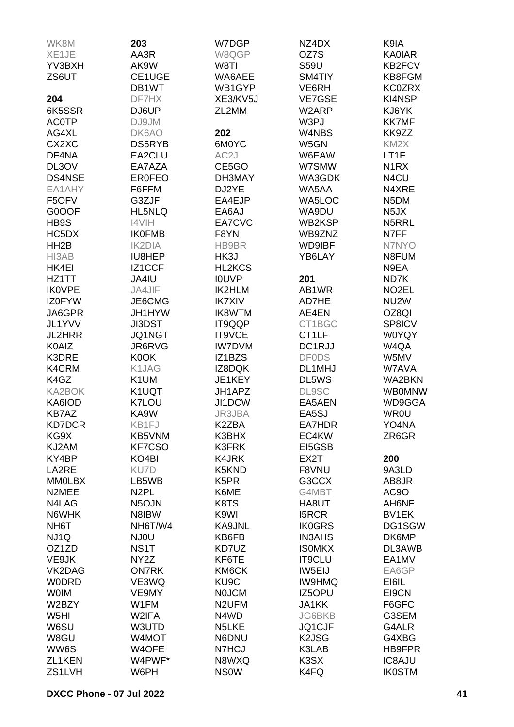| WK8M                      | 203                         | W7DGP              | NZ4DX                          | K9IA                           |
|---------------------------|-----------------------------|--------------------|--------------------------------|--------------------------------|
| XE1JE                     | AA3R                        | W8QGP              | OZ7S                           | <b>KA0IAR</b>                  |
| YV3BXH                    | AK9W                        | W8TI               | <b>S59U</b>                    | KB2FCV                         |
| ZS6UT                     | CE1UGE                      | WA6AEE             | SM4TIY                         | KB8FGM                         |
|                           | DB1WT                       | WB1GYP             | VE6RH                          | <b>KC0ZRX</b>                  |
| 204                       | DF7HX                       | XE3/KV5J           | <b>VE7GSE</b>                  | KI4NSP                         |
| 6K5SSR                    | DJ6UP                       | ZL2MM              | W2ARP                          | KJ6YK                          |
| <b>AC0TP</b>              | DJ9JM                       |                    | W3PJ                           | <b>KK7MF</b>                   |
| AG4XL                     | DK6AO                       | 202                | W4NBS                          | KK9ZZ                          |
| CX2XC                     | DS5RYB                      | 6M0YC              | W5GN                           | KM <sub>2</sub> X              |
| DF4NA                     | EA2CLU                      | AC <sub>2</sub> J  | W6EAW                          | LT <sub>1F</sub>               |
| DL3OV                     | EA7AZA                      | CE5GO              | W7SMW                          | N <sub>1</sub> R <sub>X</sub>  |
| <b>DS4NSE</b>             | <b>EROFEO</b>               | DH3MAY             | WA3GDK                         | N <sub>4</sub> CU              |
| EA1AHY                    | F6FFM                       | DJ2YE              | WA5AA                          | N4XRE                          |
| F5OFV                     | G3ZJF                       | EA4EJP             | WA5LOC                         | N <sub>5</sub> DM              |
| G0OOF                     | HL5NLQ                      | EA6AJ              | WA9DU                          | N <sub>5</sub> JX              |
| HB9S                      | I4VIH                       | EA7CVC             | WB2KSP                         | N5RRL                          |
| HC5DX                     | <b>IK0FMB</b>               | F8YN               | WB9ZNZ                         | N7FF                           |
| HH <sub>2</sub> B         | <b>IK2DIA</b>               | HB9BR              | <b>WD9IBF</b>                  | N7NYO                          |
| HI3AB                     | IU8HEP                      | HK3J               | YB6LAY                         | N8FUM                          |
| HK4EI                     | IZ1CCF                      | HL2KCS             |                                | N9EA                           |
| HZ1TT                     | JA4IU                       | <b>IOUVP</b>       | 201                            | ND7K                           |
| <b>IK0VPE</b>             | JA4JIF                      | IK2HLM             | AB1WR                          | NO <sub>2</sub> EL             |
| <b>IZ0FYW</b>             | JE6CMG                      | <b>IK7XIV</b>      | AD7HE                          | NU <sub>2</sub> W              |
| JA6GPR                    | JH1HYW                      | IK8WTM             | AE4EN                          | OZ8QI                          |
| JL1YVV                    | JI3DST                      | IT9QQP             | CT1BGC                         | SP8ICV                         |
| <b>JL2HRR</b>             | JQ1NGT                      | IT9VCE             | CT1LF                          | <b>W0YQY</b>                   |
| <b>K0AIZ</b>              | JR6RVG                      | <b>IW7DVM</b>      | DC1RJJ                         | W4QA                           |
| K3DRE                     | K0OK                        | IZ1BZS             | <b>DF0DS</b>                   | W5MV                           |
| K4CRM                     | K1JAG                       | IZ8DQK             | DL1MHJ                         | W7AVA                          |
| K4GZ                      | K1UM                        | JE1KEY             | DL5WS                          | WA2BKN                         |
| <b>KA2BOK</b>             | K1UQT                       | JH1APZ             | <b>DL9SC</b>                   | WB0MNW                         |
| KA6IOD                    | K7LOU                       | JI1DCW             | EA5AEN                         | WD9GGA                         |
| <b>KB7AZ</b>              | KA9W                        | JR3JBA             | EA5SJ                          | <b>WR0U</b>                    |
| <b>KD7DCR</b>             | KB1FJ                       | K2ZBA              | EA7HDR                         | YO4NA                          |
| KG9X                      | KB5VNM                      | K3BHX              | EC4KW                          | ZR6GR                          |
| KJ2AM                     | <b>KF7CSO</b>               | K3FRK              | EI5GSB                         |                                |
| KY4BP                     | KO <sub>4</sub> BI          | <b>K4JRK</b>       | EX2T                           | 200                            |
|                           |                             |                    | F8VNU                          |                                |
| LA2RE<br><b>MMOLBX</b>    | KU7D<br>LB5WB               | K5KND              |                                | 9A3LD<br>AB8JR                 |
| N2MEE                     |                             | K5PR               | G3CCX                          |                                |
|                           | N <sub>2</sub> PL           | K6ME               | G4MBT                          | AC9O                           |
| N4LAG<br>N6WHK            | N <sub>5</sub> OJN<br>N8IBW | K8TS<br>K9WI       | HA8UT<br><b>I5RCR</b>          | AH6NF<br>BV1EK                 |
|                           |                             | KA9JNL             |                                |                                |
| NH <sub>6</sub> T         | NH6T/W4                     | KB6FB              | <b>IK0GRS</b>                  | DG1SGW<br>DK6MP                |
| NJ1Q<br>OZ1ZD             | NJ0U<br>NS <sub>1</sub> T   | KD7UZ              | <b>IN3AHS</b><br><b>ISOMKX</b> | DL3AWB                         |
| VE9JK                     | NY <sub>2</sub> Z           | KF6TE              | <b>IT9CLU</b>                  | EA1MV                          |
| VK2DAG                    | <b>ON7RK</b>                | KM6CK              | IW5EIJ                         | EA6GP                          |
| <b>WODRD</b>              | VE3WQ                       | KU <sub>9</sub> C  | <b>IW9HMQ</b>                  | EI6IL                          |
| <b>WOIM</b>               | VE9MY                       | <b>NOJCM</b>       | IZ5OPU                         | EI9CN                          |
| W2BZY                     | W1FM                        | N <sub>2</sub> UFM | <b>JA1KK</b>                   | F6GFC                          |
|                           |                             | N4WD               |                                |                                |
| W <sub>5</sub> HI<br>W6SU | W2IFA<br>W3UTD              | N <sub>5</sub> LKE | <b>JG6BKB</b><br><b>JQ1CJF</b> | G3SEM<br>G4ALR                 |
|                           |                             |                    | K <sub>2</sub> JSG             |                                |
| W8GU<br>WW6S              | W4MOT<br>W4OFE              | N6DNU<br>N7HCJ     | K3LAB                          | G4XBG<br>HB9FPR                |
| ZL1KEN                    | W4PWF*                      | N8WXQ              | K3SX                           |                                |
|                           |                             | <b>NSOW</b>        |                                | <b>IC8AJU</b><br><b>IK0STM</b> |
| ZS1LVH                    | W6PH                        |                    | K4FQ                           |                                |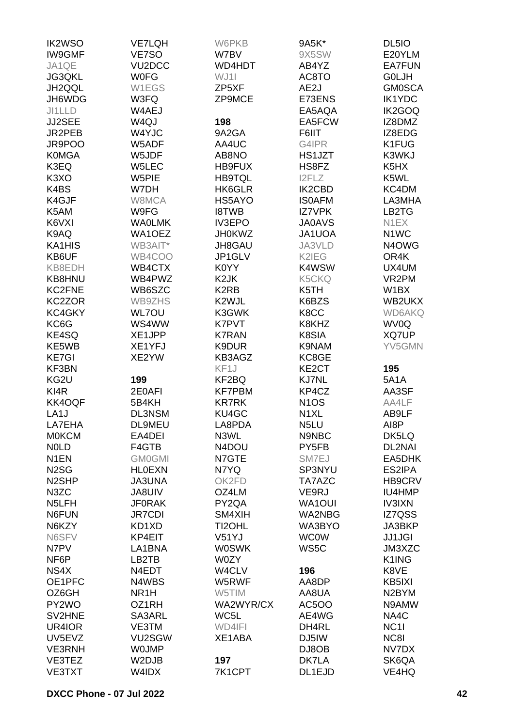| <b>IK2WSO</b>      | <b>VE7LQH</b>       | W6PKB             | 9A5K*             | DL <sub>5IO</sub>              |
|--------------------|---------------------|-------------------|-------------------|--------------------------------|
| <b>IW9GMF</b>      | VE7SO               | W7BV              | 9X5SW             | E20YLM                         |
| JA1QE              | VU <sub>2</sub> DCC | WD4HDT            | AB4YZ             | <b>EA7FUN</b>                  |
| JG3QKL             | <b>WOFG</b>         | WJ1I              | AC8TO             | <b>GOLJH</b>                   |
|                    | W1EGS               | ZP5XF             | AE2J              | <b>GM0SCA</b>                  |
| JH2QQL             |                     |                   |                   |                                |
| JH6WDG             | W3FQ                | ZP9MCE            | E73ENS            | <b>IK1YDC</b>                  |
| JI1LLD             | W4AEJ               |                   | EA5AQA            | IK2GOQ                         |
| JJ2SEE             | W <sub>4Q</sub> J   | 198               | EA5FCW            | IZ8DMZ                         |
| JR2PEB             | W4YJC               | 9A2GA             | F6IIT             | IZ8EDG                         |
| JR9POO             | W5ADF               | AA4UC             | G4IPR             | K1FUG                          |
| <b>K0MGA</b>       | W5JDF               | AB8NO             | HS1JZT            | K3WKJ                          |
| K3EQ               | W5LEC               | HB9FUX            | HS8FZ             | K <sub>5</sub> H <sub>X</sub>  |
| K <sub>3</sub> XO  | W5PIE               | <b>HB9TQL</b>     | <b>I2FLZ</b>      | K5WL                           |
| K4BS               | W7DH                | HK6GLR            | IK2CBD            | KC4DM                          |
| K4GJF              | W8MCA               | HS5AYO            | <b>ISOAFM</b>     | LA3MHA                         |
| K5AM               | W9FG                | <b>I8TWB</b>      | <b>IZ7VPK</b>     | LB <sub>2</sub> T <sub>G</sub> |
| K6VXI              | <b>WAOLMK</b>       | <b>IV3EPO</b>     | <b>JA0AVS</b>     | N <sub>1</sub> EX              |
| K9AQ               | WA1OEZ              | <b>JH0KWZ</b>     | <b>JA1UOA</b>     | N <sub>1</sub> WC              |
| KA1HIS             | WB3AIT*             | JH8GAU            | JA3VLD            | N4OWG                          |
| KB6UF              | WB4COO              |                   |                   | OR4K                           |
|                    |                     | JP1GLV            | K2IEG             |                                |
| KB8EDH             | WB4CTX              | K0YY              | K4WSW             | UX4UM                          |
| KB8HNU             | WB4PWZ              | K <sub>2</sub> JK | K5CKQ             | VR <sub>2</sub> PM             |
| KC2FNE             | WB6SZC              | K <sub>2</sub> RB | K5TH              | W <sub>1</sub> BX              |
| KC2ZOR             | WB9ZHS              | K2WJL             | K6BZS             | WB2UKX                         |
| KC4GKY             | <b>WL7OU</b>        | K3GWK             | K8CC              | <b>WD6AKQ</b>                  |
| KC6G               | WS4WW               | K7PVT             | K8KHZ             | WV0Q                           |
| KE4SQ              | XE1JPP              | <b>K7RAN</b>      | K8SIA             | XQ7UP                          |
| KE5WB              | XE1YFJ              | K9DUR             | K9NAM             | YV5GMN                         |
| <b>KE7GI</b>       | XE2YW               | KB3AGZ            | KC8GE             |                                |
| KF3BN              |                     | KF1J              | KE2CT             | 195                            |
| KG2U               | 199                 | KF2BQ             | <b>KJ7NL</b>      | <b>5A1A</b>                    |
| KI4R               | 2E0AFI              | <b>KF7PBM</b>     | KP4CZ             | AA3SF                          |
| KK4OQF             | 5B4KH               | <b>KR7RK</b>      | N <sub>1</sub> OS | AA4LF                          |
| LA <sub>1</sub> J  | <b>DL3NSM</b>       | KU4GC             | N <sub>1</sub> XL | AB9LF                          |
| LA7EHA             | DL9MEU              | LA8PDA            | N <sub>5</sub> LU | AI8P                           |
| <b>MOKCM</b>       | EA4DEI              | N3WL              | N9NBC             | DK5LQ                          |
| <b>NOLD</b>        | F4GTB               | N4DOU             | PY5FB             | DL2NAI                         |
|                    |                     |                   |                   |                                |
| N <sub>1</sub> EN  | <b>GM0GMI</b>       | N7GTE             | SM7EJ             | EA5DHK                         |
| N <sub>2</sub> SG  | <b>HLOEXN</b>       | N7YQ              | SP3NYU            | ES2IPA                         |
| N <sub>2</sub> SHP | <b>JA3UNA</b>       | OK2FD             | TA7AZC            | <b>HB9CRV</b>                  |
| N <sub>3</sub> ZC  | <b>JA8UIV</b>       | OZ4LM             | VE9RJ             | IU4HMP                         |
| N <sub>5</sub> LFH | <b>JF0RAK</b>       | PY2QA             | <b>WA1OUI</b>     | <b>IV3IXN</b>                  |
| N6FUN              | <b>JR7CDI</b>       | SM4XIH            | <b>WA2NBG</b>     | IZ7QSS                         |
| N6KZY              | KD1XD               | TI2OHL            | WA3BYO            | JA3BKP                         |
| N6SFV              | KP4EIT              | V51YJ             | <b>WC0W</b>       | <b>JJ1JGI</b>                  |
| N7PV               | LA1BNA              | <b>W0SWK</b>      | WS5C              | JM3XZC                         |
| NF6P               | LB2TB               | W0ZY              |                   | K1ING                          |
| NS4X               | N4EDT               | W4CLV             | 196               | K8VE                           |
| OE1PFC             | N4WBS               | W5RWF             | AA8DP             | KB5IXI                         |
| OZ6GH              | NR <sub>1</sub> H   | W5TIM             | AA8UA             | N <sub>2</sub> BYM             |
| PY2WO              | OZ1RH               | WA2WYR/CX         | <b>AC5OO</b>      | N9AMW                          |
| SV2HNE             | SA3ARL              | WC5L              | AE4WG             | NA4C                           |
| UR4IOR             | VE3TM               | WD4IFI            | DH4RL             | NC <sub>11</sub>               |
| UV5EVZ             | VU2SGW              | XE1ABA            | DJ5IW             | NC8I                           |
| <b>VE3RNH</b>      | <b>WOJMP</b>        |                   |                   | NV7DX                          |
|                    |                     |                   | DJ8OB             |                                |
| VE3TEZ             | W2DJB               | 197               | DK7LA             | SK6QA                          |
| VE3TXT             | W4IDX               | 7K1CPT            | DL1EJD            | VE4HQ                          |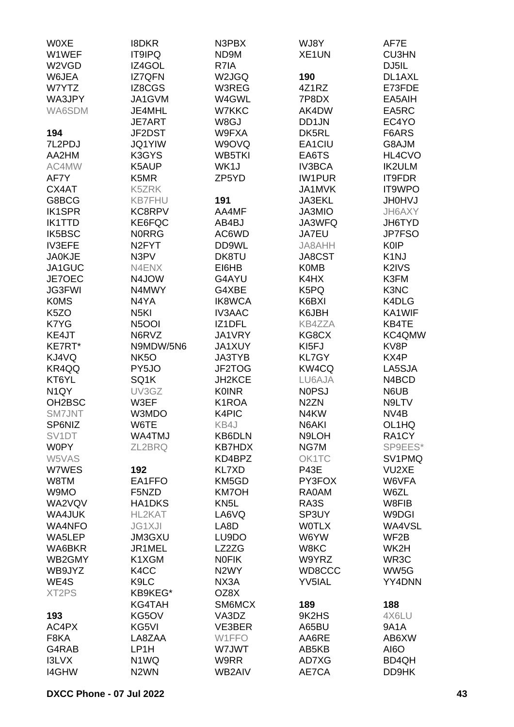| <b>WOXE</b>                   | 18DKR              | N3PBX              | WJ8Y               | AF7E              |
|-------------------------------|--------------------|--------------------|--------------------|-------------------|
| W1WEF                         | <b>IT9IPQ</b>      | ND9M               | XE <sub>1</sub> UN | <b>CU3HN</b>      |
| W2VGD                         | IZ4GOL             | R7IA               |                    | DJ5IL             |
| W6JEA                         | <b>IZ7QFN</b>      | W2JGQ              | 190                | DL1AXL            |
| W7YTZ                         | IZ8CGS             | W3REG              | 4Z1RZ              | E73FDE            |
| WA3JPY                        | JA1GVM             | W4GWL              | 7P8DX              | EA5AIH            |
|                               |                    |                    |                    |                   |
| WA6SDM                        | JE4MHL             | W7KKC              | AK4DW              | EA5RC             |
|                               | <b>JE7ART</b>      | W8GJ               | DD1JN              | EC4YO             |
| 194                           | JF2DST             | W9FXA              | DK5RL              | F6ARS             |
| 7L2PDJ                        | <b>JQ1YIW</b>      | W9OVQ              | EA1CIU             | G8AJM             |
| AA2HM                         | K3GYS              | WB5TKI             | EA6TS              | HL4CVO            |
| AC4MW                         | K5AUP              | WK1J               | IV3BCA             | <b>IK2ULM</b>     |
| AF7Y                          | K5MR               | ZP5YD              | <b>IW1PUR</b>      | IT9FDR            |
| CX4AT                         | K5ZRK              |                    | JA1MVK             | IT9WPO            |
| G8BCG                         | <b>KB7FHU</b>      | 191                | JA3EKL             | <b>UNOHU</b>      |
| <b>IK1SPR</b>                 | KC8RPV             | AA4MF              | JA3MIO             | JH6AXY            |
| <b>IK1TTD</b>                 | KE6FQC             | AB4BJ              | JA3WFQ             | JH6TYD            |
| IK5BSC                        | <b>NORRG</b>       | AC6WD              | JA7EU              | <b>JP7FSO</b>     |
| <b>IV3EFE</b>                 | N <sub>2</sub> FYT | DD9WL              | JA8AHH             | <b>K0IP</b>       |
| <b>JA0KJE</b>                 | N3PV               | DK8TU              | JA8CST             | K <sub>1</sub> NJ |
| JA1GUC                        | N4ENX              | EI6HB              | <b>K0MB</b>        | K2IVS             |
| JE7OEC                        | N4JOW              | G4AYU              | K4HX               | K3FM              |
| <b>JG3FWI</b>                 | N4MWY              | G4XBE              | K5PQ               | K3NC              |
| <b>K0MS</b>                   | N4YA               | <b>IK8WCA</b>      | K6BXI              | K4DLG             |
| K <sub>5</sub> ZO             | N <sub>5KI</sub>   | <b>IV3AAC</b>      | K6JBH              | KA1WIF            |
| K7YG                          | N <sub>5</sub> OOI | IZ1DFL             | <b>KB4ZZA</b>      | KB4TE             |
| KE4JT                         | N6RVZ              | JA1VRY             | KG8CX              | KC4QMW            |
| KE7RT*                        | N9MDW/5N6          | <b>JA1XUY</b>      | KI5FJ              | KV8P              |
| KJ4VQ                         | NK <sub>5</sub> O  | JA3TYB             | <b>KL7GY</b>       | KX4P              |
| KR4QQ                         | PY5JO              | JF2TOG             | KW4CQ              | LA5SJA            |
| KT6YL                         | SQ1K               | JH2KCE             | LU6AJA             | N4BCD             |
| N <sub>1</sub> QY             | UV3GZ              | <b>K0INR</b>       | <b>NOPSJ</b>       | N6UB              |
|                               |                    | K <sub>1</sub> ROA | N <sub>2</sub> ZN  | N9LTV             |
| OH <sub>2</sub> BSC<br>SM7JNT | W3EF<br>W3MDO      | K4PIC              |                    | NV <sub>4</sub> B |
|                               |                    |                    | N4KW               |                   |
| SP6NIZ                        | W6TE               | KB4J               | N6AKI              | OL1HQ             |
| SV <sub>1</sub> DT            | WA4TMJ             | <b>KB6DLN</b>      | N9LOH              | RA1CY             |
| <b>W0PY</b>                   | ZL2BRQ             | <b>KB7HDX</b>      | NG7M               | SP9EES*           |
| W5VAS                         |                    | KD4BPZ             | OK1TC              | SV1PMQ            |
| W7WES                         | 192                | <b>KL7XD</b>       | <b>P43E</b>        | VU2XE             |
| W8TM                          | EA1FFO             | KM5GD              | PY3FOX             | W6VFA             |
| W9MO                          | F5NZD              | <b>KM7OH</b>       | RA0AM              | W6ZL              |
| WA2VQV                        | <b>HA1DKS</b>      | KN <sub>5</sub> L  | RA3S               | W8FIB             |
| WA4JUK                        | HL2KAT             | LA6VQ              | SP3UY              | W9DGI             |
| <b>WA4NFO</b>                 | <b>JG1XJI</b>      | LA8D               | <b>WOTLX</b>       | WA4VSL            |
| WA5LEP                        | <b>JM3GXU</b>      | LU9DO              | W6YW               | WF2B              |
| WA6BKR                        | JR1MEL             | LZ2ZG              | W8KC               | WK2H              |
| WB2GMY                        | K1XGM              | <b>NOFIK</b>       | W9YRZ              | WR3C              |
| WB9JYZ                        | K <sub>4</sub> CC  | N <sub>2</sub> WY  | WD8CCC             | WW5G              |
| WE4S                          | K9LC               | NX3A               | <b>YV5IAL</b>      | YY4DNN            |
| XT <sub>2</sub> PS            | KB9KEG*            | OZ8X               |                    |                   |
|                               | KG4TAH             | SM6MCX             | 189                | 188               |
| 193                           | KG5OV              | VA3DZ              | 9K2HS              | 4X6LU             |
| AC4PX                         | KG5VI              | VE3BER             | A65BU              | 9A1A              |
| F8KA                          | LA8ZAA             | W1FFO              | AA6RE              | AB6XW             |
| G4RAB                         | LP1H               | W7JWT              | AB5KB              | AI6O              |
| <b>I3LVX</b>                  | N1WQ               | W9RR               | AD7XG              | BD4QH             |
| <b>I4GHW</b>                  | N <sub>2</sub> WN  | WB2AIV             | AE7CA              | DD9HK             |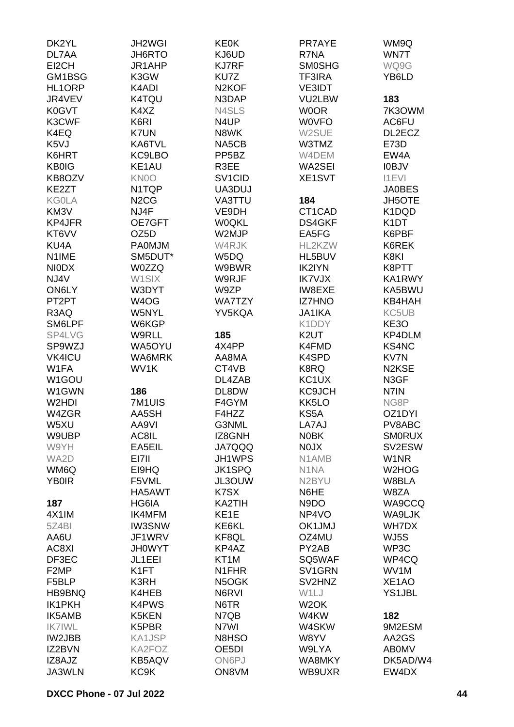| DK2YL             | JH2WGI                        | <b>KE0K</b>         | PR7AYE                        | WM9Q                           |
|-------------------|-------------------------------|---------------------|-------------------------------|--------------------------------|
| DL7AA             | JH6RTO                        | KJ6UD               | R7NA                          | WN7T                           |
| EI2CH             | JR1AHP                        | <b>KJ7RF</b>        | <b>SMOSHG</b>                 | WQ9G                           |
| GM1BSG            | K3GW                          | KU7Z                | <b>TF3IRA</b>                 | YB6LD                          |
| HL1ORP            | K4ADI                         | N <sub>2</sub> KOF  | <b>VE3IDT</b>                 |                                |
|                   | K4TQU                         | N3DAP               | VU2LBW                        |                                |
| JR4VEV            |                               |                     |                               | 183                            |
| K0GVT             | K4XZ                          | N4SLS               | <b>WOOR</b>                   | 7K3OWM                         |
| K3CWF             | K6RI                          | N4UP                | <b>WOVFO</b>                  | AC6FU                          |
| K4EQ              | K7UN                          | N8WK                | W2SUE                         | DL2ECZ                         |
| K5VJ              | KA6TVL                        | NA5CB               | W3TMZ                         | E73D                           |
| K6HRT             | KC9LBO                        | PP <sub>5</sub> BZ  | W4DEM                         | EW4A                           |
| <b>KB0IG</b>      | KE1AU                         | R3EE                | WA2SEI                        | <b>IOBJV</b>                   |
| KB8OZV            | KN0O                          | SV <sub>1</sub> CID | <b>XE1SVT</b>                 | <b>I1EVI</b>                   |
| KE2ZT             | N1TQP                         | UA3DUJ              |                               | <b>JA0BES</b>                  |
| <b>KG0LA</b>      | N <sub>2</sub> C <sub>G</sub> | VA3TTU              | 184                           | <b>JH5OTE</b>                  |
| KM3V              | NJ4F                          | VE9DH               | CT1CAD                        | K1DQD                          |
| KP4JFR            | OE7GFT                        | <b>W0QKL</b>        | <b>DS4GKF</b>                 | K <sub>1</sub> DT              |
| KT6VV             | OZ5D                          | W2MJP               | EA5FG                         | K6PBF                          |
| KU4A              | <b>PA0MJM</b>                 | W4RJK               | HL2KZW                        | K6REK                          |
| N1IME             | SM5DUT*                       | W5DQ                | HL5BUV                        | K8KI                           |
| <b>NIODX</b>      | <b>W0ZZQ</b>                  | W9BWR               | <b>IK2IYN</b>                 | K8PTT                          |
| NJ4V              | W1SIX                         | W9RJF               | <b>IK7VJX</b>                 | KA1RWY                         |
| ON6LY             | W3DYT                         | W9ZP                | IW8EXE                        | KA5BWU                         |
| PT2PT             | W <sub>4</sub> OG             | <b>WA7TZY</b>       | <b>IZ7HNO</b>                 | KB4HAH                         |
| R3AQ              | W5NYL                         | YV5KQA              | <b>JA1IKA</b>                 | KC5UB                          |
| SM6LPF            | W6KGP                         |                     | K1DDY                         | KE3O                           |
| SP4LVG            | W9RLL                         | 185                 | K <sub>2</sub> UT             | KP4DLM                         |
| SP9WZJ            | WA5OYU                        | 4X4PP               | K4FMD                         | <b>KS4NC</b>                   |
| <b>VK4ICU</b>     | WA6MRK                        | AA8MA               | K4SPD                         | KV7N                           |
| W1FA              | WV1K                          | CT4VB               | K8RQ                          | N <sub>2</sub> K <sub>SE</sub> |
| W1GOU             |                               | DL4ZAB              | KC <sub>1</sub> UX            | N3GF                           |
| W1GWN             | 186                           | DL8DW               | <b>KC9JCH</b>                 | N7IN                           |
| W2HDI             | 7M1UIS                        | F4GYM               | KK5LO                         | NG8P                           |
| W4ZGR             | AA5SH                         | F4HZZ               | KS5A                          | OZ1DYI                         |
|                   | AA9VI                         |                     | LA7AJ                         |                                |
| W5XU              |                               | G3NML               |                               | PV8ABC                         |
| W9UBP             | AC8IL                         | IZ8GNH              | <b>NOBK</b>                   | <b>SMORUX</b>                  |
| W9YH              | EA5EIL                        | <b>JA7QQQ</b>       | <b>NOJX</b>                   | SV2ESW                         |
| WA2D              | EI7II                         | JH1WPS              | N1AMB                         | W <sub>1</sub> NR              |
| WM6Q              | EI9HQ                         | <b>JK1SPQ</b>       | N <sub>1</sub> N <sub>A</sub> | W <sub>2</sub> HOG             |
| <b>YB0IR</b>      | F5VML                         | JL3OUW              | N2BYU                         | W8BLA                          |
|                   | HA5AWT                        | K7SX                | N6HE                          | W8ZA                           |
| 187               | HG6IA                         | KA2TIH              | N9DO                          | WA9CCQ                         |
| 4X1IM             | IK4MFM                        | KE <sub>1</sub> E   | NP4VO                         | WA9LJK                         |
| 5Z4BI             | <b>IW3SNW</b>                 | KE6KL               | OK1JMJ                        | WH7DX                          |
| AA6U              | JF1WRV                        | KF8QL               | OZ4MU                         | WJ5S                           |
| AC8XI             | <b>JHOWYT</b>                 | KP4AZ               | PY2AB                         | WP3C                           |
| DF3EC             | JL1EEI                        | KT <sub>1</sub> M   | SQ5WAF                        | WP4CQ                          |
| F <sub>2</sub> MP | K <sub>1</sub> FT             | N1FHR               | SV1GRN                        | WV1M                           |
| F5BLP             | K3RH                          | N5OGK               | SV2HNZ                        | XE <sub>1</sub> AO             |
| HB9BNQ            | K4HEB                         | N6RVI               | W1LJ                          | <b>YS1JBL</b>                  |
| <b>IK1PKH</b>     | <b>K4PWS</b>                  | N6TR                | W <sub>2</sub> OK             |                                |
| <b>IK5AMB</b>     | K5KEN                         | N7QB                | W4KW                          | 182                            |
| <b>IK7IWL</b>     | K5PBR                         | N7WI                | W4SKW                         | 9M2ESM                         |
| IW2JBB            | <b>KA1JSP</b>                 | N8HSO               | W8YV                          | AA2GS                          |
| IZ2BVN            | KA2FOZ                        | OE <sub>5</sub> DI  | W9LYA                         | <b>ABOMV</b>                   |
| IZ8AJZ            | KB5AQV                        | ON6PJ               | WA8MKY                        | DK5AD/W4                       |
| JA3WLN            | KC9K                          | ON8VM               | WB9UXR                        | EW4DX                          |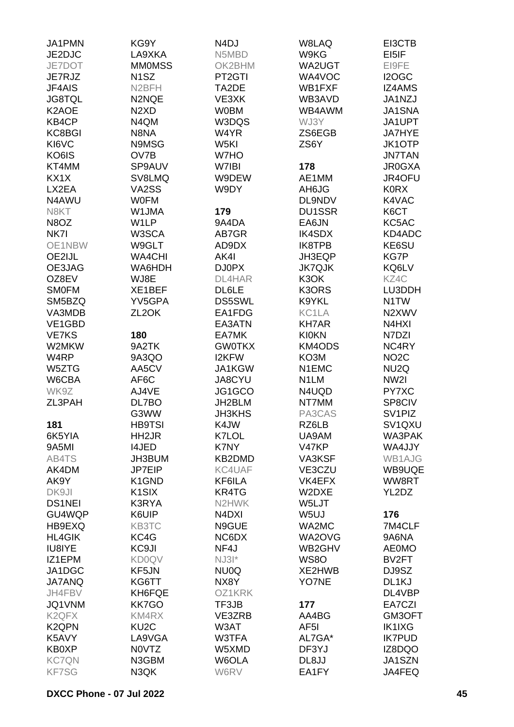| JA1PMN             | KG9Y                          | N <sub>4</sub> DJ              | W8LAQ             | EI3CTB              |
|--------------------|-------------------------------|--------------------------------|-------------------|---------------------|
| JE2DJC             | LA9XKA                        | N5MBD                          | W9KG              | EI5IF               |
| JE7DOT             | <b>MMOMSS</b>                 | OK2BHM                         | WA2UGT            | EI9FE               |
| JE7RJZ             | N <sub>1</sub> SZ             | PT2GTI                         | WA4VOC            | I2OGC               |
| JF4AIS             | N <sub>2</sub> BFH            | TA2DE                          | WB1FXF            | <b>IZ4AMS</b>       |
| <b>JG8TQL</b>      | N2NQE                         | VE3XK                          | WB3AVD            | JA1NZJ              |
|                    |                               |                                |                   |                     |
| K2AOE              | N <sub>2</sub> X <sub>D</sub> | <b>W0BM</b>                    | WB4AWM            | <b>JA1SNA</b>       |
| KB4CP              | N4QM                          | W3DQS                          | WJ3Y              | JA1UPT              |
| KC8BGI             | N8NA                          | W4YR                           | ZS6EGB            | <b>JA7HYE</b>       |
| KI6VC              | N9MSG                         | W5KI                           | ZS6Y              | <b>JK1OTP</b>       |
| KO6IS              | OV7B                          | W7HO                           |                   | <b>JN7TAN</b>       |
| KT4MM              | SP9AUV                        | W7IBI                          | 178               | <b>JR0GXA</b>       |
| KX1X               | SV8LMQ                        | W9DEW                          | AE1MM             | JR4OFU              |
| LX2EA              | VA2SS                         | W9DY                           | AH6JG             | <b>K0RX</b>         |
| N4AWU              | <b>WOFM</b>                   |                                | DL9NDV            | K4VAC               |
| N8KT               | W1JMA                         | 179                            | <b>DU1SSR</b>     | K6CT                |
| N8OZ               | W1LP                          | 9A4DA                          | EA6JN             | KC5AC               |
| NK7I               | W3SCA                         | AB7GR                          | <b>IK4SDX</b>     | KD4ADC              |
| OE1NBW             | W9GLT                         | AD9DX                          | IK8TPB            | KE6SU               |
| OE2IJL             | <b>WA4CHI</b>                 | AK4I                           | JH3EQP            | KG7P                |
| OE3JAG             | WA6HDH                        | DJ0PX                          | <b>JK7QJK</b>     | KQ6LV               |
| OZ8EV              | WJ8E                          | DL4HAR                         | K3OK              | KZ4C                |
| <b>SMOFM</b>       | XE1BEF                        | DL6LE                          | K3ORS             | LU3DDH              |
| SM5BZQ             | YV5GPA                        | <b>DS5SWL</b>                  | K9YKL             | N <sub>1</sub> TW   |
| VA3MDB             | ZL <sub>2</sub> OK            | EA1FDG                         | KC1LA             | N2XWV               |
| VE1GBD             |                               | EA3ATN                         | <b>KH7AR</b>      | N4HXI               |
| <b>VE7KS</b>       | 180                           | EA7MK                          | <b>KI0KN</b>      | N7DZI               |
| W2MKW              | 9A2TK                         | <b>GW0TKX</b>                  | KM4ODS            | NC4RY               |
| W <sub>4</sub> RP  |                               |                                |                   |                     |
|                    | 9A3QO                         | <b>I2KFW</b>                   | KO3M              | NO <sub>2</sub> C   |
| W5ZTG              | AA5CV                         | JA1KGW                         | N1EMC             | NU <sub>2</sub> Q   |
| W6CBA              | AF6C                          | JA8CYU                         | N <sub>1</sub> LM | NW <sub>2</sub>     |
| WK9Z               | AJ4VE                         | JG1GCO                         | N4UQD             | PY7XC               |
| ZL3PAH             | DL7BO                         | JH2BLM                         | NT7MM             | SP8CIV              |
|                    | G3WW                          | <b>JH3KHS</b>                  | PA3CAS            | SV <sub>1</sub> PIZ |
| 181                | <b>HB9TSI</b>                 | K4JW                           | RZ6LB             | SV1QXU              |
| 6K5YIA             | HH2JR                         | K7LOL                          | UA9AM             | WA3PAK              |
| 9A5MI              | <b>I4JED</b>                  | K7NY                           | V47KP             | WA4JJY              |
| AB4TS              | JH3BUM                        | KB2DMD                         | VA3KSF            | <b>WB1AJG</b>       |
| AK4DM              | <b>JP7EIP</b>                 | KC4UAF                         | VE3CZU            | WB9UQE              |
| AK9Y               | K1GND                         | KF6ILA                         | VK4EFX            | WW8RT               |
| DK9JI              | K <sub>1</sub> SIX            | KR4TG                          | W2DXE             | YL2DZ               |
| <b>DS1NEI</b>      | K3RYA                         | N2HWK                          | W5LJT             |                     |
| GU4WQP             | K6UIP                         | N <sub>4</sub> D <sub>XI</sub> | W <sub>5U</sub>   | 176                 |
| HB9EXQ             | KB3TC                         | N9GUE                          | WA2MC             | 7M4CLF              |
| <b>HL4GIK</b>      | KC4G                          | NC6DX                          | WA2OVG            | 9A6NA               |
| <b>IU8IYE</b>      | KC9JI                         | NF4J                           | WB2GHV            | <b>AE0MO</b>        |
| IZ1EPM             | <b>KD0QV</b>                  | $NJ31*$                        | <b>WS80</b>       | BV2FT               |
| JA1DGC             | KF5JN                         | NU0Q                           | XE2HWB            | DJ9SZ               |
| <b>JA7ANQ</b>      | KG6TT                         | NX8Y                           | YO7NE             | DL1KJ               |
| JH4FBV             | KH6FQE                        | OZ1KRK                         |                   | DL4VBP              |
| JQ1VNM             | <b>KK7GO</b>                  | TF3JB                          | 177               | EA7CZI              |
| K <sub>2</sub> QFX | KM4RX                         | VE3ZRB                         | AA4BG             | GM3OFT              |
| K <sub>2</sub> QPN | KU <sub>2</sub> C             | W3AT                           | AF5I              | <b>IK1IXG</b>       |
| K5AVY              | LA9VGA                        | W3TFA                          | AL7GA*            | <b>IK7PUD</b>       |
| KB0XP              | N0VTZ                         | W5XMD                          | DF3YJ             | IZ8DQO              |
| <b>KC7QN</b>       | N3GBM                         | W6OLA                          | DL8JJ             | JA1SZN              |
| <b>KF7SG</b>       | N3QK                          | W6RV                           | EA1FY             | JA4FEQ              |
|                    |                               |                                |                   |                     |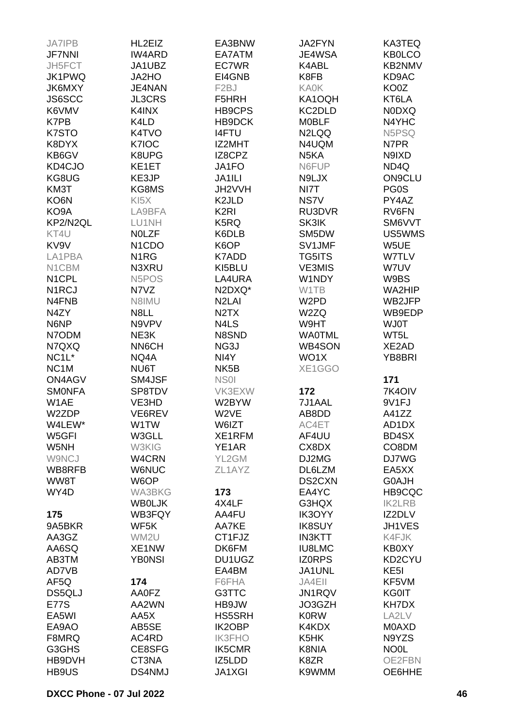| <b>JA7IPB</b>      | HL2EIZ                          | EA3BNW                        | <b>JA2FYN</b>     | KA3TEQ            |
|--------------------|---------------------------------|-------------------------------|-------------------|-------------------|
| <b>JF7NNI</b>      | <b>IW4ARD</b>                   | EA7ATM                        | JE4WSA            | <b>KB0LCO</b>     |
| JH5FCT             | JA1UBZ                          | EC7WR                         | K4ABL             | KB2NMV            |
| JK1PWQ             | JA2HO                           | EI4GNB                        | K8FB              | KD9AC             |
| <b>JK6MXY</b>      | JE4NAN                          | F <sub>2</sub> BJ             | <b>KA0K</b>       | KO0Z              |
| <b>JS6SCC</b>      | <b>JL3CRS</b>                   | F5HRH                         | KA1OQH            | KT6LA             |
| K6VMV              | K4INX                           | HB9CPS                        | KC2DLD            | <b>NODXQ</b>      |
| K7PB               | K4LD                            | HB9DCK                        | <b>MOBLF</b>      | N4YHC             |
| K7STO              | K4TVO                           | <b>I4FTU</b>                  | N2LQQ             | N5PSQ             |
| K8DYX              | K7IOC                           | IZ2MHT                        | N4UQM             | N7PR              |
| KB6GV              | K8UPG                           | IZ8CPZ                        | N <sub>5</sub> KA | N9IXD             |
| KD4CJO             | KE1ET                           | JA1FO                         | N6FUP             | ND4Q              |
| KG8UG              | KE3JP                           | JA1ILI                        | N9LJX             | <b>ON9CLU</b>     |
|                    |                                 |                               |                   |                   |
| KM3T               | KG8MS                           | JH2VVH                        | NI7T              | PG0S              |
| KO6N               | KI <sub>5</sub> X               | K <sub>2</sub> JLD            | NS7V              | PY4AZ             |
| KO9A               | LA9BFA                          | K <sub>2RI</sub>              | RU3DVR            | RV6FN             |
| KP2/N2QL           | LU1NH                           | K5RQ                          | SK3IK             | SM6VVT            |
| KT4U               | <b>NOLZF</b>                    | K6DLB                         | SM5DW             | US5WMS            |
| KV9V               | N <sub>1</sub> C <sub>D</sub> O | K6OP                          | SV1JMF            | W5UE              |
| LA1PBA             | N <sub>1</sub> RG               | K7ADD                         | <b>TG5ITS</b>     | W7TLV             |
| N1CBM              | N3XRU                           | KI5BLU                        | <b>VE3MIS</b>     | W7UV              |
| N1CPL              | N <sub>5</sub> PO <sub>S</sub>  | LA4URA                        | W1NDY             | W9BS              |
| N <sub>1</sub> RCJ | N7VZ                            | N2DXQ*                        | W1TB              | WA2HIP            |
| N4FNB              | N8IMU                           | N <sub>2</sub> LAI            | W <sub>2</sub> PD | WB2JFP            |
| N4ZY               | N8LL                            | N <sub>2</sub> T <sub>X</sub> | W2ZQ              | WB9EDP            |
| N6NP               | N9VPV                           | N4LS                          | W9HT              | <b>WJ0T</b>       |
| N7ODM              | NE3K                            | N8SND                         | <b>WA0TML</b>     | WT5L              |
| N7QXQ              | NN6CH                           | NG3J                          | <b>WB4SON</b>     | XE2AD             |
| NC <sub>1</sub> L* | NQ4A                            | NI4Y                          | WO1X              | YB8BRI            |
| NC <sub>1</sub> M  | NU6T                            | NK <sub>5</sub> B             | XE1GGO            |                   |
| ON4AGV             | SM4JSF                          | NS <sub>0</sub>               |                   | 171               |
| <b>SMONFA</b>      | SP8TDV                          | VK3EXW                        | 172               | 7K4OIV            |
| W1AE               | VE3HD                           | W2BYW                         | 7J1AAL            | 9V1FJ             |
| W2ZDP              | VE6REV                          | W <sub>2VE</sub>              | AB8DD             | A41ZZ             |
| W4LEW*             | W1TW                            | W6IZT                         | AC4ET             | AD1DX             |
| W5GFI              | W3GLL                           | XE1RFM                        | AF4UU             | BD4SX             |
| W5NH               | W3KIG                           | YE1AR                         | CX8DX             | CO8DM             |
| W9NCJ              | W4CRN                           | YL2GM                         | DJ2MG             | DJ7WG             |
| WB8RFB             | <b>W6NUC</b>                    | ZL1AYZ                        | DL6LZM            | EA5XX             |
| WW8T               | W6OP                            |                               | DS2CXN            | G0AJH             |
| WY4D               | WA3BKG                          | 173                           | EA4YC             | HB9CQC            |
|                    | <b>WBOLJK</b>                   | 4X4LF                         | G3HQX             | <b>IK2LRB</b>     |
| 175                | WB3FQY                          | AA4FU                         | IK3OYY            | IZ2DLV            |
| 9A5BKR             | WF5K                            | AA7KE                         |                   | JH1VES            |
|                    |                                 |                               | <b>IK8SUY</b>     |                   |
| AA3GZ              | WM2U                            | CT1FJZ                        | <b>IN3KTT</b>     | K4FJK             |
| AA6SQ              | XE1NW                           | DK6FM                         | <b>IU8LMC</b>     | <b>KB0XY</b>      |
| AB3TM              | <b>YB0NSI</b>                   | DU1UGZ                        | <b>IZORPS</b>     | KD2CYU            |
| AD7VB              |                                 | EA4BM                         | JA1UNL            | KE <sub>5</sub> I |
| AF5Q               | 174                             | F6FHA                         | JA4EII            | KF5VM             |
| DS5QLJ             | AA0FZ                           | G3TTC                         | JN1RQV            | <b>KG0IT</b>      |
| <b>E77S</b>        | AA2WN                           | HB9JW                         | JO3GZH            | KH7DX             |
| EA5WI              | AA5X                            | HS5SRH                        | <b>K0RW</b>       | LA2LV             |
| EA9AO              | AB5SE                           | IK2OBP                        | K4KDX             | <b>MOAXD</b>      |
| F8MRQ              | AC4RD                           | <b>IK3FHO</b>                 | K5HK              | N9YZS             |
| G3GHS              | CE8SFG                          | IK5CMR                        | K8NIA             | NO <sub>0</sub> L |
| HB9DVH             |                                 |                               |                   |                   |
|                    | CT3NA                           | IZ5LDD                        | K8ZR              | OE2FBN            |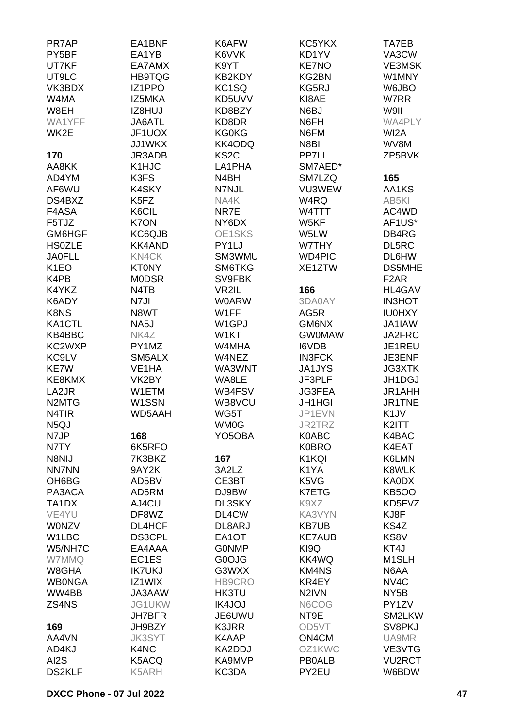| PR7AP                          | EA1BNF            | K6AFW               | KC5YKX             | TA7EB              |
|--------------------------------|-------------------|---------------------|--------------------|--------------------|
| PY5BF                          | EA1YB             | K6VVK               | KD1YV              | VA3CW              |
| UT7KF                          | EA7AMX            | K9YT                | <b>KE7NO</b>       | <b>VE3MSK</b>      |
| UT9LC                          | <b>HB9TQG</b>     | KB2KDY              | KG2BN              | W1MNY              |
| VK3BDX                         | IZ1PPO            | KC <sub>1</sub> SQ  | KG5RJ              | W6JBO              |
| W4MA                           | IZ5MKA            | KD5UVV              | KI8AE              | W7RR               |
| W8EH                           | IZ8HUJ            | KD8BZY              | N6BJ               | W9II               |
| WA1YFF                         |                   |                     |                    | <b>WA4PLY</b>      |
|                                | JA6ATL            | KD8DR               | N6FH               |                    |
| WK2E                           | JF1UOX            | <b>KG0KG</b>        | N6FM               | WI2A               |
|                                | JJ1WKX            | KK4ODQ              | N8BI               | WV8M               |
| 170                            | JR3ADB            | KS <sub>2</sub> C   | PP7LL              | ZP5BVK             |
| AA8KK                          | K1HJC             | LA1PHA              | SM7AED*            |                    |
| AD4YM                          | K3FS              | N4BH                | SM7LZQ             | 165                |
| AF6WU                          | K4SKY             | N7NJL               | VU3WEW             | AA1KS              |
| DS4BXZ                         | K5FZ              | NA4K                | W4RQ               | AB5KI              |
| F4ASA                          | K6CIL             | NR7E                | W4TTT              | AC4WD              |
| F5TJZ                          | K7ON              | NY6DX               | W5KF               | AF1US*             |
| GM6HGF                         | KC6QJB            | OE1SKS              | W5LW               | DB4RG              |
| <b>HS0ZLE</b>                  | <b>KK4AND</b>     | PY1LJ               | W7THY              | DL5RC              |
| <b>JA0FLL</b>                  | KN4CK             | SM3WMU              | <b>WD4PIC</b>      | DL6HW              |
| K <sub>1</sub> EO              | <b>KT0NY</b>      | SM6TKG              | XE1ZTW             | <b>DS5MHE</b>      |
| K4PB                           | <b>MODSR</b>      | SV9FBK              |                    | F <sub>2</sub> AR  |
| K4YKZ                          | N4TB              | VR2IL               | 166                | <b>HL4GAV</b>      |
| K6ADY                          | N7JI              | <b>W0ARW</b>        | 3DA0AY             | <b>IN3HOT</b>      |
| K8NS                           | N8WT              | W1FF                | AG5R               | <b>IU0HXY</b>      |
| KA1CTL                         | NA <sub>5</sub> J | W <sub>1</sub> GPJ  | GM6NX              | JA1IAW             |
| KB4BBC                         | NK4Z              | W1KT                | <b>GWOMAW</b>      | JA2FRC             |
|                                |                   |                     |                    |                    |
| KC2WXP                         | PY1MZ             | W4MHA               | <b>I6VDB</b>       | JE1REU             |
| KC9LV                          | SM5ALX            | W4NEZ               | <b>IN3FCK</b>      | JE3ENP             |
| KE7W                           | VE1HA             | WA3WNT              | <b>JA1JYS</b>      | <b>JG3XTK</b>      |
| KE8KMX                         | VK2BY             | WA8LE               | JF3PLF             | JH1DGJ             |
| LA2JR                          | W1ETM             | WB4FSV              | <b>JG3FEA</b>      | JR1AHH             |
| N <sub>2</sub> MT <sub>G</sub> | W1SSN             | WB8VCU              | <b>JH1HGI</b>      | JR1TNE             |
| N <sub>4</sub> T <sub>IR</sub> | WD5AAH            | WG5T                | JP1EVN             | K <sub>1</sub> JV  |
| N <sub>5</sub> QJ              |                   | <b>WM0G</b>         | JR2TRZ             | K2ITT              |
| N7JP                           | 168               | YO <sub>5</sub> OBA | K0ABC              | K4BAC              |
| N7TY                           | 6K5RFO            |                     | <b>K0BRO</b>       | K4EAT              |
| N8NIJ                          | 7K3BKZ            | 167                 | K1KQI              | K6LMN              |
| <b>NN7NN</b>                   | 9AY2K             | 3A2LZ               | K1YA               | K8WLK              |
| OH6BG                          | AD5BV             | CE3BT               | K5VG               | KA0DX              |
| PA3ACA                         | AD5RM             | DJ9BW               | <b>K7ETG</b>       | <b>KB5OO</b>       |
| TA1DX                          | AJ4CU             | DL3SKY              | K9XZ               | KD5FVZ             |
| VE4YU                          | DF8WZ             | DL4CW               | KA3VYN             | KJ8F               |
| <b>WONZV</b>                   | <b>DL4HCF</b>     | DL8ARJ              | <b>KB7UB</b>       | KS4Z               |
| W1LBC                          | <b>DS3CPL</b>     | EA1OT               | <b>KE7AUB</b>      | KS8V               |
| W5/NH7C                        | EA4AAA            | <b>GONMP</b>        | KI9Q               | KT4J               |
| W7MMQ                          | EC1ES             | G0OJG               | KK4WQ              | M <sub>1</sub> SLH |
| W8GHA                          | <b>IK7UKJ</b>     | G3WXX               | <b>KM4NS</b>       | N6AA               |
| <b>WB0NGA</b>                  | IZ1WIX            | HB9CRO              | KR4EY              | NV <sub>4</sub> C  |
| WW4BB                          | JA3AAW            | HK3TU               | N <sub>2</sub> IVN | NY <sub>5</sub> B  |
| ZS4NS                          | JG1UKW            | <b>IK4JOJ</b>       | N6COG              | PY1ZV              |
|                                | <b>JH7BFR</b>     | JE6UWU              | NT9E               | SM2LKW             |
| 169                            | JH9BZY            | K3JRR               | OD5VT              | SV8PKJ             |
| AA4VN                          | <b>JK3SYT</b>     | K4AAP               | ON4CM              | UA9MR              |
| AD4KJ                          | K4NC              | KA2DDJ              | OZ1KWC             | VE3VTG             |
| AI2S                           | K5ACQ             | KA9MVP              | <b>PB0ALB</b>      | <b>VU2RCT</b>      |
| <b>DS2KLF</b>                  | K5ARH             | KC3DA               | PY2EU              | W6BDW              |
|                                |                   |                     |                    |                    |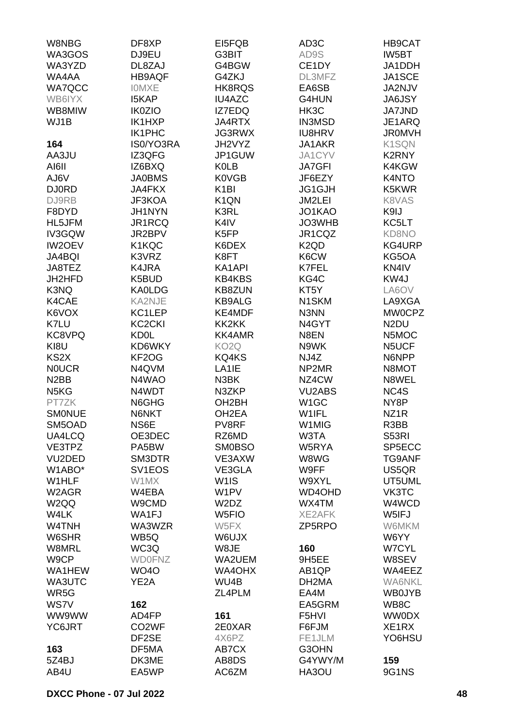| W8NBG                         | DF8XP               | EI5FQB                        | AD <sub>3</sub> C             | HB9CAT            |
|-------------------------------|---------------------|-------------------------------|-------------------------------|-------------------|
| WA3GOS                        | DJ9EU               | G3BIT                         | AD9S                          | IW5BT             |
| WA3YZD                        | DL8ZAJ              | G4BGW                         | CE1DY                         | JA1DDH            |
| WA4AA                         | <b>HB9AQF</b>       | G4ZKJ                         | DL3MFZ                        | JA1SCE            |
| <b>WA7QCC</b>                 | <b>IOMXE</b>        | HK8RQS                        | EA6SB                         | JA2NJV            |
| WB6IYX                        | <b>I5KAP</b>        | <b>IU4AZC</b>                 | G4HUN                         | <b>JA6JSY</b>     |
| WB8MIW                        | <b>IK0ZIO</b>       | IZ7EDQ                        | HK3C                          | <b>JA7JND</b>     |
| WJ1B                          | IK1HXP              | JA4RTX                        | <b>IN3MSD</b>                 | JE1ARQ            |
|                               | <b>IK1PHC</b>       | JG3RWX                        | <b>IU8HRV</b>                 | <b>JR0MVH</b>     |
| 164                           | IS0/YO3RA           | JH2VYZ                        | JA1AKR                        | K1SQN             |
|                               |                     |                               |                               |                   |
| AA3JU                         | IZ3QFG              | JP1GUW                        | JA1CYV                        | K2RNY             |
| AI6II                         | IZ6BXQ              | <b>K0LB</b>                   | <b>JA7GFI</b>                 | K4KGW             |
| AJ6V                          | <b>JA0BMS</b>       | <b>K0VGB</b>                  | JF6EZY                        | K4NTO             |
| <b>DJ0RD</b>                  | <b>JA4FKX</b>       | K <sub>1</sub> BI             | JG1GJH                        | K5KWR             |
| DJ9RB                         | JF3KOA              | K <sub>1</sub> QN             | JM2LEI                        | K8VAS             |
| F8DYD                         | JH1NYN              | K3RL                          | JO1KAO                        | K9IJ              |
| HL5JFM                        | JR1RCQ              | K4IV                          | JO3WHB                        | KC5LT             |
| IV3GQW                        | JR2BPV              | K5FP                          | JR1CQZ                        | <b>KD8NO</b>      |
| <b>IW2OEV</b>                 | K1KQC               | K6DEX                         | K <sub>2</sub> Q <sub>D</sub> | KG4URP            |
| JA4BQI                        | K3VRZ               | K8FT                          | K6CW                          | KG5OA             |
| JA8TEZ                        | K4JRA               | KA1API                        | K7FEL                         | KN4IV             |
| JH2HFD                        | K5BUD               | <b>KB4KBS</b>                 | KG4C                          | KW4J              |
| K3NQ                          | <b>KA0LDG</b>       | KB8ZUN                        | KT5Y                          | LA6OV             |
| K4CAE                         | KA2NJE              | <b>KB9ALG</b>                 | N <sub>1</sub> SKM            | LA9XGA            |
| K6VOX                         | KC1LEP              | KE4MDF                        | N3NN                          | <b>MW0CPZ</b>     |
| K7LU                          | KC <sub>2</sub> CKI | KK2KK                         | N4GYT                         | N <sub>2</sub> DU |
| KC8VPQ                        | <b>KD0L</b>         | <b>KK4AMR</b>                 | N8EN                          | N5MOC             |
| KI8U                          | KD6WKY              | KO <sub>2</sub> Q             | N9WK                          | N5UCF             |
| KS <sub>2</sub> X             | KF2OG               | KQ4KS                         | NJ4Z                          | N6NPP             |
| <b>NOUCR</b>                  | N4QVM               | LA <sub>1</sub> IE            | NP2MR                         | N8MOT             |
| N <sub>2</sub> BB             | N4WAO               | N3BK                          | NZ4CW                         | N8WEL             |
| N <sub>5</sub> K <sub>G</sub> | N4WDT               | N3ZKP                         | <b>VU2ABS</b>                 | NC4S              |
| PT7ZK                         | N6GHG               | OH <sub>2</sub> BH            | W <sub>1</sub> GC             | NY8P              |
| <b>SMONUE</b>                 | N6NKT               | OH <sub>2</sub> EA            | W1IFL                         | NZ <sub>1</sub> R |
| SM5OAD                        | NS6E                | PV8RF                         | W1MIG                         | R3BB              |
| UA4LCQ                        | OE3DEC              | RZ6MD                         | W3TA                          | S53RI             |
| VE3TPZ                        | PA5BW               | <b>SM0BSO</b>                 | W5RYA                         | SP5ECC            |
| VU2DED                        | SM3DTR              | VE3AXW                        | W8WG                          | <b>TG9ANF</b>     |
| W1ABO*                        | SV <sub>1</sub> EOS | VE3GLA                        | W9FF                          | US5QR             |
| W1HLF                         | W1MX                |                               | W9XYL                         |                   |
|                               |                     | W <sub>1</sub> IS             |                               | UT5UML            |
| W2AGR                         | W4EBA               | W <sub>1</sub> PV             | WD4OHD                        | VK3TC             |
| W <sub>2</sub> QQ             | W9CMD               | W <sub>2</sub> D <sub>Z</sub> | WX4TM                         | W4WCD             |
| W4LK                          | WA1FJ               | W <sub>5FIO</sub>             | <b>XE2AFK</b>                 | W5IFJ             |
| W4TNH                         | WA3WZR              | W5FX                          | ZP5RPO                        | <b>W6MKM</b>      |
| W6SHR                         | WB5Q                | W6UJX                         |                               | W6YY              |
| W8MRL                         | WC3Q                | W8JE                          | 160                           | <b>W7CYL</b>      |
| W9CP                          | <b>WD0FNZ</b>       | WA2UEM                        | 9H5EE                         | W8SEV             |
| WA1HEW                        | <b>WO40</b>         | WA4OHX                        | AB <sub>1QP</sub>             | WA4EEZ            |
| WA3UTC                        | YE2A                | WU4B                          | DH2MA                         | <b>WA6NKL</b>     |
| WR5G                          |                     | ZL4PLM                        | EA4M                          | <b>WB0JYB</b>     |
| WS7V                          | 162                 |                               | EA5GRM                        | WB8C              |
| WW9WW                         | AD4FP               | 161                           | F5HVI                         | <b>WW0DX</b>      |
| YC6JRT                        | CO <sub>2</sub> WF  | 2E0XAR                        | F6FJM                         | XE1RX             |
|                               | DF2SE               | 4X6PZ                         | FE1JLM                        | YO6HSU            |
| 163                           | DF5MA               | AB7CX                         | G3OHN                         |                   |
| 5Z4BJ                         | DK3ME               | AB8DS                         | G4YWY/M                       | 159               |
| AB4U                          | EA5WP               | AC6ZM                         | HA3OU                         | 9G1NS             |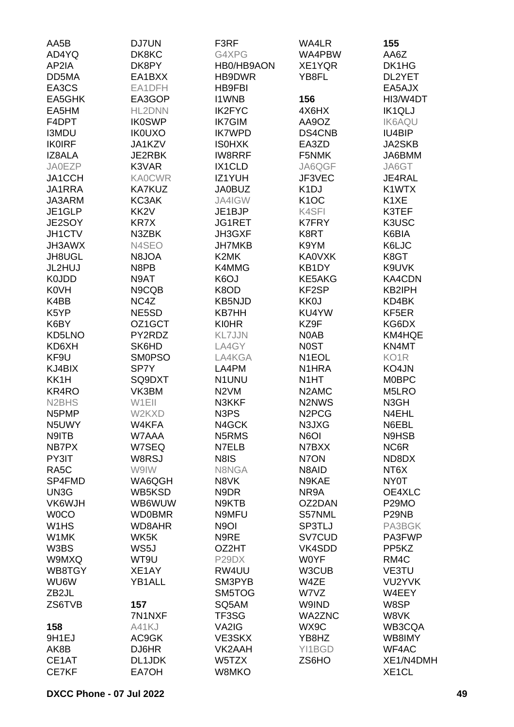| AA5B                           | <b>DJ7UN</b>     | F3RF                          | WA4LR                           | 155                |
|--------------------------------|------------------|-------------------------------|---------------------------------|--------------------|
| AD4YQ                          | DK8KC            | G4XPG                         | WA4PBW                          | AA6Z               |
| AP2IA                          | DK8PY            | HB0/HB9AON                    | XE1YQR                          | DK1HG              |
| DD5MA                          | EA1BXX           | HB9DWR                        | YB8FL                           | DL2YET             |
| EA3CS                          | EA1DFH           | <b>HB9FBI</b>                 |                                 | EA5AJX             |
| EA5GHK                         | EA3GOP           | <b>I1WNB</b>                  | 156                             | HI3/W4DT           |
| EA5HM                          | HL2DNN           | <b>IK2FYC</b>                 | 4X6HX                           | <b>IK1QLJ</b>      |
| F4DPT                          | <b>IK0SWP</b>    | <b>IK7GIM</b>                 | AA9OZ                           | <b>IK6AQU</b>      |
| <b>I3MDU</b>                   | <b>IK0UXO</b>    | <b>IK7WPD</b>                 | DS4CNB                          | IU4BIP             |
| <b>IK0IRF</b>                  | JA1KZV           | <b>ISOHXK</b>                 | EA3ZD                           | JA2SKB             |
| IZ8ALA                         | JE2RBK           | <b>IW8RRF</b>                 | F5NMK                           | JA6BMM             |
| <b>JA0EZP</b>                  | K3VAR            | IX1CLD                        | JA6QGF                          | JA6GT              |
| JA1CCH                         | <b>KA0CWR</b>    | IZ1YUH                        | JF3VEC                          | JE4RAL             |
| JA1RRA                         | <b>KA7KUZ</b>    | <b>JA0BUZ</b>                 | K <sub>1</sub> DJ               | K1WTX              |
| JA3ARM                         | KC3AK            | JA4IGW                        | K <sub>1</sub> OC               | K <sub>1</sub> XE  |
| JE1GLP                         | KK <sub>2V</sub> | JE1BJP                        | K4SFI                           | K3TEF              |
| JE2SOY                         | KR7X             | JG1RET                        | <b>K7FRY</b>                    | K3USC              |
| JH1CTV                         | N3ZBK            | JH3GXF                        | K8RT                            | K6BIA              |
| <b>JH3AWX</b>                  | N4SEO            | <b>JH7MKB</b>                 | K9YM                            | K6LJC              |
| JH8UGL                         | N8JOA            | K2MK                          | <b>KA0VXK</b>                   | K8GT               |
| JL2HUJ                         | N8PB             | K4MMG                         | KB1DY                           | K9UVK              |
| K0JDD                          | N9AT             | K6OJ                          | <b>KE5AKG</b>                   | KA4CDN             |
| <b>K0VH</b>                    | N9CQB            | K8OD                          | KF2SP                           | KB2IPH             |
| K4BB                           | NC4Z             | <b>KB5NJD</b>                 | KK0J                            | KD4BK              |
| K5YP                           | NE5SD            | <b>KB7HH</b>                  | KU4YW                           | KF5ER              |
| K6BY                           | OZ1GCT           | <b>KI0HR</b>                  | KZ9F                            | KG6DX              |
| KD5LNO                         | PY2RDZ           | <b>KL7JJN</b>                 | N0AB                            | KM4HQE             |
| KD6XH                          | SK6HD            | LA4GY                         | <b>NOST</b>                     | KN4MT              |
| KF9U                           | <b>SM0PSO</b>    | LA4KGA                        | N <sub>1</sub> EOL              | KO <sub>1</sub> R  |
| KJ4BIX                         | SP7Y             | LA4PM                         | N1HRA                           | KO4JN              |
| KK1H                           | SQ9DXT           | N1UNU                         | N <sub>1</sub> HT               | <b>MOBPC</b>       |
| KR4RO                          | VK3BM            | N <sub>2</sub> VM             | N <sub>2</sub> AM <sub>C</sub>  | M5LRO              |
| N <sub>2</sub> BH <sub>S</sub> | W1EII            | N3KKF                         | N <sub>2</sub> N <sub>W</sub> S | N3GH               |
| N5PMP                          | W2KXD            | N <sub>3</sub> P <sub>S</sub> | N <sub>2</sub> PC <sub>G</sub>  | N4EHL              |
| N5UWY                          | W4KFA            | N4GCK                         | N3JXG                           | N6EBL              |
| N9ITB                          | W7AAA            | N5RMS                         | N6OI                            | N9HSB              |
| NB7PX                          | W7SEQ            | N7ELB                         | N7BXX                           | NC6R               |
| PY3IT                          | W8RSJ            | N8IS                          | N7ON                            | ND8DX              |
| RA <sub>5</sub> C              | W9IW             | N8NGA                         | N8AID                           | NT6X               |
| SP4FMD                         | WA6QGH           | N8VK                          | N9KAE                           | NY0T               |
| UN3G                           | WB5KSD           | N9DR                          | NR9A                            | OE4XLC             |
| VK6WJH                         | WB6WUW           | N9KTB                         | OZ2DAN                          | <b>P29MO</b>       |
| <b>WOCO</b>                    | <b>WD0BMR</b>    | N9MFU                         | S57NML                          | P <sub>29</sub> NB |
| W <sub>1</sub> H <sub>S</sub>  | WD8AHR           | N <sub>9</sub> OI             | SP3TLJ                          | PA3BGK             |
| W1MK                           | WK5K             | N9RE                          | SV7CUD                          | PA3FWP             |
| W3BS                           | WS5J             | OZ2HT                         | VK4SDD                          | PP <sub>5</sub> KZ |
| W9MXQ                          | WT9U             | P29DX                         | <b>WOYF</b>                     | RM4C               |
| WB8TGY                         | XE1AY            | RW4UU                         | W3CUB                           | VE3TU              |
| WU6W                           | YB1ALL           | SM3PYB                        | W4ZE                            | VU2YVK             |
| ZB <sub>2</sub> JL             |                  | SM5TOG                        | W7VZ                            | W4EEY              |
| ZS6TVB                         | 157              | SQ5AM                         | W9IND                           | W8SP               |
|                                | 7N1NXF           | TF3SG                         | <b>WA2ZNC</b>                   | W8VK               |
| 158                            | A41KJ            | VA2IG                         | WX9C                            | WB3CQA             |
| 9H1EJ                          | AC9GK            | VE3SKX                        | YB8HZ                           | WB8IMY             |
| AK8B                           | DJ6HR            | VK2AAH                        | YI1BGD                          | WF4AC              |
| CE1AT                          | DL1JDK           | W5TZX                         | ZS6HO                           | XE1/N4DMH          |
| CE7KF                          | EA7OH            | W8MKO                         |                                 | XE1CL              |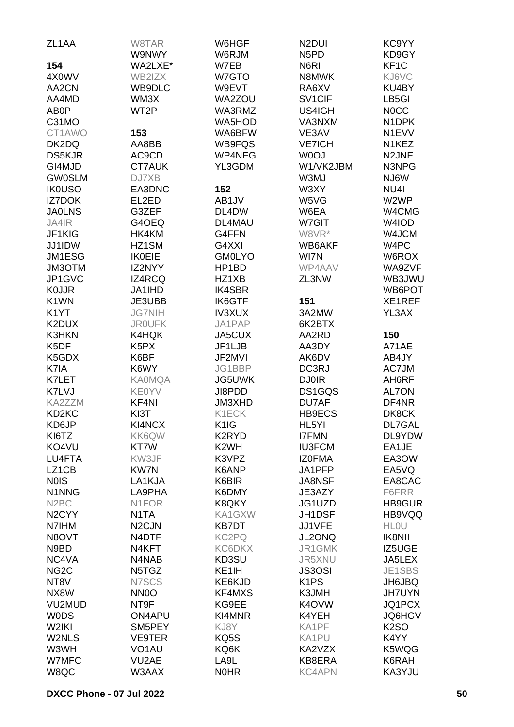| ZL <sub>1</sub> AA             | W8TAR              | W6HGF              | N <sub>2</sub> DUI            | KC9YY              |
|--------------------------------|--------------------|--------------------|-------------------------------|--------------------|
|                                | W9NWY              | W6RJM              | N <sub>5</sub> P <sub>D</sub> | KD9GY              |
| 154                            | WA2LXE*            | W7EB               | N6RI                          | KF <sub>1</sub> C  |
| 4X0WV                          | WB2IZX             | W7GTO              | N8MWK                         | KJ6VC              |
| AA2CN                          | WB9DLC             | W9EVT              | RA6XV                         | KU4BY              |
| AA4MD                          | WM3X               | WA2ZOU             | SV <sub>1</sub> CIF           | LB5GI              |
| AB0P                           | WT2P               | WA3RMZ             | US4IGH                        | <b>NOCC</b>        |
| C31MO                          |                    | <b>WA5HOD</b>      | VA3NXM                        | N <sub>1</sub> DPK |
| CT1AWO                         | 153                | WA6BFW             | VE3AV                         | N1EVV              |
| DK2DQ                          | AA8BB              | WB9FQS             | <b>VE7ICH</b>                 | N1KEZ              |
| <b>DS5KJR</b>                  | AC9CD              | WP4NEG             | W0OJ                          | N2JNE              |
| GI4MJD                         | CT7AUK             | YL3GDM             | W1/VK2JBM                     | N3NPG              |
| <b>GW0SLM</b>                  | DJ7XB              |                    | W3MJ                          | NJ6W               |
| <b>IK0USO</b>                  | EA3DNC             | 152                | W3XY                          | NU <sub>4</sub>    |
| <b>IZ7DOK</b>                  | EL2ED              | AB1JV              | W5VG                          | W2WP               |
| <b>JA0LNS</b>                  | G3ZEF              | DL4DW              | W6EA                          | W4CMG              |
| JA4IR                          | G4OEQ              | DL4MAU             | W7GIT                         | W4IOD              |
| JF1KIG                         | HK4KM              | G4FFN              | W8VR*                         | W4JCM              |
|                                |                    | G4XXI              | WB6AKF                        |                    |
| JJ1IDW                         | HZ1SM              |                    |                               | W4PC               |
| JM1ESG                         | <b>IK0EIE</b>      | <b>GM0LYO</b>      | WI7N                          | W6ROX              |
| JM3OTM                         | IZ2NYY             | HP1BD              | WP4AAV                        | WA9ZVF             |
| JP1GVC                         | IZ4RCQ             | HZ1XB              | ZL3NW                         | WB3JWU             |
| <b>K0JJR</b>                   | <b>JA1IHD</b>      | <b>IK4SBR</b>      |                               | WB6POT             |
| K <sub>1</sub> WN              | JE3UBB             | IK6GTF             | 151                           | XE1REF             |
| K <sub>1</sub> YT              | <b>JG7NIH</b>      | <b>IV3XUX</b>      | 3A2MW                         | YL3AX              |
| K2DUX                          | <b>JROUFK</b>      | JA1PAP             | 6K2BTX                        |                    |
| <b>K3HKN</b>                   | K4HQK              | JA5CUX             | AA2RD                         | 150                |
| K5DF                           | K <sub>5</sub> PX  | JF1LJB             | AA3DY                         | A71AE              |
| K5GDX                          | K6BF               | JF2MVI             | AK6DV                         | AB4JY              |
| K7IA                           | K6WY               | JG1BBP             | DC3RJ                         | AC7JM              |
| K7LET                          | <b>KA0MQA</b>      | <b>JG5UWK</b>      | <b>DJ0IR</b>                  | AH6RF              |
| K7LVJ                          | <b>KE0YV</b>       | JI8PDD             | DS1GQS                        | AL7ON              |
| KA2ZZM                         | KF4NI              | JM3XHD             | DU7AF                         | DF4NR              |
| KD <sub>2</sub> K <sub>C</sub> | KI3T               | K1ECK              | HB9ECS                        | DK8CK              |
| KD6JP                          | KI4NCX             | K <sub>1</sub> IG  | HL5YI                         | DL7GAL             |
| KI6TZ                          | KK6QW              | K2RYD              | <b>I7FMN</b>                  | DL9YDW             |
| KO4VU                          | KT7W               | K <sub>2</sub> WH  | <b>IU3FCM</b>                 | EA1JE              |
| LU4FTA                         | KW3JF              | K3VPZ              | <b>IZOFMA</b>                 | EA3OW              |
| LZ1CB                          | <b>KW7N</b>        | K6ANP              | JA1PFP                        | EA5VQ              |
| <b>NOIS</b>                    | LA1KJA             | K6BIR              | <b>JA8NSF</b>                 | EA8CAC             |
| N1NNG                          | LA9PHA             | K6DMY              | JE3AZY                        | F6FRR              |
| N <sub>2</sub> BC              | N1FOR              | K8QKY              | JG1UZD                        | <b>HB9GUR</b>      |
| N <sub>2</sub> CYY             | N <sub>1</sub> TA  | KA1GXW             | JH1DSF                        | HB9VQQ             |
| N7IHM                          | N <sub>2</sub> CJN | <b>KB7DT</b>       | JJ1VFE                        | <b>HLOU</b>        |
| N8OVT                          | N4DTF              | KC2PQ              | JL2ONQ                        | <b>IK8NII</b>      |
| N9BD                           | N4KFT              | <b>KC6DKX</b>      | JR1GMK                        | IZ5UGE             |
| NC4VA                          | N4NAB              | KD3SU              | JR5XNU                        | JA5LEX             |
| NG <sub>2</sub> C              | N5TGZ              | KE <sub>1</sub> IH | <b>JS3OSI</b>                 | JE1SBS             |
|                                |                    |                    |                               |                    |
| NT8V                           | N7SCS              | KE6KJD             | K <sub>1</sub> PS             | JH6JBQ             |
| NX8W                           | NN <sub>0</sub>    | KF4MXS             | K3JMH                         | <b>JH7UYN</b>      |
| VU2MUD                         | NT9F               | KG9EE              | K4OVW                         | JQ1PCX             |
| <b>WODS</b>                    | ON4APU             | KI4MNR             | K4YEH                         | <b>JQ6HGV</b>      |
| W2IKI                          | SM5PEY             | KJ8Y               | KA1PF                         | <b>K2SO</b>        |
| W2NLS                          | <b>VE9TER</b>      | KQ5S               | KA1PU                         | K4YY               |
| W3WH                           | VO <sub>1</sub> AU | KQ6K               | KA2VZX                        | K5WQG              |
| W7MFC                          | VU2AE              | LA9L               | KB8ERA                        | K6RAH              |
| W8QC                           | W3AAX              | <b>NOHR</b>        | <b>KC4APN</b>                 | KA3YJU             |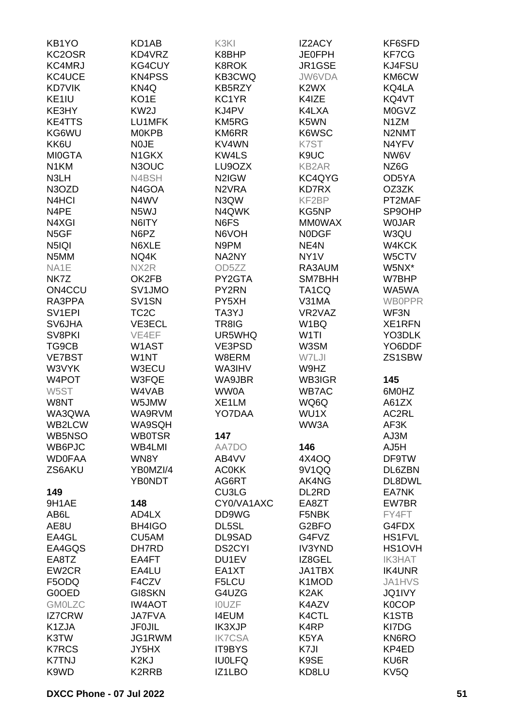| KB1YO               | KD1AB             | K3KI               | <b>IZ2ACY</b>                 | KF6SFD                         |
|---------------------|-------------------|--------------------|-------------------------------|--------------------------------|
| KC2OSR              | KD4VRZ            | K8BHP              | <b>JE0FPH</b>                 | <b>KF7CG</b>                   |
| KC4MRJ              | KG4CUY            | K8ROK              | JR1GSE                        | KJ4FSU                         |
| KC4UCE              | <b>KN4PSS</b>     | KB3CWQ             | JW6VDA                        | KM6CW                          |
| <b>KD7VIK</b>       | KN4Q              |                    | K <sub>2</sub> W <sub>X</sub> |                                |
|                     |                   | KB5RZY             |                               | KQ4LA                          |
| KE <sub>1IU</sub>   | KO <sub>1</sub> E | KC1YR              | K4IZE                         | KQ4VT                          |
| KE3HY               | KW <sub>2</sub> J | KJ4PV              | K4LXA                         | <b>M0GVZ</b>                   |
| <b>KE4TTS</b>       | LU1MFK            | KM5RG              | K5WN                          | N <sub>1</sub> ZM              |
| KG6WU               | <b>MOKPB</b>      | KM6RR              | K6WSC                         | N2NMT                          |
| KK6U                | <b>NOJE</b>       | KV4WN              | K7ST                          | N4YFV                          |
| <b>MI0GTA</b>       | N1GKX             | <b>KW4LS</b>       | K9UC                          | NW6V                           |
| N <sub>1</sub> KM   | N3OUC             | LU9OZX             | <b>KB2AR</b>                  | NZ6G                           |
| N3LH                | N4BSH             | N2IGW              | KC4QYG                        | OD5YA                          |
| N3OZD               | N4GOA             | N <sub>2</sub> VRA | <b>KD7RX</b>                  | OZ3ZK                          |
| N <sub>4</sub> HCI  | N4WV              | N3QW               | KF2BP                         | PT2MAF                         |
| N4PE                | N5WJ              | N4QWK              | KG5NP                         | SP9OHP                         |
| N4XGI               | N6ITY             | N6FS               | <b>MMOWAX</b>                 | <b>WOJAR</b>                   |
| N <sub>5</sub> GF   | N6PZ              | N6VOH              | <b>NODGF</b>                  | W3QU                           |
| N <sub>5</sub> IQI  | N6XLE             | N9PM               | NE <sub>4</sub> N             | W4KCK                          |
| N5MM                | NQ4K              | NA2NY              | NY <sub>1</sub> V             | W5CTV                          |
| NA1E                | NX2R              | OD5ZZ              | RA3AUM                        | W5NX*                          |
|                     |                   |                    | SM7BHH                        |                                |
| NK7Z                | OK2FB             | PY2GTA             |                               | W7BHP                          |
| ON4CCU              | SV1JMO            | PY2RN              | TA <sub>1</sub> CQ            | WA5WA                          |
| RA3PPA              | SV1SN             | PY5XH              | V31MA                         | <b>WBOPPR</b>                  |
| SV <sub>1</sub> EPI | TC <sub>2</sub> C | TA3YJ              | VR2VAZ                        | WF3N                           |
| <b>SV6JHA</b>       | VE3ECL            | TR8IG              | W <sub>1</sub> BQ             | XE1RFN                         |
| SV8PKI              | VE4EF             | UR5WHQ             | W <sub>1</sub> TI             | YO3DLK                         |
| TG9CB               | W1AST             | VE3PSD             | W3SM                          | YO6DDF                         |
| <b>VE7BST</b>       | W1NT              | W8ERM              | W7LJI                         | ZS1SBW                         |
| W3VYK               | W3ECU             | WA3IHV             | W9HZ                          |                                |
| W4POT               | W3FQE             | WA9JBR             | WB3IGR                        | 145                            |
| W5ST                | W4VAB             | WW0A               | <b>WB7AC</b>                  | 6M0HZ                          |
| W8NT                | W5JMW             | XE1LM              | WQ6Q                          | A61ZX                          |
| WA3QWA              | WA9RVM            | YO7DAA             | WU1X                          | AC2RL                          |
| WB2LCW              | WA9SQH            |                    | WW3A                          | AF3K                           |
| WB5NSO              | <b>WB0TSR</b>     | 147                |                               | AJ3M                           |
| WB6PJC              | WB4LMI            | AA7DO              | 146                           | AJ5H                           |
| <b>WD0FAA</b>       | WN8Y              | AB4VV              | 4X4OQ                         | DF9TW                          |
| ZS6AKU              | YB0MZI/4          | <b>AC0KK</b>       | 9V1QQ                         | DL6ZBN                         |
|                     | <b>YB0NDT</b>     | AG6RT              | AK4NG                         | DL8DWL                         |
|                     |                   |                    |                               |                                |
| 149                 |                   | CU3LG              | DL2RD                         | EA7NK                          |
| 9H1AE               | 148               | CY0/VA1AXC         | EA8ZT                         | EW7BR                          |
| AB6L                | AD4LX             | DD9WG              | F5NBK                         | FY4FT                          |
| AE8U                | BH4IGO            | DL5SL              | G <sub>2</sub> BFO            | G4FDX                          |
| EA4GL               | CU5AM             | DL9SAD             | G4FVZ                         | <b>HS1FVL</b>                  |
| EA4GQS              | DH7RD             | <b>DS2CYI</b>      | <b>IV3YND</b>                 | HS1OVH                         |
| EA8TZ               | EA4FT             | DU1EV              | IZ8GEL                        | <b>IK3HAT</b>                  |
| EW2CR               | EA4LU             | EA1XT              | JA1TBX                        | <b>IK4UNR</b>                  |
| F5ODQ               | F4CZV             | F5LCU              | K1MOD                         | <b>JA1HVS</b>                  |
| G0OED               | GI8SKN            | G4UZG              | K <sub>2</sub> AK             | JQ1IVY                         |
| <b>GM0LZC</b>       | <b>IW4AOT</b>     | <b>IOUZF</b>       | K4AZV                         | <b>K0COP</b>                   |
| <b>IZ7CRW</b>       | <b>JA7FVA</b>     | <b>I4EUM</b>       | K4CTL                         | K <sub>1</sub> ST <sub>B</sub> |
| K1ZJA               | <b>JF0JIL</b>     | IK3XJP             | K4RP                          | KI7DG                          |
| K3TW                | JG1RWM            | <b>IK7CSA</b>      | K5YA                          | KN6RO                          |
| <b>K7RCS</b>        | JY5HX             | IT9BYS             | K7JI                          | KP4ED                          |
| <b>K7TNJ</b>        | K <sub>2</sub> KJ | <b>IU0LFQ</b>      | K9SE                          | KU6R                           |
| K9WD                | K2RRB             | IZ1LBO             | KD8LU                         | KV5Q                           |
|                     |                   |                    |                               |                                |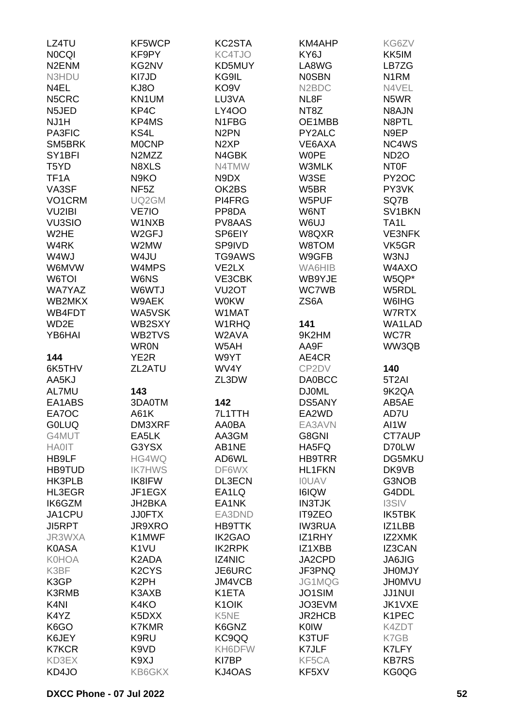| LZ4TU                          | KF5WCP                         | KC2STA                          | <b>KM4AHP</b>                   | KG6ZV               |
|--------------------------------|--------------------------------|---------------------------------|---------------------------------|---------------------|
| <b>NOCQI</b>                   | KF9PY                          | KC4TJO                          | KY6J                            | KK5IM               |
|                                |                                |                                 |                                 |                     |
| N <sub>2</sub> EN <sub>M</sub> | KG2NV                          | KD5MUY                          | LA8WG                           | LB7ZG               |
| N3HDU                          | KI7JD                          | KG9IL                           | <b>NOSBN</b>                    | N <sub>1</sub> RM   |
| N4EL                           | KJ8O                           | KO <sub>9</sub> V               | N <sub>2</sub> B <sub>D</sub> C | N4VEL               |
| N5CRC                          | KN1UM                          | LU3VA                           | NL8F                            | N5WR                |
| N5JED                          | KP4C                           | <b>LY400</b>                    | NT8Z                            | N8AJN               |
| NJ1H                           | KP4MS                          | N1FBG                           | OE1MBB                          | N8PTL               |
| PA3FIC                         | KS4L                           | N <sub>2</sub> PN               | PY2ALC                          | N9EP                |
| SM5BRK                         | <b>MOCNP</b>                   | N <sub>2</sub> XP               | VE6AXA                          | NC4WS               |
| SY <sub>1</sub> BFI            | N2MZZ                          | N4GBK                           | <b>WOPE</b>                     | ND <sub>20</sub>    |
| T5YD                           | N8XLS                          | N4TMW                           | W3MLK                           | <b>NTOF</b>         |
| TF <sub>1</sub> A              | N9KO                           | N9DX                            | W3SE                            | PY <sub>2</sub> OC  |
|                                |                                |                                 |                                 |                     |
| VA3SF                          | NF <sub>5</sub> Z              | OK2BS                           | W5BR                            | PY3VK               |
| VO1CRM                         | UQ2GM                          | PI4FRG                          | W5PUF                           | SQ7B                |
| <b>VU2IBI</b>                  | VE7IO                          | PP8DA                           | W6NT                            | SV <sub>1</sub> BKN |
| <b>VU3SIO</b>                  | W1NXB                          | PV8AAS                          | W6UJ                            | TA <sub>1</sub> L   |
| W <sub>2</sub> HE              | W <sub>2</sub> GFJ             | SP6EIY                          | W8QXR                           | <b>VE3NFK</b>       |
| W4RK                           | W2MW                           | SP9IVD                          | W8TOM                           | VK5GR               |
| W4WJ                           | W4JU                           | TG9AWS                          | W9GFB                           | W3NJ                |
| W6MVW                          | W4MPS                          | VE2LX                           | WA6HIB                          | W4AXO               |
| W6TOI                          | W6NS                           | VE3CBK                          | WB9YJE                          | W5QP*               |
| <b>WA7YAZ</b>                  | W6WTJ                          | VU <sub>2</sub> OT              | <b>WC7WB</b>                    | W5RDL               |
| WB2MKX                         | W9AEK                          | <b>W0KW</b>                     | ZS6A                            | W6IHG               |
|                                |                                |                                 |                                 |                     |
| WB4FDT                         | WA5VSK                         | W1MAT                           |                                 | W7RTX               |
| WD2E                           | WB2SXY                         | W1RHQ                           | 141                             | WA1LAD              |
| YB6HAI                         | WB2TVS                         | W2AVA                           | 9K2HM                           | WC7R                |
|                                | <b>WR0N</b>                    | W5AH                            | AA9F                            | WW3QB               |
| 144                            | YE <sub>2</sub> R              | W9YT                            | AE4CR                           |                     |
| 6K5THV                         | ZL2ATU                         | WV4Y                            | CP2DV                           | 140                 |
| AA5KJ                          |                                | ZL3DW                           | <b>DA0BCC</b>                   | 5T <sub>2</sub> AI  |
| AL7MU                          | 143                            |                                 | <b>DJ0ML</b>                    | 9K2QA               |
| EA1ABS                         | 3DA0TM                         | 142                             | <b>DS5ANY</b>                   | AB5AE               |
| EA7OC                          | A61K                           | 7L1TTH                          | EA2WD                           | AD7U                |
| <b>GOLUQ</b>                   | DM3XRF                         | AA0BA                           | EA3AVN                          | AI1W                |
| G4MUT                          | EA5LK                          | AA3GM                           | G8GNI                           | CT7AUP              |
| <b>HA0IT</b>                   | G3YSX                          | AB1NE                           | HA5FQ                           | D70LW               |
|                                |                                |                                 |                                 |                     |
| HB9LF                          | HG4WQ                          | AD6WL                           | <b>HB9TRR</b>                   | DG5MKU              |
| <b>HB9TUD</b>                  | <b>IK7HWS</b>                  | DF6WX                           | <b>HL1FKN</b>                   | DK9VB               |
| HK3PLB                         | <b>IK8IFW</b>                  | DL3ECN                          | <b>IOUAV</b>                    | G3NOB               |
| HL3EGR                         | JF1EGX                         | EA1LQ                           | I6IQW                           | G4DDL               |
| IK6GZM                         | JH2BKA                         | EA1NK                           | <b>IN3TJK</b>                   | <b>I3SIV</b>        |
| JA1CPU                         | <b>JJ0FTX</b>                  | EA3DND                          | <b>IT9ZEO</b>                   | IK5TBK              |
| <b>JI5RPT</b>                  | JR9XRO                         | <b>HB9TTK</b>                   | <b>IW3RUA</b>                   | IZ1LBB              |
| JR3WXA                         | K1MWF                          | IK2GAO                          | IZ1RHY                          | IZ2XMK              |
| <b>K0ASA</b>                   | K <sub>1</sub> VU              | <b>IK2RPK</b>                   | IZ1XBB                          | IZ3CAN              |
| <b>K0HOA</b>                   | K2ADA                          | <b>IZ4NIC</b>                   | JA2CPD                          | <b>JA6JIG</b>       |
| K3BF                           | K <sub>2</sub> CY <sub>S</sub> | JE6URC                          | JF3PNQ                          | <b>JHOMJY</b>       |
| K3GP                           | K <sub>2</sub> PH              | JM4VCB                          | JG1MQG                          | <b>JH0MVU</b>       |
| K3RMB                          | K3AXB                          | K1ETA                           | JO1SIM                          | <b>JJ1NUI</b>       |
|                                |                                |                                 |                                 |                     |
| K <sub>4N</sub>                | K4KO                           | K <sub>1</sub> O <sub>I</sub> K | JO3EVM                          | JK1VXE              |
| K4YZ                           | K5DXX                          | K5NE                            | <b>JR2HCB</b>                   | K1PEC               |
| K6GO                           | <b>K7KMR</b>                   | K6GNZ                           | <b>K0IW</b>                     | K4ZDT               |
| K6JEY                          | K9RU                           | KC9QQ                           | K3TUF                           | K7GB                |
| <b>K7KCR</b>                   | K9VD                           | KH6DFW                          | K7JLF                           | K7LFY               |
| KD3EX                          | K9XJ                           | KI7BP                           | KF5CA                           | <b>KB7RS</b>        |
| KD4JO                          | <b>KB6GKX</b>                  | KJ4OAS                          | KF5XV                           | KG0QG               |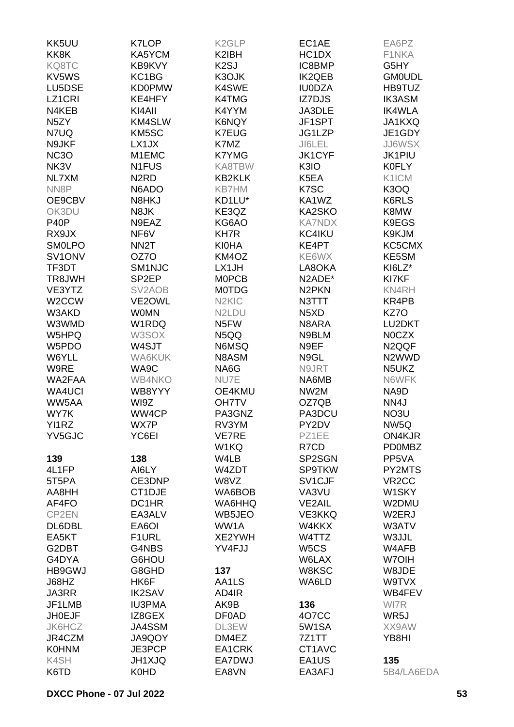| KK5UU             | <b>K7LOP</b>        | K <sub>2</sub> GLP             | EC1AE                         | EA6PZ              |
|-------------------|---------------------|--------------------------------|-------------------------------|--------------------|
| KK8K              | KA5YCM              | K2IBH                          | HC1DX                         | F1NKA              |
| KQ8TC             | KB9KVY              | K <sub>2</sub> SJ              | IC8BMP                        | G5HY               |
| KV5WS             | KC1BG               | K3OJK                          | <b>IK2QEB</b>                 | <b>GM0UDL</b>      |
| LU5DSE            | <b>KD0PMW</b>       | K4SWE                          | <b>IU0DZA</b>                 | HB9TUZ             |
| LZ1CRI            | KE4HFY              | K4TMG                          | IZ7DJS                        | <b>IK3ASM</b>      |
| N4KEB             | KI4AII              | K4YYM                          | JA3DLE                        | <b>IK4WLA</b>      |
| N <sub>5</sub> ZY | KM4SLW              | K6NQY                          | JF1SPT                        | JA1KXQ             |
| N7UQ              | KM5SC               | <b>K7EUG</b>                   | JG1LZP                        | JE1GDY             |
| N9JKF             | LX1JX               | K7MZ                           | JI6LEL                        | <b>JJ6WSX</b>      |
| NC <sub>3</sub> O | M1EMC               | <b>K7YMG</b>                   | <b>JK1CYF</b>                 | <b>JK1PIU</b>      |
| NK3V              | N1FUS               | KA8TBW                         | K3IO                          | <b>K0FLY</b>       |
| NL7XM             | N <sub>2</sub> RD   | <b>KB2KLK</b>                  | K5EA                          | K1ICM              |
|                   | N6ADO               | <b>KB7HM</b>                   | K7SC                          |                    |
| NN8P              |                     |                                |                               | K3OQ               |
| OE9CBV            | N8HKJ               | KD1LU*                         | KA1WZ                         | K6RLS              |
| OK3DU             | N8JK                | KE3QZ                          | KA2SKO                        | K8MW               |
| <b>P40P</b>       | N9EAZ               | KG6AO                          | <b>KA7NDX</b>                 | K9EGS              |
| RX9JX             | NF6V                | KH7R                           | KC4IKU                        | K9KJM              |
| <b>SMOLPO</b>     | NN <sub>2</sub> T   | <b>KI0HA</b>                   | KE4PT                         | KC5CMX             |
| SV1ONV            | OZ7O                | KM4OZ                          | KE6WX                         | KE5SM              |
| TF3DT             | SM1NJC              | LX1JH                          | LA8OKA                        | KI6LZ*             |
| TR8JWH            | SP <sub>2EP</sub>   | <b>MOPCB</b>                   | N2ADE*                        | KI7KF              |
| VE3YTZ            | SV <sub>2</sub> AOB | <b>MOTDG</b>                   | N <sub>2</sub> PKN            | KN4RH              |
| W2CCW             | VE2OWL              | N <sub>2</sub> KI <sub>C</sub> | N3TTT                         | KR4PB              |
| W3AKD             | <b>WOMN</b>         | N2LDU                          | N <sub>5</sub> X <sub>D</sub> | KZ7O               |
| W3WMD             | W1RDQ               | N <sub>5</sub> FW              | N8ARA                         | LU2DKT             |
| W5HPQ             | W3SOX               | N5QQ                           | N9BLM                         | <b>NOCZX</b>       |
| W5PDO             | W4SJT               | <b>N6MSQ</b>                   | N9EF                          | N <sub>2QQF</sub>  |
| W6YLL             | WA6KUK              | N8ASM                          | N9GL                          | N <sub>2</sub> WWD |
| W9RE              | WA9C                | NA6G                           | N9JRT                         | N5UKZ              |
| WA2FAA            | <b>WB4NKO</b>       | NU7E                           | NA6MB                         | N6WFK              |
| <b>WA4UCI</b>     | WB8YYY              | OE4KMU                         | NW2M                          | NA9D               |
| WW5AA             | WI9Z                | <b>OH7TV</b>                   | OZ7QB                         | NN4J               |
| WY7K              | WW4CP               | PA3GNZ                         | PA3DCU                        | NO3U               |
| YI1RZ             | WX7P                | RV3YM                          | PY2DV                         | NW <sub>5Q</sub>   |
| YV5GJC            | YC6EI               | <b>VE7RE</b>                   | PZ1EE                         | ON4KJR             |
|                   |                     | W1KQ                           | R7CD                          | <b>PD0MBZ</b>      |
| 139               | 138                 | W4LB                           | SP2SGN                        | PP5VA              |
| 4L1FP             | AI6LY               | W4ZDT                          | <b>SP9TKW</b>                 | PY2MTS             |
| 5T5PA             | CE3DNP              | W8VZ                           | SV1CJF                        | VR <sub>2</sub> CC |
| AA8HH             | CT1DJE              | WA6BOB                         | VA3VU                         | W1SKY              |
| AF4FO             | DC1HR               | WA6HHQ                         | <b>VE2AIL</b>                 | W2DMU              |
| CP2EN             | EA3ALV              | WB5JEO                         | <b>VE3KKQ</b>                 | W2ERJ              |
| DL6DBL            | EA6OI               | WW1A                           | W4KKX                         | W3ATV              |
| EA5KT             | F1URL               | XE2YWH                         | W4TTZ                         | W3JJL              |
| G2DBT             | G4NBS               | YV4FJJ                         | W <sub>5</sub> CS             | W4AFB              |
| G4DYA             | G6HOU               |                                | W6LAX                         | W7OIH              |
| HB9GWJ            | G8GHD               | 137                            | W8KSC                         | W8JDE              |
| J68HZ             | HK6F                | AA1LS                          | WA6LD                         | W9TVX              |
| JA3RR             | <b>IK2SAV</b>       | AD4IR                          |                               | WB4FEV             |
| JF1LMB            | <b>IU3PMA</b>       | AK9B                           | 136                           | WI7R               |
| <b>JH0EJF</b>     | IZ8GEX              | DF0AD                          | 4O7CC                         | WR5J               |
| JK6HCZ            | <b>JA4SSM</b>       | DL3EW                          | 5W1SA                         | XX9AW              |
| JR4CZM            | JA9QOY              | DM4EZ                          | 7Z1TT                         | YB8HI              |
| <b>K0HNM</b>      | JE3PCP              | EA1CRK                         | CT1AVC                        |                    |
| K4SH              | <b>JH1XJQ</b>       | EA7DWJ                         | EA1US                         | 135                |
| K6TD              | K0HD                | EA8VN                          | EA3AFJ                        | 5B4/LA6EDA         |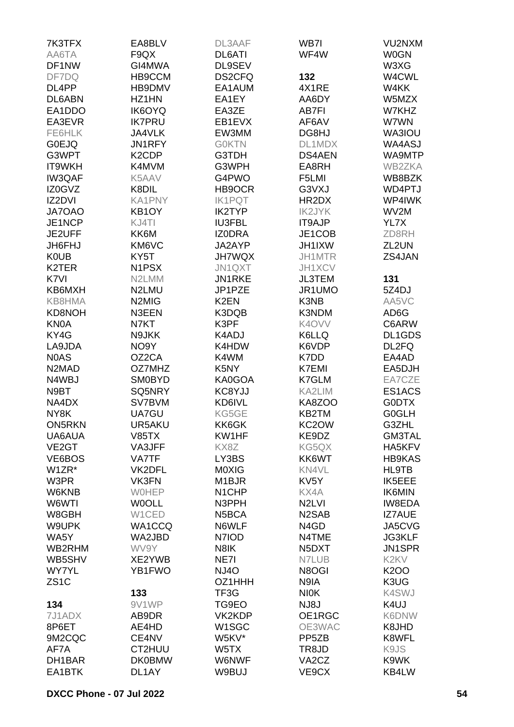| 7K3TFX                         | EA8BLV             | DL3AAF             | WB7I               | VU2NXM                        |
|--------------------------------|--------------------|--------------------|--------------------|-------------------------------|
| AA6TA                          | F9QX               | DL6ATI             | WF4W               | <b>W0GN</b>                   |
| DF1NW                          | GI4MWA             | DL9SEV             |                    | W3XG                          |
| DF7DQ                          | HB9CCM             | DS2CFQ             | 132                | W4CWL                         |
| DL <sub>4</sub> PP             | HB9DMV             | EA1AUM             | 4X1RE              | W4KK                          |
| DL6ABN                         | HZ1HN              | EA1EY              | AA6DY              | W5MZX                         |
| EA1DDO                         | <b>IK6OYQ</b>      | EA3ZE              | <b>AB7FI</b>       | W7KHZ                         |
| EA3EVR                         | <b>IK7PRU</b>      | EB1EVX             | AF6AV              | W7WN                          |
| FE6HLK                         | <b>JA4VLK</b>      | EW3MM              | DG8HJ              | WA3IOU                        |
| <b>GOEJQ</b>                   | JN1RFY             | <b>GOKTN</b>       | DL1MDX             | WA4ASJ                        |
| G3WPT                          | K <sub>2</sub> CDP | G3TDH              | <b>DS4AEN</b>      | WA9MTP                        |
| <b>IT9WKH</b>                  | K4MVM              | G3WPH              | EA8RH              | WB2ZKA                        |
| IW3QAF                         | K5AAV              | G4PWO              | F5LMI              | WB8BZK                        |
| IZ0GVZ                         | K8DIL              | HB9OCR             | G3VXJ              | WD4PTJ                        |
| IZ2DVI                         | <b>KA1PNY</b>      | <b>IK1PQT</b>      | HR2DX              | WP4IWK                        |
| JA7OAO                         | KB1OY              | <b>IK2TYP</b>      | <b>IK2JYK</b>      | WV2M                          |
| JE1NCP                         | KJ4TI              | <b>IU3FBL</b>      | IT9AJP             | YL7X                          |
| JE2UFF                         | KK6M               | <b>IZODRA</b>      | JE1COB             | ZD8RH                         |
| <b>JH6FHJ</b>                  | KM6VC              | JA2AYP             | JH1IXW             | ZL2UN                         |
| <b>K0UB</b>                    | KY5T               | <b>JH7WQX</b>      | JH1MTR             | ZS4JAN                        |
| K <sub>2</sub> TER             | N <sub>1</sub> PSX | JN1QXT             | JH1XCV             |                               |
| K7VI                           | N2LMM              | JN1RKE             | <b>JL3TEM</b>      | 131                           |
| KB6MXH                         | N2LMU              | JP1PZE             | JR1UMO             | 5Z4DJ                         |
| KB8HMA                         | N2MIG              | K <sub>2</sub> EN  | K3NB               | AA5VC                         |
| KD8NOH                         | N3EEN              | K3DQB              | K3NDM              | AD6G                          |
| <b>KN0A</b>                    | N7KT               | K3PF               | K4OVV              | C6ARW                         |
| KY4G                           | N9JKK              | K4ADJ              | K6LLQ              | <b>DL1GDS</b>                 |
| LA9JDA                         | NO <sub>9</sub> Y  | K4HDW              | K6VDP              | DL2FQ                         |
| <b>NOAS</b>                    | OZ2CA              | K4WM               | K7DD               | EA4AD                         |
| N <sub>2</sub> M <sub>AD</sub> | OZ7MHZ             | K5NY               | <b>K7EMI</b>       | EA5DJH                        |
| N4WBJ                          | <b>SM0BYD</b>      | KA0GOA             | K7GLM              | EA7CZE                        |
| N9BT                           | SQ5NRY             | KC8YJJ             | KA2LIM             | ES1ACS                        |
| NA4DX                          | SV7BVM             | KD6IVL             | KA8ZOO             | <b>GODTX</b>                  |
| NY8K                           | UA7GU              | KG5GE              | KB2TM              | <b>G0GLH</b>                  |
| <b>ON5RKN</b>                  | UR5AKU             | KK6GK              | KC2OW              | G3ZHL                         |
| UA6AUA                         | <b>V85TX</b>       | KW1HF              | KE9DZ              | <b>GM3TAL</b>                 |
| VE <sub>2</sub> GT             | VA3JFF             | KX8Z               | KG5QX              | HA5KFV                        |
| VE6BOS                         | <b>VA7TF</b>       | LY3BS              | KK6WT              | <b>HB9KAS</b>                 |
| W1ZR*                          | VK2DFL             | M0XIG              | KN4VL              | HL9TB                         |
| W3PR                           | <b>VK3FN</b>       | M <sub>1</sub> BJR | KV <sub>5</sub> Y  | IK5EEE                        |
| W6KNB                          | WOHEP              | N <sub>1</sub> CHP | KX4A               | <b>IK6MIN</b>                 |
| W6WTI                          | <b>WOOLL</b>       | N3PPH              | N <sub>2</sub> LVI | IW8EDA                        |
| W8GBH                          | W1CED              | N5BCA              | N <sub>2</sub> SAB | <b>IZ7AUE</b>                 |
| W9UPK                          | WA1CCQ             | N6WLF              | N4GD               | JA5CVG                        |
| WA5Y                           | WA2JBD             | N7IOD              | N4TME              | <b>JG3KLF</b>                 |
| WB2RHM                         | WV9Y               | N8IK               | N <sub>5</sub> DXT | <b>JN1SPR</b>                 |
| WB5SHV                         | XE2YWB             | NE7I               | N7LUB              | K <sub>2</sub> K <sub>V</sub> |
| <b>WY7YL</b>                   | YB1FWO             | <b>NJ4O</b>        | N8OGI              | <b>K2OO</b>                   |
| ZS <sub>1</sub> C              |                    | OZ1HHH             | N9IA               | K3UG                          |
|                                | 133                | TF3G               | <b>NIOK</b>        | K4SWJ                         |
| 134                            | 9V1WP              | TG9EO              | NJ8J               | K4UJ                          |
| 7J1ADX                         | AB9DR              | VK2KDP             | OE1RGC             | K6DNW                         |
| 8P6ET                          | AE4HD              | W <sub>1</sub> SGC | OE3WAC             | K8JHD                         |
| 9M2CQC                         | CE4NV              | W5KV*              | PP <sub>5</sub> ZB | K8WFL                         |
| AF7A                           | CT2HUU             | W5TX               | TR8JD              | K9JS                          |
| DH1BAR                         | <b>DK0BMW</b>      | <b>W6NWF</b>       | VA <sub>2</sub> CZ | K9WK                          |
| EA1BTK                         | DL1AY              | W9BUJ              | VE9CX              | KB4LW                         |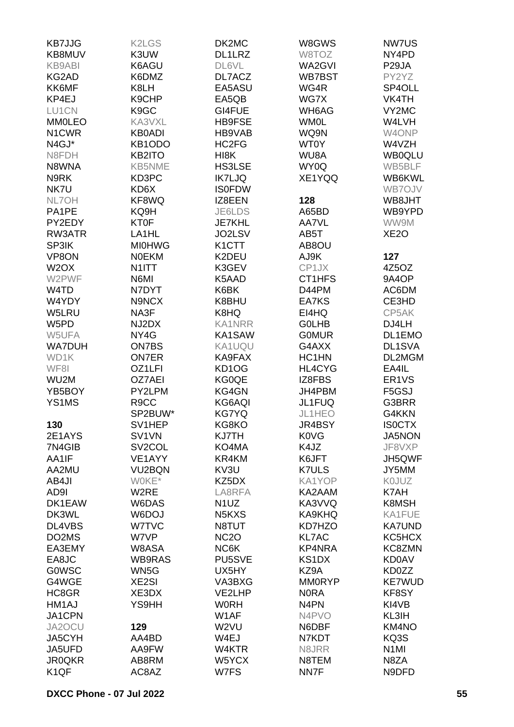| <b>KB7JJG</b>     | <b>K2LGS</b>        | DK2MC                           | W8GWS             | NW7US              |
|-------------------|---------------------|---------------------------------|-------------------|--------------------|
| KB8MUV            | K3UW                | DL1LRZ                          | W8TOZ             | NY4PD              |
| <b>KB9ABI</b>     | K6AGU               | DL6VL                           | WA2GVI            | P <sub>29</sub> JA |
| KG2AD             | K6DMZ               | DL7ACZ                          | WB7BST            | PY2YZ              |
| KK6MF             | K8LH                | EA5ASU                          | WG4R              | SP4OLL             |
| KP4EJ             | K9CHP               | EA5QB                           | WG7X              | VK4TH              |
| LU1CN             | K9GC                | GI4FUE                          | WH6AG             | VY2MC              |
| <b>MM0LEO</b>     | KA3VXL              | <b>HB9FSE</b>                   | <b>WM0L</b>       | W4LVH              |
| N1CWR             | <b>KB0ADI</b>       | HB9VAB                          | WQ9N              | W4ONP              |
| N4GJ*             | KB1ODO              | HC2FG                           | <b>WT0Y</b>       | W4VZH              |
| N8FDH             | KB2ITO              | HI8K                            | WU8A              | <b>WB0QLU</b>      |
| N8WNA             | <b>KB5NME</b>       | <b>HS3LSE</b>                   | WY0Q              | WB5BLF             |
| N9RK              | KD3PC               | <b>IK7LJQ</b>                   | XE1YQQ            | WB6KWL             |
| NK7U              | KD6X                | <b>ISOFDW</b>                   |                   | WB7OJV             |
| NL7OH             | KF8WQ               | IZ8EEN                          | 128               | WB8JHT             |
| PA1PE             | KQ9H                | JE6LDS                          | A65BD             | WB9YPD             |
| PY2EDY            | <b>KT0F</b>         | <b>JE7KHL</b>                   | AA7VL             | WW9M               |
| RW3ATR            | LA <sub>1</sub> HL  |                                 |                   | XE <sub>2</sub> O  |
|                   |                     | JO2LSV                          | AB5T              |                    |
| SP3IK             | <b>MI0HWG</b>       | K <sub>1</sub> CTT              | AB8OU             |                    |
| VP8ON             | <b>NOEKM</b>        | K2DEU                           | AJ9K              | 127                |
| W <sub>2</sub> OX | N <sub>1</sub> ITT  | K3GEV                           | CP1JX             | 4Z5OZ              |
| W2PWF             | N6MI                | K5AAD                           | CT1HFS            | 9A4OP              |
| W4TD              | N7DYT               | K6BK                            | D44PM             | AC6DM              |
| W4YDY             | N9NCX               | K8BHU                           | EA7KS             | CE3HD              |
| W5LRU             | NA3F                | K8HQ                            | EI4HQ             | CP5AK              |
| W5PD              | NJ2DX               | <b>KA1NRR</b>                   | <b>GOLHB</b>      | DJ4LH              |
| W5UFA             | NY4G                | KA1SAW                          | <b>GOMUR</b>      | DL1EMO             |
| <b>WA7DUH</b>     | ON7BS               | KA1UQU                          | G4AXX             | DL1SVA             |
| WD1K              | <b>ON7ER</b>        | KA9FAX                          | HC1HN             | DL2MGM             |
| WF8I              | OZ1LFI              | KD <sub>1</sub> O <sub>G</sub>  | HL4CYG            | EA4IL              |
| WU2M              | <b>OZ7AEI</b>       | KG0QE                           | IZ8FBS            | ER <sub>1</sub> VS |
| YB5BOY            | PY2LPM              | KG4GN                           | JH4PBM            | F5GSJ              |
| YS1MS             | R <sub>9</sub> CC   | KG6AQI                          | JL1FUQ            | G3BRR              |
|                   | SP2BUW*             | <b>KG7YQ</b>                    | JL1HEO            | G4KKN              |
| 130               | SV1HEP              | KG8KO                           | JR4BSY            | <b>ISOCTX</b>      |
| 2E1AYS            | SV1VN               | KJ7TH                           | <b>K0VG</b>       | <b>JA5NON</b>      |
| 7N4GIB            | SV <sub>2</sub> COL | KO4MA                           | K4JZ              | JF8VXP             |
| AA1IF             | VE1AYY              | KR4KM                           | K6JFT             | JH5QWF             |
| AA2MU             | VU2BQN              | KV3U                            | <b>K7ULS</b>      | JY5MM              |
| AB4JI             | WOKE*               | KZ5DX                           | KA1YOP            | K0JUZ              |
| AD9I              | W <sub>2</sub> RE   | LA8RFA                          | KA2AAM            | K7AH               |
| DK1EAW            | W6DAS               | N <sub>1</sub> UZ               | KA3VVQ            | K8MSH              |
| DK3WL             | W6DOJ               | N <sub>5</sub> K <sub>X</sub> S | KA9KHQ            | KA1FUE             |
| DL4VBS            | W7TVC               | N8TUT                           | KD7HZO            | <b>KA7UND</b>      |
| DO2MS             | W7VP                | <b>NC2O</b>                     | <b>KL7AC</b>      | KC5HCX             |
| EA3EMY            | W8ASA               | NC6K                            | KP4NRA            | KC8ZMN             |
| EA8JC             | WB9RAS              | PU5SVE                          | KS1DX             | <b>KD0AV</b>       |
| <b>GOWSC</b>      | WN5G                | UX5HY                           | KZ9A              | KD0ZZ              |
| G4WGE             | <b>XE2SI</b>        | VA3BXG                          | <b>MM0RYP</b>     | <b>KE7WUD</b>      |
| HC8GR             | XE3DX               | VE2LHP                          | <b>NORA</b>       | KF8SY              |
| HM1AJ             | YS9HH               | <b>WORH</b>                     | N <sub>4</sub> PN | KI4VB              |
| JA1CPN            |                     | W1AF                            | N4PVO             | KL3IH              |
| JA2OCU            | 129                 | W2VU                            | N6DBF             | KM4NO              |
| JA5CYH            | AA4BD               | W4EJ                            | N7KDT             | KQ3S               |
| JA5UFD            | AA9FW               | W4KTR                           | N8JRR             | N <sub>1</sub> MI  |
| <b>JR0QKR</b>     | AB8RM               | W5YCX                           | N8TEM             | N8ZA               |
| K <sub>1</sub> QF | AC8AZ               | W7FS                            | NN7F              | N9DFD              |
|                   |                     |                                 |                   |                    |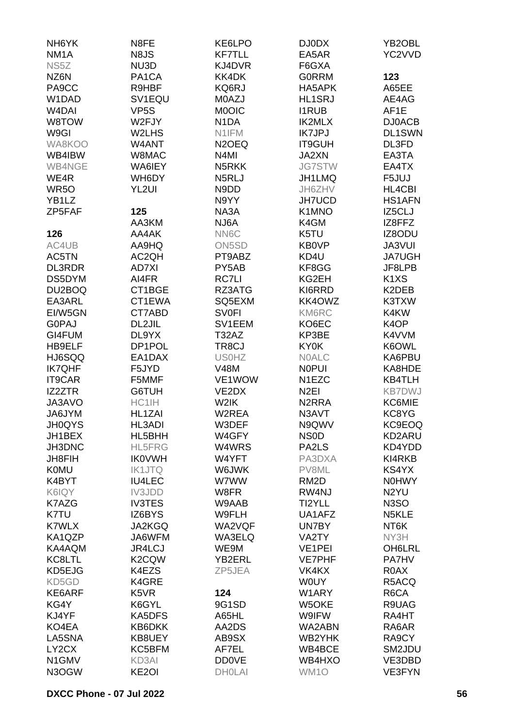| NH <sub>6</sub> YK | N8FE               | KE6LPO             | DJ0DX               | YB2OBL                        |
|--------------------|--------------------|--------------------|---------------------|-------------------------------|
| NM <sub>1</sub> A  | N <sub>8</sub> JS  | <b>KF7TLL</b>      | EA5AR               | YC2VVD                        |
| NS5Z               | NU3D               | KJ4DVR             | F6GXA               |                               |
| NZ6N               | PA <sub>1</sub> CA | KK4DK              | <b>GORRM</b>        | 123                           |
| PA9CC              | R9HBF              | KQ6RJ              | HA5APK              | A65EE                         |
| W1DAD              | SV1EQU             | M0AZJ              | <b>HL1SRJ</b>       | AE4AG                         |
|                    |                    |                    |                     |                               |
| W <sub>4</sub> DAI | VP <sub>5</sub> S  | <b>MOOIC</b>       | <b>I1RUB</b>        | AF1E                          |
| W8TOW              | W2FJY              | N <sub>1</sub> DA  | <b>IK2MLX</b>       | <b>DJ0ACB</b>                 |
| W9GI               | W2LHS              | N1IFM              | <b>IK7JPJ</b>       | <b>DL1SWN</b>                 |
| WA8KOO             | W4ANT              | N <sub>2</sub> OEQ | <b>IT9GUH</b>       | DL3FD                         |
| WB4IBW             | W8MAC              | N <sub>4</sub> MI  | JA2XN               | EA3TA                         |
| WB4NGE             | WA6IEY             | N5RKK              | <b>JG7STW</b>       | EA4TX                         |
| WE4R               | WH6DY              | N5RLJ              | JH1LMQ              | F5JUJ                         |
| WR <sub>50</sub>   | YL2UI              | N9DD               | JH6ZHV              | HL4CBI                        |
| YB1LZ              |                    | N9YY               | <b>JH7UCD</b>       | <b>HS1AFN</b>                 |
| ZP5FAF             | 125                | NA3A               | K1MNO               | IZ5CLJ                        |
|                    | AA3KM              | NJ6A               | K4GM                | IZ8FFZ                        |
|                    |                    |                    |                     |                               |
| 126                | AA4AK              | NN6C               | K5TU                | IZ8ODU                        |
| AC4UB              | AA9HQ              | ON <sub>5</sub> SD | <b>KB0VP</b>        | <b>JA3VUI</b>                 |
| AC5TN              | AC2QH              | PT9ABZ             | KD4U                | <b>JA7UGH</b>                 |
| <b>DL3RDR</b>      | <b>AD7XI</b>       | PY5AB              | KF8GG               | JF8LPB                        |
| DS5DYM             | AI4FR              | <b>RC7LI</b>       | KG2EH               | K <sub>1</sub> X <sub>S</sub> |
| DU2BOQ             | CT1BGE             | RZ3ATG             | KI6RRD              | K2DEB                         |
| EA3ARL             | CT1EWA             | SQ5EXM             | KK4OWZ              | K3TXW                         |
| EI/W5GN            | CT7ABD             | <b>SV0FI</b>       | KM6RC               | K4KW                          |
| <b>G0PAJ</b>       | DL2JIL             | SV1EEM             | KO6EC               | K <sub>4</sub> OP             |
| GI4FUM             | DL9YX              | T32AZ              | KP3BE               | K4VVM                         |
| HB9ELF             | DP1POL             | TR8CJ              | <b>KY0K</b>         | K6OWL                         |
| HJ6SQQ             | EA1DAX             | <b>US0HZ</b>       | <b>NOALC</b>        | KA6PBU                        |
|                    |                    |                    |                     |                               |
| <b>IK7QHF</b>      | F5JYD              | <b>V48M</b>        | <b>NOPUI</b>        | KA8HDE                        |
| <b>IT9CAR</b>      | F5MMF              | VE1WOW             | N1EZC               | <b>KB4TLH</b>                 |
| IZ2ZTR             | G6TUH              | VE2DX              | N <sub>2EI</sub>    | <b>KB7DWJ</b>                 |
| JA3AVO             | HC1IH              | W2IK               | N <sub>2</sub> RRA  | KC6MIE                        |
| JA6JYM             | HL1ZAI             | W2REA              | N3AVT               | KC8YG                         |
| <b>JH0QYS</b>      | HL3ADI             | W3DEF              | N9QWV               | KC9EOQ                        |
| JH1BEX             | HL5BHH             | W4GFY              | NS <sub>0</sub> D   | KD2ARU                        |
| JH3DNC             | <b>HL5FRG</b>      | W4WRS              | PA2LS               | KD4YDD                        |
| JH8FIH             | <b>IK0VWH</b>      | W4YFT              | PA3DXA              | KI4RKB                        |
| <b>K0MU</b>        | <b>IK1JTQ</b>      | W6JWK              | PV8ML               | KS4YX                         |
| K4BYT              | <b>IU4LEC</b>      | W7WW               | RM <sub>2</sub> D   | <b>N0HWY</b>                  |
| K6IQY              | IV3JDD             | W8FR               | RW4NJ               | N <sub>2</sub> YU             |
| K7AZG              | <b>IV3TES</b>      | W9AAB              | TI2YLL              | N <sub>3</sub> SO             |
|                    |                    |                    |                     |                               |
| K7TU               | IZ6BYS             | W9FLH              | UA1AFZ              | N5KLE                         |
| <b>K7WLX</b>       | <b>JA2KGQ</b>      | WA2VQF             | UN7BY               | NT6K                          |
| KA1QZP             | JA6WFM             | WA3ELQ             | VA2TY               | NY3H                          |
| KA4AQM             | JR4LCJ             | WE9M               | VE <sub>1</sub> PEI | <b>OH6LRL</b>                 |
| KC8LTL             | K <sub>2</sub> CQW | YB2ERL             | <b>VE7PHF</b>       | <b>PA7HV</b>                  |
| KD5EJG             | K4EZS              | ZP5JEA             | VK4KX               | R0AX                          |
| KD5GD              | K4GRE              |                    | <b>WOUY</b>         | R5ACQ                         |
| KE6ARF             | K5VR               | 124                | W1ARY               | R6CA                          |
| KG4Y               | K6GYL              | 9G1SD              | W5OKE               | R9UAG                         |
| KJ4YF              | KA5DFS             | A65HL              | W9IFW               | RA4HT                         |
| KO4EA              | KB6DKK             | AA2DS              | WA2ABN              | RA6AR                         |
| LA5SNA             | KB8UEY             | AB9SX              | WB2YHK              | RA9CY                         |
| LY2CX              | KC5BFM             | AF7EL              | WB4BCE              |                               |
|                    |                    |                    |                     | SM2JDU                        |
| N1GMV              | KD3AI              | <b>DD0VE</b>       | WB4HXO              | VE3DBD                        |
| N3OGW              | KE <sub>2</sub> OI | <b>DHOLAI</b>      | WM1O                | VE3FYN                        |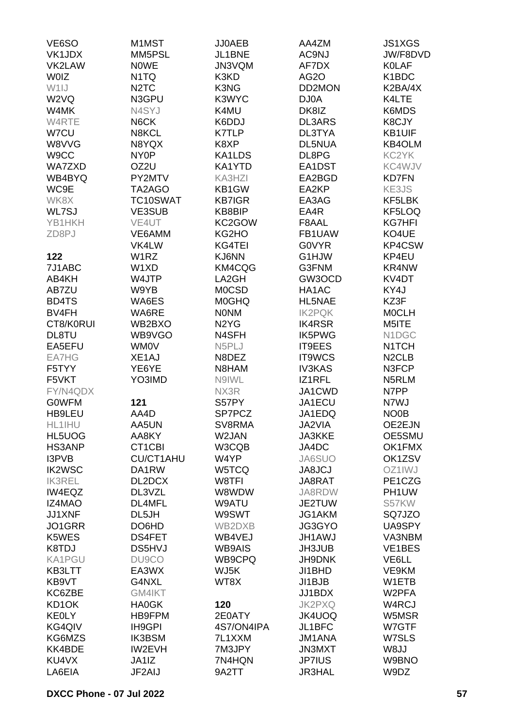| VE6SO         | M1MST                         | JJ0AEB                        | AA4ZM             | <b>JS1XGS</b>      |
|---------------|-------------------------------|-------------------------------|-------------------|--------------------|
| VK1JDX        | MM5PSL                        | JL1BNE                        | AC9NJ             | JW/F8DVD           |
| VK2LAW        | <b>NOWE</b>                   | JN3VQM                        | AF7DX             | <b>KOLAF</b>       |
| <b>WOIZ</b>   | N <sub>1</sub> TQ             | K3KD                          | AG <sub>2</sub> O | K1BDC              |
| W1IJ          | N <sub>2</sub> T <sub>C</sub> | K3NG                          | DD2MON            | K2BA/4X            |
| W2VQ          | N3GPU                         | K3WYC                         | DJ0A              | K4LTE              |
| W4MK          | N4SYJ                         | K4MU                          | DK8IZ             | K6MDS              |
| W4RTE         | N6CK                          | K6DDJ                         | <b>DL3ARS</b>     | K8CJY              |
| W7CU          | N8KCL                         | <b>K7TLP</b>                  | DL3TYA            | <b>KB1UIF</b>      |
| W8VVG         | N8YQX                         | K8XP                          | <b>DL5NUA</b>     | KB4OLM             |
| W9CC          | NY <sub>0</sub> P             | KA1LDS                        | DL8PG             | KC2YK              |
| WA7ZXD        | OZ2U                          | KA1YTD                        | EA1DST            | KC4WJV             |
| WB4BYQ        | PY2MTV                        | KA3HZI                        | EA2BGD            | <b>KD7FN</b>       |
| WC9E          | TA2AGO                        | KB1GW                         | EA2KP             | KE3JS              |
| WK8X          | TC10SWAT                      | <b>KB7IGR</b>                 | EA3AG             | KF5LBK             |
| WL7SJ         | VE3SUB                        | KB8BIP                        | EA4R              | KF5LOQ             |
| YB1HKH        | VE4UT                         | KC2GOW                        |                   | <b>KG7HFI</b>      |
|               |                               |                               | F8AAL<br>FB1UAW   |                    |
| ZD8PJ         | VE6AMM                        | KG2HO                         |                   | KO4UE              |
|               | VK4LW                         | KG4TEI                        | <b>G0VYR</b>      | KP4CSW             |
| 122           | W <sub>1</sub> RZ             | KJ6NN                         | G1HJW             | KP4EU              |
| 7J1ABC        | W1XD                          | KM4CQG                        | G3FNM             | KR4NW              |
| AB4KH         | W4JTP                         | LA2GH                         | GW3OCD            | KV4DT              |
| AB7ZU         | W9YB                          | <b>MOCSD</b>                  | HA1AC             | KY4J               |
| BD4TS         | WA6ES                         | <b>MOGHQ</b>                  | HL5NAE            | KZ3F               |
| BV4FH         | WA6RE                         | <b>NONM</b>                   | <b>IK2PQK</b>     | <b>MOCLH</b>       |
| CT8/K0RUI     | WB2BXO                        | N <sub>2</sub> Y <sub>G</sub> | <b>IK4RSR</b>     | M5ITE              |
| DL8TU         | WB9VGO                        | N4SFH                         | <b>IK5PWG</b>     | N1DGC              |
| EA5EFU        | <b>WM0V</b>                   | N5PLJ                         | IT9EES            | N1TCH              |
| EA7HG         | XE1AJ                         | N8DEZ                         | IT9WCS            | N <sub>2</sub> CLB |
| F5TYY         | YE6YE                         | N8HAM                         | <b>IV3KAS</b>     | N3FCP              |
| F5VKT         | YO3IMD                        | N9IWL                         | IZ1RFL            | N5RLM              |
| FY/N4QDX      |                               | NX3R                          | JA1CWD            | N7PP               |
| <b>GOWFM</b>  | 121                           | S57PY                         | JA1ECU            | N7WJ               |
| HB9LEU        | AA4D                          | SP7PCZ                        | JA1EDQ            | NO <sub>0</sub> B  |
| HL1IHU        | AA5UN                         | SV8RMA                        | JA2VIA            | OE2EJN             |
| HL5UOG        | AA8KY                         | W2JAN                         | <b>JA3KKE</b>     | OE5SMU             |
| <b>HS3ANP</b> | CT1CBI                        | W3CQB                         | JA4DC             | OK1FMX             |
| I3PVB         | <b>CU/CT1AHU</b>              | W4YP                          | JA6SUO            | OK1ZSV             |
| <b>IK2WSC</b> | DA1RW                         | W5TCQ                         | <b>JA8JCJ</b>     | OZ1IWJ             |
| <b>IK3REL</b> | DL2DCX                        | W8TFI                         | JA8RAT            | PE1CZG             |
| IW4EQZ        | DL3VZL                        | W8WDW                         | JA8RDW            | PH1UW              |
| <b>IZ4MAO</b> | DL4MFL                        | W9ATU                         | JE2TUW            | S57KW              |
| JJ1XNF        | DL5JH                         | W9SWT                         | JG1AKM            | SQ7JZO             |
| JO1GRR        | DO6HD                         | WB2DXB                        | JG3GYO            | UA9SPY             |
| K5WES         | <b>DS4FET</b>                 | WB4VEJ                        | <b>JH1AWJ</b>     | VA3NBM             |
| K8TDJ         | <b>DS5HVJ</b>                 | <b>WB9AIS</b>                 | JH3JUB            | VE1BES             |
| KA1PGU        | DU9CO                         | WB9CPQ                        | JH9DNK            | VE6LL              |
| KB3LTT        | EA3WX                         | WJ5K                          | JI1BHD            | VE9KM              |
| KB9VT         | G4NXL                         | WT8X                          | JI1BJB            | W1ETB              |
| KC6ZBE        | GM4IKT                        |                               | JJ1BDX            | W2PFA              |
| KD1OK         | <b>HA0GK</b>                  | 120                           | <b>JK2PXQ</b>     | W4RCJ              |
| <b>KEOLY</b>  | HB9FPM                        | 2E0ATY                        | JK4UOQ            | W5MSR              |
| KG4QIV        | IH9GPI                        | 4S7/ON4IPA                    | JL1BFC            | W7GTF              |
| KG6MZS        | <b>IK3BSM</b>                 | 7L1XXM                        | <b>JM1ANA</b>     | W7SLS              |
| KK4BDE        | IW2EVH                        | 7M3JPY                        | <b>JN3MXT</b>     | W8JJ               |
| KU4VX         | JA1IZ                         | 7N4HQN                        | <b>JP7IUS</b>     | W9BNO              |
| LA6EIA        | JF2AIJ                        | 9A2TT                         | <b>JR3HAL</b>     | W9DZ               |
|               |                               |                               |                   |                    |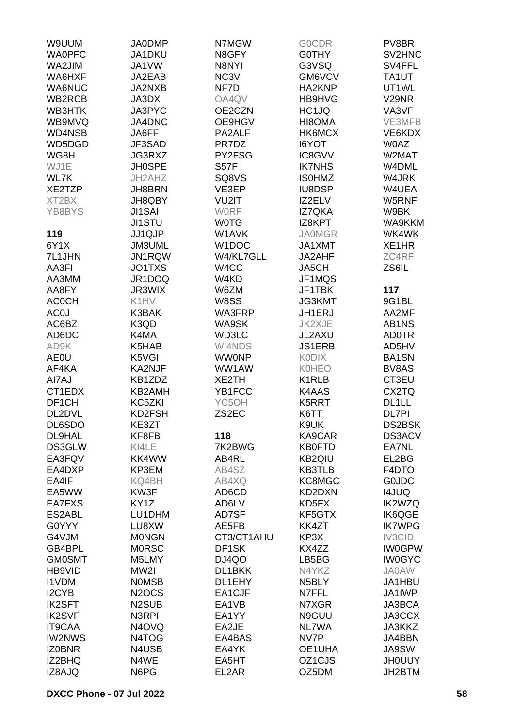| W9UUM           | <b>JA0DMP</b>                  | N7MGW              | <b>GOCDR</b>        | PV8BR              |
|-----------------|--------------------------------|--------------------|---------------------|--------------------|
| <b>WA0PFC</b>   | JA1DKU                         | N8GFY              | <b>GOTHY</b>        | SV2HNC             |
| WA2JIM          | JA1VW                          | N8NYI              | G3VSQ               | SV4FFL             |
| WA6HXF          | JA2EAB                         | NC3V               | GM6VCV              | TA1UT              |
| WA6NUC          | JA2NXB                         | NF7D               | HA2KNP              | UT1WL              |
| WB2RCB          | JA3DX                          | OA4QV              | HB9HVG              | V <sub>29</sub> NR |
| WB3HTK          | JA3PYC                         | OE2CZN             | HC1JQ               | VA3VF              |
| WB9MVQ          | JA4DNC                         | OE9HGV             | HI8OMA              | VE3MFB             |
|                 |                                |                    |                     | VE6KDX             |
| WD4NSB          | JA6FF                          | PA2ALF             | HK6MCX              |                    |
| WD5DGD          | JF3SAD                         | PR7DZ              | I6YOT               | <b>W0AZ</b>        |
| WG8H            | JG3RXZ                         | PY2FSG             | IC8GVV              | W2MAT              |
| WJ1E            | <b>JH0SPE</b>                  | <b>S57F</b>        | <b>IK7NHS</b>       | W4DML              |
| WL7K            | JH2AHZ                         | SQ8VS              | <b>ISOHMZ</b>       | W4JRK              |
| XE2TZP          | JH8BRN                         | VE3EP              | <b>IU8DSP</b>       | W4UEA              |
| XT2BX           | JH8QBY                         | VU2IT              | IZ2ELV              | W5RNF              |
| YB8BYS          | <b>JI1SAI</b>                  | <b>WORF</b>        | <b>IZ7QKA</b>       | W9BK               |
|                 | <b>JI1STU</b>                  | <b>WOTG</b>        | IZ8KPT              | <b>WA9KKM</b>      |
| 119             | <b>JJ1QJP</b>                  | W1AVK              | <b>JA0MGR</b>       | WK4WK              |
| 6Y1X            | <b>JM3UML</b>                  | W <sub>1</sub> DOC | JA1XMT              | XE1HR              |
| 7L1JHN          | JN1RQW                         | W4/KL7GLL          | JA2AHF              | ZC4RF              |
| AA3FI           | JO1TXS                         | W4CC               | JA5CH               | ZS6IL              |
| AA3MM           | JR1DOQ                         | W4KD               | JF1MQS              |                    |
| AA8FY           | JR3WIX                         | W6ZM               | JF1TBK              | 117                |
| <b>ACOCH</b>    | K1HV                           | W8SS               | <b>JG3KMT</b>       | 9G1BL              |
| AC <sub>0</sub> | K3BAK                          | WA3FRP             | JH1ERJ              | AA2MF              |
| AC6BZ           | K3QD                           | WA9SK              | JK2XJE              | AB1NS              |
| AD6DC           | K4MA                           | WD3LC              | JL2AXU              | <b>AD0TR</b>       |
| AD9K            | K5HAB                          | WI4NDS             | <b>JS1ERB</b>       | AD5HV              |
| <b>AE0U</b>     | K5VGI                          | <b>WWONP</b>       | <b>KODIX</b>        | BA1SN              |
| AF4KA           | KA2NJF                         | WW1AW              | <b>K0HEO</b>        | BV8AS              |
| AI7AJ           | KB1ZDZ                         | XE2TH              | K1RLB               | CT3EU              |
| CT1EDX          | KB2AMH                         | YB1FCC             | K4AAS               | CX2TQ              |
| DF1CH           | KC5ZKI                         | YC5OH              | K5RRT               | DL1LL              |
| DL2DVL          | KD2FSH                         | ZS2EC              | K6TT                | <b>DL7PI</b>       |
| DL6SDO          | KE3ZT                          |                    | K9UK                | DS2BSK             |
| <b>DL9HAL</b>   | KF8FB                          | 118                | KA9CAR              | <b>DS3ACV</b>      |
| DS3GLW          | KI4LE                          | 7K2BWG             | <b>KB0FTD</b>       | EA7NL              |
| EA3FQV          | KK4WW                          | AB4RL              | <b>KB2QIU</b>       | EL2BG              |
| EA4DXP          | KP3EM                          | AB4SZ              | <b>KB3TLB</b>       | F4DTO              |
| EA4IF           | KQ4BH                          | AB4XQ              | KC8MGC              | <b>GOJDC</b>       |
| EA5WW           | KW3F                           | AD6CD              | KD2DXN              | <b>I4JUQ</b>       |
| EA7FXS          | KY1Z                           | AD6LV              | KD5FX               | <b>IK2WZQ</b>      |
| ES2ABL          | LU1DHM                         | AD7SF              | KF5GTX              | <b>IK6QGE</b>      |
| G0YYY           |                                | AE5FB              |                     | <b>IK7WPG</b>      |
|                 | LU8XW                          | CT3/CT1AHU         | KK4ZT               |                    |
| G4VJM           | <b>MONGN</b>                   |                    | KP3X                | IV3CID             |
| GB4BPL          | <b>MORSC</b>                   | DF <sub>1</sub> SK | KX4ZZ               | <b>IW0GPW</b>      |
| <b>GM0SMT</b>   | M5LMY                          | DJ4QO              | LB5BG               | <b>IW0GYC</b>      |
| HB9VID          | MW2I                           | DL1BKK             | N4YKZ               | <b>JA0AW</b>       |
| <b>I1VDM</b>    | <b>NOMSB</b>                   | DL1EHY             | N <sub>5</sub> BLY  | JA1HBU             |
| I2CYB           | N <sub>2</sub> OCS             | EA1CJF             | N7FFL               | JA1IWP             |
| <b>IK2SFT</b>   | N <sub>2</sub> SU <sub>B</sub> | EA1VB              | N7XGR               | JA3BCA             |
| <b>IK2SVF</b>   | N3RPI                          | EA1YY              | N9GUU               | JA3CCX             |
| IT9CAA          | N4OVQ                          | EA2JE              | NL7WA               | JA3KKZ             |
| <b>IW2NWS</b>   | N4TOG                          | EA4BAS             | NV7P                | JA4BBN             |
| <b>IZ0BNR</b>   | N4USB                          | EA4YK              | OE1UHA              | JA9SW              |
| IZ2BHQ          | N4WE                           | EA5HT              | OZ <sub>1</sub> CJS | <b>JHOUUY</b>      |
| IZ8AJQ          | N6PG                           | EL2AR              | OZ5DM               | JH2BTM             |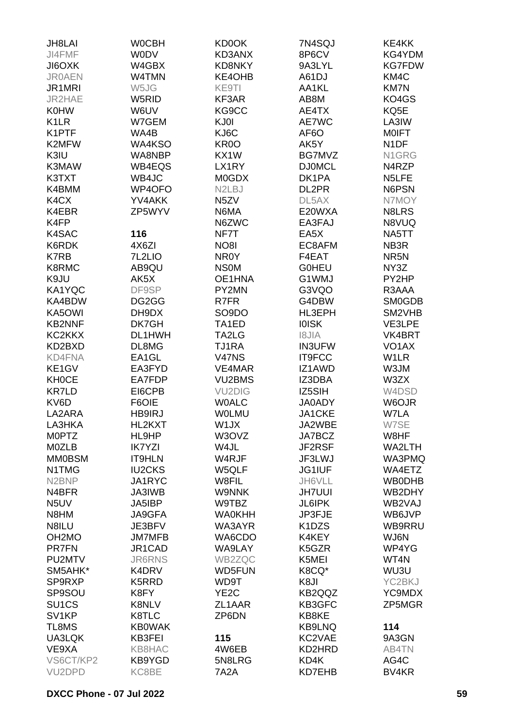| JH8LAI              | <b>WOCBH</b>  | KD0OK                           | 7N4SQJ                          | KE4KK              |
|---------------------|---------------|---------------------------------|---------------------------------|--------------------|
| JI4FMF              | <b>WODV</b>   | KD3ANX                          | 8P6CV                           | KG4YDM             |
| <b>JIGOXK</b>       | W4GBX         | KD8NKY                          | 9A3LYL                          | <b>KG7FDW</b>      |
|                     |               |                                 |                                 |                    |
| <b>JR0AEN</b>       | W4TMN         | KE4OHB                          | A61DJ                           | KM4C               |
| JR1MRI              | W5JG          | KE9TI                           | AA1KL                           | <b>KM7N</b>        |
| JR2HAE              | W5RID         | KF3AR                           | AB8M                            | KO4GS              |
| <b>K0HW</b>         | W6UV          | KG9CC                           | AE4TX                           | KQ5E               |
| K <sub>1</sub> LR   | W7GEM         | KJ0I                            | AE7WC                           | LA3IW              |
| K1PTF               | WA4B          | KJ6C                            | AF6O                            | <b>MOIFT</b>       |
| K2MFW               | WA4KSO        | KR <sub>0</sub>                 | AK5Y                            | N <sub>1</sub> DF  |
| K3IU                | WA8NBP        | KX1W                            | BG7MVZ                          | N1GRG              |
| K3MAW               | WB4EQS        | LX1RY                           | <b>DJ0MCL</b>                   | N4RZP              |
| K3TXT               | WB4JC         | <b>M0GDX</b>                    | DK1PA                           | N5LFE              |
| K4BMM               | WP4OFO        | N <sub>2</sub> L <sub>B</sub> J | DL2PR                           | N6PSN              |
| K4CX                | YV4AKK        | N <sub>5</sub> ZV               | DL5AX                           | N7MOY              |
|                     |               |                                 |                                 |                    |
| K4EBR               | ZP5WYV        | N6MA                            | E20WXA                          | N8LRS              |
| K4FP                |               | N6ZWC                           | EA3FAJ                          | N8VUQ              |
| K4SAC               | 116           | NF7T                            | EA <sub>5</sub> X               | NA5TT              |
| K6RDK               | 4X6ZI         | <b>NO8I</b>                     | EC8AFM                          | NB3R               |
| <b>K7RB</b>         | 7L2LIO        | NR0Y                            | F4EAT                           | NR <sub>5</sub> N  |
| K8RMC               | AB9QU         | <b>NSOM</b>                     | <b>GOHEU</b>                    | NY3Z               |
| K9JU                | AK5X          | OE1HNA                          | G1WMJ                           | PY2HP              |
| KA1YQC              | DF9SP         | PY2MN                           | G3VQO                           | R3AAA              |
| KA4BDW              | DG2GG         | R7FR                            | G4DBW                           | <b>SM0GDB</b>      |
| KA5OWI              | DH9DX         | SO <sub>9</sub> DO              | HL3EPH                          | SM2VHB             |
| <b>KB2NNF</b>       | DK7GH         | TA1ED                           | <b>IOISK</b>                    | VE3LPE             |
| KC2KKX              | DL1HWH        | TA2LG                           | <b>AIL81</b>                    | VK4BRT             |
| KD2BXD              | DL8MG         | TJ1RA                           | <b>IN3UFW</b>                   | VO <sub>1</sub> AX |
|                     |               |                                 |                                 |                    |
| KD4FNA              | EA1GL         | <b>V47NS</b>                    | IT9FCC                          | W1LR               |
| KE1GV               | EA3FYD        | VE4MAR                          | IZ1AWD                          | W3JM               |
| <b>KH0CE</b>        | EA7FDP        | VU2BMS                          | IZ3DBA                          | W3ZX               |
| <b>KR7LD</b>        | EI6CPB        | <b>VU2DIG</b>                   | IZ5SIH                          | W4DSD              |
| KV6D                | F6OIE         | <b>WOALC</b>                    | <b>JA0ADY</b>                   | W6OJR              |
| LA2ARA              | HB9IRJ        | <b>WOLMU</b>                    | <b>JA1CKE</b>                   | W7LA               |
| LA3HKA              | HL2KXT        | W1JX                            | JA2WBE                          | W7SE               |
| <b>MOPTZ</b>        | HL9HP         | W3OVZ                           | JA7BCZ                          | W8HF               |
| M0ZLB               | <b>IK7YZI</b> | W4JL                            | JF2RSF                          | WA2LTH             |
| <b>MM0BSM</b>       | <b>IT9HLN</b> | W4RJF                           | JF3LWJ                          | WA3PMQ             |
| N1TMG               | <b>IU2CKS</b> | W5QLF                           | JG1IUF                          | WA4ETZ             |
| N <sub>2</sub> BNP  | JA1RYC        | W8FIL                           | JH6VLL                          | <b>WB0DHB</b>      |
| N4BFR               | <b>JA3IWB</b> | <b>W9NNK</b>                    | <b>JH7UUI</b>                   | WB2DHY             |
| N <sub>5</sub> UV   | JA5IBP        | W9TBZ                           | <b>JL6IPK</b>                   | WB2VAJ             |
|                     |               |                                 |                                 |                    |
| N8HM                | <b>JA9GFA</b> | <b>WA0KHH</b>                   | JP3FJE                          | WB6JVP             |
| N8ILU               | JE3BFV        | WA3AYR                          | K <sub>1</sub> D <sub>Z</sub> S | WB9RRU             |
| OH <sub>2</sub> MO  | <b>JM7MFB</b> | WA6CDO                          | K4KEY                           | WJ6N               |
| <b>PR7FN</b>        | JR1CAD        | WA9LAY                          | K5GZR                           | WP4YG              |
| PU2MTV              | <b>JR6RNS</b> | WB2ZQC                          | K5MEI                           | WT4N               |
| SM5AHK*             | K4DRV         | <b>WD5FUN</b>                   | K8CQ*                           | WU3U               |
| SP9RXP              | K5RRD         | WD9T                            | K8JI                            | YC2BKJ             |
| <b>SP9SOU</b>       | K8FY          | YE <sub>2</sub> C               | KB2QQZ                          | YC9MDX             |
| SU <sub>1</sub> CS  | K8NLV         | ZL1AAR                          | KB3GFC                          | ZP5MGR             |
| SV <sub>1</sub> KP  | K8TLC         | ZP6DN                           | KB8KE                           |                    |
| TL8MS               | <b>KB0WAK</b> |                                 | <b>KB9LNQ</b>                   | 114                |
| UA3LQK              | KB3FEI        | 115                             | KC2VAE                          | 9A3GN              |
| VE9XA               | <b>KB8HAC</b> | 4W6EB                           | KD2HRD                          | AB4TN              |
| VS6CT/KP2           | KB9YGD        | 5N8LRG                          | KD4K                            | AG4C               |
|                     |               |                                 |                                 |                    |
| VU <sub>2</sub> DPD | KC8BE         | 7A2A                            | KD7EHB                          | BV4KR              |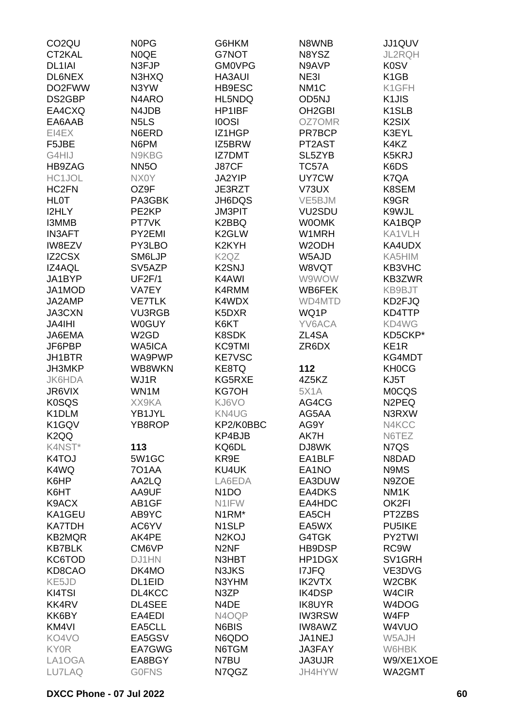| CO <sub>2</sub> QU  | <b>NOPG</b>                   | G6HKM                          | N8WNB               | JJ1QUV             |
|---------------------|-------------------------------|--------------------------------|---------------------|--------------------|
| CT2KAL              | N0QE                          | G7NOT                          | N8YSZ               | <b>JL2RQH</b>      |
| DL <sub>1</sub> IAI | N3FJP                         | <b>GM0VPG</b>                  | N9AVP               | <b>K0SV</b>        |
| DL6NEX              | N3HXQ                         | <b>HA3AUI</b>                  | NE3I                | K <sub>1</sub> GB  |
| DO2FWW              | N3YW                          | HB9ESC                         | NM <sub>1</sub> C   | K1GFH              |
| DS2GBP              | N4ARO                         | HL5NDQ                         | OD5NJ               | K <sub>1</sub> JIS |
| EA4CXQ              | N4JDB                         | HP1IBF                         | OH <sub>2</sub> GBI | K <sub>1</sub> SLB |
| EA6AAB              | N <sub>5</sub> L <sub>S</sub> | <b>IOOSI</b>                   | OZ7OMR              | K <sub>2</sub> SIX |
| EI4EX               | N6ERD                         | IZ1HGP                         | PR7BCP              | K3EYL              |
| F5JBE               | N6PM                          | IZ5BRW                         | PT2AST              | K4KZ               |
| G4HIJ               | N9KBG                         | <b>IZ7DMT</b>                  | SL5ZYB              | K5KRJ              |
| HB9ZAG              | NN <sub>5</sub> O             | J87CF                          | TC57A               | K6DS               |
| HC1JOL              | NX0Y                          | <b>JA2YIP</b>                  | UY7CW               | K7QA               |
| HC <sub>2</sub> FN  | OZ9F                          | JE3RZT                         | V73UX               | K8SEM              |
| <b>HLOT</b>         | PA3GBK                        | JH6DQS                         | VE5BJM              | K9GR               |
| I2HLY               | PE2KP                         | <b>JM3PIT</b>                  | VU2SDU              | K9WJL              |
|                     |                               |                                |                     |                    |
| I3MMB               | PT7VK<br>PY2EMI               | K2BBQ<br>K <sub>2</sub> GLW    | <b>WOOMK</b>        | KA1BQP             |
| <b>IN3AFT</b>       |                               |                                | W1MRH               | KA1VLH             |
| <b>IW8EZV</b>       | PY3LBO                        | K2KYH                          | W <sub>2</sub> ODH  | KA4UDX             |
| IZ2CSX              | SM6LJP                        | K <sub>2</sub> Q <sub>Z</sub>  | W5AJD               | KA5HIM             |
| IZ4AQL              | SV5AZP                        | K <sub>2</sub> SNJ             | W8VQT               | KB3VHC             |
| JA1BYP              | UF2F/1                        | K4AWI                          | W9WOW               | KB3ZWR             |
| JA1MOD              | VA7EY                         | K4RMM                          | WB6FEK              | KB9BJT             |
| JA2AMP              | <b>VE7TLK</b>                 | K4WDX                          | WD4MTD              | KD2FJQ             |
| JA3CXN              | <b>VU3RGB</b>                 | K5DXR                          | WQ1P                | KD4TTP             |
| <b>JA4IHI</b>       | <b>W0GUY</b>                  | K6KT                           | YV6ACA              | KD4WG              |
| JA6EMA              | W <sub>2</sub> GD             | K8SDK                          | ZL4SA               | KD5CKP*            |
| JF6PBP              | <b>WA5ICA</b>                 | <b>KC9TMI</b>                  | ZR6DX               | KE <sub>1</sub> R  |
| JH1BTR              | WA9PWP                        | <b>KE7VSC</b>                  |                     | KG4MDT             |
| JH3MKP              | WB8WKN                        | KE8TQ                          | 112                 | <b>KH0CG</b>       |
| <b>JK6HDA</b>       | WJ1R                          | KG5RXE                         | 4Z5KZ               | KJ5T               |
| JR6VIX              | WN1M                          | <b>KG7OH</b>                   | <b>5X1A</b>         | <b>MOCQS</b>       |
| <b>K0SQS</b>        | XX9KA                         | KJ6VO                          | AG4CG               | N <sub>2</sub> PEQ |
| K1DLM               | YB1JYL                        | KN4UG                          | AG5AA               | N3RXW              |
| K1GQV               | YB8ROP                        | KP2/K0BBC                      | AG9Y                | N4KCC              |
| K <sub>2</sub> QQ   |                               | KP4BJB                         | AK7H                | N6TEZ              |
| K4NST*              | 113                           | KQ6DL                          | DJ8WK               | N7QS               |
| K4TOJ               | 5W1GC                         | KR9E                           | EA1BLF              | N8DAD              |
| K4WQ                | <b>701AA</b>                  | KU4UK                          | EA1NO               | N9MS               |
| K6HP                | AA2LQ                         | LA6EDA                         | EA3DUW              | N9ZOE              |
| K6HT                | AA9UF                         | N <sub>1</sub> DO              | EA4DKS              | NM <sub>1</sub> K  |
| K9ACX               | AB1GF                         | N1IFW                          | EA4HDC              | OK2FI              |
| KA1GEU              | AB9YC                         | N <sub>1</sub> RM <sup>*</sup> | EA5CH               | PT2ZBS             |
| <b>KA7TDH</b>       | AC6YV                         | N <sub>1</sub> SLP             | EA5WX               | PU5IKE             |
| <b>KB2MQR</b>       | AK4PE                         | N <sub>2</sub> KOJ             | G4TGK               | PY2TWI             |
| <b>KB7BLK</b>       | CM6VP                         | N <sub>2</sub> NF              | HB9DSP              | RC9W               |
| KC6TOD              | DJ1HN                         | N3HBT                          | HP1DGX              | SV1GRH             |
| KD8CAO              | DK4MO                         | N3JKS                          | <b>I7JFQ</b>        | VE3DVG             |
| KE5JD               | DL1EID                        | N3YHM                          | <b>IK2VTX</b>       | W <sub>2</sub> CBK |
| KI4TSI              | DL4KCC                        | N3ZP                           | IK4DSP              | W4CIR              |
| KK4RV               | DL4SEE                        | N4DE                           | <b>IK8UYR</b>       | W4DOG              |
| KK6BY               | EA4EDI                        | N4OQP                          | <b>IW3RSW</b>       | W4FP               |
| KM4VI               | EA5CLL                        | N6BIS                          | IW8AWZ              | W4VUO              |
| KO4VO               | EA5GSV                        | N6QDO                          | JA1NEJ              | W5AJH              |
| <b>KY0R</b>         | EA7GWG                        | N6TGM                          | <b>JA3FAY</b>       | W6HBK              |
| LA1OGA              | EA8BGY                        | N7BU                           | JA3UJR              | W9/XE1XOE          |
| LU7LAQ              | <b>GOFNS</b>                  | N7QGZ                          | JH4HYW              | WA2GMT             |
|                     |                               |                                |                     |                    |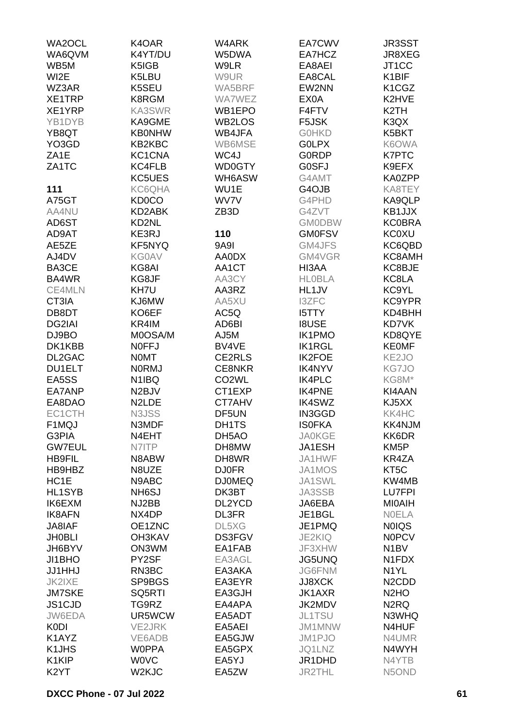| WA2OCL             | K4OAR              | W4ARK              | EA7CWV        | <b>JR3SST</b>                  |
|--------------------|--------------------|--------------------|---------------|--------------------------------|
| WA6QVM             | K4YT/DU            | W5DWA              | EA7HCZ        | JR8XEG                         |
| WB5M               | K5IGB              | W9LR               | EA8AEI        | JT <sub>1</sub> CC             |
| WI2E               | K5LBU              | W9UR               | EA8CAL        | K <sub>1</sub> BIF             |
| WZ3AR              | K5SEU              | WA5BRF             | EW2NN         | K <sub>1</sub> C <sub>GZ</sub> |
|                    |                    |                    | EX0A          |                                |
| XE1TRP             | K8RGM              | <b>WA7WEZ</b>      |               | K2HVE                          |
| XE1YRP             | KA3SWR             | WB1EPO             | F4FTV         | K <sub>2</sub> TH              |
| YB1DYB             | KA9GME             | WB2LOS             | F5JSK         | K3QX                           |
| YB8QT              | <b>KB0NHW</b>      | WB4JFA             | <b>GOHKD</b>  | K5BKT                          |
| YO3GD              | KB2KBC             | WB6MSE             | <b>GOLPX</b>  | K6OWA                          |
| ZA <sub>1</sub> E  | KC1CNA             | WC4J               | <b>GORDP</b>  | <b>K7PTC</b>                   |
| ZA1TC              | KC4FLB             | <b>WD0GTY</b>      | <b>GOSFJ</b>  | K9EFX                          |
|                    | KC5UES             | WH6ASW             | G4AMT         | KA0ZPP                         |
| 111                | KC6QHA             | WU1E               | G4OJB         | KA8TEY                         |
| A75GT              | <b>KD0CO</b>       | WV7V               | G4PHD         | KA9QLP                         |
| AA4NU              | KD2ABK             | ZB <sub>3</sub> D  | G4ZVT         | KB1JJX                         |
| AD6ST              | KD2NL              |                    | <b>GMODBW</b> | <b>KC0BRA</b>                  |
| AD9AT              | KE3RJ              | 110                | <b>GM0FSV</b> | <b>KC0XU</b>                   |
| AE5ZE              | KF5NYQ             | 9A9I               | GM4JFS        | KC6QBD                         |
| AJ4DV              | <b>KG0AV</b>       | AA0DX              | GM4VGR        | KC8AMH                         |
| BA3CE              | KG8AI              | AA1CT              | HI3AA         | KC8BJE                         |
| BA4WR              | KG8JF              | AA3CY              | <b>HLOBLA</b> | KC8LA                          |
| CE4MLN             |                    | AA3RZ              | HL1JV         |                                |
|                    | KH7U               |                    |               | KC9YL                          |
| CT3IA              | KJ6MW              | AA5XU              | <b>I3ZFC</b>  | KC9YPR                         |
| DB8DT              | KO6EF              | AC5Q               | <b>I5TTY</b>  | KD4BHH                         |
| DG2IAI             | KR4IM              | AD6BI              | <b>I8USE</b>  | KD7VK                          |
| DJ9BO              | M0OSA/M            | AJ5M               | <b>IK1PMO</b> | KD8QYE                         |
| DK1KBB             | <b>NOFFJ</b>       | BV4VE              | <b>IK1RGL</b> | <b>KE0MF</b>                   |
| DL2GAC             | <b>NOMT</b>        | CE2RLS             | <b>IK2FOE</b> | KE <sub>2</sub> JO             |
| <b>DU1ELT</b>      | <b>NORMJ</b>       | <b>CE8NKR</b>      | <b>IK4NYV</b> | KG7JO                          |
| EA5SS              | N <sub>1</sub> IBQ | CO <sub>2</sub> WL | <b>IK4PLC</b> | KG8M*                          |
| EA7ANP             | N <sub>2</sub> BJV | CT1EXP             | <b>IK4PNE</b> | KI4AAN                         |
| EA8DAO             | N <sub>2</sub> LDE | CT7AHV             | <b>IK4SWZ</b> | KJ5XX                          |
| EC1CTH             | N3JSS              | DF5UN              | <b>IN3GGD</b> | KK4HC                          |
| F1MQJ              | N3MDF              | DH1TS              | <b>ISOFKA</b> | KK4NJM                         |
| G3PIA              | N4EHT              | DH <sub>5</sub> AO | <b>JA0KGE</b> | KK6DR                          |
| <b>GW7EUL</b>      | N7ITP              | DH8MW              | JA1ESH        | KM <sub>5</sub> P              |
| <b>HB9FIL</b>      | N8ABW              | DH8WR              | JA1HWF        | KR4ZA                          |
| HB9HBZ             | N8UZE              | <b>DJ0FR</b>       | JA1MOS        | KT5C                           |
| HC <sub>1</sub> E  | N9ABC              | <b>DJ0MEQ</b>      | JA1SWL        | KW4MB                          |
| <b>HL1SYB</b>      | NH <sub>6</sub> SJ | DK3BT              | JA3SSB        | <b>LU7FPI</b>                  |
| IK6EXM             | NJ2BB              | DL2YCD             | JA6EBA        | <b>MIOAIH</b>                  |
| <b>IK8AFN</b>      | NX4DP              | <b>DL3FR</b>       | JE1BGL        | <b>NOELA</b>                   |
| JA8IAF             | OE1ZNC             | DL5XG              | JE1PMQ        | <b>NOIQS</b>                   |
| <b>JH0BLI</b>      | OH3KAV             | <b>DS3FGV</b>      | <b>JE2KIQ</b> | <b>NOPCV</b>                   |
| JH6BYV             | ON3WM              | EA1FAB             | JF3XHW        | N <sub>1</sub> BV              |
| JI1BHO             | PY2SF              | EA3AGL             | <b>JG5UNQ</b> | N1FDX                          |
| <b>JJ1HHJ</b>      | RN3BC              | EA3AKA             | <b>JG6FNM</b> | N <sub>1</sub> YL              |
| <b>JK2IXE</b>      | SP9BGS             | EA3EYR             | <b>JJ8XCK</b> | N <sub>2</sub> CD <sub>D</sub> |
| <b>JM7SKE</b>      | SQ5RTI             | EA3GJH             | JK1AXR        | N <sub>2</sub> H <sub>O</sub>  |
| JS1CJD             | TG9RZ              | EA4APA             | JK2MDV        | N <sub>2</sub> RQ              |
| JW6EDA             | UR5WCW             | EA5ADT             | JL1TSU        | N3WHQ                          |
| <b>K0DI</b>        | <b>VE2JRK</b>      | EA5AEI             | JM1MNW        | N4HUF                          |
| K1AYZ              | VE6ADB             | EA5GJW             | JM1PJO        | N4UMR                          |
| K <sub>1</sub> JHS | <b>WOPPA</b>       | EA5GPX             | JQ1LNZ        | N4WYH                          |
| K1KIP              | <b>WOVC</b>        | EA5YJ              | JR1DHD        | N4YTB                          |
| K <sub>2</sub> YT  | W <sub>2</sub> KJC | EA5ZW              | <b>JR2THL</b> | N5OND                          |
|                    |                    |                    |               |                                |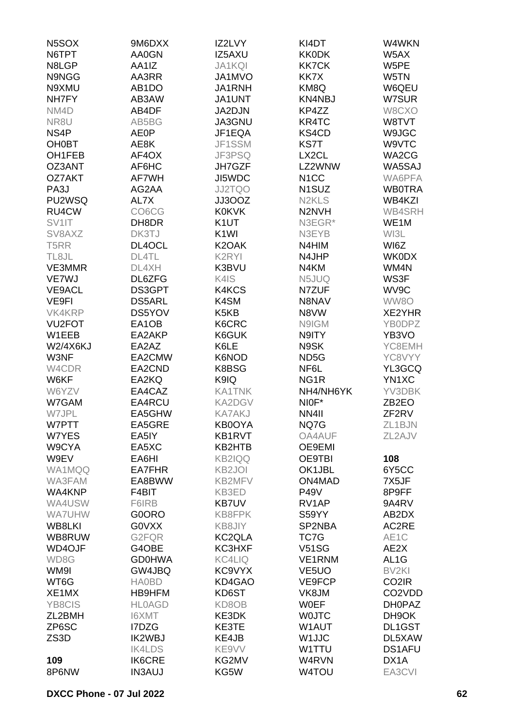| N5SOX             | 9M6DXX             | IZ2LVY                        | KI4DT                          | W4WKN                           |
|-------------------|--------------------|-------------------------------|--------------------------------|---------------------------------|
| N6TPT             | AA0GN              | IZ5AXU                        | <b>KK0DK</b>                   | W5AX                            |
| N8LGP             | AA1IZ              | <b>JA1KQI</b>                 | <b>KK7CK</b>                   | W5PE                            |
| N9NGG             | AA3RR              | JA1MVO                        | KK7X                           | W5TN                            |
| N9XMU             | AB <sub>1</sub> DO | JA1RNH                        | KM8Q                           | W6QEU                           |
| NH7FY             | AB3AW              | JA1UNT                        | <b>KN4NBJ</b>                  | W7SUR                           |
| NM4D              | AB4DF              | JA2DJN                        | KP4ZZ                          | W8CXO                           |
| NR8U              | AB5BG              | JA3GNU                        | KR4TC                          | W8TVT                           |
| NS4P              | <b>AE0P</b>        | JF1EQA                        | KS4CD                          | W9JGC                           |
| <b>OH0BT</b>      | AE8K               | JF1SSM                        | <b>KS7T</b>                    | W9VTC                           |
| OH1FEB            | AF4OX              | JF3PSQ                        | LX2CL                          | WA2CG                           |
| OZ3ANT            | AF6HC              | JH7GZF                        | LZ2WNW                         | WA5SAJ                          |
| <b>OZ7AKT</b>     | AF7WH              | JI5WDC                        | N <sub>1</sub> CC              | WA6PFA                          |
| PA3J              | AG2AA              | <b>JJ2TQO</b>                 | N <sub>1</sub> SUZ             | <b>WB0TRA</b>                   |
| PU2WSQ            | AL7X               | JJ3OOZ                        | N <sub>2</sub> KL <sub>S</sub> | WB4KZI                          |
| RU4CW             | CO6CG              | <b>K0KVK</b>                  | N <sub>2</sub> N <sub>VH</sub> | WB4SRH                          |
| SV1IT             | DH8DR              | K <sub>1</sub> UT             | N3EGR*                         | WE1M                            |
| SV8AXZ            | DK3TJ              | K <sub>1</sub> WI             | N3EYB                          | WI3L                            |
| T <sub>5</sub> RR | DL4OCL             | K <sub>2</sub> OAK            | N4HIM                          | WI6Z                            |
| TL8JL             | DL4TL              | K <sub>2</sub> RYI            | N4JHP                          | <b>WK0DX</b>                    |
| VE3MMR            | DL4XH              | K3BVU                         | N4KM                           | WM4N                            |
| VE7WJ             | DL6ZFG             | K4IS                          | N5JUQ                          | WS3F                            |
| <b>VE9ACL</b>     | DS3GPT             | K4KCS                         | N7ZUF                          | WV9C                            |
| VE9FI             | <b>DS5ARL</b>      | K4SM                          | N8NAV                          | WW8O                            |
| VK4KRP            | DS5YOV             | K <sub>5</sub> K <sub>B</sub> | N8VW                           | XE2YHR                          |
| <b>VU2FOT</b>     | EA1OB              | K6CRC                         | N9IGM                          | YB0DPZ                          |
| W1EEB             | EA2AKP             | K6GUK                         | N9ITY                          | YB3VO                           |
| <b>W2/4X6KJ</b>   | EA2AZ              | K6LE                          | N9SK                           | YC8EMH                          |
| W3NF              | EA2CMW             | K6NOD                         | ND <sub>5</sub> G              | YC8VYY                          |
| W4CDR             | EA2CND             | K8BSG                         | NF6L                           | YL3GCQ                          |
| W6KF              | EA2KQ              | K9IQ                          | NG <sub>1</sub> R              | YN1XC                           |
| W6YZV             | EA4CAZ             | <b>KA1TNK</b>                 | NH4/NH6YK                      | YV3DBK                          |
| W7GAM             | EA4RCU             | <b>KA2DGV</b>                 | NIOF*                          | ZB <sub>2</sub> EO              |
| W7JPL             | EA5GHW             | <b>KA7AKJ</b>                 | NN4II                          | ZF2RV                           |
| W7PTT             | EA5GRE             | <b>KB0OYA</b>                 | NQ7G                           | ZL1BJN                          |
| W7YES             | EA5IY              | KB1RVT                        | <b>OA4AUF</b>                  | ZL2AJV                          |
| W9CYA             | EA5XC              | KB2HTB                        | OE9EMI                         |                                 |
| W9EV              | EA6HI              | <b>KB2IQQ</b>                 | <b>OE9TBI</b>                  | 108                             |
| WA1MQQ            | EA7FHR             | KB <sub>2JOI</sub>            | OK1JBL                         | 6Y5CC                           |
| WA3FAM            | EA8BWW             | KB2MFV                        | ON4MAD                         | 7X5JF                           |
| WA4KNP            | F4BIT              | KB3ED                         | <b>P49V</b>                    | 8P9FF                           |
| WA4USW            | F6IRB              | <b>KB7UV</b>                  | RV1AP                          | 9A4RV                           |
| <b>WA7UHW</b>     | G0ORO              | KB8FPK                        | S59YY                          | AB2DX                           |
| WB8LKI            | <b>GOVXX</b>       | KB8JIY                        | SP2NBA                         | AC2RE                           |
| WB8RUW            | G2FQR              | KC2QLA                        | TC7G                           | AE1C                            |
| WD4OJF            | G4OBE              | KC3HXF                        | <b>V51SG</b>                   | AE2X                            |
| WD8G              | <b>GD0HWA</b>      | <b>KC4LIQ</b>                 | VE1RNM                         | AL <sub>1</sub> G               |
| WM9I              | GW4JBQ             | KC9VYX                        | VE <sub>5</sub> UO             | BV <sub>2KI</sub>               |
| WT6G              | <b>HA0BD</b>       | KD4GAO                        | VE9FCP                         | CO <sub>2</sub> IR              |
| XE1MX             | <b>HB9HFM</b>      | KD6ST                         | VK8JM                          | CO <sub>2</sub> V <sub>DD</sub> |
| YB8CIS            | <b>HLOAGD</b>      | KD8OB                         | <b>WOEF</b>                    | DH0PAZ                          |
| ZL2BMH            | I6XMT              | KE3DK                         | <b>WOJTC</b>                   | DH9OK                           |
| ZP6SC             | I7DZG              | KE3TE                         | W1AUT                          | DL1GST                          |
| ZS3D              | <b>IK2WBJ</b>      | KE4JB                         | W <sub>1</sub> JJC             | DL5XAW                          |
|                   | <b>IK4LDS</b>      | KE9VV                         | W1TTU                          | <b>DS1AFU</b>                   |
| 109               | <b>IK6CRE</b>      | KG2MV                         | W4RVN                          | DX1A                            |
| 8P6NW             | <b>IN3AUJ</b>      | KG5W                          | <b>W4TOU</b>                   | EA3CVI                          |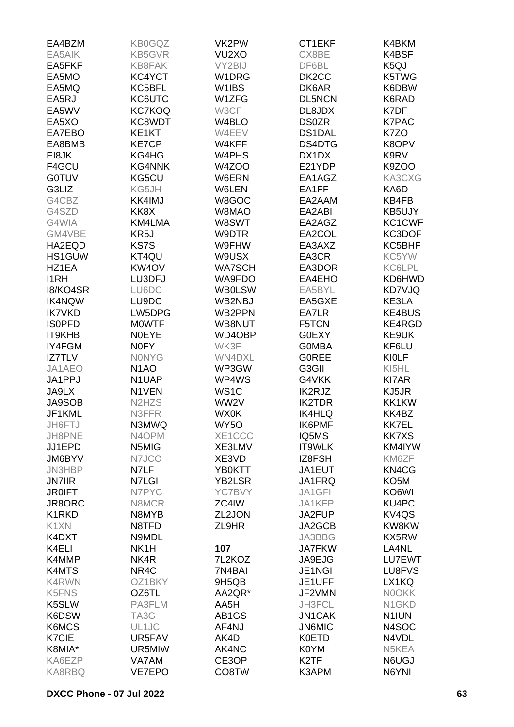| EA4BZM        | <b>KB0GQZ</b>                   | VK2PW              | CT1EKF             | K4BKM              |
|---------------|---------------------------------|--------------------|--------------------|--------------------|
| EA5AIK        | <b>KB5GVR</b>                   | VU <sub>2</sub> XO | CX8BE              | K4BSF              |
| EA5FKF        | KB8FAK                          | VY2BIJ             | DF6BL              | K <sub>5</sub> QJ  |
| EA5MO         | KC4YCT                          | W <sub>1</sub> DRG | DK <sub>2</sub> CC | K5TWG              |
| EA5MQ         | KC5BFL                          | W1IBS              | DK6AR              | K6DBW              |
| EA5RJ         | KC6UTC                          | W1ZFG              | <b>DL5NCN</b>      | K6RAD              |
| EA5WV         | <b>KC7KOQ</b>                   | W3CF               | DL8JDX             | K7DF               |
| EA5XO         | KC8WDT                          | W4BLO              | <b>DS0ZR</b>       | <b>K7PAC</b>       |
| EA7EBO        | KE1KT                           | W4EEV              | <b>DS1DAL</b>      | K7ZO               |
| EA8BMB        | <b>KE7CP</b>                    | W4KFF              | DS4DTG             | K8OPV              |
| EI8JK         | KG4HG                           | W4PHS              | DX1DX              | K9RV               |
| F4GCU         | <b>KG4NNK</b>                   | W4ZOO              | E21YDP             | K9ZOO              |
| <b>G0TUV</b>  | KG5CU                           | W6ERN              | EA1AGZ             | KA3CXG             |
| G3LIZ         | KG5JH                           | W6LEN              | EA1FF              | KA6D               |
| G4CBZ         | KK4IMJ                          | W8GOC              | EA2AAM             | KB4FB              |
| G4SZD         | KK8X                            | W8MAO              | EA2ABI             | KB5UJY             |
| G4WIA         | KM4LMA                          | W8SWT              | EA2AGZ             | KC1CWF             |
| GM4VBE        | KR5J                            | W9DTR              | EA2COL             | KC3DOF             |
| HA2EQD        | KS7S                            | W9FHW              | EA3AXZ             | KC5BHF             |
| HS1GUW        | KT4QU                           | W9USX              | EA3CR              | KC5YW              |
| HZ1EA         | KW4OV                           | <b>WA7SCH</b>      | EA3DOR             | <b>KC6LPL</b>      |
| <b>I1RH</b>   | LU3DFJ                          | WA9FDO             | EA4EHO             | KD6HWD             |
| 18/KO4SR      | LU6DC                           | <b>WB0LSW</b>      | EA5BYL             | KD7VJQ             |
| <b>IK4NQW</b> | LU9DC                           | WB2NBJ             | EA5GXE             | KE3LA              |
| <b>IK7VKD</b> | LW5DPG                          | WB2PPN             | EA7LR              | <b>KE4BUS</b>      |
| <b>ISOPFD</b> | <b>MOWTF</b>                    | WB8NUT             | F5TCN              | KE4RGD             |
| IT9KHB        | <b>NOEYE</b>                    | WD4OBP             | <b>G0EXY</b>       | KE9UK              |
| IY4FGM        | <b>NOFY</b>                     | WK3F               | <b>GOMBA</b>       | KF6LU              |
| <b>IZ7TLV</b> | <b>NONYG</b>                    | <b>WN4DXL</b>      | <b>GOREE</b>       | <b>KIOLF</b>       |
| JA1AEO        | N <sub>1</sub> AO               | WP3GW              | G3GII              | KI5HL              |
| JA1PPJ        | N1UAP                           | WP4WS              | G4VKK              | <b>KI7AR</b>       |
| JA9LX         | N1VEN                           | WS <sub>1</sub> C  | IK2RJZ             | KJ5JR              |
| <b>JA9SOB</b> | N <sub>2</sub> H <sub>Z</sub> S | WW2V               | <b>IK2TDR</b>      | KK1KW              |
| JF1KML        | N3FFR                           | <b>WX0K</b>        | <b>IK4HLQ</b>      | KK4BZ              |
| JH6FTJ        | N3MWQ                           | WY5O               | IK6PMF             | <b>KK7EL</b>       |
| JH8PNE        | N4OPM                           | XE1CCC             | IQ5MS              | <b>KK7XS</b>       |
| JJ1EPD        | N5MIG                           | XE3LMV             | IT9WLK             | KM4IYW             |
| JM6BYV        | N7JCO                           | XE3VD              | IZ8FSH             | KM6ZF              |
| <b>JN3HBP</b> | N7LF                            | YB0KTT             | JA1EUT             | KN4CG              |
| <b>JN7IIR</b> | N7LGI                           | <b>YB2LSR</b>      | JA1FRQ             | KO <sub>5</sub> M  |
| <b>JR0IFT</b> | N7PYC                           | YC7BVY             | JA1GFI             | KO6WI              |
| JR8ORC        | N8MCR                           | ZC4IW              | JA1KFP             | KU4PC              |
| K1RKD         | N8MYB                           | ZL2JON             | JA2FUP             | KV <sub>4</sub> QS |
| K1XN          | N8TFD                           | ZL9HR              | JA2GCB             | KW8KW              |
| K4DXT         | N9MDL                           |                    | JA3BBG             | KX5RW              |
| K4ELI         | NK1H                            | 107                | <b>JA7FKW</b>      | LA4NL              |
| K4MMP         | NK4R                            | 7L2KOZ             | JA9EJG             | LU7EWT             |
| K4MTS         | NR4C                            | 7N4BAI             | JE1NGI             | LU8FVS             |
| K4RWN         | OZ1BKY                          | 9H5QB              | JE1UFF             | LX1KQ              |
| K5FNS         | OZ6TL                           | AA2QR*             | JF2VMN             | <b>NOOKK</b>       |
| K5SLW         | PA3FLM                          | AA5H               | JH3FCL             | N <sub>1</sub> GKD |
| K6DSW         | TA3G                            | AB1GS              | <b>JN1CAK</b>      | N <sub>1</sub> IUN |
| K6MCS         | UL1JC                           | AF4NJ              | <b>JN6MIC</b>      | N4SOC              |
| <b>K7CIE</b>  | UR5FAV                          | AK4D               | <b>K0ETD</b>       | N4VDL              |
| K8MIA*        | UR5MIW                          | AK4NC              | K0YM               | N5KEA              |
| KA6EZP        | VA7AM                           | CE3OP              | K <sub>2</sub> TF  | N6UGJ              |
| KA8RBQ        | VE7EPO                          | CO8TW              | K3APM              | N6YNI              |
|               |                                 |                    |                    |                    |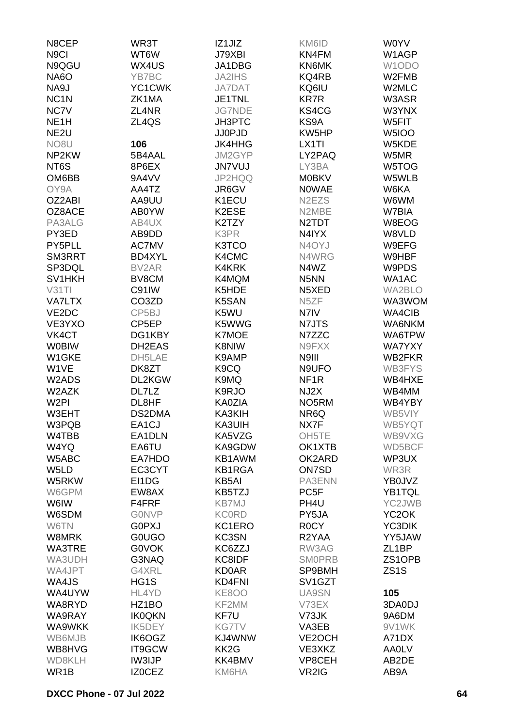| N8CEP              | WR3T               | IZ1JIZ            | KM6ID                            | <b>WOYV</b>         |
|--------------------|--------------------|-------------------|----------------------------------|---------------------|
| N <sub>9</sub> Cl  | WT6W               | J79XBI            | KN4FM                            | W1AGP               |
| N9QGU              | WX4US              | JA1DBG            | KN6MK                            | W1ODO               |
| <b>NA6O</b>        | YB7BC              | JA2IHS            | KQ4RB                            | W2FMB               |
| NA9J               | YC1CWK             | <b>JA7DAT</b>     | KQ6IU                            | W2MLC               |
| NC <sub>1</sub> N  | ZK1MA              | JE1TNL            | <b>KR7R</b>                      | W3ASR               |
| NC7V               | ZL4NR              | <b>JG7NDE</b>     | KS4CG                            | W3YNX               |
| NE <sub>1</sub> H  | ZL4QS              | JH3PTC            | KS9A                             | W5FIT               |
| NE <sub>2U</sub>   |                    | <b>JJ0PJD</b>     | KW5HP                            | W5IOO               |
| NO <sub>8</sub> U  | 106                | <b>JK4HHG</b>     | LX1TI                            | W5KDE               |
| NP2KW              | 5B4AAL             | JM2GYP            | LY2PAQ                           | W5MR                |
| NT6S               | 8P6EX              | <b>JN7VUJ</b>     | LY3BA                            | W5TOG               |
| OM6BB              | 9A4VV              | JP2HQQ            | <b>M0BKV</b>                     | W5WLB               |
| OY9A               | AA4TZ              | JR6GV             | <b>NOWAE</b>                     | W6KA                |
| OZ2ABI             | AA9UU              | K1ECU             | N <sub>2</sub> EZ <sub>S</sub>   | W6WM                |
| OZ8ACE             | AB0YW              | K2ESE             | N2MBE                            | W7BIA               |
| PA3ALG             | AB4UX              | K2TZY             | N <sub>2</sub> TDT               | W8EOG               |
| PY3ED              | AB9DD              | K3PR              | N4IYX                            | W8VLD               |
| PY5PLL             | AC7MV              | K3TCO             | N4OYJ                            | W9EFG               |
| SM3RRT             | BD4XYL             | K4CMC             | N4WRG                            | W9HBF               |
| SP3DQL             | BV2AR              | K4KRK             | N4WZ                             | W9PDS               |
| SV <sub>1HKH</sub> | BV8CM              | K4MQM             | N <sub>5</sub> NN                | WA1AC               |
| V31T1              | C91IW              | K5HDE             | N5XED                            | WA2BLO              |
| <b>VA7LTX</b>      | CO <sub>3</sub> ZD | K5SAN             | N <sub>5</sub> ZF                | WA3WOM              |
| VE2DC              | CP5BJ              | K5WU              | N7IV                             | <b>WA4CIB</b>       |
| VE3YXO             | CP5EP              | K5WWG             | N7JTS                            | WA6NKM              |
| VK4CT              | DG1KBY             | <b>K7MOE</b>      | N7ZZC                            | WA6TPW              |
| <b>WOBIW</b>       | DH2EAS             | K8NIW             | N9FXX                            | <b>WA7YXY</b>       |
| W1GKE              | DH5LAE             | K9AMP             | N9III                            | WB2FKR              |
| W1VE               | DK8ZT              | K <sub>9</sub> CQ | N9UFO                            | <b>WB3FYS</b>       |
| W2ADS              | DL2KGW             | K9MQ              | NF <sub>1R</sub>                 | WB4HXE              |
| W2AZK              | DL7LZ              | K9RJO             | NJ2X                             | WB4MM               |
| W <sub>2PI</sub>   | DL8HF              | <b>KA0ZIA</b>     | NO <sub>5</sub> RM               | WB4YBY              |
| W3EHT              | DS2DMA             | KA3KIH            | NR6Q                             | WB5VIY              |
| W3PQB              | EA1CJ              | KA3UIH            | NX7F                             | WB5YQT              |
| W4TBB              | EA1DLN             | KA5VZG            | OH <sub>5</sub> TE               | WB9VXG              |
| W4YQ               | EA6TU              | KA9GDW            | OK1XTB                           | WD5BCF              |
| W5ABC              | EA7HDO             | KB1AWM            | OK2ARD                           | WP3UX               |
| W <sub>5</sub> LD  | EC3CYT             | KB1RGA            | ON7SD                            | WR3R                |
| W5RKW              | EI1DG              | KB5AI             | PA3ENN                           | YB0JVZ              |
| W6GPM              | EW8AX              | KB5TZJ            | PC <sub>5F</sub>                 | YB1TQL              |
| W6IW               | F4FRF              | <b>KB7MJ</b>      | PH <sub>4U</sub>                 | YC2JWB              |
| W6SDM              | <b>GONVP</b>       | <b>KC0RD</b>      | PY5JA                            | YC <sub>2</sub> OK  |
| W6TN               | <b>G0PXJ</b>       | KC1ERO            | R <sub>0</sub> CY                | YC3DIK              |
| W8MRK              | <b>GOUGO</b>       | KC3SN             | R2YAA                            | YY5JAW              |
| WA3TRE             | <b>GOVOK</b>       | KC6ZZJ            | RW3AG                            | ZL <sub>1</sub> BP  |
| WA3UDH             | G3NAQ              | KC8IDF            | <b>SMOPRB</b>                    | ZS <sub>1</sub> OPB |
| WA4JPT             | G4XRL              | <b>KD0AR</b>      | SP9BMH                           | ZS <sub>1</sub> S   |
| WA4JS              | HG1S               | KD4FNI            | SV <sub>1</sub> G <sub>Z</sub> T |                     |
| WA4UYW             | HL4YD              | <b>KE8OO</b>      | UA9SN                            | 105                 |
| WA8RYD             | HZ1BO              | KF2MM             | V73EX                            | 3DA0DJ              |
| WA9RAY             | <b>IK0QKN</b>      | KF7U              | V73JK                            | 9A6DM               |
| WA9WKK             | IK5DEY             | <b>KG7TV</b>      | VA3EB                            | 9V1WK               |
| WB6MJB             | IK6OGZ             | KJ4WNW            | VE <sub>2</sub> OCH              | A71DX               |
| WB8HVG             | IT9GCW             | KK <sub>2</sub> G | VE3XKZ                           | <b>AA0LV</b>        |
| WD8KLH             | <b>IW3IJP</b>      | <b>KK4BMV</b>     | VP8CEH                           | AB2DE               |
| WR1B               | <b>IZOCEZ</b>      | KM6HA             | VR <sub>2</sub> IG               | AB9A                |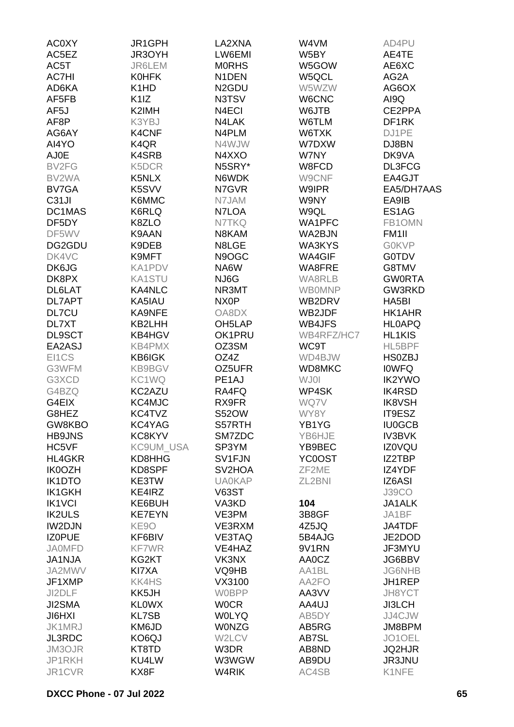| <b>AC0XY</b>       | JR1GPH                        | LA2XNA                | W4VM           | AD4PU              |
|--------------------|-------------------------------|-----------------------|----------------|--------------------|
| AC5EZ              | JR3OYH                        | LW6EMI                | W5BY           | AE4TE              |
| AC5T               | <b>JR6LEM</b>                 | <b>MORHS</b>          | W5GOW          | AE6XC              |
| <b>AC7HI</b>       | <b>KOHFK</b>                  | N <sub>1</sub> DEN    | W5QCL          | AG2A               |
| AD6KA              | K <sub>1</sub> H <sub>D</sub> | N <sub>2</sub> GDU    | W5WZW          | AG6OX              |
| AF5FB              | K <sub>1</sub> IZ             | N3TSV                 | W6CNC          | AI9Q               |
| AF <sub>5</sub> J  | K2IMH                         | N4ECI                 | W6JTB          | CE2PPA             |
| AF8P               | K3YBJ                         | N4LAK                 | W6TLM          | DF1RK              |
| AG6AY              | K4CNF                         | N4PLM                 | W6TXK          | DJ1PE              |
| AI4YO              | K4QR                          | N4WJW                 | W7DXW          | DJ8BN              |
| AJ0E               | <b>K4SRB</b>                  | N4XXO                 | W7NY           | DK9VA              |
| BV2FG              | K5DCR                         | N5SRY*                | W8FCD          | DL3FCG             |
| BV2WA              | K5NLX                         | N6WDK                 | W9CNF          | EA4GJT             |
| BV7GA              | K5SVV                         | N7GVR                 | <b>W9IPR</b>   | EA5/DH7AAS         |
| C <sub>31</sub> JI | K6MMC                         | N7JAM                 | W9NY           | EA9IB              |
| DC1MAS             | K6RLQ                         | N7LOA                 | W9QL           | ES1AG              |
| DF5DY              | K8ZLO                         | N7TKQ                 | WA1PFC         | FB1OMN             |
| DF5WV              | K9AAN                         | N8KAM                 | WA2BJN         | FM <sub>1</sub> II |
| DG2GDU             | K9DEB                         | N8LGE                 | WA3KYS         | <b>GOKVP</b>       |
| DK4VC              | K9MFT                         | N9OGC                 | WA4GIF         | <b>G0TDV</b>       |
| DK6JG              | KA1PDV                        | NA6W                  | WA8FRE         | G8TMV              |
| DK8PX              | KA1STU                        | NJ6G                  | WA8RLB         | <b>GWORTA</b>      |
| DL6LAT             | KA4NLC                        | NR3MT                 | <b>WB0MNP</b>  | GW3RKD             |
| <b>DL7APT</b>      | KA5IAU                        | NX <sub>0</sub> P     | WB2DRV         | HA5BI              |
| <b>DL7CU</b>       | <b>KA9NFE</b>                 | OA8DX                 | WB2JDF         | HK1AHR             |
| DL7XT              | KB2LHH                        | OH <sub>5</sub> LAP   | WB4JFS         | <b>HLOAPQ</b>      |
| <b>DL9SCT</b>      | KB4HGV                        | OK1PRU                | WB4RFZ/HC7     | <b>HL1KIS</b>      |
| EA2ASJ             | KB4PMX                        | OZ3SM                 |                |                    |
|                    |                               | OZ4Z                  | WC9T           | HL5BPF             |
| EI1CS              | KB6IGK                        |                       | WD4BJW         | <b>HS0ZBJ</b>      |
| G3WFM              | <b>KB9BGV</b>                 | OZ5UFR                | WD8MKC<br>WJ01 | <b>IOWFQ</b>       |
| G3XCD              | KC1WQ                         | PE1AJ                 |                | <b>IK2YWO</b>      |
| G4BZQ              | KC2AZU                        | RA4FQ                 | WP4SK          | <b>IK4RSD</b>      |
| G4EIX              | KC4MJC                        | RX9FR<br><b>S52OW</b> | WQ7V           | <b>IK8VSH</b>      |
| G8HEZ              | KC4TVZ                        |                       | WY8Y           | IT9ESZ             |
| GW8KBO             | KC4YAG                        | S57RTH                | YB1YG          | <b>IU0GCB</b>      |
| <b>HB9JNS</b>      | KC8KYV                        | SM7ZDC                | YB6HJE         | <b>IV3BVK</b>      |
| HC5VF              | KC9UM_USA                     | SP3YM                 | YB9BEC         | <b>IZ0VQU</b>      |
| HL4GKR             | KD8HHG                        | SV1FJN                | YC0OST         | IZ2TBP             |
| <b>IK0OZH</b>      | KD8SPF                        | SV2HOA                | ZF2ME          | IZ4YDF             |
| <b>IK1DTO</b>      | KE3TW                         | <b>UA0KAP</b>         | ZL2BNI         | IZ6ASI             |
| <b>IK1GKH</b>      | KE4IRZ                        | <b>V63ST</b>          |                | <b>J39CO</b>       |
| <b>IK1VCI</b>      | KE6BUH                        | VA3KD                 | 104            | JA1ALK             |
| <b>IK2ULS</b>      | <b>KE7EYN</b>                 | VE3PM                 | 3B8GF          | JA1BF              |
| <b>IW2DJN</b>      | KE9O                          | VE3RXM                | 4Z5JQ          | JA4TDF             |
| <b>IZOPUE</b>      | KF6BIV                        | VE3TAQ                | 5B4AJG         | JE2DOD             |
| <b>JA0MFD</b>      | <b>KF7WR</b>                  | VE4HAZ                | 9V1RN          | JF3MYU             |
| <b>JA1NJA</b>      | KG2KT                         | VK3NX                 | AA0CZ          | JG6BBV             |
| JA2MWV             | KI7XA                         | VQ9HB                 | AA1BL          | <b>JG6NHB</b>      |
| JF1XMP             | <b>KK4HS</b>                  | VX3100                | AA2FO          | JH1REP             |
| JI2DLF             | KK5JH                         | <b>WOBPP</b>          | AA3VV          | JH8YCT             |
| JI2SMA             | <b>KLOWX</b>                  | <b>WOCR</b>           | AA4UJ          | JI3LCH             |
| <b>JI6HXI</b>      | <b>KL7SB</b>                  | <b>WOLYQ</b>          | AB5DY          | JJ4CJW             |
| JK1MRJ             | KM6JD                         | <b>WONZG</b>          | AB5RG          | JM8BPM             |
| <b>JL3RDC</b>      | KO6QJ                         | W2LCV                 | AB7SL          | JO1OEL             |
| JM3OJR             | KT8TD                         | W3DR                  | AB8ND          | <b>JQ2HJR</b>      |
| JP1RKH             | KU4LW                         | W3WGW                 | AB9DU          | JR3JNU             |
| JR1CVR             | KX8F                          | W4RIK                 | AC4SB          | K1NFE              |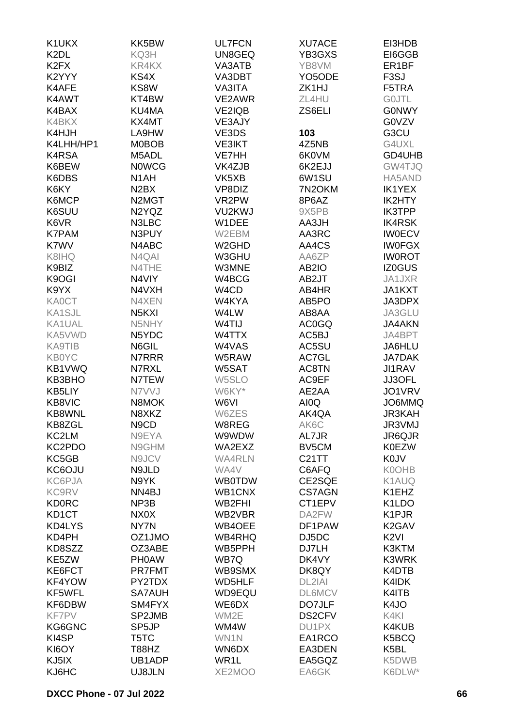| K1UKX                         | KK5BW                           | <b>UL7FCN</b>      | <b>XU7ACE</b>       | EI3HDB             |
|-------------------------------|---------------------------------|--------------------|---------------------|--------------------|
| K <sub>2</sub> DL             | KQ3H                            | UN8GEQ             | YB3GXS              | EI6GGB             |
| K <sub>2</sub> F <sub>X</sub> | KR4KX                           | VA3ATB             | YB8VM               | ER <sub>1</sub> BF |
| K2YYY                         | KS4X                            | VA3DBT             | YO <sub>5</sub> ODE | F <sub>3</sub> SJ  |
| K4AFE                         | KS8W                            | VA3ITA             | ZK1HJ               | F5TRA              |
| K4AWT                         | KT4BW                           | VE2AWR             | ZL4HU               | <b>GOJTL</b>       |
| K4BAX                         | KU4MA                           | <b>VE2IQB</b>      | ZS6ELI              | <b>GONWY</b>       |
| K4BKX                         | KX4MT                           | VE3AJY             |                     | G0VZV              |
| K4HJH                         | LA9HW                           | VE3DS              | 103                 | G3CU               |
| K4LHH/HP1                     | <b>MOBOB</b>                    | <b>VE3IKT</b>      | 4Z5NB               | G4UXL              |
| K4RSA                         | M5ADL                           | VE7HH              | 6K0VM               | GD4UHB             |
| K6BEW                         | <b>NOWCG</b>                    | VK4ZJB             | 6K2EJJ              | GW4TJQ             |
| K6DBS                         | N <sub>1</sub> AH               | VK5XB              | 6W1SU               | HA5AND             |
| K6KY                          | N <sub>2</sub> BX               | VP8DIZ             | 7N2OKM              | <b>IK1YEX</b>      |
| K6MCP                         | N <sub>2</sub> M <sub>G</sub> T | VR2PW              | 8P6AZ               | IK2HTY             |
| K6SUU                         | N2YQZ                           | VU2KWJ             | 9X5PB               | <b>IK3TPP</b>      |
| K6VR                          | N3LBC                           | W1DEE              | AA3JH               | <b>IK4RSK</b>      |
| <b>K7PAM</b>                  | N3PUY                           | W2EBM              | AA3RC               | <b>IW0ECV</b>      |
| K7WV                          | N4ABC                           | W <sub>2</sub> GHD | AA4CS               | <b>IWOFGX</b>      |
| K8IHQ                         | N4QAI                           | W3GHU              | AA6ZP               | <b>IWOROT</b>      |
|                               |                                 | W3MNE              |                     |                    |
| K9BIZ                         | N4THE                           |                    | AB2IO               | IZ0GUS             |
| K9OGI                         | N4VIY                           | W4BCG              | AB2JT               | JA1JXR             |
| K9YX                          | N4VXH                           | W4CD               | AB4HR               | JA1KXT             |
| <b>KA0CT</b>                  | N4XEN                           | W4KYA              | AB5PO               | JA3DPX             |
| <b>KA1SJL</b>                 | N <sub>5</sub> K <sub>XI</sub>  | W4LW               | AB8AA               | JA3GLU             |
| KA1UAL                        | N5NHY                           | W4TIJ              | AC0GQ               | <b>JA4AKN</b>      |
| KA5VWD                        | N5YDC                           | W4TTX              | AC5BJ               | JA4BPT             |
| <b>KA9TIB</b>                 | N6GIL                           | W4VAS              | AC5SU               | JA6HLU             |
| <b>KB0YC</b>                  | N7RRR                           | W5RAW              | AC7GL               | <b>JA7DAK</b>      |
| KB1VWQ                        | N7RXL                           | W5SAT              | AC8TN               | <b>JI1RAV</b>      |
| KB3BHO                        | N7TEW                           | W5SLO              | AC9EF               | <b>JJ3OFL</b>      |
| KB5LIY                        | N7VVJ                           | W6KY*              | AE2AA               | JO1VRV             |
| KB8VIC                        | N8MOK                           | W6VI               | AI0Q                | JO6MMQ             |
| <b>KB8WNL</b>                 | N8XKZ                           | W6ZES              | AK4QA               | <b>JR3KAH</b>      |
| KB8ZGL                        | N <sub>9</sub> C <sub>D</sub>   | W8REG              | AK6C                | JR3VMJ             |
| KC2LM                         | N9EYA                           | W9WDW              | AL7JR               | JR6QJR             |
| KC2PDO                        | N9GHM                           | WA2EXZ             | BV5CM               | <b>K0EZW</b>       |
| KC5GB                         | N9JCV                           | <b>WA4RLN</b>      | <b>C21TT</b>        | <b>K0JV</b>        |
| KC6OJU                        | N9JLD                           | WA4V               | C6AFQ               | <b>K0OHB</b>       |
| KC6PJA                        | N9YK                            | <b>WB0TDW</b>      | CE2SQE              | K1AUQ              |
| <b>KC9RV</b>                  | NN4BJ                           | WB1CNX             | <b>CS7AGN</b>       | K1EHZ              |
| <b>KD0RC</b>                  | NP3B                            | WB2FHI             | CT1EPV              | K <sub>1</sub> LDO |
| KD <sub>1</sub> CT            | NX0X                            | WB2VBR             | DA2FW               | K1PJR              |
| KD4LYS                        | NY7N                            | WB4OEE             | DF1PAW              | K <sub>2</sub> GAV |
| KD4PH                         | OZ1JMO                          | WB4RHQ             | DJ5DC               | K <sub>2VI</sub>   |
| KD8SZZ                        | OZ3ABE                          | WB5PPH             | DJ7LH               | K3KTM              |
| KE5ZW                         | <b>PHOAW</b>                    | WB7Q               | DK4VY               | K3WRK              |
| KE6FCT                        | <b>PR7FMT</b>                   | WB9SMX             | DK8QY               | K4DTB              |
| KF4YOW                        | PY2TDX                          | WD5HLF             | DL2IAI              | K4IDK              |
| KF5WFL                        | <b>SA7AUH</b>                   | WD9EQU             | <b>DL6MCV</b>       | K4ITB              |
| KF6DBW                        | SM4FYX                          | WE6DX              | DO7JLF              | K4JO               |
| <b>KF7PV</b>                  | SP2JMB                          | WM2E               | DS2CFV              | K4KI               |
| KG6GNC                        | SP5JP                           | WM4W               | DU1PX               | K4KUB              |
| KI4SP                         | T5TC                            | WN1N               | EA1RCO              | K5BCQ              |
| KI6OY                         | T88HZ                           | WN6DX              | EA3DEN              | K5BL               |
| KJ5IX                         | UB1ADP                          | WR1L               | EA5GQZ              | K5DWB              |
| KJ6HC                         | UJ8JLN                          | XE2MOO             | EA6GK               | K6DLW*             |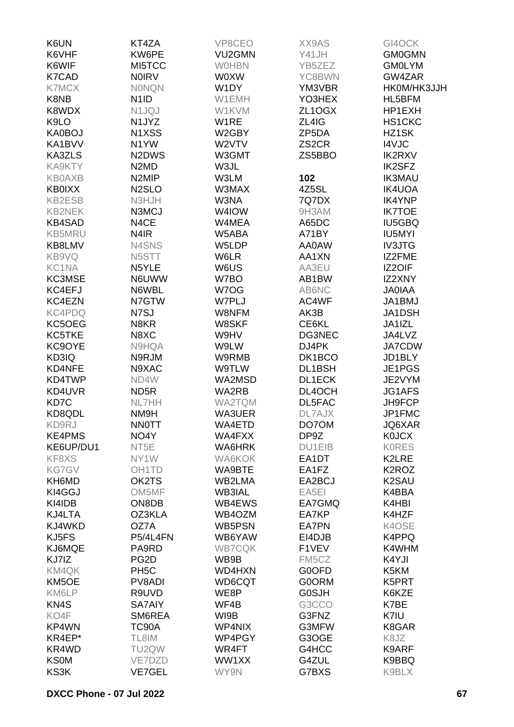| K6UN              | KT4ZA                          | VP8CEO        | XX9AS              | GI4OCK             |
|-------------------|--------------------------------|---------------|--------------------|--------------------|
| K6VHF             | KW6PE                          | VU2GMN        | Y41JH              | <b>GM0GMN</b>      |
| K6WIF             | MI5TCC                         | <b>WOHBN</b>  | YB5ZEZ             | <b>GM0LYM</b>      |
| K7CAD             | <b>NOIRV</b>                   | <b>WOXW</b>   | YC8BWN             | GW4ZAR             |
| <b>K7MCX</b>      | <b>NONQN</b>                   | W1DY          | YM3VBR             | HK0M/HK3JJH        |
| K8NB              | N <sub>1</sub> ID              | W1EMH         | YO3HEX             | HL5BFM             |
| K8WDX             | N1JQJ                          | W1KVM         | ZL1OGX             | HP1EXH             |
| K9LO              | N1JYZ                          | W1RE          | ZL4IG              | HS1CKC             |
| KA0BOJ            | N1XSS                          | W2GBY         | ZP5DA              | HZ1SK              |
| KA1BVV            | N1YW                           | W2VTV         | ZS <sub>2</sub> CR | I4VJC              |
| KA3ZLS            | N <sub>2</sub> D <sub>WS</sub> | W3GMT         | ZS5BBO             | <b>IK2RXV</b>      |
| KA9KTY            | N <sub>2</sub> M <sub>D</sub>  | W3JL          |                    | <b>IK2SFZ</b>      |
| <b>KB0AXB</b>     | N <sub>2</sub> MIP             | W3LM          | 102                | <b>IK3MAU</b>      |
| <b>KB0IXX</b>     | N <sub>2</sub> SLO             | W3MAX         | 4Z5SL              | <b>IK4UOA</b>      |
| KB2ESB            | N3HJH                          | W3NA          | 7Q7DX              | <b>IK4YNP</b>      |
| <b>KB2NEK</b>     | N3MCJ                          | W4IOW         | 9H3AM              | <b>IK7TOE</b>      |
| <b>KB4SAD</b>     | N4CE                           | W4MEA         | A65DC              | <b>IU5GBQ</b>      |
| <b>KB5MRU</b>     | N <sub>4</sub> IR              | W5ABA         | A71BY              | <b>IU5MYI</b>      |
| KB8LMV            | N4SNS                          | W5LDP         | AA0AW              | <b>IV3JTG</b>      |
| KB9VQ             | N5STT                          | W6LR          |                    | IZ2FME             |
|                   |                                |               | AA1XN              |                    |
| KC1NA             | N5YLE                          | W6US          | AA3EU              | IZ2OIF             |
| KC3MSE            | N6UWW                          | W7BO          | AB1BW              | IZ2XNY             |
| KC4EFJ            | N6WBL                          | W7OG          | AB6NC              | <b>JA0IAA</b>      |
| KC4EZN            | N7GTW                          | W7PLJ         | AC4WF              | JA1BMJ             |
| KC4PDQ            | N7SJ                           | W8NFM         | AK3B               | JA1DSH             |
| KC5OEG            | N8KR                           | W8SKF         | CE6KL              | JA1IZL             |
| KC5TKE            | N8XC                           | W9HV          | DG3NEC             | JA4LVZ             |
| KC9OYE            | N9HQA                          | W9LW          | DJ4PK              | <b>JA7CDW</b>      |
| KD3IQ             | N9RJM                          | W9RMB         | DK1BCO             | JD1BLY             |
| KD4NFE            | N9XAC                          | <b>W9TLW</b>  | DL1BSH             | JE1PGS             |
| KD4TWP            | ND4W                           | WA2MSD        | <b>DL1ECK</b>      | JE2VYM             |
| KD4UVR            | ND <sub>5</sub> R              | WA2RB         | DL4OCH             | JG1AFS             |
| KD7C              | NL7HH                          | <b>WA2TQM</b> | DL5FAC             | JH9FCP             |
| KD8QDL            | NM9H                           | WA3UER        | DL7AJX             | JP1FMC             |
| KD9RJ             | <b>NNOTT</b>                   | WA4ETD        | DO70M              | JQ6XAR             |
| <b>KE4PMS</b>     | NO4Y                           | WA4FXX        | DP9Z               | <b>K0JCX</b>       |
| KE6UP/DU1         | NT <sub>5</sub> E              | WA6HRK        | DU1EIB             | <b>KORES</b>       |
| KF8XS             | NY1W                           | WA6KOK        | EA1DT              | K2LRE              |
| <b>KG7GV</b>      | OH <sub>1</sub> TD             | WA9BTE        | EA1FZ              | K <sub>2</sub> ROZ |
| KH6MD             | OK2TS                          | WB2LMA        | EA2BCJ             | K <sub>2</sub> SAU |
| KI4GGJ            | OM5MF                          | WB3IAL        | EA5EI              | K4BBA              |
| KI4IDB            | ON8DB                          | WB4EWS        | EA7GMQ             | K4HBI              |
| KJ4LTA            | OZ3KLA                         | WB4OZM        | EA7KP              | K4HZF              |
| KJ4WKD            | OZ7A                           | WB5PSN        | EA7PN              | K4OSE              |
| KJ5FS             | <b>P5/4L4FN</b>                | WB6YAW        | EI4DJB             | K4PPQ              |
| KJ6MQE            | PA9RD                          | <b>WB7CQK</b> | F1VEV              | K4WHM              |
| KJ7IZ             | PG <sub>2</sub> D              | WB9B          | FM5CZ              | K4YJI              |
| KM4QK             | PH <sub>5</sub> C              | WD4HXN        | G0OFD              | K5KM               |
| KM5OE             | PV8ADI                         | WD6CQT        | <b>G0ORM</b>       | K5PRT              |
| KM6LP             | R9UVD                          | WE8P          | <b>G0SJH</b>       | K6KZE              |
| KN <sub>4</sub> S | <b>SA7AIY</b>                  | WF4B          | G3CCO              | K7BE               |
| KO4F              | SM6REA                         | WI9B          | G3FNZ              | K7IU               |
| KP4WN             | TC90A                          | WP4NIX        | G3MFW              | K8GAR              |
| KR4EP*            | TL8IM                          | WP4PGY        | G3OGE              | K8JZ               |
| KR4WD             | TU2QW                          | WR4FT         | G4HCC              | K9ARF              |
| <b>KS0M</b>       | VE7DZD                         | WW1XX         | G4ZUL              | K9BBQ              |
| KS3K              | <b>VE7GEL</b>                  | WY9N          | G7BXS              | K9BLX              |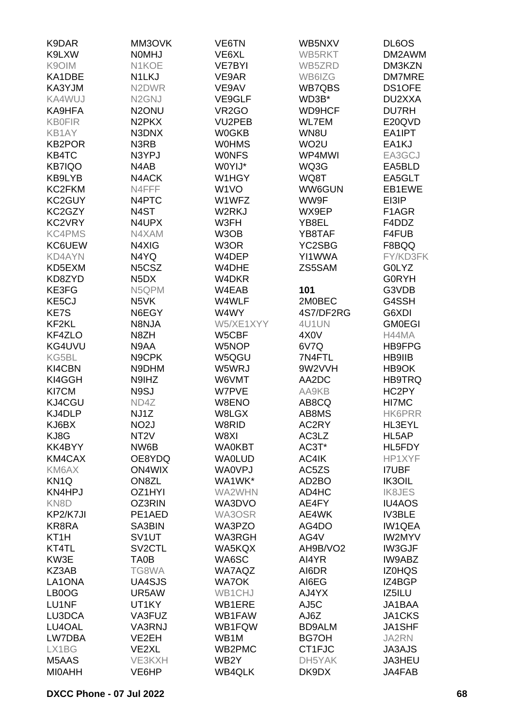| K9LXW<br><b>NOMHJ</b><br>VE6XL<br>WB5RKT<br>DM2AWM<br>K9OIM<br>N1KOE<br>DM3KZN<br><b>VE7BYI</b><br>WB5ZRD<br>KA1DBE<br>N1LKJ<br>VE9AR<br>DM7MRE<br>WB6IZG<br>KA3YJM<br>N <sub>2</sub> DWR<br>VE9AV<br><b>WB7QBS</b><br>DS1OFE<br>KA4WUJ<br>N <sub>2</sub> GNJ<br>VE9GLF<br>WD3B*<br>DU2XXA<br>N <sub>2</sub> ONU<br>VR <sub>2</sub> GO<br><b>WD9HCF</b><br><b>DU7RH</b><br>KA9HFA<br>N <sub>2</sub> PK <sub>X</sub><br><b>KB0FIR</b><br>VU2PEB<br><b>WL7EM</b><br>E20QVD<br>KB1AY<br>N3DNX<br><b>W0GKB</b><br>WN8U<br>EA1IPT<br><b>KB2POR</b><br>N3RB<br><b>WOHMS</b><br>WO <sub>2</sub> U<br>EA1KJ<br><b>WONFS</b><br>KB4TC<br>N3YPJ<br>WP4MWI<br>EA3GCJ<br>W0YIJ*<br><b>KB7IQO</b><br>N4AB<br>WQ3G<br>EA5BLD<br>KB9LYB<br>N4ACK<br>W1HGY<br>WQ8T<br>EA5GLT<br>KC2FKM<br>W <sub>1</sub> VO<br>N4FFF<br>WW6GUN<br>EB1EWE<br>KC2GUY<br>N4PTC<br>EI3IP<br>W1WFZ<br>WW9F<br>KC2GZY<br>N4ST<br>W2RKJ<br>F1AGR<br>WX9EP<br>KC2VRY<br>N4UPX<br>W3FH<br>F4DDZ<br>YB8EL<br>W3OB<br><b>KC4PMS</b><br>N4XAM<br>YB8TAF<br>F4FUB<br>KC6UEW<br>N4XIG<br>W3OR<br>YC2SBG<br>F8BQQ<br>N4YQ<br><b>KD4AYN</b><br>W4DEP<br>YI1WWA<br>FY/KD3FK<br>N5CSZ<br>ZS5SAM<br>KD5EXM<br>W4DHE<br><b>GOLYZ</b><br>KD8ZYD<br>N <sub>5</sub> D <sub>X</sub><br><b>G0RYH</b><br>W4DKR<br>KE3FG<br>N5QPM<br>W4EAB<br>101<br>G3VDB<br>KE5CJ<br>W4WLF<br>N <sub>5</sub> VK<br>2M0BEC<br>G4SSH<br>KE7S<br>N6EGY<br>W4WY<br>4S7/DF2RG<br>G6XDI<br>KF2KL<br>N8NJA<br>W5/XE1XYY<br>4U1UN<br><b>GM0EGI</b><br>KF4ZLO<br>N8ZH<br>W5CBF<br>4X <sub>0</sub> V<br>H44MA<br>KG4UVU<br>N9AA<br>6V7Q<br>W5NOP<br>HB9FPG<br>KG5BL<br>N9CPK<br>W5QGU<br>7N4FTL<br>HB9IIB<br>KI4CBN<br>9W2VVH<br>N9DHM<br>W5WRJ<br>HB9OK<br>KI4GGH<br>N9IHZ<br>W6VMT<br>AA2DC<br>HB9TRQ<br>KI7CM<br>N9SJ<br>W7PVE<br>HC2PY<br>AA9KB<br>KJ4CGU<br>ND4Z<br>W8ENO<br>AB8CQ<br>HI7MC<br>KJ4DLP<br>NJ1Z<br>W8LGX<br><b>HK6PRR</b><br>AB8MS<br>KJ6BX<br>NO <sub>2</sub> J<br>W8RID<br>AC2RY<br>HL3EYL<br>KJ8G<br>NT <sub>2</sub> V<br>W8XI<br>AC3LZ<br>HL5AP<br>KK4BYY<br>NW6B<br><b>WA0KBT</b><br>AC3T*<br>HL5FDY<br>KM4CAX<br>OE8YDQ<br><b>WA0LUD</b><br>AC4IK<br>HP1XYF<br>KM6AX<br><b>ON4WIX</b><br><b>WA0VPJ</b><br>AC5ZS<br><b>I7UBF</b><br>KN <sub>1Q</sub><br>ON8ZL<br>WA1WK*<br>AD <sub>2</sub> BO<br>IK3OIL<br>KN4HPJ<br>OZ1HYI<br>WA2WHN<br>AD4HC<br><b>IK8JES</b><br>KN <sub>8</sub> D<br>OZ3RIN<br>WA3DVO<br>AE4FY<br><b>IU4AOS</b><br>KP2/K7JI<br>PE1AED<br>WA3OSR<br>AE4WK<br><b>IV3BLE</b><br>KR8RA<br>SA3BIN<br>WA3PZO<br><b>IW1QEA</b><br>AG4DO<br>KT <sub>1</sub> H<br>SV <sub>1</sub> UT<br><b>WA3RGH</b><br>AG4V<br><b>IW2MYV</b><br>KT4TL<br>SV <sub>2</sub> CTL<br>WA5KQX<br>AH9B/VO2<br>IW3GJF<br>KW3E<br>TA0B<br>WA6SC<br>AI4YR<br>IW9ABZ<br>KZ3AB<br>TG8WA<br><b>WA7AQZ</b><br>AI6DR<br><b>IZ0HQS</b><br>LA1ONA<br>UA4SJS<br><b>WA7OK</b><br>AI6EG<br>IZ4BGP<br>LB0OG<br>UR5AW<br>WB1CHJ<br>AJ4YX<br>IZ5ILU<br>LU1NF<br>UT1KY<br>WB1ERE<br>AJ5C<br>JA1BAA<br><b>JA1CKS</b><br>LU3DCA<br>VA3FUZ<br>WB1FAW<br>AJ6Z<br>LU4OAL<br>VA3RNJ<br>WB1FQW<br><b>BD9ALM</b><br><b>JA1SHF</b><br>LW7DBA<br>VE2EH<br>WB1M<br><b>BG7OH</b><br><b>JA2RN</b><br>LX1BG<br>VE2XL<br>WB2PMC<br>CT1FJC<br><b>JA3AJS</b><br>M5AAS<br>VE3KXH<br>WB2Y<br>JA3HEU<br>DH5YAK<br><b>MIOAHH</b><br><b>WB4QLK</b><br>DK9DX<br>JA4FAB<br>VE6HP | K9DAR | MM3OVK | VE6TN | WB5NXV | DL6OS |
|------------------------------------------------------------------------------------------------------------------------------------------------------------------------------------------------------------------------------------------------------------------------------------------------------------------------------------------------------------------------------------------------------------------------------------------------------------------------------------------------------------------------------------------------------------------------------------------------------------------------------------------------------------------------------------------------------------------------------------------------------------------------------------------------------------------------------------------------------------------------------------------------------------------------------------------------------------------------------------------------------------------------------------------------------------------------------------------------------------------------------------------------------------------------------------------------------------------------------------------------------------------------------------------------------------------------------------------------------------------------------------------------------------------------------------------------------------------------------------------------------------------------------------------------------------------------------------------------------------------------------------------------------------------------------------------------------------------------------------------------------------------------------------------------------------------------------------------------------------------------------------------------------------------------------------------------------------------------------------------------------------------------------------------------------------------------------------------------------------------------------------------------------------------------------------------------------------------------------------------------------------------------------------------------------------------------------------------------------------------------------------------------------------------------------------------------------------------------------------------------------------------------------------------------------------------------------------------------------------------------------------------------------------------------------------------------------------------------------------------------------------------------------------------------------------------------------------------------------------------------------------------------------------------------------------------------------------------------------------------------------------------------------------------------------------------------------------------------------------------------------------------------------------------------------------------------------------------------------------------------------------------|-------|--------|-------|--------|-------|
|                                                                                                                                                                                                                                                                                                                                                                                                                                                                                                                                                                                                                                                                                                                                                                                                                                                                                                                                                                                                                                                                                                                                                                                                                                                                                                                                                                                                                                                                                                                                                                                                                                                                                                                                                                                                                                                                                                                                                                                                                                                                                                                                                                                                                                                                                                                                                                                                                                                                                                                                                                                                                                                                                                                                                                                                                                                                                                                                                                                                                                                                                                                                                                                                                                                                  |       |        |       |        |       |
|                                                                                                                                                                                                                                                                                                                                                                                                                                                                                                                                                                                                                                                                                                                                                                                                                                                                                                                                                                                                                                                                                                                                                                                                                                                                                                                                                                                                                                                                                                                                                                                                                                                                                                                                                                                                                                                                                                                                                                                                                                                                                                                                                                                                                                                                                                                                                                                                                                                                                                                                                                                                                                                                                                                                                                                                                                                                                                                                                                                                                                                                                                                                                                                                                                                                  |       |        |       |        |       |
|                                                                                                                                                                                                                                                                                                                                                                                                                                                                                                                                                                                                                                                                                                                                                                                                                                                                                                                                                                                                                                                                                                                                                                                                                                                                                                                                                                                                                                                                                                                                                                                                                                                                                                                                                                                                                                                                                                                                                                                                                                                                                                                                                                                                                                                                                                                                                                                                                                                                                                                                                                                                                                                                                                                                                                                                                                                                                                                                                                                                                                                                                                                                                                                                                                                                  |       |        |       |        |       |
|                                                                                                                                                                                                                                                                                                                                                                                                                                                                                                                                                                                                                                                                                                                                                                                                                                                                                                                                                                                                                                                                                                                                                                                                                                                                                                                                                                                                                                                                                                                                                                                                                                                                                                                                                                                                                                                                                                                                                                                                                                                                                                                                                                                                                                                                                                                                                                                                                                                                                                                                                                                                                                                                                                                                                                                                                                                                                                                                                                                                                                                                                                                                                                                                                                                                  |       |        |       |        |       |
|                                                                                                                                                                                                                                                                                                                                                                                                                                                                                                                                                                                                                                                                                                                                                                                                                                                                                                                                                                                                                                                                                                                                                                                                                                                                                                                                                                                                                                                                                                                                                                                                                                                                                                                                                                                                                                                                                                                                                                                                                                                                                                                                                                                                                                                                                                                                                                                                                                                                                                                                                                                                                                                                                                                                                                                                                                                                                                                                                                                                                                                                                                                                                                                                                                                                  |       |        |       |        |       |
|                                                                                                                                                                                                                                                                                                                                                                                                                                                                                                                                                                                                                                                                                                                                                                                                                                                                                                                                                                                                                                                                                                                                                                                                                                                                                                                                                                                                                                                                                                                                                                                                                                                                                                                                                                                                                                                                                                                                                                                                                                                                                                                                                                                                                                                                                                                                                                                                                                                                                                                                                                                                                                                                                                                                                                                                                                                                                                                                                                                                                                                                                                                                                                                                                                                                  |       |        |       |        |       |
|                                                                                                                                                                                                                                                                                                                                                                                                                                                                                                                                                                                                                                                                                                                                                                                                                                                                                                                                                                                                                                                                                                                                                                                                                                                                                                                                                                                                                                                                                                                                                                                                                                                                                                                                                                                                                                                                                                                                                                                                                                                                                                                                                                                                                                                                                                                                                                                                                                                                                                                                                                                                                                                                                                                                                                                                                                                                                                                                                                                                                                                                                                                                                                                                                                                                  |       |        |       |        |       |
|                                                                                                                                                                                                                                                                                                                                                                                                                                                                                                                                                                                                                                                                                                                                                                                                                                                                                                                                                                                                                                                                                                                                                                                                                                                                                                                                                                                                                                                                                                                                                                                                                                                                                                                                                                                                                                                                                                                                                                                                                                                                                                                                                                                                                                                                                                                                                                                                                                                                                                                                                                                                                                                                                                                                                                                                                                                                                                                                                                                                                                                                                                                                                                                                                                                                  |       |        |       |        |       |
|                                                                                                                                                                                                                                                                                                                                                                                                                                                                                                                                                                                                                                                                                                                                                                                                                                                                                                                                                                                                                                                                                                                                                                                                                                                                                                                                                                                                                                                                                                                                                                                                                                                                                                                                                                                                                                                                                                                                                                                                                                                                                                                                                                                                                                                                                                                                                                                                                                                                                                                                                                                                                                                                                                                                                                                                                                                                                                                                                                                                                                                                                                                                                                                                                                                                  |       |        |       |        |       |
|                                                                                                                                                                                                                                                                                                                                                                                                                                                                                                                                                                                                                                                                                                                                                                                                                                                                                                                                                                                                                                                                                                                                                                                                                                                                                                                                                                                                                                                                                                                                                                                                                                                                                                                                                                                                                                                                                                                                                                                                                                                                                                                                                                                                                                                                                                                                                                                                                                                                                                                                                                                                                                                                                                                                                                                                                                                                                                                                                                                                                                                                                                                                                                                                                                                                  |       |        |       |        |       |
|                                                                                                                                                                                                                                                                                                                                                                                                                                                                                                                                                                                                                                                                                                                                                                                                                                                                                                                                                                                                                                                                                                                                                                                                                                                                                                                                                                                                                                                                                                                                                                                                                                                                                                                                                                                                                                                                                                                                                                                                                                                                                                                                                                                                                                                                                                                                                                                                                                                                                                                                                                                                                                                                                                                                                                                                                                                                                                                                                                                                                                                                                                                                                                                                                                                                  |       |        |       |        |       |
|                                                                                                                                                                                                                                                                                                                                                                                                                                                                                                                                                                                                                                                                                                                                                                                                                                                                                                                                                                                                                                                                                                                                                                                                                                                                                                                                                                                                                                                                                                                                                                                                                                                                                                                                                                                                                                                                                                                                                                                                                                                                                                                                                                                                                                                                                                                                                                                                                                                                                                                                                                                                                                                                                                                                                                                                                                                                                                                                                                                                                                                                                                                                                                                                                                                                  |       |        |       |        |       |
|                                                                                                                                                                                                                                                                                                                                                                                                                                                                                                                                                                                                                                                                                                                                                                                                                                                                                                                                                                                                                                                                                                                                                                                                                                                                                                                                                                                                                                                                                                                                                                                                                                                                                                                                                                                                                                                                                                                                                                                                                                                                                                                                                                                                                                                                                                                                                                                                                                                                                                                                                                                                                                                                                                                                                                                                                                                                                                                                                                                                                                                                                                                                                                                                                                                                  |       |        |       |        |       |
|                                                                                                                                                                                                                                                                                                                                                                                                                                                                                                                                                                                                                                                                                                                                                                                                                                                                                                                                                                                                                                                                                                                                                                                                                                                                                                                                                                                                                                                                                                                                                                                                                                                                                                                                                                                                                                                                                                                                                                                                                                                                                                                                                                                                                                                                                                                                                                                                                                                                                                                                                                                                                                                                                                                                                                                                                                                                                                                                                                                                                                                                                                                                                                                                                                                                  |       |        |       |        |       |
|                                                                                                                                                                                                                                                                                                                                                                                                                                                                                                                                                                                                                                                                                                                                                                                                                                                                                                                                                                                                                                                                                                                                                                                                                                                                                                                                                                                                                                                                                                                                                                                                                                                                                                                                                                                                                                                                                                                                                                                                                                                                                                                                                                                                                                                                                                                                                                                                                                                                                                                                                                                                                                                                                                                                                                                                                                                                                                                                                                                                                                                                                                                                                                                                                                                                  |       |        |       |        |       |
|                                                                                                                                                                                                                                                                                                                                                                                                                                                                                                                                                                                                                                                                                                                                                                                                                                                                                                                                                                                                                                                                                                                                                                                                                                                                                                                                                                                                                                                                                                                                                                                                                                                                                                                                                                                                                                                                                                                                                                                                                                                                                                                                                                                                                                                                                                                                                                                                                                                                                                                                                                                                                                                                                                                                                                                                                                                                                                                                                                                                                                                                                                                                                                                                                                                                  |       |        |       |        |       |
|                                                                                                                                                                                                                                                                                                                                                                                                                                                                                                                                                                                                                                                                                                                                                                                                                                                                                                                                                                                                                                                                                                                                                                                                                                                                                                                                                                                                                                                                                                                                                                                                                                                                                                                                                                                                                                                                                                                                                                                                                                                                                                                                                                                                                                                                                                                                                                                                                                                                                                                                                                                                                                                                                                                                                                                                                                                                                                                                                                                                                                                                                                                                                                                                                                                                  |       |        |       |        |       |
|                                                                                                                                                                                                                                                                                                                                                                                                                                                                                                                                                                                                                                                                                                                                                                                                                                                                                                                                                                                                                                                                                                                                                                                                                                                                                                                                                                                                                                                                                                                                                                                                                                                                                                                                                                                                                                                                                                                                                                                                                                                                                                                                                                                                                                                                                                                                                                                                                                                                                                                                                                                                                                                                                                                                                                                                                                                                                                                                                                                                                                                                                                                                                                                                                                                                  |       |        |       |        |       |
|                                                                                                                                                                                                                                                                                                                                                                                                                                                                                                                                                                                                                                                                                                                                                                                                                                                                                                                                                                                                                                                                                                                                                                                                                                                                                                                                                                                                                                                                                                                                                                                                                                                                                                                                                                                                                                                                                                                                                                                                                                                                                                                                                                                                                                                                                                                                                                                                                                                                                                                                                                                                                                                                                                                                                                                                                                                                                                                                                                                                                                                                                                                                                                                                                                                                  |       |        |       |        |       |
|                                                                                                                                                                                                                                                                                                                                                                                                                                                                                                                                                                                                                                                                                                                                                                                                                                                                                                                                                                                                                                                                                                                                                                                                                                                                                                                                                                                                                                                                                                                                                                                                                                                                                                                                                                                                                                                                                                                                                                                                                                                                                                                                                                                                                                                                                                                                                                                                                                                                                                                                                                                                                                                                                                                                                                                                                                                                                                                                                                                                                                                                                                                                                                                                                                                                  |       |        |       |        |       |
|                                                                                                                                                                                                                                                                                                                                                                                                                                                                                                                                                                                                                                                                                                                                                                                                                                                                                                                                                                                                                                                                                                                                                                                                                                                                                                                                                                                                                                                                                                                                                                                                                                                                                                                                                                                                                                                                                                                                                                                                                                                                                                                                                                                                                                                                                                                                                                                                                                                                                                                                                                                                                                                                                                                                                                                                                                                                                                                                                                                                                                                                                                                                                                                                                                                                  |       |        |       |        |       |
|                                                                                                                                                                                                                                                                                                                                                                                                                                                                                                                                                                                                                                                                                                                                                                                                                                                                                                                                                                                                                                                                                                                                                                                                                                                                                                                                                                                                                                                                                                                                                                                                                                                                                                                                                                                                                                                                                                                                                                                                                                                                                                                                                                                                                                                                                                                                                                                                                                                                                                                                                                                                                                                                                                                                                                                                                                                                                                                                                                                                                                                                                                                                                                                                                                                                  |       |        |       |        |       |
|                                                                                                                                                                                                                                                                                                                                                                                                                                                                                                                                                                                                                                                                                                                                                                                                                                                                                                                                                                                                                                                                                                                                                                                                                                                                                                                                                                                                                                                                                                                                                                                                                                                                                                                                                                                                                                                                                                                                                                                                                                                                                                                                                                                                                                                                                                                                                                                                                                                                                                                                                                                                                                                                                                                                                                                                                                                                                                                                                                                                                                                                                                                                                                                                                                                                  |       |        |       |        |       |
|                                                                                                                                                                                                                                                                                                                                                                                                                                                                                                                                                                                                                                                                                                                                                                                                                                                                                                                                                                                                                                                                                                                                                                                                                                                                                                                                                                                                                                                                                                                                                                                                                                                                                                                                                                                                                                                                                                                                                                                                                                                                                                                                                                                                                                                                                                                                                                                                                                                                                                                                                                                                                                                                                                                                                                                                                                                                                                                                                                                                                                                                                                                                                                                                                                                                  |       |        |       |        |       |
|                                                                                                                                                                                                                                                                                                                                                                                                                                                                                                                                                                                                                                                                                                                                                                                                                                                                                                                                                                                                                                                                                                                                                                                                                                                                                                                                                                                                                                                                                                                                                                                                                                                                                                                                                                                                                                                                                                                                                                                                                                                                                                                                                                                                                                                                                                                                                                                                                                                                                                                                                                                                                                                                                                                                                                                                                                                                                                                                                                                                                                                                                                                                                                                                                                                                  |       |        |       |        |       |
|                                                                                                                                                                                                                                                                                                                                                                                                                                                                                                                                                                                                                                                                                                                                                                                                                                                                                                                                                                                                                                                                                                                                                                                                                                                                                                                                                                                                                                                                                                                                                                                                                                                                                                                                                                                                                                                                                                                                                                                                                                                                                                                                                                                                                                                                                                                                                                                                                                                                                                                                                                                                                                                                                                                                                                                                                                                                                                                                                                                                                                                                                                                                                                                                                                                                  |       |        |       |        |       |
|                                                                                                                                                                                                                                                                                                                                                                                                                                                                                                                                                                                                                                                                                                                                                                                                                                                                                                                                                                                                                                                                                                                                                                                                                                                                                                                                                                                                                                                                                                                                                                                                                                                                                                                                                                                                                                                                                                                                                                                                                                                                                                                                                                                                                                                                                                                                                                                                                                                                                                                                                                                                                                                                                                                                                                                                                                                                                                                                                                                                                                                                                                                                                                                                                                                                  |       |        |       |        |       |
|                                                                                                                                                                                                                                                                                                                                                                                                                                                                                                                                                                                                                                                                                                                                                                                                                                                                                                                                                                                                                                                                                                                                                                                                                                                                                                                                                                                                                                                                                                                                                                                                                                                                                                                                                                                                                                                                                                                                                                                                                                                                                                                                                                                                                                                                                                                                                                                                                                                                                                                                                                                                                                                                                                                                                                                                                                                                                                                                                                                                                                                                                                                                                                                                                                                                  |       |        |       |        |       |
|                                                                                                                                                                                                                                                                                                                                                                                                                                                                                                                                                                                                                                                                                                                                                                                                                                                                                                                                                                                                                                                                                                                                                                                                                                                                                                                                                                                                                                                                                                                                                                                                                                                                                                                                                                                                                                                                                                                                                                                                                                                                                                                                                                                                                                                                                                                                                                                                                                                                                                                                                                                                                                                                                                                                                                                                                                                                                                                                                                                                                                                                                                                                                                                                                                                                  |       |        |       |        |       |
|                                                                                                                                                                                                                                                                                                                                                                                                                                                                                                                                                                                                                                                                                                                                                                                                                                                                                                                                                                                                                                                                                                                                                                                                                                                                                                                                                                                                                                                                                                                                                                                                                                                                                                                                                                                                                                                                                                                                                                                                                                                                                                                                                                                                                                                                                                                                                                                                                                                                                                                                                                                                                                                                                                                                                                                                                                                                                                                                                                                                                                                                                                                                                                                                                                                                  |       |        |       |        |       |
|                                                                                                                                                                                                                                                                                                                                                                                                                                                                                                                                                                                                                                                                                                                                                                                                                                                                                                                                                                                                                                                                                                                                                                                                                                                                                                                                                                                                                                                                                                                                                                                                                                                                                                                                                                                                                                                                                                                                                                                                                                                                                                                                                                                                                                                                                                                                                                                                                                                                                                                                                                                                                                                                                                                                                                                                                                                                                                                                                                                                                                                                                                                                                                                                                                                                  |       |        |       |        |       |
|                                                                                                                                                                                                                                                                                                                                                                                                                                                                                                                                                                                                                                                                                                                                                                                                                                                                                                                                                                                                                                                                                                                                                                                                                                                                                                                                                                                                                                                                                                                                                                                                                                                                                                                                                                                                                                                                                                                                                                                                                                                                                                                                                                                                                                                                                                                                                                                                                                                                                                                                                                                                                                                                                                                                                                                                                                                                                                                                                                                                                                                                                                                                                                                                                                                                  |       |        |       |        |       |
|                                                                                                                                                                                                                                                                                                                                                                                                                                                                                                                                                                                                                                                                                                                                                                                                                                                                                                                                                                                                                                                                                                                                                                                                                                                                                                                                                                                                                                                                                                                                                                                                                                                                                                                                                                                                                                                                                                                                                                                                                                                                                                                                                                                                                                                                                                                                                                                                                                                                                                                                                                                                                                                                                                                                                                                                                                                                                                                                                                                                                                                                                                                                                                                                                                                                  |       |        |       |        |       |
|                                                                                                                                                                                                                                                                                                                                                                                                                                                                                                                                                                                                                                                                                                                                                                                                                                                                                                                                                                                                                                                                                                                                                                                                                                                                                                                                                                                                                                                                                                                                                                                                                                                                                                                                                                                                                                                                                                                                                                                                                                                                                                                                                                                                                                                                                                                                                                                                                                                                                                                                                                                                                                                                                                                                                                                                                                                                                                                                                                                                                                                                                                                                                                                                                                                                  |       |        |       |        |       |
|                                                                                                                                                                                                                                                                                                                                                                                                                                                                                                                                                                                                                                                                                                                                                                                                                                                                                                                                                                                                                                                                                                                                                                                                                                                                                                                                                                                                                                                                                                                                                                                                                                                                                                                                                                                                                                                                                                                                                                                                                                                                                                                                                                                                                                                                                                                                                                                                                                                                                                                                                                                                                                                                                                                                                                                                                                                                                                                                                                                                                                                                                                                                                                                                                                                                  |       |        |       |        |       |
|                                                                                                                                                                                                                                                                                                                                                                                                                                                                                                                                                                                                                                                                                                                                                                                                                                                                                                                                                                                                                                                                                                                                                                                                                                                                                                                                                                                                                                                                                                                                                                                                                                                                                                                                                                                                                                                                                                                                                                                                                                                                                                                                                                                                                                                                                                                                                                                                                                                                                                                                                                                                                                                                                                                                                                                                                                                                                                                                                                                                                                                                                                                                                                                                                                                                  |       |        |       |        |       |
|                                                                                                                                                                                                                                                                                                                                                                                                                                                                                                                                                                                                                                                                                                                                                                                                                                                                                                                                                                                                                                                                                                                                                                                                                                                                                                                                                                                                                                                                                                                                                                                                                                                                                                                                                                                                                                                                                                                                                                                                                                                                                                                                                                                                                                                                                                                                                                                                                                                                                                                                                                                                                                                                                                                                                                                                                                                                                                                                                                                                                                                                                                                                                                                                                                                                  |       |        |       |        |       |
|                                                                                                                                                                                                                                                                                                                                                                                                                                                                                                                                                                                                                                                                                                                                                                                                                                                                                                                                                                                                                                                                                                                                                                                                                                                                                                                                                                                                                                                                                                                                                                                                                                                                                                                                                                                                                                                                                                                                                                                                                                                                                                                                                                                                                                                                                                                                                                                                                                                                                                                                                                                                                                                                                                                                                                                                                                                                                                                                                                                                                                                                                                                                                                                                                                                                  |       |        |       |        |       |
|                                                                                                                                                                                                                                                                                                                                                                                                                                                                                                                                                                                                                                                                                                                                                                                                                                                                                                                                                                                                                                                                                                                                                                                                                                                                                                                                                                                                                                                                                                                                                                                                                                                                                                                                                                                                                                                                                                                                                                                                                                                                                                                                                                                                                                                                                                                                                                                                                                                                                                                                                                                                                                                                                                                                                                                                                                                                                                                                                                                                                                                                                                                                                                                                                                                                  |       |        |       |        |       |
|                                                                                                                                                                                                                                                                                                                                                                                                                                                                                                                                                                                                                                                                                                                                                                                                                                                                                                                                                                                                                                                                                                                                                                                                                                                                                                                                                                                                                                                                                                                                                                                                                                                                                                                                                                                                                                                                                                                                                                                                                                                                                                                                                                                                                                                                                                                                                                                                                                                                                                                                                                                                                                                                                                                                                                                                                                                                                                                                                                                                                                                                                                                                                                                                                                                                  |       |        |       |        |       |
|                                                                                                                                                                                                                                                                                                                                                                                                                                                                                                                                                                                                                                                                                                                                                                                                                                                                                                                                                                                                                                                                                                                                                                                                                                                                                                                                                                                                                                                                                                                                                                                                                                                                                                                                                                                                                                                                                                                                                                                                                                                                                                                                                                                                                                                                                                                                                                                                                                                                                                                                                                                                                                                                                                                                                                                                                                                                                                                                                                                                                                                                                                                                                                                                                                                                  |       |        |       |        |       |
|                                                                                                                                                                                                                                                                                                                                                                                                                                                                                                                                                                                                                                                                                                                                                                                                                                                                                                                                                                                                                                                                                                                                                                                                                                                                                                                                                                                                                                                                                                                                                                                                                                                                                                                                                                                                                                                                                                                                                                                                                                                                                                                                                                                                                                                                                                                                                                                                                                                                                                                                                                                                                                                                                                                                                                                                                                                                                                                                                                                                                                                                                                                                                                                                                                                                  |       |        |       |        |       |
|                                                                                                                                                                                                                                                                                                                                                                                                                                                                                                                                                                                                                                                                                                                                                                                                                                                                                                                                                                                                                                                                                                                                                                                                                                                                                                                                                                                                                                                                                                                                                                                                                                                                                                                                                                                                                                                                                                                                                                                                                                                                                                                                                                                                                                                                                                                                                                                                                                                                                                                                                                                                                                                                                                                                                                                                                                                                                                                                                                                                                                                                                                                                                                                                                                                                  |       |        |       |        |       |
|                                                                                                                                                                                                                                                                                                                                                                                                                                                                                                                                                                                                                                                                                                                                                                                                                                                                                                                                                                                                                                                                                                                                                                                                                                                                                                                                                                                                                                                                                                                                                                                                                                                                                                                                                                                                                                                                                                                                                                                                                                                                                                                                                                                                                                                                                                                                                                                                                                                                                                                                                                                                                                                                                                                                                                                                                                                                                                                                                                                                                                                                                                                                                                                                                                                                  |       |        |       |        |       |
|                                                                                                                                                                                                                                                                                                                                                                                                                                                                                                                                                                                                                                                                                                                                                                                                                                                                                                                                                                                                                                                                                                                                                                                                                                                                                                                                                                                                                                                                                                                                                                                                                                                                                                                                                                                                                                                                                                                                                                                                                                                                                                                                                                                                                                                                                                                                                                                                                                                                                                                                                                                                                                                                                                                                                                                                                                                                                                                                                                                                                                                                                                                                                                                                                                                                  |       |        |       |        |       |
|                                                                                                                                                                                                                                                                                                                                                                                                                                                                                                                                                                                                                                                                                                                                                                                                                                                                                                                                                                                                                                                                                                                                                                                                                                                                                                                                                                                                                                                                                                                                                                                                                                                                                                                                                                                                                                                                                                                                                                                                                                                                                                                                                                                                                                                                                                                                                                                                                                                                                                                                                                                                                                                                                                                                                                                                                                                                                                                                                                                                                                                                                                                                                                                                                                                                  |       |        |       |        |       |
|                                                                                                                                                                                                                                                                                                                                                                                                                                                                                                                                                                                                                                                                                                                                                                                                                                                                                                                                                                                                                                                                                                                                                                                                                                                                                                                                                                                                                                                                                                                                                                                                                                                                                                                                                                                                                                                                                                                                                                                                                                                                                                                                                                                                                                                                                                                                                                                                                                                                                                                                                                                                                                                                                                                                                                                                                                                                                                                                                                                                                                                                                                                                                                                                                                                                  |       |        |       |        |       |
|                                                                                                                                                                                                                                                                                                                                                                                                                                                                                                                                                                                                                                                                                                                                                                                                                                                                                                                                                                                                                                                                                                                                                                                                                                                                                                                                                                                                                                                                                                                                                                                                                                                                                                                                                                                                                                                                                                                                                                                                                                                                                                                                                                                                                                                                                                                                                                                                                                                                                                                                                                                                                                                                                                                                                                                                                                                                                                                                                                                                                                                                                                                                                                                                                                                                  |       |        |       |        |       |
|                                                                                                                                                                                                                                                                                                                                                                                                                                                                                                                                                                                                                                                                                                                                                                                                                                                                                                                                                                                                                                                                                                                                                                                                                                                                                                                                                                                                                                                                                                                                                                                                                                                                                                                                                                                                                                                                                                                                                                                                                                                                                                                                                                                                                                                                                                                                                                                                                                                                                                                                                                                                                                                                                                                                                                                                                                                                                                                                                                                                                                                                                                                                                                                                                                                                  |       |        |       |        |       |
|                                                                                                                                                                                                                                                                                                                                                                                                                                                                                                                                                                                                                                                                                                                                                                                                                                                                                                                                                                                                                                                                                                                                                                                                                                                                                                                                                                                                                                                                                                                                                                                                                                                                                                                                                                                                                                                                                                                                                                                                                                                                                                                                                                                                                                                                                                                                                                                                                                                                                                                                                                                                                                                                                                                                                                                                                                                                                                                                                                                                                                                                                                                                                                                                                                                                  |       |        |       |        |       |
|                                                                                                                                                                                                                                                                                                                                                                                                                                                                                                                                                                                                                                                                                                                                                                                                                                                                                                                                                                                                                                                                                                                                                                                                                                                                                                                                                                                                                                                                                                                                                                                                                                                                                                                                                                                                                                                                                                                                                                                                                                                                                                                                                                                                                                                                                                                                                                                                                                                                                                                                                                                                                                                                                                                                                                                                                                                                                                                                                                                                                                                                                                                                                                                                                                                                  |       |        |       |        |       |
|                                                                                                                                                                                                                                                                                                                                                                                                                                                                                                                                                                                                                                                                                                                                                                                                                                                                                                                                                                                                                                                                                                                                                                                                                                                                                                                                                                                                                                                                                                                                                                                                                                                                                                                                                                                                                                                                                                                                                                                                                                                                                                                                                                                                                                                                                                                                                                                                                                                                                                                                                                                                                                                                                                                                                                                                                                                                                                                                                                                                                                                                                                                                                                                                                                                                  |       |        |       |        |       |
|                                                                                                                                                                                                                                                                                                                                                                                                                                                                                                                                                                                                                                                                                                                                                                                                                                                                                                                                                                                                                                                                                                                                                                                                                                                                                                                                                                                                                                                                                                                                                                                                                                                                                                                                                                                                                                                                                                                                                                                                                                                                                                                                                                                                                                                                                                                                                                                                                                                                                                                                                                                                                                                                                                                                                                                                                                                                                                                                                                                                                                                                                                                                                                                                                                                                  |       |        |       |        |       |
|                                                                                                                                                                                                                                                                                                                                                                                                                                                                                                                                                                                                                                                                                                                                                                                                                                                                                                                                                                                                                                                                                                                                                                                                                                                                                                                                                                                                                                                                                                                                                                                                                                                                                                                                                                                                                                                                                                                                                                                                                                                                                                                                                                                                                                                                                                                                                                                                                                                                                                                                                                                                                                                                                                                                                                                                                                                                                                                                                                                                                                                                                                                                                                                                                                                                  |       |        |       |        |       |
|                                                                                                                                                                                                                                                                                                                                                                                                                                                                                                                                                                                                                                                                                                                                                                                                                                                                                                                                                                                                                                                                                                                                                                                                                                                                                                                                                                                                                                                                                                                                                                                                                                                                                                                                                                                                                                                                                                                                                                                                                                                                                                                                                                                                                                                                                                                                                                                                                                                                                                                                                                                                                                                                                                                                                                                                                                                                                                                                                                                                                                                                                                                                                                                                                                                                  |       |        |       |        |       |
|                                                                                                                                                                                                                                                                                                                                                                                                                                                                                                                                                                                                                                                                                                                                                                                                                                                                                                                                                                                                                                                                                                                                                                                                                                                                                                                                                                                                                                                                                                                                                                                                                                                                                                                                                                                                                                                                                                                                                                                                                                                                                                                                                                                                                                                                                                                                                                                                                                                                                                                                                                                                                                                                                                                                                                                                                                                                                                                                                                                                                                                                                                                                                                                                                                                                  |       |        |       |        |       |
|                                                                                                                                                                                                                                                                                                                                                                                                                                                                                                                                                                                                                                                                                                                                                                                                                                                                                                                                                                                                                                                                                                                                                                                                                                                                                                                                                                                                                                                                                                                                                                                                                                                                                                                                                                                                                                                                                                                                                                                                                                                                                                                                                                                                                                                                                                                                                                                                                                                                                                                                                                                                                                                                                                                                                                                                                                                                                                                                                                                                                                                                                                                                                                                                                                                                  |       |        |       |        |       |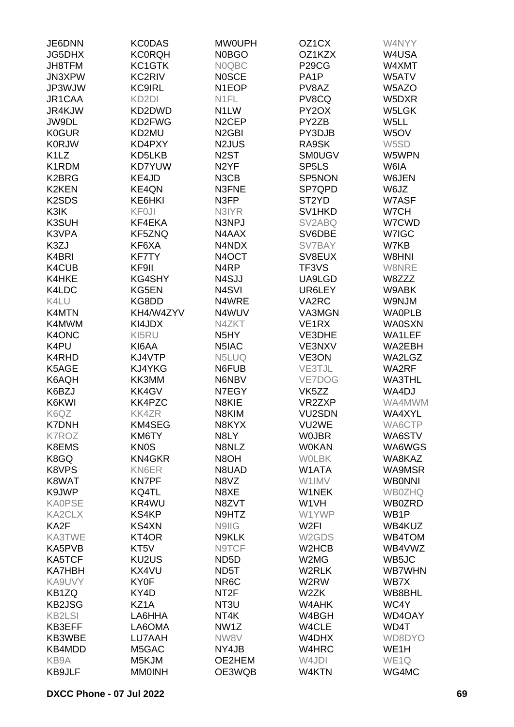| JE6DNN                         | <b>KC0DAS</b>      | <b>MW0UPH</b>      | OZ <sub>1</sub> CX | W4NYY             |
|--------------------------------|--------------------|--------------------|--------------------|-------------------|
| <b>JG5DHX</b>                  | <b>KC0RQH</b>      | <b>N0BGO</b>       | OZ1KZX             | W4USA             |
| JH8TFM                         | KC1GTK             | <b>NOQBC</b>       | <b>P29CG</b>       | W4XMT             |
| JN3XPW                         | KC2RIV             | <b>NOSCE</b>       | PA <sub>1</sub> P  | W5ATV             |
|                                |                    | N1EOP              |                    |                   |
| JP3WJW                         | <b>KC9IRL</b>      |                    | PV8AZ              | W5AZO             |
| JR1CAA                         | KD <sub>2</sub> DI | N <sub>1FL</sub>   | PV8CQ              | W5DXR             |
| JR4KJW                         | KD2DWD             | N <sub>1</sub> LW  | PY <sub>2</sub> OX | W5LGK             |
| JW9DL                          | KD2FWG             | N <sub>2</sub> CEP | PY2ZB              | W5LL              |
| <b>K0GUR</b>                   | KD2MU              | N <sub>2</sub> GBI | PY3DJB             | W5OV              |
| <b>K0RJW</b>                   | KD4PXY             | N2JUS              | RA9SK              | W5SD              |
| K <sub>1</sub> L <sub>Z</sub>  | KD5LKB             | N <sub>2</sub> ST  | <b>SM0UGV</b>      | W5WPN             |
| K1RDM                          | <b>KD7YUW</b>      | N <sub>2</sub> YF  | SP <sub>5</sub> LS | W6IA              |
| K2BRG                          | KE4JD              | N3CB               | SP5NON             | W6JEN             |
| <b>K2KEN</b>                   | KE4QN              | N3FNE              | SP7QPD             | W6JZ              |
| K <sub>2</sub> SD <sub>S</sub> | KE6HKI             | N3FP               | ST <sub>2</sub> YD | W7ASF             |
| K3IK                           | <b>KF0JI</b>       | N3IYR              | SV1HKD             | W7CH              |
| K3SUH                          | KF4EKA             | N3NPJ              | SV2ABQ             | W7CWD             |
| K3VPA                          | KF5ZNQ             | N4AAX              | SV6DBE             | W7IGC             |
| K3ZJ                           | KF6XA              | N4NDX              | SV7BAY             | W7KB              |
| K4BRI                          |                    | N4OCT              | SV8EUX             | W8HNI             |
|                                | <b>KF7TY</b>       |                    |                    |                   |
| K4CUB                          | KF9II              | N <sub>4</sub> RP  | TF3VS              | W8NRE             |
| K4HKE                          | <b>KG4SHY</b>      | N4SJJ              | UA9LGD             | W8ZZZ             |
| K4LDC                          | KG5EN              | N <sub>4</sub> SVI | UR6LEY             | W9ABK             |
| K4LU                           | KG8DD              | N4WRE              | VA2RC              | W9NJM             |
| K4MTN                          | KH4/W4ZYV          | N4WUV              | VA3MGN             | <b>WAOPLB</b>     |
| K4MWM                          | KI4JDX             | N4ZKT              | VE <sub>1RX</sub>  | <b>WA0SXN</b>     |
| K4ONC                          | KI5RU              | N <sub>5</sub> HY  | VE3DHE             | WA1LEF            |
| K4PU                           | KI6AA              | N5IAC              | VE3NXV             | WA2EBH            |
| K4RHD                          | KJ4VTP             | N5LUQ              | VE3ON              | WA2LGZ            |
| K5AGE                          | KJ4YKG             | N6FUB              | VE3TJL             | WA2RF             |
| K6AQH                          | KK3MM              | N6NBV              | VE7DOG             | <b>WA3THL</b>     |
| K6BZJ                          | KK4GV              | N7EGY              | VK <sub>5</sub> ZZ | WA4DJ             |
| K6KWI                          | KK4PZC             | N8KIE              | VR2ZXP             | WA4MWM            |
| K6QZ                           | <b>KK4ZR</b>       | N8KIM              | <b>VU2SDN</b>      | WA4XYL            |
| <b>K7DNH</b>                   | KM4SEG             | N8KYX              | VU2WE              | WA6CTP            |
| <b>K7ROZ</b>                   | KM6TY              | N8LY               | <b>WOJBR</b>       | WA6STV            |
| K8EMS                          | <b>KN0S</b>        | N8NLZ              | <b>W0KAN</b>       | WA6WGS            |
| K8GQ                           | <b>KN4GKR</b>      | N8OH               | <b>WOLBK</b>       | WA8KAZ            |
| K8VPS                          | KN6ER              | N8UAD              | W1ATA              | WA9MSR            |
|                                |                    |                    |                    |                   |
| K8WAT                          | <b>KN7PF</b>       | N8VZ               | W1IMV              | <b>WBONNI</b>     |
| K9JWP                          | KQ4TL              | N8XE               | W1NEK              | <b>WB0ZHQ</b>     |
| <b>KA0PSE</b>                  | KR4WU              | N8ZVT              | W <sub>1</sub> VH  | WB0ZRD            |
| <b>KA2CLX</b>                  | <b>KS4KP</b>       | N9HTZ              | W1YWP              | WB1P              |
| KA2F                           | <b>KS4XN</b>       | N9IIG              | W <sub>2</sub> FI  | WB4KUZ            |
| KA3TWE                         | KT4OR              | N9KLK              | W2GDS              | WB4TOM            |
| KA5PVB                         | KT <sub>5</sub> V  | N9TCF              | W2HCB              | WB4VWZ            |
| KA5TCF                         | KU2US              | ND <sub>5</sub> D  | W2MG               | WB5JC             |
| <b>KA7HBH</b>                  | KX4VU              | ND <sub>5</sub> T  | W2RLK              | <b>WB7WHN</b>     |
| KA9UVY                         | KY0F               | NR <sub>6</sub> C  | W2RW               | WB7X              |
| KB1ZQ                          | KY4D               | NT2F               | W2ZK               | WB8BHL            |
| <b>KB2JSG</b>                  | KZ1A               | NT3U               | W4AHK              | WC4Y              |
| <b>KB2LSI</b>                  | LA6HHA             | NT4K               | W4BGH              | WD4OAY            |
| KB3EFF                         | LA6OMA             | NW1Z               | W4CLE              | WD4T              |
| KB3WBE                         | LU7AAH             | NW8V               | W4DHX              | WD8DYO            |
| KB4MDD                         | M5GAC              | NY4JB              | W4HRC              | WE <sub>1</sub> H |
| KB9A                           | M5KJM              | OE2HEM             | W4JDI              | WE <sub>1Q</sub>  |
| <b>KB9JLF</b>                  | <b>MM0INH</b>      | OE3WQB             | W4KTN              | WG4MC             |
|                                |                    |                    |                    |                   |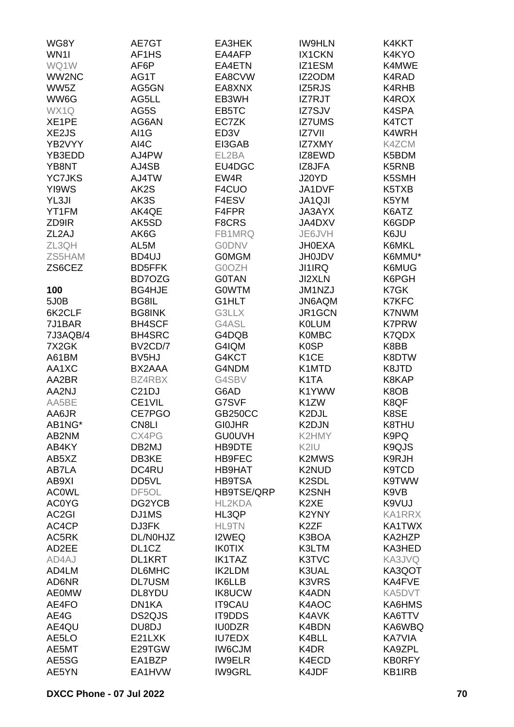| WG8Y               | AE7GT              | EA3HEK            | <b>IW9HLN</b>              | K4KKT         |
|--------------------|--------------------|-------------------|----------------------------|---------------|
| WN <sub>11</sub>   | AF1HS              | EA4AFP            | IX1CKN                     | K4KYO         |
| WQ1W               | AF6P               | EA4ETN            | IZ1ESM                     | K4MWE         |
| WW2NC              | AG1T               | EA8CVW            | IZ2ODM                     | K4RAD         |
| WW5Z               | AG5GN              | EA8XNX            | IZ5RJS                     | K4RHB         |
| WW6G               | AG5LL              | EB3WH             | IZ7RJT                     | K4ROX         |
| WX1Q               | AG5S               | EB5TC             | IZ7SJV                     | K4SPA         |
|                    |                    |                   |                            |               |
| XE1PE              | AG6AN              | EC7ZK             | <b>IZ7UMS</b>              | K4TCT         |
| XE2JS              | AI1G               | ED <sub>3</sub> V | IZ7VII                     | K4WRH         |
| YB2VYY             | AI4C               | EI3GAB            | <b>IZ7XMY</b>              | K4ZCM         |
| YB3EDD             | AJ4PW              | EL2BA             | IZ8EWD                     | K5BDM         |
| YB8NT              | AJ4SB              | EU4DGC            | IZ8JFA                     | K5RNB         |
| <b>YC7JKS</b>      | AJ4TW              | EW4R              | J20YD                      | K5SMH         |
| YI9WS              | AK2S               | F4CUO             | JA1DVF                     | K5TXB         |
| YL3JI              | AK3S               | F4ESV             | JA1QJI                     | K5YM          |
| YT1FM              | AK4QE              | F4FPR             | <b>JA3AYX</b>              | K6ATZ         |
| ZD9IR              | AK5SD              | F8CRS             | JA4DXV                     | K6GDP         |
| ZL <sub>2</sub> AJ | AK6G               | FB1MRQ            | JE6JVH                     | K6JU          |
| ZL3QH              | AL5M               | <b>GODNV</b>      | <b>JH0EXA</b>              | K6MKL         |
| ZS5HAM             | BD4UJ              | <b>GOMGM</b>      | <b>JH0JDV</b>              | K6MMU*        |
| ZS6CEZ             | <b>BD5FFK</b>      | G0OZH             | JI1IRQ                     | K6MUG         |
|                    | BD7OZG             | <b>GOTAN</b>      | JI2XLN                     | K6PGH         |
| 100                | <b>BG4HJE</b>      | <b>GOWTM</b>      | JM1NZJ                     | K7GK          |
| 5J0B               | BG8IL              | G1HLT             | JN6AQM                     | <b>K7KFC</b>  |
| 6K2CLF             | <b>BG8INK</b>      | G3LLX             | JR1GCN                     | <b>K7NWM</b>  |
| 7J1BAR             | <b>BH4SCF</b>      | G4ASL             | <b>KOLUM</b>               | <b>K7PRW</b>  |
| 7J3AQB/4           | <b>BH4SRC</b>      | G4DQB             | <b>K0MBC</b>               | K7QDX         |
| 7X2GK              | BV2CD/7            | G4IQM             | K <sub>0</sub> SP          | K8BB          |
| A61BM              | BV <sub>5</sub> HJ | G4KCT             | K <sub>1</sub> CE          | K8DTW         |
|                    | BX2AAA             | G4NDM             |                            | K8JTD         |
| AA1XC              |                    | G4SBV             | K1MTD<br>K <sub>1</sub> TA | K8KAP         |
| AA2BR              | BZ4RBX             |                   |                            |               |
| AA2NJ              | C <sub>21</sub> DJ | G6AD              | K1YWW                      | K8OB          |
| AA5BE              | CE1VIL             | G7SVF             | K1ZW                       | K8QF          |
| AA6JR              | CE7PGO             | <b>GB250CC</b>    | K2DJL                      | K8SE          |
| AB1NG*             | CN8LI              | <b>GIOJHR</b>     | K2DJN                      | K8THU         |
| AB2NM              | CX4PG              | <b>GU0UVH</b>     | K2HMY                      | K9PQ          |
| AB4KY              | DB2MJ              | HB9DTE            | K2IU                       | K9QJS         |
| AB5XZ              | DB3KE              | <b>HB9FEC</b>     | K2MWS                      | K9RJH         |
| AB7LA              | DC4RU              | HB9HAT            | K2NUD                      | K9TCD         |
| AB9XI              | DD5VL              | <b>HB9TSA</b>     | K <sub>2</sub> SDL         | <b>K9TWW</b>  |
| <b>ACOWL</b>       | DF5OL              | HB9TSE/QRP        | <b>K2SNH</b>               | K9VB          |
| <b>AC0YG</b>       | DG2YCB             | HL2KDA            | K <sub>2</sub> XE          | K9VUJ         |
| AC <sub>2</sub> GI | DJ1MS              | HL3QP             | K2YNY                      | <b>KA1RRX</b> |
| AC4CP              | DJ3FK              | <b>HL9TN</b>      | K <sub>2</sub> ZF          | KA1TWX        |
| AC5RK              | DL/N0HJZ           | I2WEQ             | K3BOA                      | KA2HZP        |
| AD2EE              | DL <sub>1</sub> CZ | <b>IK0TIX</b>     | K3LTM                      | KA3HED        |
| AD4AJ              | DL1KRT             | <b>IK1TAZ</b>     | K3TVC                      | KA3JVQ        |
| AD4LM              | DL6MHC             | <b>IK2LDM</b>     | K3UAL                      | KA3QOT        |
| AD6NR              | <b>DL7USM</b>      | <b>IK6LLB</b>     | K3VRS                      | KA4FVE        |
| <b>AE0MW</b>       | DL8YDU             | <b>IK8UCW</b>     | K4ADN                      | KA5DVT        |
| AE4FO              | DN1KA              | <b>IT9CAU</b>     | K4AOC                      | KA6HMS        |
| AE4G               | DS2QJS             | IT9DDS            | K4AVK                      | KA6TTV        |
| AE4QU              | DU8DJ              | <b>IU0DZR</b>     | K4BDN                      | KA6WBQ        |
| AE5LO              | E21LXK             | <b>IU7EDX</b>     | K4BLL                      | <b>KA7VIA</b> |
| AE5MT              | E29TGW             | <b>IW6CJM</b>     | K4DR                       | KA9ZPL        |
| AE5SG              | EA1BZP             | <b>IW9ELR</b>     | K4ECD                      | <b>KB0RFY</b> |
| AE5YN              | EA1HVW             | <b>IW9GRL</b>     | K4JDF                      | KB1IRB        |
|                    |                    |                   |                            |               |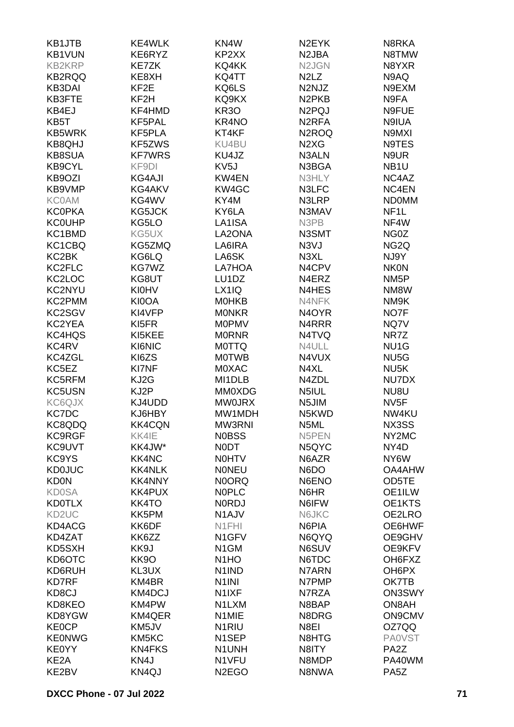| KB1JTB            | KE4WLK            | KN4W               | N <sub>2</sub> EYK             | N8RKA             |
|-------------------|-------------------|--------------------|--------------------------------|-------------------|
| KB1VUN            | KE6RYZ            | KP2XX              | N <sub>2</sub> JBA             | N8TMW             |
| <b>KB2KRP</b>     | <b>KE7ZK</b>      | KQ4KK              | N2JGN                          | N8YXR             |
| <b>KB2RQQ</b>     | KE8XH             | KQ4TT              | N <sub>2</sub> L <sub>Z</sub>  | N9AQ              |
| <b>KB3DAI</b>     | KF <sub>2</sub> E | KQ6LS              | N2NJZ                          | N9EXM             |
| KB3FTE            | KF2H              | KQ9KX              | N <sub>2</sub> PK <sub>B</sub> | N9FA              |
| KB4EJ             | KF4HMD            | <b>KR30</b>        | N <sub>2</sub> PQJ             | N9FUE             |
| KB5T              | KF5PAL            | KR4NO              | N <sub>2</sub> RFA             | N9IUA             |
| <b>KB5WRK</b>     | KF5PLA            | KT4KF              | N <sub>2</sub> ROQ             | N9MXI             |
| <b>KB8QHJ</b>     | KF5ZWS            | KU4BU              | N <sub>2</sub> X <sub>G</sub>  | N9TES             |
| <b>KB8SUA</b>     | <b>KF7WRS</b>     | KU4JZ              | N3ALN                          | N9UR              |
| <b>KB9CYL</b>     | KF9DI             | KV <sub>5</sub> J  | N3BGA                          | NB <sub>1</sub> U |
| KB9OZI            | <b>KG4AJI</b>     | KW4EN              | N3HLY                          | NC4AZ             |
| KB9VMP            | KG4AKV            | KW4GC              | N3LFC                          | NC4EN             |
|                   |                   |                    |                                |                   |
| <b>KC0AM</b>      | KG4WV             | KY4M               | N3LRP                          | <b>NDOMM</b>      |
| <b>KC0PKA</b>     | KG5JCK            | KY6LA              | N3MAV                          | NF <sub>1</sub> L |
| <b>KC0UHP</b>     | KG5LO             | LA1ISA             | N3PB                           | NF4W              |
| KC1BMD            | KG5UX             | LA2ONA             | N3SMT                          | NG0Z              |
| KC1CBQ            | KG5ZMQ            | LA6IRA             | N3VJ                           | NG <sub>2</sub> Q |
| KC2BK             | KG6LQ             | LA6SK              | N3XL                           | NJ9Y              |
| KC2FLC            | KG7WZ             | LA7HOA             | N4CPV                          | <b>NK0N</b>       |
| KC2LOC            | KG8UT             | LU1DZ              | N4ERZ                          | NM <sub>5</sub> P |
| KC2NYU            | <b>KI0HV</b>      | LX1IQ              | N4HES                          | NM8W              |
| KC2PMM            | KI0OA             | <b>MOHKB</b>       | N4NFK                          | NM9K              |
| KC2SGV            | KI4VFP            | <b>MONKR</b>       | N <sub>4</sub> OYR             | NO7F              |
| KC2YEA            | KI5FR             | <b>MOPMV</b>       | N4RRR                          | NQ7V              |
| KC4HQS            | KI5KEE            | <b>MORNR</b>       | N4TVQ                          | NR7Z              |
| KC4RV             | KI6NIC            | <b>MOTTQ</b>       | N4ULL                          | NU <sub>1</sub> G |
| KC4ZGL            | KI6ZS             | <b>MOTWB</b>       | N4VUX                          | NU <sub>5</sub> G |
| KC5EZ             | <b>KI7NF</b>      | <b>MOXAC</b>       | N4XL                           | NU <sub>5</sub> K |
| KC5RFM            | KJ2G              | MI1DLB             | N4ZDL                          | NU7DX             |
| KC5USN            | KJ2P              | <b>MM0XDG</b>      | N5IUL                          | NU8U              |
| KC6QJX            | KJ4UDD            | <b>MW0JRX</b>      | N5JIM                          | NV <sub>5F</sub>  |
| KC7DC             | KJ6HBY            | MW1MDH             | N5KWD                          | NW4KU             |
| KC8QDQ            | <b>KK4CQN</b>     | MW3RNI             | N5ML                           | NX3SS             |
| <b>KC9RGF</b>     | KK4IE             | <b>NOBSS</b>       | N5PEN                          | NY2MC             |
| KC9UVT            | KK4JW*            | <b>NODT</b>        | N5QYC                          | NY4D              |
| KC9YS             | <b>KK4NC</b>      | <b>NOHTV</b>       | N6AZR                          | NY6W              |
| <b>KD0JUC</b>     | <b>KK4NLK</b>     | <b>NONEU</b>       | N6DO                           | <b>OA4AHW</b>     |
| <b>KD0N</b>       | <b>KK4NNY</b>     | <b>NOORQ</b>       | N6ENO                          | OD5TE             |
| <b>KD0SA</b>      | <b>KK4PUX</b>     | <b>NOPLC</b>       | N6HR                           | OE1ILW            |
| <b>KD0TLX</b>     | <b>KK4TO</b>      | <b>NORDJ</b>       | N6IFW                          | OE1KTS            |
| KD2UC             | KK5PM             | N <sub>1</sub> AJV | N6JKC                          | OE2LRO            |
| KD4ACG            | KK6DF             | N1FHI              | N6PIA                          | OE6HWF            |
| KD4ZAT            | KK6ZZ             | N <sub>1</sub> GFV | N6QYQ                          | OE9GHV            |
| KD5SXH            | KK9J              | N <sub>1</sub> GM  | N6SUV                          | OE9KFV            |
| KD6OTC            | KK9O              | N <sub>1</sub> HO  | N6TDC                          | OH6FXZ            |
| KD6RUH            | KL3UX             | N <sub>1</sub> IND | N7ARN                          | OH6PX             |
| <b>KD7RF</b>      | KM4BR             | N <sub>1</sub> INI | N7PMP                          | OK7TB             |
| KD8CJ             | KM4DCJ            | N <sub>1</sub> IXF | N7RZA                          | <b>ON3SWY</b>     |
| KD8KEO            | KM4PW             | N1LXM              | N8BAP                          | ON8AH             |
| KD8YGW            | <b>KM4QER</b>     | N1MIE              | N8DRG                          | <b>ON9CMV</b>     |
| <b>KE0CP</b>      | KM5JV             | N <sub>1</sub> RIU | N8EI                           | OZ7QQ             |
| <b>KE0NWG</b>     | KM5KC             | N <sub>1</sub> SEP | N8HTG                          | <b>PA0VST</b>     |
|                   |                   |                    |                                | PA <sub>2</sub> Z |
| <b>KE0YY</b>      | <b>KN4FKS</b>     | N1UNH              | N8ITY                          |                   |
| KE <sub>2</sub> A | KN4J              | N1VFU              | N8MDP                          | PA40WM            |
| KE2BV             | KN4QJ             | N <sub>2</sub> EGO | N8NWA                          | PA <sub>5</sub> Z |